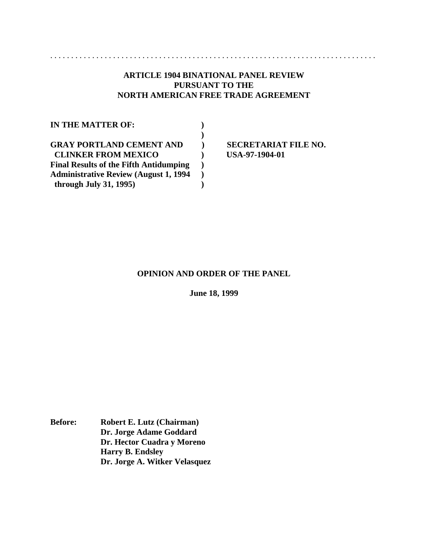# **ARTICLE 1904 BINATIONAL PANEL REVIEW PURSUANT TO THE NORTH AMERICAN FREE TRADE AGREEMENT**

| <b>IN THE MATTER OF:</b>                                                    |  |
|-----------------------------------------------------------------------------|--|
|                                                                             |  |
| <b>GRAY PORTLAND CEMENT AND</b>                                             |  |
| <b>CLINKER FROM MEXICO</b><br><b>Final Results of the Fifth Antidumping</b> |  |
| <b>Administrative Review (August 1, 1994</b>                                |  |
| through July 31, 1995)                                                      |  |

**SECRETARIAT FILE NO. CLINKER FROM MEXICO ) USA-97-1904-01**

..............................................................................

## **OPINION AND ORDER OF THE PANEL**

**June 18, 1999**

**Before: Robert E. Lutz (Chairman) Dr. Jorge Adame Goddard Dr. Hector Cuadra y Moreno Harry B. Endsley Dr. Jorge A. Witker Velasquez**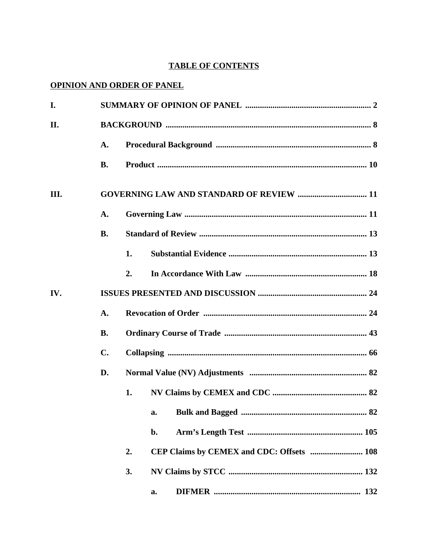# **TABLE OF CONTENTS**

# **OPINION AND ORDER OF PANEL**

| I.  |               |    |                                                 |
|-----|---------------|----|-------------------------------------------------|
| II. |               |    |                                                 |
|     | A.            |    |                                                 |
|     | <b>B.</b>     |    |                                                 |
| Ш.  |               |    | <b>GOVERNING LAW AND STANDARD OF REVIEW  11</b> |
|     | A.            |    |                                                 |
|     | <b>B.</b>     |    |                                                 |
|     |               | 1. |                                                 |
|     |               | 2. |                                                 |
| IV. |               |    |                                                 |
|     | A.            |    |                                                 |
|     | <b>B.</b>     |    |                                                 |
|     | $C_{\bullet}$ |    |                                                 |
|     | D.            |    |                                                 |
|     |               | 1. |                                                 |
|     |               |    | a.                                              |
|     |               |    | b.                                              |
|     |               | 2. |                                                 |
|     |               | 3. |                                                 |
|     |               |    | а.                                              |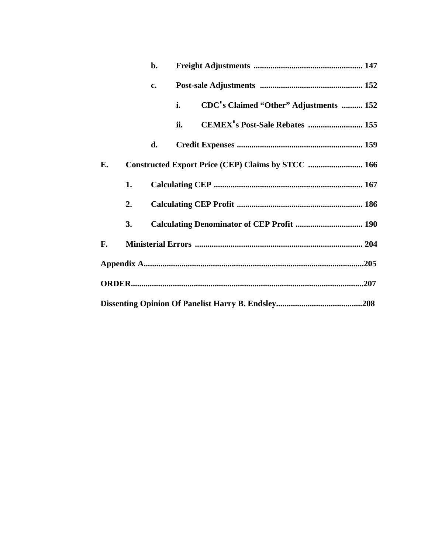|    |    | b. |     |                                                    |
|----|----|----|-----|----------------------------------------------------|
|    |    | c. |     |                                                    |
|    |    |    | i.  | CDC's Claimed "Other" Adjustments  152             |
|    |    |    | ii. | CEMEX's Post-Sale Rebates  155                     |
|    |    | d. |     |                                                    |
| Е. |    |    |     | Constructed Export Price (CEP) Claims by STCC  166 |
|    | 1. |    |     |                                                    |
|    | 2. |    |     |                                                    |
|    | 3. |    |     |                                                    |
| F. |    |    |     |                                                    |
|    |    |    |     |                                                    |
|    |    |    |     |                                                    |
|    |    |    |     |                                                    |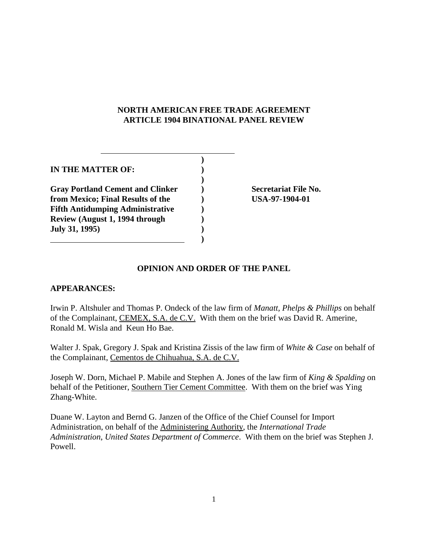# **NORTH AMERICAN FREE TRADE AGREEMENT ARTICLE 1904 BINATIONAL PANEL REVIEW**

| IN THE MATTER OF:                       |  |
|-----------------------------------------|--|
|                                         |  |
| <b>Gray Portland Cement and Clinker</b> |  |
| from Mexico; Final Results of the       |  |
| <b>Fifth Antidumping Administrative</b> |  |
| Review (August 1, 1994 through          |  |
| <b>July 31, 1995)</b>                   |  |
|                                         |  |

**Secretariat File No. from Mexico; Final Results of the ) USA-97-1904-01**

# **OPINION AND ORDER OF THE PANEL**

## **APPEARANCES:**

Irwin P. Altshuler and Thomas P. Ondeck of the law firm of *Manatt, Phelps & Phillips* on behalf of the Complainant, CEMEX, S.A. de C.V. With them on the brief was David R. Amerine, Ronald M. Wisla and Keun Ho Bae.

Walter J. Spak, Gregory J. Spak and Kristina Zissis of the law firm of *White & Case* on behalf of the Complainant, Cementos de Chihuahua, S.A. de C.V.

Joseph W. Dorn, Michael P. Mabile and Stephen A. Jones of the law firm of *King & Spalding* on behalf of the Petitioner, Southern Tier Cement Committee. With them on the brief was Ying Zhang-White.

Duane W. Layton and Bernd G. Janzen of the Office of the Chief Counsel for Import Administration, on behalf of the Administering Authority, the *International Trade Administration*, *United States Department of Commerce*. With them on the brief was Stephen J. Powell.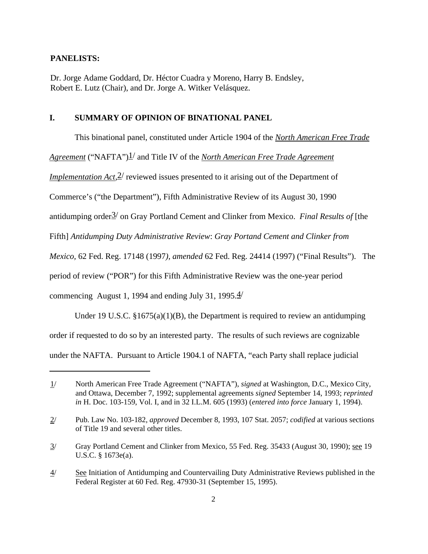## **PANELISTS:**

Dr. Jorge Adame Goddard, Dr. Héctor Cuadra y Moreno, Harry B. Endsley, Robert E. Lutz (Chair), and Dr. Jorge A. Witker Velásquez.

### **I. SUMMARY OF OPINION OF BINATIONAL PANEL**

This binational panel, constituted under Article 1904 of the *North American Free Trade*

*Agreement* ("NAFTA")<sup>1</sup>/ and Title IV of the *North American Free Trade Agreement* 

*Implementation Act*,  $2^{/}$  reviewed issues presented to it arising out of the Department of

Commerce's ("the Department"), Fifth Administrative Review of its August 30, 1990

antidumping order3/ on Gray Portland Cement and Clinker from Mexico. *Final Results of* [the

Fifth] *Antidumping Duty Administrative Review*: *Gray Portand Cement and Clinker from*

*Mexico,* 62 Fed. Reg. 17148 (1997*), amended* 62 Fed. Reg. 24414 (1997) ("Final Results"). The

period of review ("POR") for this Fifth Administrative Review was the one-year period

commencing August 1, 1994 and ending July 31, 1995. $\frac{4}{1}$ 

Under 19 U.S.C.  $\S 1675(a)(1)(B)$ , the Department is required to review an antidumping order if requested to do so by an interested party. The results of such reviews are cognizable under the NAFTA. Pursuant to Article 1904.1 of NAFTA, "each Party shall replace judicial

<sup>1/</sup> North American Free Trade Agreement ("NAFTA"), *signed* at Washington, D.C., Mexico City, and Ottawa, December 7, 1992; supplemental agreements *signed* September 14, 1993; *reprinted in* H. Doc. 103-159, Vol. I, and in 32 I.L.M. 605 (1993) (*entered into force* January 1, 1994).

<sup>2/</sup> Pub. Law No. 103-182, *approved* December 8, 1993, 107 Stat. 2057; *codified* at various sections of Title 19 and several other titles.

<sup>3/</sup> Gray Portland Cement and Clinker from Mexico, 55 Fed. Reg. 35433 (August 30, 1990); see 19 U.S.C. § 1673e(a).

<sup>4/</sup> See Initiation of Antidumping and Countervailing Duty Administrative Reviews published in the Federal Register at 60 Fed. Reg. 47930-31 (September 15, 1995).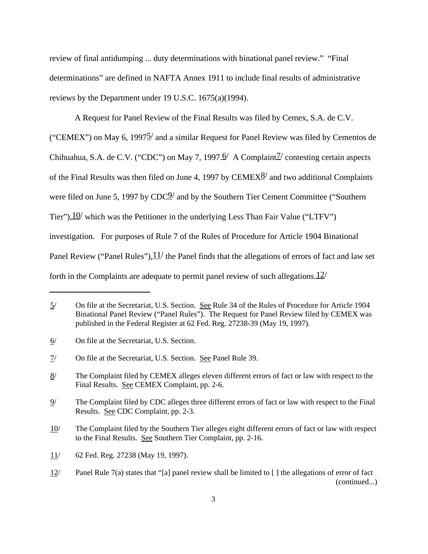review of final antidumping ... duty determinations with binational panel review." "Final determinations" are defined in NAFTA Annex 1911 to include final results of administrative reviews by the Department under 19 U.S.C. 1675(a)(1994).

A Request for Panel Review of the Final Results was filed by Cemex, S.A. de C.V.

("CEMEX") on May 6, 1997 $\frac{5}{2}$  and a similar Request for Panel Review was filed by Cementos de Chihuahua, S.A. de C.V. ("CDC") on May 7, 1997. $\frac{6}{ }$  A Complaint<sup>7</sup> contesting certain aspects of the Final Results was then filed on June 4, 1997 by  $\text{CEMEX}^{\&}$  and two additional Complaints were filed on June 5, 1997 by CDC2/ and by the Southern Tier Cement Committee ("Southern Tier"),  $10/$  which was the Petitioner in the underlying Less Than Fair Value ("LTFV") investigation. For purposes of Rule 7 of the Rules of Procedure for Article 1904 Binational Panel Review ("Panel Rules"),  $11/$  the Panel finds that the allegations of errors of fact and law set forth in the Complaints are adequate to permit panel review of such allegations.  $12/$ 

6/ On file at the Secretariat, U.S. Section.

<sup>5/</sup> On file at the Secretariat, U.S. Section. See Rule 34 of the Rules of Procedure for Article 1904 Binational Panel Review ("Panel Rules"). The Request for Panel Review filed by CEMEX was published in the Federal Register at 62 Fed. Reg. 27238-39 (May 19, 1997).

<sup>7/</sup> On file at the Secretariat, U.S. Section. See Panel Rule 39.

<sup>8/</sup> The Complaint filed by CEMEX alleges eleven different errors of fact or law with respect to the Final Results. See CEMEX Complaint, pp. 2-6.

<sup>9/</sup> The Complaint filed by CDC alleges three different errors of fact or law with respect to the Final Results. See CDC Complaint, pp. 2-3.

<sup>10/</sup> The Complaint filed by the Southern Tier alleges eight different errors of fact or law with respect to the Final Results. See Southern Tier Complaint, pp. 2-16.

<sup>11/</sup> 62 Fed. Reg. 27238 (May 19, 1997).

<sup>12/</sup> Panel Rule 7(a) states that "[a] panel review shall be limited to [ ] the allegations of error of fact (continued...)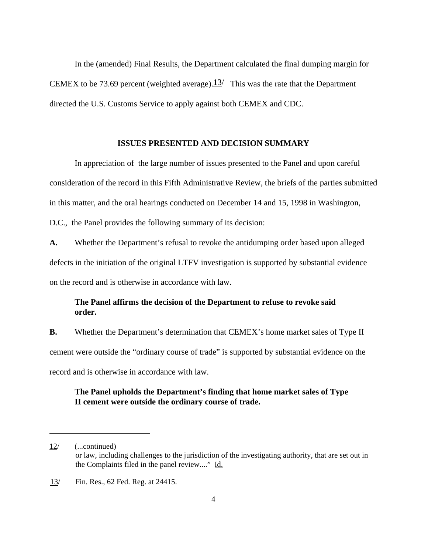In the (amended) Final Results, the Department calculated the final dumping margin for CEMEX to be 73.69 percent (weighted average). $13/$  This was the rate that the Department directed the U.S. Customs Service to apply against both CEMEX and CDC.

### **ISSUES PRESENTED AND DECISION SUMMARY**

In appreciation of the large number of issues presented to the Panel and upon careful consideration of the record in this Fifth Administrative Review, the briefs of the parties submitted in this matter, and the oral hearings conducted on December 14 and 15, 1998 in Washington, D.C., the Panel provides the following summary of its decision:

**A.** Whether the Department's refusal to revoke the antidumping order based upon alleged defects in the initiation of the original LTFV investigation is supported by substantial evidence on the record and is otherwise in accordance with law.

# **The Panel affirms the decision of the Department to refuse to revoke said order.**

**B.** Whether the Department's determination that CEMEX's home market sales of Type II cement were outside the "ordinary course of trade" is supported by substantial evidence on the record and is otherwise in accordance with law.

# **The Panel upholds the Department's finding that home market sales of Type II cement were outside the ordinary course of trade.**

<sup>12/</sup> (...continued) or law, including challenges to the jurisdiction of the investigating authority, that are set out in the Complaints filed in the panel review...." Id.

<sup>13/</sup> Fin. Res., 62 Fed. Reg. at 24415.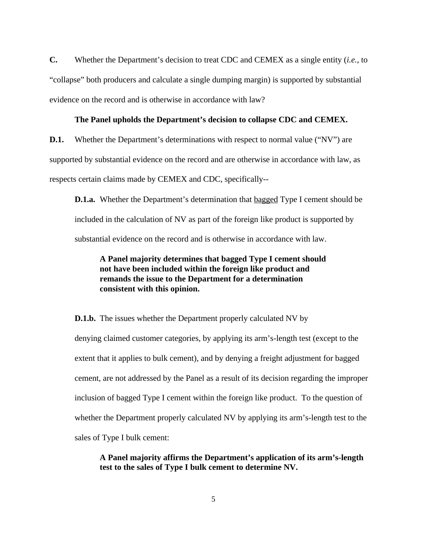**C.** Whether the Department's decision to treat CDC and CEMEX as a single entity (*i.e.*, to "collapse" both producers and calculate a single dumping margin) is supported by substantial evidence on the record and is otherwise in accordance with law?

#### **The Panel upholds the Department's decision to collapse CDC and CEMEX.**

**D.1.** Whether the Department's determinations with respect to normal value ("NV") are supported by substantial evidence on the record and are otherwise in accordance with law, as respects certain claims made by CEMEX and CDC, specifically--

**D.1.a.** Whether the Department's determination that <u>bagged</u> Type I cement should be included in the calculation of NV as part of the foreign like product is supported by substantial evidence on the record and is otherwise in accordance with law.

# **A Panel majority determines that bagged Type I cement should not have been included within the foreign like product and remands the issue to the Department for a determination consistent with this opinion.**

**D.1.b.** The issues whether the Department properly calculated NV by

denying claimed customer categories, by applying its arm's-length test (except to the extent that it applies to bulk cement), and by denying a freight adjustment for bagged cement, are not addressed by the Panel as a result of its decision regarding the improper inclusion of bagged Type I cement within the foreign like product. To the question of whether the Department properly calculated NV by applying its arm's-length test to the sales of Type I bulk cement:

**A Panel majority affirms the Department's application of its arm's-length test to the sales of Type I bulk cement to determine NV.**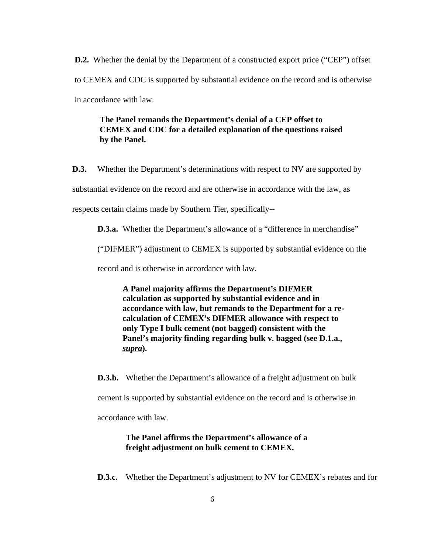**D.2.** Whether the denial by the Department of a constructed export price ("CEP") offset to CEMEX and CDC is supported by substantial evidence on the record and is otherwise in accordance with law.

# **The Panel remands the Department's denial of a CEP offset to CEMEX and CDC for a detailed explanation of the questions raised by the Panel.**

**D.3.** Whether the Department's determinations with respect to NV are supported by substantial evidence on the record and are otherwise in accordance with the law, as respects certain claims made by Southern Tier, specifically--

**D.3.a.** Whether the Department's allowance of a "difference in merchandise"

("DIFMER") adjustment to CEMEX is supported by substantial evidence on the

record and is otherwise in accordance with law.

**A Panel majority affirms the Department's DIFMER calculation as supported by substantial evidence and in accordance with law, but remands to the Department for a recalculation of CEMEX's DIFMER allowance with respect to only Type I bulk cement (not bagged) consistent with the Panel's majority finding regarding bulk v. bagged (see D.1.a.,** *supra***).**

**D.3.b.** Whether the Department's allowance of a freight adjustment on bulk

cement is supported by substantial evidence on the record and is otherwise in

accordance with law.

## **The Panel affirms the Department's allowance of a freight adjustment on bulk cement to CEMEX.**

**D.3.c.** Whether the Department's adjustment to NV for CEMEX's rebates and for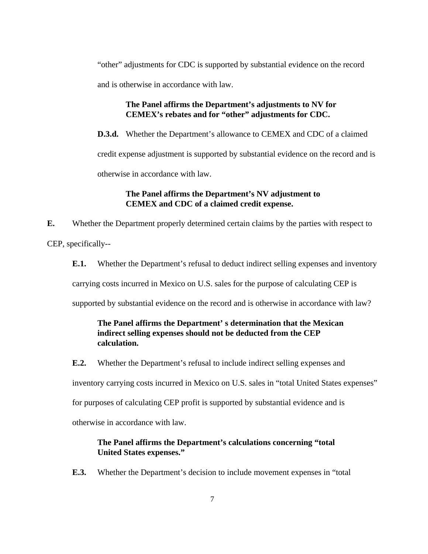"other" adjustments for CDC is supported by substantial evidence on the record

and is otherwise in accordance with law.

# **The Panel affirms the Department's adjustments to NV for CEMEX's rebates and for "other" adjustments for CDC.**

**D.3.d.** Whether the Department's allowance to CEMEX and CDC of a claimed

credit expense adjustment is supported by substantial evidence on the record and is

otherwise in accordance with law.

# **The Panel affirms the Department's NV adjustment to CEMEX and CDC of a claimed credit expense.**

**E.** Whether the Department properly determined certain claims by the parties with respect to

CEP, specifically--

**E.1.** Whether the Department's refusal to deduct indirect selling expenses and inventory

carrying costs incurred in Mexico on U.S. sales for the purpose of calculating CEP is

supported by substantial evidence on the record and is otherwise in accordance with law?

# **The Panel affirms the Department' s determination that the Mexican indirect selling expenses should not be deducted from the CEP calculation.**

**E.2.** Whether the Department's refusal to include indirect selling expenses and

inventory carrying costs incurred in Mexico on U.S. sales in "total United States expenses"

for purposes of calculating CEP profit is supported by substantial evidence and is

otherwise in accordance with law.

# **The Panel affirms the Department's calculations concerning "total United States expenses."**

**E.3.** Whether the Department's decision to include movement expenses in "total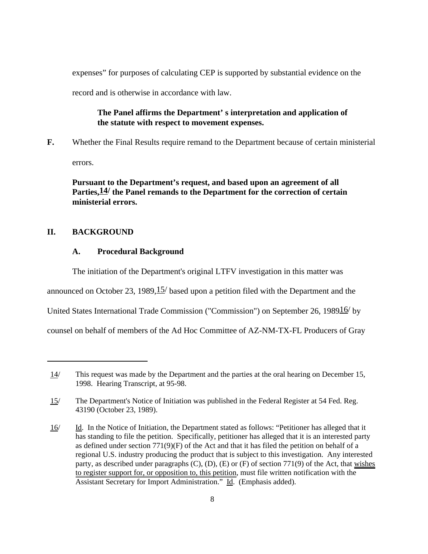expenses" for purposes of calculating CEP is supported by substantial evidence on the

record and is otherwise in accordance with law.

# **The Panel affirms the Department' s interpretation and application of the statute with respect to movement expenses.**

**F.** Whether the Final Results require remand to the Department because of certain ministerial

errors.

**Pursuant to the Department's request, and based upon an agreement of all Parties,14/ the Panel remands to the Department for the correction of certain ministerial errors.**

## **II. BACKGROUND**

### **A. Procedural Background**

The initiation of the Department's original LTFV investigation in this matter was

announced on October 23, 1989,  $15/$  based upon a petition filed with the Department and the

United States International Trade Commission ("Commission") on September 26, 198916/ by

counsel on behalf of members of the Ad Hoc Committee of AZ-NM-TX-FL Producers of Gray

<sup>14/</sup> This request was made by the Department and the parties at the oral hearing on December 15, 1998. Hearing Transcript, at 95-98.

<sup>15/</sup> The Department's Notice of Initiation was published in the Federal Register at 54 Fed. Reg. 43190 (October 23, 1989).

<sup>16/</sup> Id. In the Notice of Initiation, the Department stated as follows: "Petitioner has alleged that it has standing to file the petition. Specifically, petitioner has alleged that it is an interested party as defined under section  $771(9)(F)$  of the Act and that it has filed the petition on behalf of a regional U.S. industry producing the product that is subject to this investigation. Any interested party, as described under paragraphs (C), (D), (E) or (F) of section 771(9) of the Act, that wishes to register support for, or opposition to, this petition, must file written notification with the Assistant Secretary for Import Administration." Id. (Emphasis added).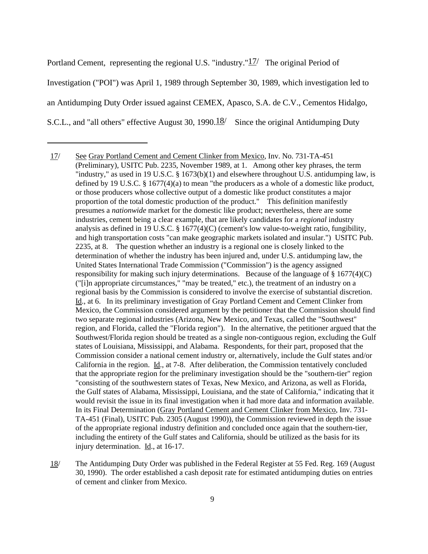Portland Cement, representing the regional U.S. "industry." $17/$  The original Period of Investigation ("POI") was April 1, 1989 through September 30, 1989, which investigation led to an Antidumping Duty Order issued against CEMEX, Apasco, S.A. de C.V., Cementos Hidalgo, S.C.L., and "all others" effective August 30, 1990. $\frac{18}{ }$  Since the original Antidumping Duty

18/ The Antidumping Duty Order was published in the Federal Register at 55 Fed. Reg. 169 (August 30, 1990). The order established a cash deposit rate for estimated antidumping duties on entries of cement and clinker from Mexico.

<sup>17/</sup> See Gray Portland Cement and Cement Clinker from Mexico, Inv. No. 731-TA-451 (Preliminary), USITC Pub. 2235, November 1989, at 1. Among other key phrases, the term "industry," as used in 19 U.S.C. § 1673(b)(1) and elsewhere throughout U.S. antidumping law, is defined by 19 U.S.C. § 1677(4)(a) to mean "the producers as a whole of a domestic like product, or those producers whose collective output of a domestic like product constitutes a major proportion of the total domestic production of the product." This definition manifestly presumes a *nationwide* market for the domestic like product; nevertheless, there are some industries, cement being a clear example, that are likely candidates for a *regional* industry analysis as defined in 19 U.S.C.  $\S$  1677(4)(C) (cement's low value-to-weight ratio, fungibility, and high transportation costs "can make geographic markets isolated and insular.") USITC Pub. 2235, at 8. The question whether an industry is a regional one is closely linked to the determination of whether the industry has been injured and, under U.S. antidumping law, the United States International Trade Commission ("Commission") is the agency assigned responsibility for making such injury determinations. Because of the language of  $\S 1677(4)(C)$ ("[i]n appropriate circumstances," "may be treated," etc.), the treatment of an industry on a regional basis by the Commission is considered to involve the exercise of substantial discretion. Id., at 6. In its preliminary investigation of Gray Portland Cement and Cement Clinker from Mexico, the Commission considered argument by the petitioner that the Commission should find two separate regional industries (Arizona, New Mexico, and Texas, called the "Southwest" region, and Florida, called the "Florida region"). In the alternative, the petitioner argued that the Southwest/Florida region should be treated as a single non-contiguous region, excluding the Gulf states of Louisiana, Mississippi, and Alabama. Respondents, for their part, proposed that the Commission consider a national cement industry or, alternatively, include the Gulf states and/or California in the region. Id., at 7-8. After deliberation, the Commission tentatively concluded that the appropriate region for the preliminary investigation should be the "southern-tier" region "consisting of the southwestern states of Texas, New Mexico, and Arizona, as well as Florida, the Gulf states of Alabama, Mississippi, Louisiana, and the state of California," indicating that it would revisit the issue in its final investigation when it had more data and information available. In its Final Determination (Gray Portland Cement and Cement Clinker from Mexico, Inv. 731- TA-451 (Final), USITC Pub. 2305 (August 1990)), the Commission reviewed in depth the issue of the appropriate regional industry definition and concluded once again that the southern-tier, including the entirety of the Gulf states and California, should be utilized as the basis for its injury determination. Id., at 16-17.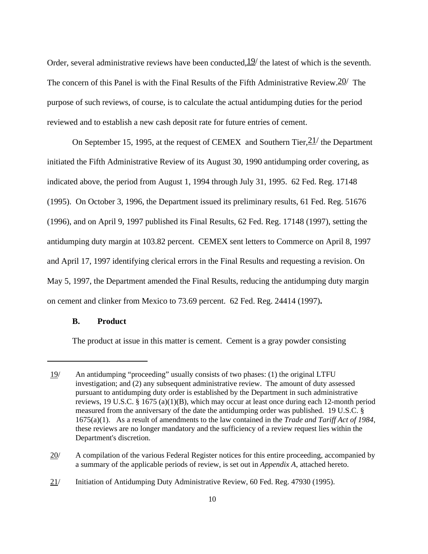Order, several administrative reviews have been conducted,  $\frac{19}{12}$  the latest of which is the seventh. The concern of this Panel is with the Final Results of the Fifth Administrative Review.  $20/$  The purpose of such reviews, of course, is to calculate the actual antidumping duties for the period reviewed and to establish a new cash deposit rate for future entries of cement.

On September 15, 1995, at the request of CEMEX and Southern Tier,  $21/$  the Department initiated the Fifth Administrative Review of its August 30, 1990 antidumping order covering, as indicated above, the period from August 1, 1994 through July 31, 1995. 62 Fed. Reg. 17148 (1995). On October 3, 1996, the Department issued its preliminary results, 61 Fed. Reg. 51676 (1996), and on April 9, 1997 published its Final Results, 62 Fed. Reg. 17148 (1997), setting the antidumping duty margin at 103.82 percent. CEMEX sent letters to Commerce on April 8, 1997 and April 17, 1997 identifying clerical errors in the Final Results and requesting a revision. On May 5, 1997, the Department amended the Final Results, reducing the antidumping duty margin on cement and clinker from Mexico to 73.69 percent. 62 Fed. Reg. 24414 (1997)**.** 

## **B. Product**

The product at issue in this matter is cement. Cement is a gray powder consisting

<sup>19/</sup> An antidumping "proceeding" usually consists of two phases: (1) the original LTFU investigation; and (2) any subsequent administrative review. The amount of duty assessed pursuant to antidumping duty order is established by the Department in such administrative reviews, 19 U.S.C. § 1675 (a)(1)(B), which may occur at least once during each 12-month period measured from the anniversary of the date the antidumping order was published. 19 U.S.C. § 1675(a)(1). As a result of amendments to the law contained in the *Trade and Tariff Act of 1984*, these reviews are no longer mandatory and the sufficiency of a review request lies within the Department's discretion.

<sup>20/</sup> A compilation of the various Federal Register notices for this entire proceeding, accompanied by a summary of the applicable periods of review, is set out in *Appendix A*, attached hereto.

<sup>21/</sup> Initiation of Antidumping Duty Administrative Review, 60 Fed. Reg. 47930 (1995).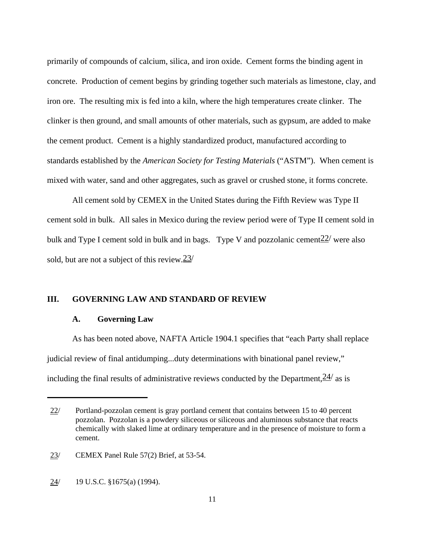primarily of compounds of calcium, silica, and iron oxide. Cement forms the binding agent in concrete. Production of cement begins by grinding together such materials as limestone, clay, and iron ore. The resulting mix is fed into a kiln, where the high temperatures create clinker. The clinker is then ground, and small amounts of other materials, such as gypsum, are added to make the cement product. Cement is a highly standardized product, manufactured according to standards established by the *American Society for Testing Materials* ("ASTM"). When cement is mixed with water, sand and other aggregates, such as gravel or crushed stone, it forms concrete.

All cement sold by CEMEX in the United States during the Fifth Review was Type II cement sold in bulk. All sales in Mexico during the review period were of Type II cement sold in bulk and Type I cement sold in bulk and in bags. Type V and pozzolanic cement  $22/$  were also sold, but are not a subject of this review.  $23/$ 

#### **III. GOVERNING LAW AND STANDARD OF REVIEW**

#### **A. Governing Law**

As has been noted above, NAFTA Article 1904.1 specifies that "each Party shall replace judicial review of final antidumping...duty determinations with binational panel review," including the final results of administrative reviews conducted by the Department,  $\frac{24}{a}$  as is

<sup>22/</sup> Portland-pozzolan cement is gray portland cement that contains between 15 to 40 percent pozzolan. Pozzolan is a powdery siliceous or siliceous and aluminous substance that reacts chemically with slaked lime at ordinary temperature and in the presence of moisture to form a cement.

<sup>23/</sup> CEMEX Panel Rule 57(2) Brief, at 53-54.

<sup>24/</sup> 19 U.S.C. §1675(a) (1994).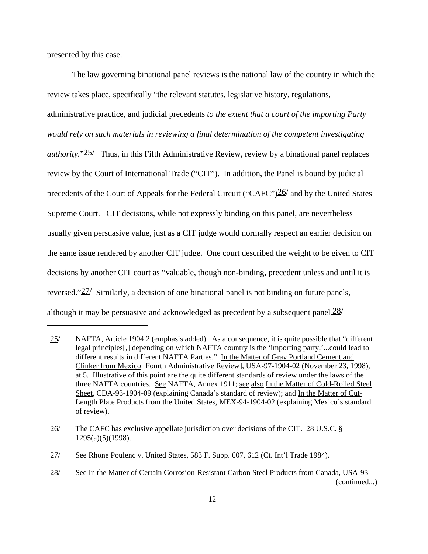presented by this case.

The law governing binational panel reviews is the national law of the country in which the review takes place, specifically "the relevant statutes, legislative history, regulations, administrative practice, and judicial precedents *to the extent that a court of the importing Party would rely on such materials in reviewing a final determination of the competent investigating authority.*"25/ Thus, in this Fifth Administrative Review, review by a binational panel replaces review by the Court of International Trade ("CIT"). In addition, the Panel is bound by judicial precedents of the Court of Appeals for the Federal Circuit ("CAFC") $\frac{26}{}$  and by the United States Supreme Court. CIT decisions, while not expressly binding on this panel, are nevertheless usually given persuasive value, just as a CIT judge would normally respect an earlier decision on the same issue rendered by another CIT judge. One court described the weight to be given to CIT decisions by another CIT court as "valuable, though non-binding, precedent unless and until it is reversed." $27/$  Similarly, a decision of one binational panel is not binding on future panels, although it may be persuasive and acknowledged as precedent by a subsequent panel. $28/$ 

<sup>25/</sup> NAFTA, Article 1904.2 (emphasis added). As a consequence, it is quite possible that "different legal principles[,] depending on which NAFTA country is the 'importing party,'...could lead to different results in different NAFTA Parties." In the Matter of Gray Portland Cement and Clinker from Mexico [Fourth Administrative Review], USA-97-1904-02 (November 23, 1998), at 5. Illustrative of this point are the quite different standards of review under the laws of the three NAFTA countries. See NAFTA, Annex 1911; see also In the Matter of Cold-Rolled Steel Sheet, CDA-93-1904-09 (explaining Canada's standard of review); and In the Matter of Cut-Length Plate Products from the United States, MEX-94-1904-02 (explaining Mexico's standard of review).

<sup>26/</sup> The CAFC has exclusive appellate jurisdiction over decisions of the CIT. 28 U.S.C. § 1295(a)(5)(1998).

<sup>27/</sup> See Rhone Poulenc v. United States, 583 F. Supp. 607, 612 (Ct. Int'l Trade 1984).

<sup>28/</sup> See In the Matter of Certain Corrosion-Resistant Carbon Steel Products from Canada, USA-93- (continued...)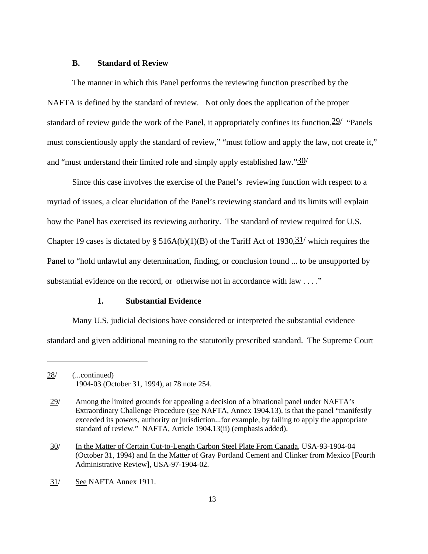#### **B. Standard of Review**

The manner in which this Panel performs the reviewing function prescribed by the NAFTA is defined by the standard of review. Not only does the application of the proper standard of review guide the work of the Panel, it appropriately confines its function.  $29'$  "Panels" must conscientiously apply the standard of review," "must follow and apply the law, not create it," and "must understand their limited role and simply apply established law." $30/$ 

Since this case involves the exercise of the Panel's reviewing function with respect to a myriad of issues, a clear elucidation of the Panel's reviewing standard and its limits will explain how the Panel has exercised its reviewing authority. The standard of review required for U.S. Chapter 19 cases is dictated by § 516A(b)(1)(B) of the Tariff Act of 1930,  $\frac{31}{ }$  which requires the Panel to "hold unlawful any determination, finding, or conclusion found ... to be unsupported by substantial evidence on the record, or otherwise not in accordance with law . . . ."

## **1. Substantial Evidence**

Many U.S. judicial decisions have considered or interpreted the substantial evidence standard and given additional meaning to the statutorily prescribed standard. The Supreme Court

31/ See NAFTA Annex 1911.

<sup>28/</sup> (...continued) 1904-03 (October 31, 1994), at 78 note 254.

<sup>29/</sup> Among the limited grounds for appealing a decision of a binational panel under NAFTA's Extraordinary Challenge Procedure (see NAFTA, Annex 1904.13), is that the panel "manifestly exceeded its powers, authority or jurisdiction...for example, by failing to apply the appropriate standard of review." NAFTA, Article 1904.13(ii) (emphasis added).

<sup>30/</sup> In the Matter of Certain Cut-to-Length Carbon Steel Plate From Canada, USA-93-1904-04 (October 31, 1994) and In the Matter of Gray Portland Cement and Clinker from Mexico [Fourth Administrative Review], USA-97-1904-02.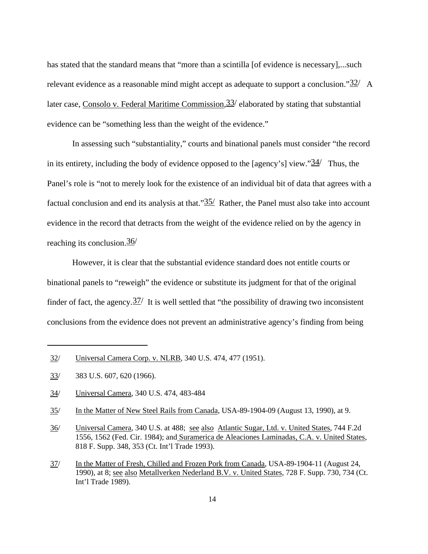has stated that the standard means that "more than a scintilla [of evidence is necessary],...such relevant evidence as a reasonable mind might accept as adequate to support a conclusion." $32/$  A later case, Consolo v. Federal Maritime Commission,  $33/$  elaborated by stating that substantial evidence can be "something less than the weight of the evidence."

In assessing such "substantiality," courts and binational panels must consider "the record in its entirety, including the body of evidence opposed to the [agency's] view." $34/$  Thus, the Panel's role is "not to merely look for the existence of an individual bit of data that agrees with a factual conclusion and end its analysis at that." $35/$  Rather, the Panel must also take into account evidence in the record that detracts from the weight of the evidence relied on by the agency in reaching its conclusion.36/

However, it is clear that the substantial evidence standard does not entitle courts or binational panels to "reweigh" the evidence or substitute its judgment for that of the original finder of fact, the agency.  $\frac{37}{1}$  It is well settled that "the possibility of drawing two inconsistent conclusions from the evidence does not prevent an administrative agency's finding from being

<sup>32/</sup> Universal Camera Corp. v. NLRB, 340 U.S. 474, 477 (1951).

<sup>33/</sup> 383 U.S. 607, 620 (1966).

<sup>34/</sup> Universal Camera, 340 U.S. 474, 483-484

<sup>35/</sup> In the Matter of New Steel Rails from Canada, USA-89-1904-09 (August 13, 1990), at 9.

<sup>36/</sup> Universal Camera, 340 U.S. at 488; see also Atlantic Sugar, Ltd. v. United States, 744 F.2d 1556, 1562 (Fed. Cir. 1984); and Suramerica de Aleaciones Laminadas, C.A. v. United States, 818 F. Supp. 348, 353 (Ct. Int'l Trade 1993).

<sup>37/</sup> In the Matter of Fresh, Chilled and Frozen Pork from Canada, USA-89-1904-11 (August 24, 1990), at 8; see also Metallverken Nederland B.V. v. United States, 728 F. Supp. 730, 734 (Ct. Int'l Trade 1989).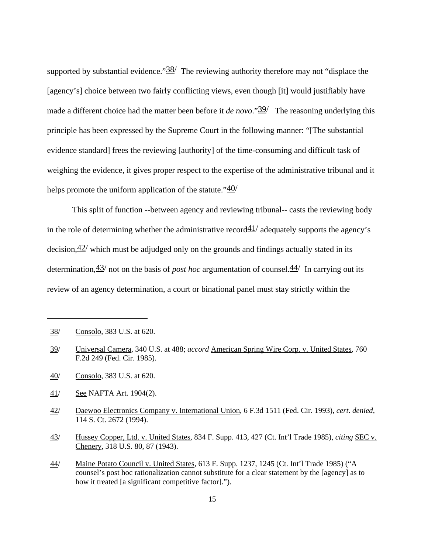supported by substantial evidence." $\frac{38}{ }$  The reviewing authority therefore may not "displace the [agency's] choice between two fairly conflicting views, even though [it] would justifiably have made a different choice had the matter been before it *de novo*."<sup>39</sup>/ The reasoning underlying this principle has been expressed by the Supreme Court in the following manner: "[The substantial evidence standard] frees the reviewing [authority] of the time-consuming and difficult task of weighing the evidence, it gives proper respect to the expertise of the administrative tribunal and it helps promote the uniform application of the statute." $40/$ 

This split of function --between agency and reviewing tribunal-- casts the reviewing body in the role of determining whether the administrative record  $41/$  adequately supports the agency's decision,  $42/$  which must be adjudged only on the grounds and findings actually stated in its determination,43/ not on the basis of *post hoc* argumentation of counsel.44/ In carrying out its review of an agency determination, a court or binational panel must stay strictly within the

<sup>38/</sup> Consolo, 383 U.S. at 620.

<sup>39/</sup> Universal Camera, 340 U.S. at 488; *accord* American Spring Wire Corp. v. United States, 760 F.2d 249 (Fed. Cir. 1985).

<sup>40/</sup> Consolo, 383 U.S. at 620.

<sup>41/</sup> See NAFTA Art. 1904(2).

<sup>42/</sup> Daewoo Electronics Company v. International Union, 6 F.3d 1511 (Fed. Cir. 1993), *cert*. *denied*, 114 S. Ct. 2672 (1994).

<sup>43/</sup> Hussey Copper, Ltd. v. United States, 834 F. Supp. 413, 427 (Ct. Int'l Trade 1985), *citing* SEC v. Chenery, 318 U.S. 80, 87 (1943).

<sup>44/</sup> Maine Potato Council v. United States, 613 F. Supp. 1237, 1245 (Ct. Int'l Trade 1985) ("A counsel's post hoc rationalization cannot substitute for a clear statement by the [agency] as to how it treated [a significant competitive factor].").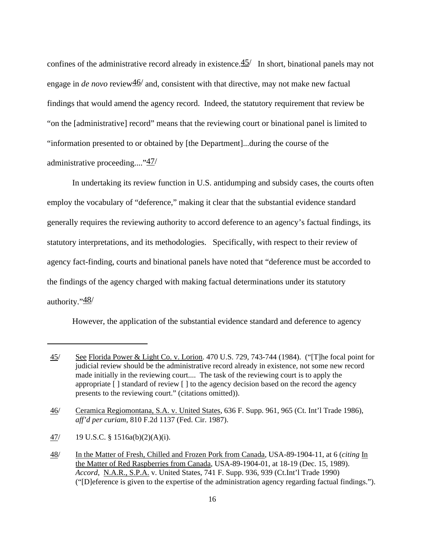confines of the administrative record already in existence. $45/$  In short, binational panels may not engage in *de novo* review $\frac{46}{}$  and, consistent with that directive, may not make new factual findings that would amend the agency record. Indeed, the statutory requirement that review be "on the [administrative] record" means that the reviewing court or binational panel is limited to "information presented to or obtained by [the Department]...during the course of the administrative proceeding...."47/

In undertaking its review function in U.S. antidumping and subsidy cases, the courts often employ the vocabulary of "deference," making it clear that the substantial evidence standard generally requires the reviewing authority to accord deference to an agency's factual findings, its statutory interpretations, and its methodologies. Specifically, with respect to their review of agency fact-finding, courts and binational panels have noted that "deference must be accorded to the findings of the agency charged with making factual determinations under its statutory authority."48/

However, the application of the substantial evidence standard and deference to agency

<sup>45/</sup> See Florida Power & Light Co. v. Lorion. 470 U.S. 729, 743-744 (1984). ("[T]he focal point for judicial review should be the administrative record already in existence, not some new record made initially in the reviewing court.... The task of the reviewing court is to apply the appropriate [ ] standard of review [ ] to the agency decision based on the record the agency presents to the reviewing court." (citations omitted)).

<sup>46/</sup> Ceramica Regiomontana, S.A. v. United States, 636 F. Supp. 961, 965 (Ct. Int'l Trade 1986), *aff'd per curiam*, 810 F.2d 1137 (Fed. Cir. 1987).

<sup>47/</sup> 19 U.S.C. § 1516a(b)(2)(A)(i).

<sup>48/</sup> In the Matter of Fresh, Chilled and Frozen Pork from Canada, USA-89-1904-11, at 6 (*citing* In the Matter of Red Raspberries from Canada, USA-89-1904-01, at 18-19 (Dec. 15, 1989). *Accord*, N.A.R., S.P.A. v. United States, 741 F. Supp. 936, 939 (Ct.Int'l Trade 1990) ("[D]eference is given to the expertise of the administration agency regarding factual findings.").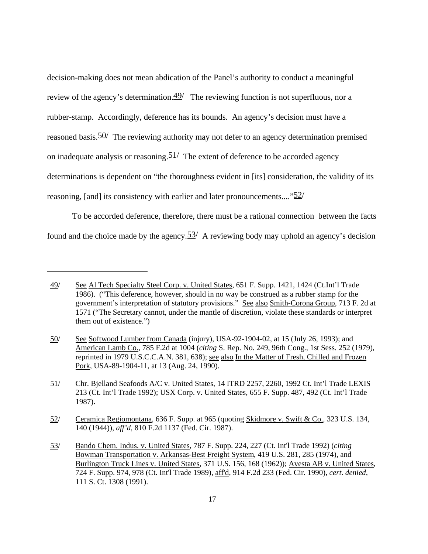decision-making does not mean abdication of the Panel's authority to conduct a meaningful review of the agency's determination. $\frac{49}{ }$  The reviewing function is not superfluous, nor a rubber-stamp. Accordingly, deference has its bounds. An agency's decision must have a reasoned basis.50/ The reviewing authority may not defer to an agency determination premised on inadequate analysis or reasoning.  $51/$  The extent of deference to be accorded agency determinations is dependent on "the thoroughness evident in [its] consideration, the validity of its reasoning, [and] its consistency with earlier and later pronouncements...." $52/$ 

To be accorded deference, therefore, there must be a rational connection between the facts found and the choice made by the agency.  $\frac{53}{ }$  A reviewing body may uphold an agency's decision

<sup>49/</sup> See Al Tech Specialty Steel Corp. v. United States, 651 F. Supp. 1421, 1424 (Ct.Int'l Trade 1986). ("This deference, however, should in no way be construed as a rubber stamp for the government's interpretation of statutory provisions." See also Smith-Corona Group, 713 F. 2d at 1571 ("The Secretary cannot, under the mantle of discretion, violate these standards or interpret them out of existence.")

<sup>50/</sup> See Softwood Lumber from Canada (injury), USA-92-1904-02, at 15 (July 26, 1993); and American Lamb Co., 785 F.2d at 1004 (*citing* S. Rep. No. 249, 96th Cong., 1st Sess. 252 (1979), reprinted in 1979 U.S.C.C.A.N. 381, 638); see also In the Matter of Fresh, Chilled and Frozen Pork, USA-89-1904-11, at 13 (Aug. 24, 1990).

<sup>51/</sup> Chr. Bjelland Seafoods A/C v. United States, 14 ITRD 2257, 2260, 1992 Ct. Int'l Trade LEXIS 213 (Ct. Int'l Trade 1992); USX Corp. v. United States, 655 F. Supp. 487, 492 (Ct. Int'l Trade 1987).

<sup>52/</sup> Ceramica Regiomontana, 636 F. Supp. at 965 (quoting Skidmore v. Swift & Co., 323 U.S. 134, 140 (1944)), *aff'd*, 810 F.2d 1137 (Fed. Cir. 1987).

<sup>53/</sup> Bando Chem. Indus. v. United States, 787 F. Supp. 224, 227 (Ct. Int'l Trade 1992) (*citing* Bowman Transportation v. Arkansas-Best Freight System, 419 U.S. 281, 285 (1974), and Burlington Truck Lines v. United States, 371 U.S. 156, 168 (1962)); Avesta AB v. United States, 724 F. Supp. 974, 978 (Ct. Int'l Trade 1989), aff'd, 914 F.2d 233 (Fed. Cir. 1990), *cert*. *denied*, 111 S. Ct. 1308 (1991).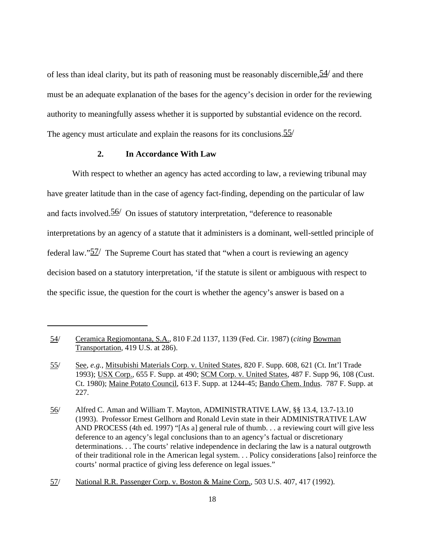of less than ideal clarity, but its path of reasoning must be reasonably discernible,  $\frac{54}{ }$  and there must be an adequate explanation of the bases for the agency's decision in order for the reviewing authority to meaningfully assess whether it is supported by substantial evidence on the record. The agency must articulate and explain the reasons for its conclusions. 55/

## **2. In Accordance With Law**

With respect to whether an agency has acted according to law, a reviewing tribunal may have greater latitude than in the case of agency fact-finding, depending on the particular of law and facts involved.  $56/$  On issues of statutory interpretation, "deference to reasonable interpretations by an agency of a statute that it administers is a dominant, well-settled principle of federal law." $\frac{57}{ }$  The Supreme Court has stated that "when a court is reviewing an agency decision based on a statutory interpretation, 'if the statute is silent or ambiguous with respect to the specific issue, the question for the court is whether the agency's answer is based on a

<sup>54/</sup> Ceramica Regiomontana, S.A., 810 F.2d 1137, 1139 (Fed. Cir. 1987) (*citing* Bowman Transportation, 419 U.S. at 286).

<sup>55/</sup> See, *e.g.,* Mitsubishi Materials Corp. v. United States, 820 F. Supp. 608, 621 (Ct. Int'l Trade 1993); USX Corp., 655 F. Supp. at 490; SCM Corp. v. United States, 487 F. Supp 96, 108 (Cust. Ct. 1980); Maine Potato Council, 613 F. Supp. at 1244-45; Bando Chem. Indus. 787 F. Supp. at 227.

<sup>56/</sup> Alfred C. Aman and William T. Mayton, ADMINISTRATIVE LAW, §§ 13.4, 13.7-13.10 (1993). Professor Ernest Gellhorn and Ronald Levin state in their ADMINISTRATIVE LAW AND PROCESS (4th ed. 1997) "[As a] general rule of thumb. . . a reviewing court will give less deference to an agency's legal conclusions than to an agency's factual or discretionary determinations. . . The courts' relative independence in declaring the law is a natural outgrowth of their traditional role in the American legal system. . . Policy considerations [also] reinforce the courts' normal practice of giving less deference on legal issues."

<sup>57/</sup> National R.R. Passenger Corp. v. Boston & Maine Corp., 503 U.S. 407, 417 (1992).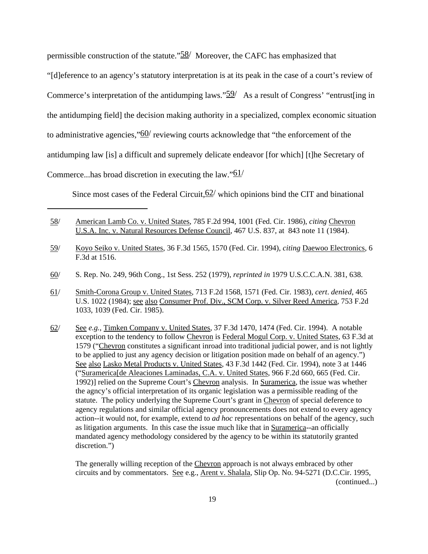permissible construction of the statute." $\frac{58}{100}$  Moreover, the CAFC has emphasized that

"[d]eference to an agency's statutory interpretation is at its peak in the case of a court's review of

Commerce's interpretation of the antidumping laws." $\frac{59}{ }$  As a result of Congress' "entrust [ing in

the antidumping field] the decision making authority in a specialized, complex economic situation

to administrative agencies," $60/$  reviewing courts acknowledge that "the enforcement of the

antidumping law [is] a difficult and supremely delicate endeavor [for which] [t]he Secretary of

Commerce...has broad discretion in executing the law." $61/$ 

Since most cases of the Federal Circuit,  $62/$  which opinions bind the CIT and binational

- 58/ American Lamb Co. v. United States, 785 F.2d 994, 1001 (Fed. Cir. 1986), *citing* Chevron U.S.A. Inc. v. Natural Resources Defense Council, 467 U.S. 837, at 843 note 11 (1984).
- 59/ Koyo Seiko v. United States, 36 F.3d 1565, 1570 (Fed. Cir. 1994), *citing* Daewoo Electronics, 6 F.3d at 1516.
- 60/ S. Rep. No. 249, 96th Cong., 1st Sess. 252 (1979), *reprinted in* 1979 U.S.C.C.A.N. 381, 638.
- 61/ Smith-Corona Group v. United States, 713 F.2d 1568, 1571 (Fed. Cir. 1983), *cert*. *denied*, 465 U.S. 1022 (1984); see also Consumer Prof. Div., SCM Corp. v. Silver Reed America, 753 F.2d 1033, 1039 (Fed. Cir. 1985).
- 62/ See *e.g.*, Timken Company v. United States, 37 F.3d 1470, 1474 (Fed. Cir. 1994). A notable exception to the tendency to follow Chevron is Federal Mogul Corp. v. United States, 63 F.3d at 1579 ("Chevron constitutes a significant inroad into traditional judicial power, and is not lightly to be applied to just any agency decision or litigation position made on behalf of an agency.") See also Lasko Metal Products v. United States, 43 F.3d 1442 (Fed. Cir. 1994), note 3 at 1446 ("Suramerica[de Aleaciones Laminadas, C.A. v. United States, 966 F.2d 660, 665 (Fed. Cir. 1992)] relied on the Supreme Court's Chevron analysis. In Suramerica, the issue was whether the agncy's official interpretation of its organic legislation was a permissible reading of the statute. The policy underlying the Supreme Court's grant in Chevron of special deference to agency regulations and similar official agency pronouncements does not extend to every agency action--it would not, for example, extend to *ad hoc* representations on behalf of the agency, such as litigation arguments. In this case the issue much like that in Suramerica--an officially mandated agency methodology considered by the agency to be within its statutorily granted discretion.")

The generally willing reception of the Chevron approach is not always embraced by other circuits and by commentators. See e.g., Arent v. Shalala, Slip Op. No. 94-5271 (D.C.Cir. 1995, (continued...)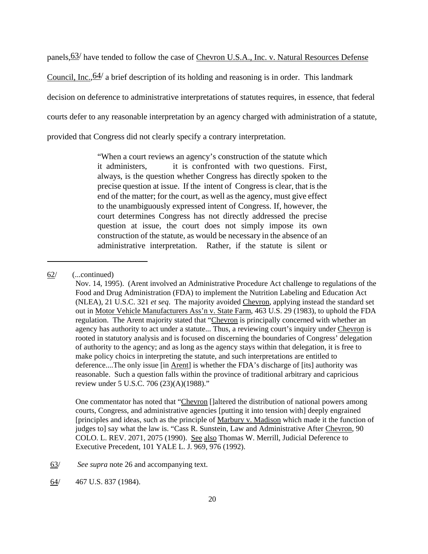panels,  $63/$  have tended to follow the case of Chevron U.S.A., Inc. v. Natural Resources Defense

Council, Inc.,  $64/$  a brief description of its holding and reasoning is in order. This landmark

decision on deference to administrative interpretations of statutes requires, in essence, that federal

courts defer to any reasonable interpretation by an agency charged with administration of a statute,

provided that Congress did not clearly specify a contrary interpretation.

"When a court reviews an agency's construction of the statute which it administers, it is confronted with two questions. First, always, is the question whether Congress has directly spoken to the precise question at issue. If the intent of Congress is clear, that is the end of the matter; for the court, as well as the agency, must give effect to the unambiguously expressed intent of Congress. If, however, the court determines Congress has not directly addressed the precise question at issue, the court does not simply impose its own construction of the statute, as would be necessary in the absence of an administrative interpretation. Rather, if the statute is silent or

One commentator has noted that "Chevron []altered the distribution of national powers among courts, Congress, and administrative agencies [putting it into tension with] deeply engrained [principles and ideas, such as the principle of Marbury v. Madison which made it the function of judges to] say what the law is. "Cass R. Sunstein, Law and Administrative After Chevron, 90 COLO. L. REV. 2071, 2075 (1990). See also Thomas W. Merrill, Judicial Deference to Executive Precedent, 101 YALE L. J. 969, 976 (1992).

63/ *See supra* note 26 and accompanying text.

64/ 467 U.S. 837 (1984).

<sup>62/</sup> (...continued)

Nov. 14, 1995). (Arent involved an Administrative Procedure Act challenge to regulations of the Food and Drug Administration (FDA) to implement the Nutrition Labeling and Education Act (NLEA), 21 U.S.C. 321 *et seq*. The majority avoided Chevron, applying instead the standard set out in Motor Vehicle Manufacturers Ass'n v. State Farm, 463 U.S. 29 (1983), to uphold the FDA regulation. The Arent majority stated that "Chevron is principally concerned with whether an agency has authority to act under a statute... Thus, a reviewing court's inquiry under Chevron is rooted in statutory analysis and is focused on discerning the boundaries of Congress' delegation of authority to the agency; and as long as the agency stays within that delegation, it is free to make policy choics in interpreting the statute, and such interpretations are entitled to deference....The only issue [in <u>Arent]</u> is whether the FDA's discharge of [its] authority was reasonable. Such a question falls within the province of traditional arbitrary and capricious review under 5 U.S.C. 706 (23)(A)(1988)."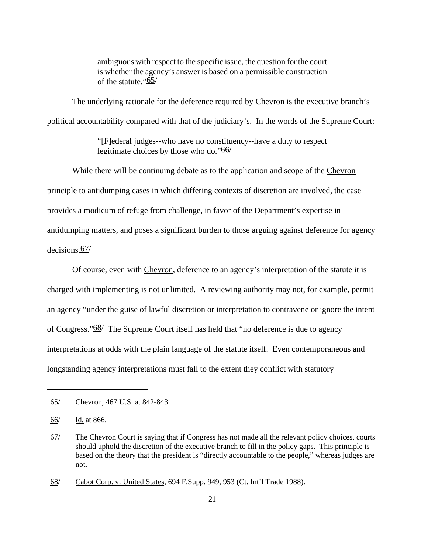ambiguous with respect to the specific issue, the question for the court is whether the agency's answer is based on a permissible construction of the statute." $65/$ 

The underlying rationale for the deference required by Chevron is the executive branch's political accountability compared with that of the judiciary's. In the words of the Supreme Court:

> "[F]ederal judges--who have no constituency--have a duty to respect legitimate choices by those who do."66/

While there will be continuing debate as to the application and scope of the Chevron principle to antidumping cases in which differing contexts of discretion are involved, the case provides a modicum of refuge from challenge, in favor of the Department's expertise in antidumping matters, and poses a significant burden to those arguing against deference for agency decisions.67/

Of course, even with Chevron, deference to an agency's interpretation of the statute it is charged with implementing is not unlimited. A reviewing authority may not, for example, permit an agency "under the guise of lawful discretion or interpretation to contravene or ignore the intent of Congress." $68/$  The Supreme Court itself has held that "no deference is due to agency interpretations at odds with the plain language of the statute itself. Even contemporaneous and longstanding agency interpretations must fall to the extent they conflict with statutory

<sup>65/</sup> Chevron, 467 U.S. at 842-843.

<sup>66/</sup> Id. at 866.

<sup>67/</sup> The Chevron Court is saying that if Congress has not made all the relevant policy choices, courts should uphold the discretion of the executive branch to fill in the policy gaps. This principle is based on the theory that the president is "directly accountable to the people," whereas judges are not.

<sup>68/</sup> Cabot Corp. v. United States, 694 F.Supp. 949, 953 (Ct. Int'l Trade 1988).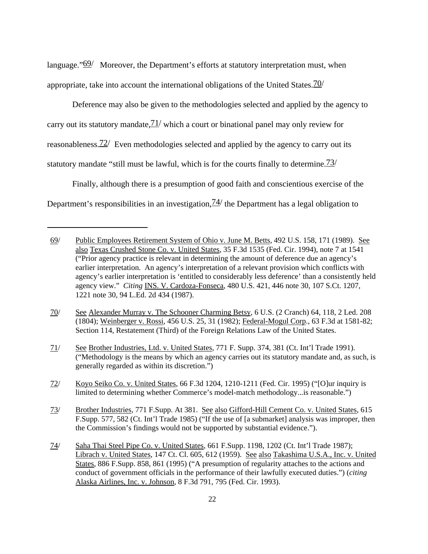language." $69/$  Moreover, the Department's efforts at statutory interpretation must, when appropriate, take into account the international obligations of the United States.  $\frac{70}{1}$ 

Deference may also be given to the methodologies selected and applied by the agency to carry out its statutory mandate,  $\frac{71}{ }$  which a court or binational panel may only review for reasonableness. $72/$  Even methodologies selected and applied by the agency to carry out its statutory mandate "still must be lawful, which is for the courts finally to determine.  $\frac{73}{ }$ 

Finally, although there is a presumption of good faith and conscientious exercise of the Department's responsibilities in an investigation,  $\frac{74}{1}$  the Department has a legal obligation to

<sup>69/</sup> Public Employees Retirement System of Ohio v. June M. Betts, 492 U.S. 158, 171 (1989). See also Texas Crushed Stone Co. v. United States, 35 F.3d 1535 (Fed. Cir. 1994), note 7 at 1541 ("Prior agency practice is relevant in determining the amount of deference due an agency's earlier interpretation. An agency's interpretation of a relevant provision which conflicts with agency's earlier interpretation is 'entitled to considerably less deference' than a consistently held agency view." *Citing* INS. V. Cardoza-Fonseca, 480 U.S. 421, 446 note 30, 107 S.Ct. 1207, 1221 note 30, 94 L.Ed. 2d 434 (1987).

<sup>70/</sup> See Alexander Murray v. The Schooner Charming Betsy, 6 U.S. (2 Cranch) 64, 118, 2 Led. 208 (1804); Weinberger v. Rossi, 456 U.S. 25, 31 (1982); Federal-Mogul Corp., 63 F.3d at 1581-82; Section 114, Restatement (Third) of the Foreign Relations Law of the United States.

<sup>71/</sup> See Brother Industries, Ltd. v. United States, 771 F. Supp. 374, 381 (Ct. Int'l Trade 1991). ("Methodology is the means by which an agency carries out its statutory mandate and, as such, is generally regarded as within its discretion.")

<sup>72/</sup> Koyo Seiko Co. v. United States, 66 F.3d 1204, 1210-1211 (Fed. Cir. 1995) ("[O]ur inquiry is limited to determining whether Commerce's model-match methodology...is reasonable.")

<sup>73/</sup> Brother Industries, 771 F.Supp. At 381. See also Gifford-Hill Cement Co. v. United States, 615 F.Supp. 577, 582 (Ct. Int'l Trade 1985) ("If the use of [a submarket] analysis was improper, then the Commission's findings would not be supported by substantial evidence.").

<sup>74/</sup> Saha Thai Steel Pipe Co. v. United States, 661 F.Supp. 1198, 1202 (Ct. Int'l Trade 1987); Librach v. United States, 147 Ct. Cl. 605, 612 (1959). See also Takashima U.S.A., Inc. v. United States, 886 F.Supp. 858, 861 (1995) ("A presumption of regularity attaches to the actions and conduct of government officials in the performance of their lawfully executed duties.") (*citing* Alaska Airlines, Inc. v. Johnson, 8 F.3d 791, 795 (Fed. Cir. 1993).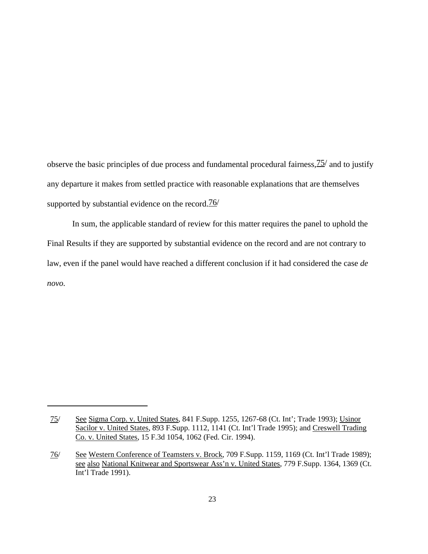observe the basic principles of due process and fundamental procedural fairness,  $\frac{75}{10}$  and to justify any departure it makes from settled practice with reasonable explanations that are themselves supported by substantial evidence on the record. $\frac{76}{10}$ 

In sum, the applicable standard of review for this matter requires the panel to uphold the Final Results if they are supported by substantial evidence on the record and are not contrary to law, even if the panel would have reached a different conclusion if it had considered the case *de novo.*

<sup>75/</sup> See Sigma Corp. v. United States, 841 F.Supp. 1255, 1267-68 (Ct. Int'; Trade 1993); Usinor Sacilor v. United States, 893 F.Supp. 1112, 1141 (Ct. Int'l Trade 1995); and Creswell Trading Co. v. United States, 15 F.3d 1054, 1062 (Fed. Cir. 1994).

<sup>76/</sup> See Western Conference of Teamsters v. Brock, 709 F.Supp. 1159, 1169 (Ct. Int'l Trade 1989); see also National Knitwear and Sportswear Ass'n v. United States, 779 F.Supp. 1364, 1369 (Ct. Int'l Trade 1991).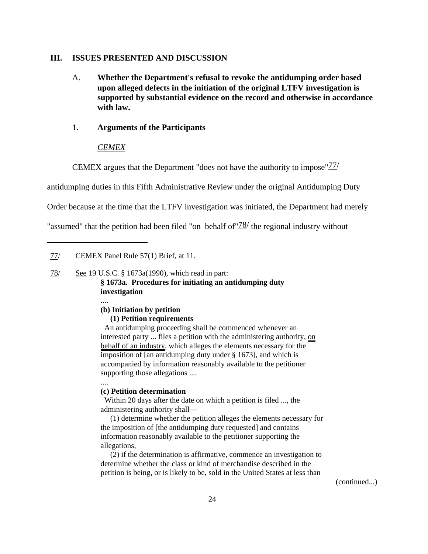### **III. ISSUES PRESENTED AND DISCUSSION**

A. **Whether the Department's refusal to revoke the antidumping order based upon alleged defects in the initiation of the original LTFV investigation is supported by substantial evidence on the record and otherwise in accordance with law.**

### 1. **Arguments of the Participants**

### *CEMEX*

CEMEX argues that the Department "does not have the authority to impose"77/

antidumping duties in this Fifth Administrative Review under the original Antidumping Duty

Order because at the time that the LTFV investigation was initiated, the Department had merely

"assumed" that the petition had been filed "on behalf of  $\frac{78}{}$  the regional industry without

## 78/ See 19 U.S.C. § 1673a(1990), which read in part: **§ 1673a. Procedures for initiating an antidumping duty investigation**

....

### **(b) Initiation by petition**

### **(1) Petition requirements**

 An antidumping proceeding shall be commenced whenever an interested party ... files a petition with the administering authority, on behalf of an industry, which alleges the elements necessary for the imposition of [an antidumping duty under § 1673], and which is accompanied by information reasonably available to the petitioner supporting those allegations ....

....

### **(c) Petition determination**

 Within 20 days after the date on which a petition is filed ..., the administering authority shall—

 (1) determine whether the petition alleges the elements necessary for the imposition of [the antidumping duty requested] and contains information reasonably available to the petitioner supporting the allegations,

 (2) if the determination is affirmative, commence an investigation to determine whether the class or kind of merchandise described in the petition is being, or is likely to be, sold in the United States at less than

(continued...)

<sup>77/</sup> CEMEX Panel Rule 57(1) Brief, at 11.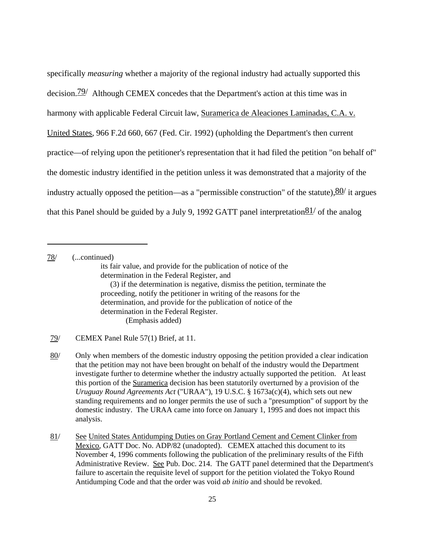specifically *measuring* whether a majority of the regional industry had actually supported this decision.<sup>79</sup>/ Although CEMEX concedes that the Department's action at this time was in harmony with applicable Federal Circuit law, Suramerica de Aleaciones Laminadas, C.A. v. United States, 966 F.2d 660, 667 (Fed. Cir. 1992) (upholding the Department's then current practice—of relying upon the petitioner's representation that it had filed the petition "on behalf of" the domestic industry identified in the petition unless it was demonstrated that a majority of the industry actually opposed the petition—as a "permissible construction" of the statute),  $\frac{80}{1}$  it argues that this Panel should be guided by a July 9, 1992 GATT panel interpretation  $81/$  of the analog

78/ (...continued) its fair value, and provide for the publication of notice of the determination in the Federal Register, and (3) if the determination is negative, dismiss the petition, terminate the proceeding, notify the petitioner in writing of the reasons for the determination, and provide for the publication of notice of the determination in the Federal Register. (Emphasis added)

79/ CEMEX Panel Rule 57(1) Brief, at 11.

80/ Only when members of the domestic industry opposing the petition provided a clear indication that the petition may not have been brought on behalf of the industry would the Department investigate further to determine whether the industry actually supported the petition. At least this portion of the Suramerica decision has been statutorily overturned by a provision of the *Uruguay Round Agreements Act* ("URAA"), 19 U.S.C. § 1673a(c)(4), which sets out new standing requirements and no longer permits the use of such a "presumption" of support by the domestic industry. The URAA came into force on January 1, 1995 and does not impact this analysis.

81/ See United States Antidumping Duties on Gray Portland Cement and Cement Clinker from Mexico, GATT Doc. No. ADP/82 (unadopted). CEMEX attached this document to its November 4, 1996 comments following the publication of the preliminary results of the Fifth Administrative Review. See Pub. Doc. 214. The GATT panel determined that the Department's failure to ascertain the requisite level of support for the petition violated the Tokyo Round Antidumping Code and that the order was void *ab initio* and should be revoked.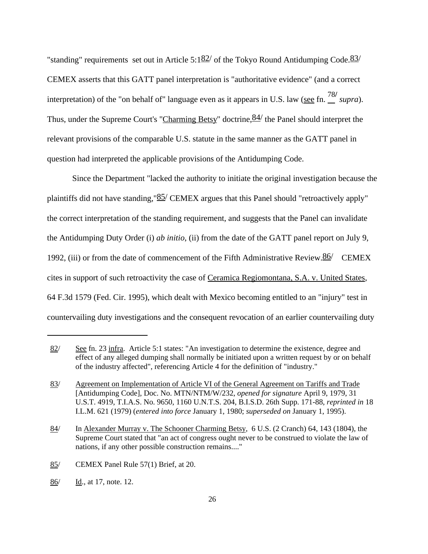"standing" requirements set out in Article 5:1 $\frac{82}{ }$  of the Tokyo Round Antidumping Code.  $\frac{83}{ }$ CEMEX asserts that this GATT panel interpretation is "authoritative evidence" (and a correct interpretation) of the "on behalf of" language even as it appears in U.S. law (see fn.  $\frac{78}{16}$  supra). Thus, under the Supreme Court's "Charming Betsy" doctrine,  $84/$  the Panel should interpret the relevant provisions of the comparable U.S. statute in the same manner as the GATT panel in question had interpreted the applicable provisions of the Antidumping Code.

Since the Department "lacked the authority to initiate the original investigation because the plaintiffs did not have standing,  $85$ /CEMEX argues that this Panel should "retroactively apply" the correct interpretation of the standing requirement, and suggests that the Panel can invalidate the Antidumping Duty Order (i) *ab initio*, (ii) from the date of the GATT panel report on July 9, 1992, (iii) or from the date of commencement of the Fifth Administrative Review. $86/$  CEMEX cites in support of such retroactivity the case of Ceramica Regiomontana, S.A. v. United States, 64 F.3d 1579 (Fed. Cir. 1995), which dealt with Mexico becoming entitled to an "injury" test in countervailing duty investigations and the consequent revocation of an earlier countervailing duty

86/ Id., at 17, note. 12.

<sup>82/</sup> See fn. 23 infra. Article 5:1 states: "An investigation to determine the existence, degree and effect of any alleged dumping shall normally be initiated upon a written request by or on behalf of the industry affected", referencing Article 4 for the definition of "industry."

<sup>83/</sup> Agreement on Implementation of Article VI of the General Agreement on Tariffs and Trade [Antidumping Code], Doc. No. MTN/NTM/W/232, *opened for signature* April 9, 1979, 31 U.S.T. 4919, T.I.A.S. No. 9650, 1160 U.N.T.S. 204, B.I.S.D. 26th Supp. 171-88, *reprinted in* 18 I.L.M. 621 (1979) (*entered into force* January 1, 1980; *superseded on* January 1, 1995).

<sup>84/</sup> In Alexander Murray v. The Schooner Charming Betsy, 6 U.S. (2 Cranch) 64, 143 (1804), the Supreme Court stated that "an act of congress ought never to be construed to violate the law of nations, if any other possible construction remains...."

<sup>85/</sup> CEMEX Panel Rule 57(1) Brief, at 20.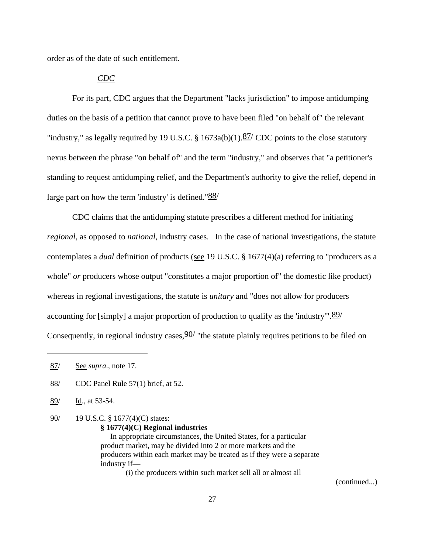order as of the date of such entitlement.

### *CDC*

For its part, CDC argues that the Department "lacks jurisdiction" to impose antidumping duties on the basis of a petition that cannot prove to have been filed "on behalf of" the relevant "industry," as legally required by 19 U.S.C. § 1673a(b)(1). $\frac{87}{ }$  CDC points to the close statutory nexus between the phrase "on behalf of" and the term "industry," and observes that "a petitioner's standing to request antidumping relief, and the Department's authority to give the relief, depend in large part on how the term 'industry' is defined." $\frac{88}{3}$ 

CDC claims that the antidumping statute prescribes a different method for initiating *regional*, as opposed to *national*, industry cases. In the case of national investigations, the statute contemplates a *dual* definition of products (see 19 U.S.C. § 1677(4)(a) referring to "producers as a whole" *or* producers whose output "constitutes a major proportion of" the domestic like product) whereas in regional investigations, the statute is *unitary* and "does not allow for producers accounting for [simply] a major proportion of production to qualify as the 'industry'". $\frac{89}{ }$ Consequently, in regional industry cases,  $90/$  "the statute plainly requires petitions to be filed on

- 89/ Id., at 53-54.
- 90/ 19 U.S.C. § 1677(4)(C) states:

```
§ 1677(4)(C) Regional industries
```
 In appropriate circumstances, the United States, for a particular product market, may be divided into 2 or more markets and the producers within each market may be treated as if they were a separate industry if—

(i) the producers within such market sell all or almost all

(continued...)

<sup>87/</sup> See *supra*., note 17.

<sup>88/</sup> CDC Panel Rule 57(1) brief, at 52.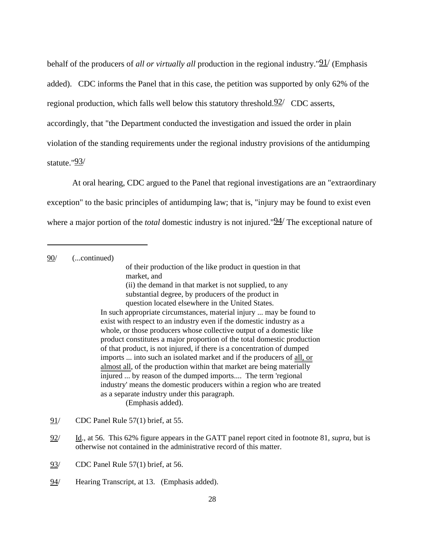behalf of the producers of *all or virtually all* production in the regional industry."91/ (Emphasis added). CDC informs the Panel that in this case, the petition was supported by only 62% of the regional production, which falls well below this statutory threshold.  $92/$  CDC asserts, accordingly, that "the Department conducted the investigation and issued the order in plain violation of the standing requirements under the regional industry provisions of the antidumping statute."93/

At oral hearing, CDC argued to the Panel that regional investigations are an "extraordinary exception" to the basic principles of antidumping law; that is, "injury may be found to exist even where a major portion of the *total* domestic industry is not injured."<sup>94</sup> The exceptional nature of

90/ (...continued)

of their production of the like product in question in that market, and (ii) the demand in that market is not supplied, to any substantial degree, by producers of the product in question located elsewhere in the United States.

In such appropriate circumstances, material injury ... may be found to exist with respect to an industry even if the domestic industry as a whole, or those producers whose collective output of a domestic like product constitutes a major proportion of the total domestic production of that product, is not injured, if there is a concentration of dumped imports ... into such an isolated market and if the producers of all, or almost all, of the production within that market are being materially injured ... by reason of the dumped imports.... The term 'regional industry' means the domestic producers within a region who are treated as a separate industry under this paragraph. (Emphasis added).

93/ CDC Panel Rule 57(1) brief, at 56.

<sup>91/</sup> CDC Panel Rule 57(1) brief, at 55.

<sup>92/</sup> Id., at 56. This 62% figure appears in the GATT panel report cited in footnote 81, *supra*, but is otherwise not contained in the administrative record of this matter.

<sup>94/</sup> Hearing Transcript, at 13. (Emphasis added).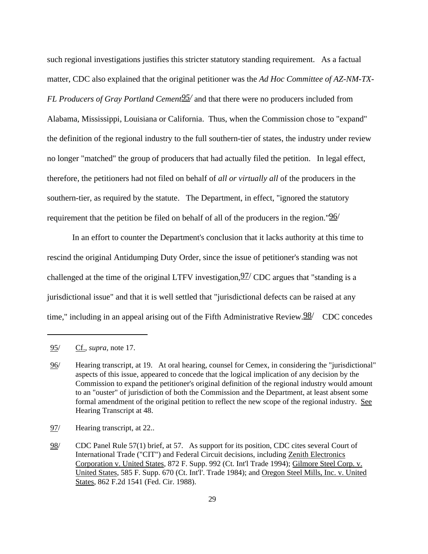such regional investigations justifies this stricter statutory standing requirement. As a factual matter, CDC also explained that the original petitioner was the *Ad Hoc Committee of AZ-NM-TX-FL Producers of Gray Portland Cement*  $\frac{95}{ }$  and that there were no producers included from Alabama, Mississippi, Louisiana or California. Thus, when the Commission chose to "expand" the definition of the regional industry to the full southern-tier of states, the industry under review no longer "matched" the group of producers that had actually filed the petition. In legal effect, therefore, the petitioners had not filed on behalf of *all or virtually all* of the producers in the southern-tier, as required by the statute. The Department, in effect, "ignored the statutory requirement that the petition be filed on behalf of all of the producers in the region." $96/$ 

In an effort to counter the Department's conclusion that it lacks authority at this time to rescind the original Antidumping Duty Order, since the issue of petitioner's standing was not challenged at the time of the original LTFV investigation,  $97/$  CDC argues that "standing is a jurisdictional issue" and that it is well settled that "jurisdictional defects can be raised at any time," including in an appeal arising out of the Fifth Administrative Review. $98/$  CDC concedes

<sup>95/</sup> Cf., *supra,* note 17.

<sup>96/</sup> Hearing transcript, at 19. At oral hearing, counsel for Cemex, in considering the "jurisdictional" aspects of this issue, appeared to concede that the logical implication of any decision by the Commission to expand the petitioner's original definition of the regional industry would amount to an "ouster" of jurisdiction of both the Commission and the Department, at least absent some formal amendment of the original petition to reflect the new scope of the regional industry. See Hearing Transcript at 48.

<sup>97/</sup> Hearing transcript, at 22..

<sup>98/</sup> CDC Panel Rule 57(1) brief, at 57. As support for its position, CDC cites several Court of International Trade ("CIT") and Federal Circuit decisions, including Zenith Electronics Corporation v. United States, 872 F. Supp. 992 (Ct. Int'l Trade 1994); Gilmore Steel Corp. v. United States, 585 F. Supp. 670 (Ct. Int'l'. Trade 1984); and Oregon Steel Mills, Inc. v. United States, 862 F.2d 1541 (Fed. Cir. 1988).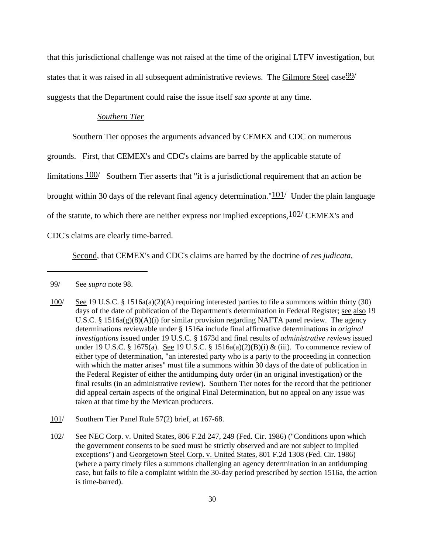that this jurisdictional challenge was not raised at the time of the original LTFV investigation, but states that it was raised in all subsequent administrative reviews. The Gilmore Steel case  $99/$ suggests that the Department could raise the issue itself *sua sponte* at any time.

## *Southern Tier*

Southern Tier opposes the arguments advanced by CEMEX and CDC on numerous

grounds. First, that CEMEX's and CDC's claims are barred by the applicable statute of

limitations.  $100/$  Southern Tier asserts that "it is a jurisdictional requirement that an action be

brought within 30 days of the relevant final agency determination." $101/$  Under the plain language

of the statute, to which there are neither express nor implied exceptions,  $102/$  CEMEX's and

CDC's claims are clearly time-barred.

Second, that CEMEX's and CDC's claims are barred by the doctrine of *res judicata*,

- 100/ See 19 U.S.C. § 1516a(a)(2)(A) requiring interested parties to file a summons within thirty (30) days of the date of publication of the Department's determination in Federal Register; see also 19 U.S.C. § 1516a(g)(8)(A)(i) for similar provision regarding NAFTA panel review. The agency determinations reviewable under § 1516a include final affirmative determinations in *original investigations* issued under 19 U.S.C. § 1673d and final results of *administrative reviews* issued under 19 U.S.C. § 1675(a). See 19 U.S.C. § 1516a(a)(2)(B)(i) & (iii). To commence review of either type of determination, "an interested party who is a party to the proceeding in connection with which the matter arises" must file a summons within 30 days of the date of publication in the Federal Register of either the antidumping duty order (in an original investigation) or the final results (in an administrative review). Southern Tier notes for the record that the petitioner did appeal certain aspects of the original Final Determination, but no appeal on any issue was taken at that time by the Mexican producers.
- 101/ Southern Tier Panel Rule 57(2) brief, at 167-68.
- 102/ See NEC Corp. v. United States, 806 F.2d 247, 249 (Fed. Cir. 1986) ("Conditions upon which the government consents to be sued must be strictly observed and are not subject to implied exceptions") and Georgetown Steel Corp. v. United States, 801 F.2d 1308 (Fed. Cir. 1986) (where a party timely files a summons challenging an agency determination in an antidumping case, but fails to file a complaint within the 30-day period prescribed by section 1516a, the action is time-barred).

<sup>99/</sup> See *supra* note 98.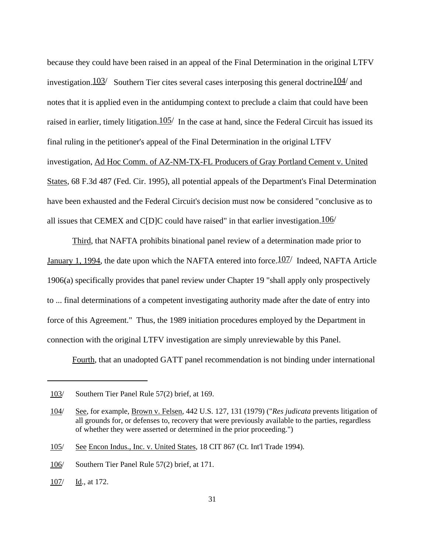because they could have been raised in an appeal of the Final Determination in the original LTFV investigation.  $103/$  Southern Tier cites several cases interposing this general doctrine  $104/$  and notes that it is applied even in the antidumping context to preclude a claim that could have been raised in earlier, timely litigation.  $105/$  In the case at hand, since the Federal Circuit has issued its final ruling in the petitioner's appeal of the Final Determination in the original LTFV investigation, Ad Hoc Comm. of AZ-NM-TX-FL Producers of Gray Portland Cement v. United States, 68 F.3d 487 (Fed. Cir. 1995), all potential appeals of the Department's Final Determination have been exhausted and the Federal Circuit's decision must now be considered "conclusive as to all issues that CEMEX and C[D]C could have raised" in that earlier investigation.  $106/$ 

Third, that NAFTA prohibits binational panel review of a determination made prior to January 1, 1994, the date upon which the NAFTA entered into force.  $107/$  Indeed, NAFTA Article 1906(a) specifically provides that panel review under Chapter 19 "shall apply only prospectively to ... final determinations of a competent investigating authority made after the date of entry into force of this Agreement." Thus, the 1989 initiation procedures employed by the Department in connection with the original LTFV investigation are simply unreviewable by this Panel.

Fourth, that an unadopted GATT panel recommendation is not binding under international

<sup>103/</sup> Southern Tier Panel Rule 57(2) brief, at 169.

<sup>104/</sup> See, for example, Brown v. Felsen, 442 U.S. 127, 131 (1979) ("*Res judicata* prevents litigation of all grounds for, or defenses to, recovery that were previously available to the parties, regardless of whether they were asserted or determined in the prior proceeding.")

<sup>105/</sup> See Encon Indus., Inc. v. United States, 18 CIT 867 (Ct. Int'l Trade 1994).

<sup>106/</sup> Southern Tier Panel Rule 57(2) brief, at 171.

<sup>107/</sup> Id., at 172.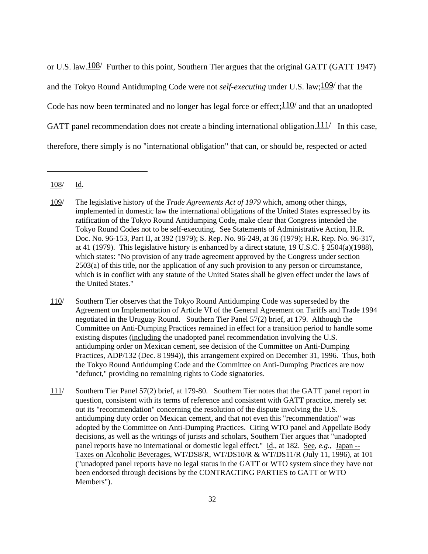or U.S. law.  $\frac{108}{ }$  Further to this point, Southern Tier argues that the original GATT (GATT 1947) and the Tokyo Round Antidumping Code were not *self-executing* under U.S. law;109/ that the Code has now been terminated and no longer has legal force or effect;  $110/$  and that an unadopted GATT panel recommendation does not create a binding international obligation.  $111/$  In this case, therefore, there simply is no "international obligation" that can, or should be, respected or acted

<sup>108/</sup> Id.

<sup>109/</sup> The legislative history of the *Trade Agreements Act of 1979* which, among other things, implemented in domestic law the international obligations of the United States expressed by its ratification of the Tokyo Round Antidumping Code, make clear that Congress intended the Tokyo Round Codes not to be self-executing. See Statements of Administrative Action, H.R. Doc. No. 96-153, Part II, at 392 (1979); S. Rep. No. 96-249, at 36 (1979); H.R. Rep. No. 96-317, at 41 (1979). This legislative history is enhanced by a direct statute, 19 U.S.C. § 2504(a)(1988), which states: "No provision of any trade agreement approved by the Congress under section 2503(a) of this title, nor the application of any such provision to any person or circumstance, which is in conflict with any statute of the United States shall be given effect under the laws of the United States."

<sup>110/</sup> Southern Tier observes that the Tokyo Round Antidumping Code was superseded by the Agreement on Implementation of Article VI of the General Agreement on Tariffs and Trade 1994 negotiated in the Uruguay Round. Southern Tier Panel 57(2) brief, at 179. Although the Committee on Anti-Dumping Practices remained in effect for a transition period to handle some existing disputes (including the unadopted panel recommendation involving the U.S. antidumping order on Mexican cement, see decision of the Committee on Anti-Dumping Practices, ADP/132 (Dec. 8 1994)), this arrangement expired on December 31, 1996. Thus, both the Tokyo Round Antidumping Code and the Committee on Anti-Dumping Practices are now "defunct," providing no remaining rights to Code signatories.

<sup>111/</sup> Southern Tier Panel 57(2) brief, at 179-80. Southern Tier notes that the GATT panel report in question, consistent with its terms of reference and consistent with GATT practice, merely set out its "recommendation" concerning the resolution of the dispute involving the U.S. antidumping duty order on Mexican cement, and that not even this "recommendation" was adopted by the Committee on Anti-Dumping Practices. Citing WTO panel and Appellate Body decisions, as well as the writings of jurists and scholars, Southern Tier argues that "unadopted panel reports have no international or domestic legal effect." Id., at 182. See, *e.g.*, Japan --Taxes on Alcoholic Beverages, WT/DS8/R, WT/DS10/R & WT/DS11/R (July 11, 1996), at 101 ("unadopted panel reports have no legal status in the GATT or WTO system since they have not been endorsed through decisions by the CONTRACTING PARTIES to GATT or WTO Members").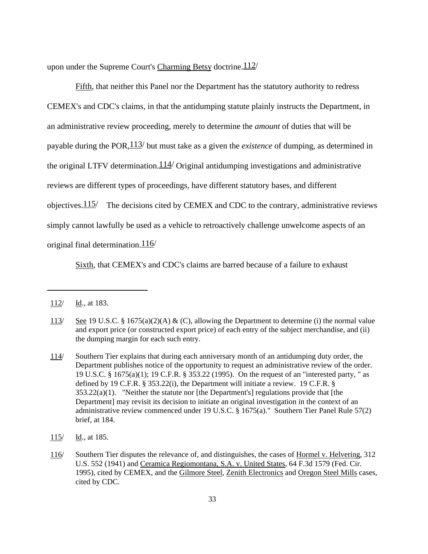upon under the Supreme Court's Charming Betsy doctrine.  $112/$ 

Fifth, that neither this Panel nor the Department has the statutory authority to redress CEMEX's and CDC's claims, in that the antidumping statute plainly instructs the Department, in an administrative review proceeding, merely to determine the *amount* of duties that will be payable during the POR,113/ but must take as a given the *existence* of dumping, as determined in the original LTFV determination.  $114/$  Original antidumping investigations and administrative reviews are different types of proceedings, have different statutory bases, and different objectives.  $115/$  The decisions cited by CEMEX and CDC to the contrary, administrative reviews simply cannot lawfully be used as a vehicle to retroactively challenge unwelcome aspects of an original final determination.  $116/$ 

Sixth, that CEMEX's and CDC's claims are barred because of a failure to exhaust

115/ Id., at 185.

 $112/$  Id., at 183.

<sup>113/</sup> See 19 U.S.C. § 1675(a)(2)(A) & (C), allowing the Department to determine (i) the normal value and export price (or constructed export price) of each entry of the subject merchandise, and (ii) the dumping margin for each such entry.

<sup>114/</sup> Southern Tier explains that during each anniversary month of an antidumping duty order, the Department publishes notice of the opportunity to request an administrative review of the order. 19 U.S.C. § 1675(a)(1); 19 C.F.R. § 353.22 (1995). On the request of an "interested party, " as defined by 19 C.F.R. § 353.22(i), the Department will initiate a review. 19 C.F.R. §  $353.22(a)(1)$ . "Neither the statute nor [the Department's] regulations provide that [the Department] may revisit its decision to initiate an original investigation in the context of an administrative review commenced under 19 U.S.C. § 1675(a)." Southern Tier Panel Rule 57(2) brief, at 184.

<sup>116/</sup> Southern Tier disputes the relevance of, and distinguishes, the cases of Hormel v. Helvering, 312 U.S. 552 (1941) and Ceramica Regiomontana, S.A. v. United States, 64 F.3d 1579 (Fed. Cir. 1995), cited by CEMEX, and the Gilmore Steel, Zenith Electronics and Oregon Steel Mills cases, cited by CDC.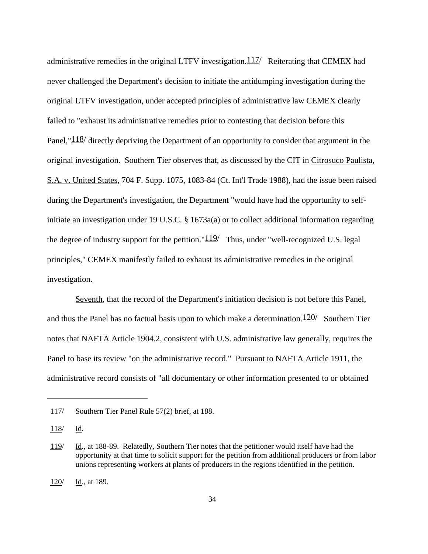administrative remedies in the original LTFV investigation. $117/$  Reiterating that CEMEX had never challenged the Department's decision to initiate the antidumping investigation during the original LTFV investigation, under accepted principles of administrative law CEMEX clearly failed to "exhaust its administrative remedies prior to contesting that decision before this Panel," $\frac{118}{ }$  directly depriving the Department of an opportunity to consider that argument in the original investigation. Southern Tier observes that, as discussed by the CIT in Citrosuco Paulista, S.A. v. United States, 704 F. Supp. 1075, 1083-84 (Ct. Int'l Trade 1988), had the issue been raised during the Department's investigation, the Department "would have had the opportunity to selfinitiate an investigation under 19 U.S.C. § 1673a(a) or to collect additional information regarding the degree of industry support for the petition." $119/$  Thus, under "well-recognized U.S. legal principles," CEMEX manifestly failed to exhaust its administrative remedies in the original investigation.

Seventh, that the record of the Department's initiation decision is not before this Panel, and thus the Panel has no factual basis upon to which make a determination. $120/$  Southern Tier notes that NAFTA Article 1904.2, consistent with U.S. administrative law generally, requires the Panel to base its review "on the administrative record." Pursuant to NAFTA Article 1911, the administrative record consists of "all documentary or other information presented to or obtained

<sup>117/</sup> Southern Tier Panel Rule 57(2) brief, at 188.

<sup>118/</sup> Id.

<sup>119/</sup> Id., at 188-89. Relatedly, Southern Tier notes that the petitioner would itself have had the opportunity at that time to solicit support for the petition from additional producers or from labor unions representing workers at plants of producers in the regions identified in the petition.

<sup>120/</sup> Id., at 189.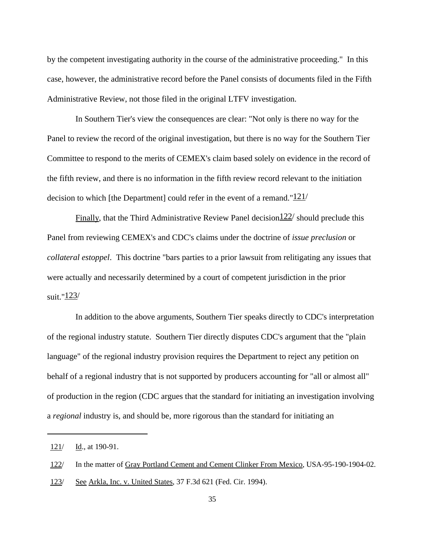by the competent investigating authority in the course of the administrative proceeding." In this case, however, the administrative record before the Panel consists of documents filed in the Fifth Administrative Review, not those filed in the original LTFV investigation.

In Southern Tier's view the consequences are clear: "Not only is there no way for the Panel to review the record of the original investigation, but there is no way for the Southern Tier Committee to respond to the merits of CEMEX's claim based solely on evidence in the record of the fifth review, and there is no information in the fifth review record relevant to the initiation decision to which [the Department] could refer in the event of a remand." $121/$ 

Finally, that the Third Administrative Review Panel decision  $122/$  should preclude this Panel from reviewing CEMEX's and CDC's claims under the doctrine of *issue preclusion* or *collateral estoppel*. This doctrine "bars parties to a prior lawsuit from relitigating any issues that were actually and necessarily determined by a court of competent jurisdiction in the prior suit."123/

In addition to the above arguments, Southern Tier speaks directly to CDC's interpretation of the regional industry statute. Southern Tier directly disputes CDC's argument that the "plain language" of the regional industry provision requires the Department to reject any petition on behalf of a regional industry that is not supported by producers accounting for "all or almost all" of production in the region (CDC argues that the standard for initiating an investigation involving a *regional* industry is, and should be, more rigorous than the standard for initiating an

<sup>121/</sup> Id., at 190-91.

<sup>122/</sup> In the matter of Gray Portland Cement and Cement Clinker From Mexico, USA-95-190-1904-02.

<sup>123/</sup> See Arkla, Inc. v. United States, 37 F.3d 621 (Fed. Cir. 1994).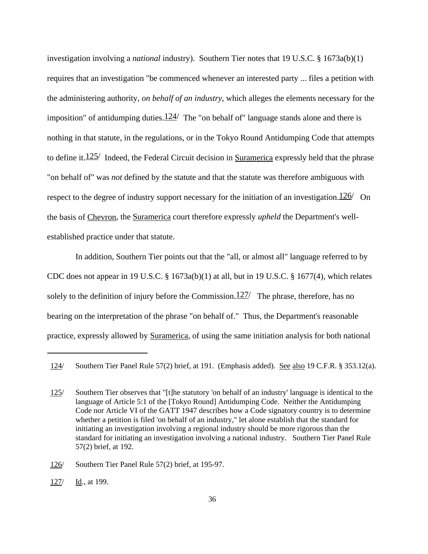investigation involving a *national* industry). Southern Tier notes that 19 U.S.C. § 1673a(b)(1) requires that an investigation "be commenced whenever an interested party ... files a petition with the administering authority, *on behalf of an industry*, which alleges the elements necessary for the imposition" of antidumping duties. $124/$  The "on behalf of" language stands alone and there is nothing in that statute, in the regulations, or in the Tokyo Round Antidumping Code that attempts to define it.  $125/$  Indeed, the Federal Circuit decision in Suramerica expressly held that the phrase "on behalf of" was *not* defined by the statute and that the statute was therefore ambiguous with respect to the degree of industry support necessary for the initiation of an investigation.  $126/$  On the basis of Chevron, the Suramerica court therefore expressly *upheld* the Department's wellestablished practice under that statute.

In addition, Southern Tier points out that the "all, or almost all" language referred to by CDC does not appear in 19 U.S.C. § 1673a(b)(1) at all, but in 19 U.S.C. § 1677(4), which relates solely to the definition of injury before the Commission. $127/$  The phrase, therefore, has no bearing on the interpretation of the phrase "on behalf of." Thus, the Department's reasonable practice, expressly allowed by Suramerica, of using the same initiation analysis for both national

126/ Southern Tier Panel Rule 57(2) brief, at 195-97.

127/ Id., at 199.

<sup>124/</sup> Southern Tier Panel Rule 57(2) brief, at 191. (Emphasis added). See also 19 C.F.R. § 353.12(a).

<sup>125/</sup> Southern Tier observes that "[t]he statutory 'on behalf of an industry' language is identical to the language of Article 5:1 of the [Tokyo Round] Antidumping Code. Neither the Antidumping Code nor Article VI of the GATT 1947 describes how a Code signatory country is to determine whether a petition is filed 'on behalf of an industry," let alone establish that the standard for initiating an investigation involving a regional industry should be more rigorous than the standard for initiating an investigation involving a national industry. Southern Tier Panel Rule 57(2) brief, at 192.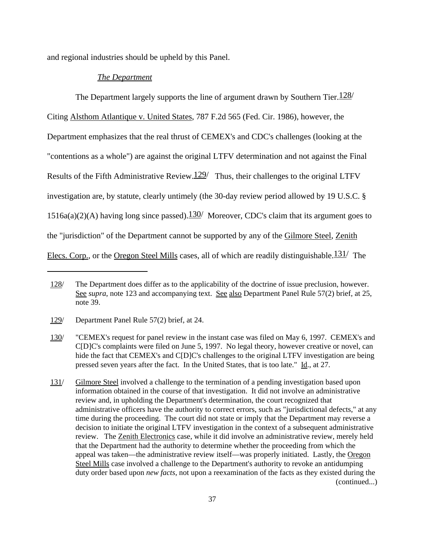and regional industries should be upheld by this Panel.

### *The Department*

The Department largely supports the line of argument drawn by Southern Tier.  $128/$ 

Citing Alsthom Atlantique v. United States, 787 F.2d 565 (Fed. Cir. 1986), however, the Department emphasizes that the real thrust of CEMEX's and CDC's challenges (looking at the "contentions as a whole") are against the original LTFV determination and not against the Final Results of the Fifth Administrative Review.  $129/$  Thus, their challenges to the original LTFV investigation are, by statute, clearly untimely (the 30-day review period allowed by 19 U.S.C. § 1516a(a)(2)(A) having long since passed). $130/$  Moreover, CDC's claim that its argument goes to the "jurisdiction" of the Department cannot be supported by any of the Gilmore Steel, Zenith Elecs. Corp., or the Oregon Steel Mills cases, all of which are readily distinguishable.<sup>131</sup>/ The

<sup>128/</sup> The Department does differ as to the applicability of the doctrine of issue preclusion, however. See *supra*, note 123 and accompanying text. See also Department Panel Rule 57(2) brief, at 25, note 39.

<sup>129/</sup> Department Panel Rule 57(2) brief, at 24.

<sup>130/</sup> "CEMEX's request for panel review in the instant case was filed on May 6, 1997. CEMEX's and C[D]C's complaints were filed on June 5, 1997. No legal theory, however creative or novel, can hide the fact that CEMEX's and C[D]C's challenges to the original LTFV investigation are being pressed seven years after the fact. In the United States, that is too late." Id., at 27.

<sup>131/</sup> Gilmore Steel involved a challenge to the termination of a pending investigation based upon information obtained in the course of that investigation. It did not involve an administrative review and, in upholding the Department's determination, the court recognized that administrative officers have the authority to correct errors, such as "jurisdictional defects," at any time during the proceeding. The court did not state or imply that the Department may reverse a decision to initiate the original LTFV investigation in the context of a subsequent administrative review. The Zenith Electronics case, while it did involve an administrative review, merely held that the Department had the authority to determine whether the proceeding from which the appeal was taken—the administrative review itself—was properly initiated. Lastly, the Oregon Steel Mills case involved a challenge to the Department's authority to revoke an antidumping duty order based upon *new facts*, not upon a reexamination of the facts as they existed during the (continued...)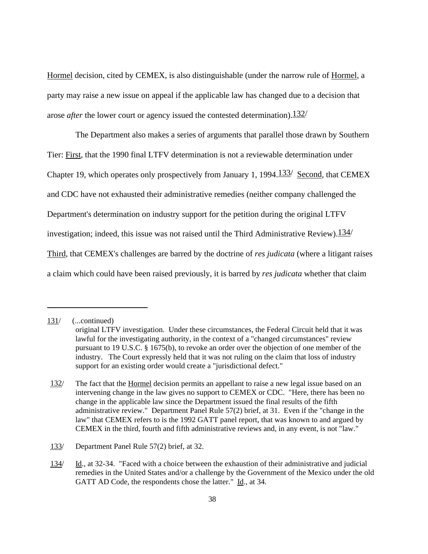Hormel decision, cited by CEMEX, is also distinguishable (under the narrow rule of Hormel, a party may raise a new issue on appeal if the applicable law has changed due to a decision that arose *after* the lower court or agency issued the contested determination). 132/

The Department also makes a series of arguments that parallel those drawn by Southern Tier: First, that the 1990 final LTFV determination is not a reviewable determination under Chapter 19, which operates only prospectively from January 1, 1994. $\frac{133}{ }$  Second, that CEMEX and CDC have not exhausted their administrative remedies (neither company challenged the Department's determination on industry support for the petition during the original LTFV investigation; indeed, this issue was not raised until the Third Administrative Review).  $\frac{134}{ }$ Third, that CEMEX's challenges are barred by the doctrine of *res judicata* (where a litigant raises a claim which could have been raised previously, it is barred by *res judicata* whether that claim

<sup>131/</sup> (...continued)

original LTFV investigation. Under these circumstances, the Federal Circuit held that it was lawful for the investigating authority, in the context of a "changed circumstances" review pursuant to 19 U.S.C. § 1675(b), to revoke an order over the objection of one member of the industry. The Court expressly held that it was not ruling on the claim that loss of industry support for an existing order would create a "jurisdictional defect."

<sup>132/</sup> The fact that the Hormel decision permits an appellant to raise a new legal issue based on an intervening change in the law gives no support to CEMEX or CDC. "Here, there has been no change in the applicable law since the Department issued the final results of the fifth administrative review." Department Panel Rule 57(2) brief, at 31. Even if the "change in the law" that CEMEX refers to is the 1992 GATT panel report, that was known to and argued by CEMEX in the third, fourth and fifth administrative reviews and, in any event, is not "law."

<sup>133/</sup> Department Panel Rule 57(2) brief, at 32.

<sup>134/</sup> Id., at 32-34. "Faced with a choice between the exhaustion of their administrative and judicial remedies in the United States and/or a challenge by the Government of the Mexico under the old GATT AD Code, the respondents chose the latter." Id., at 34.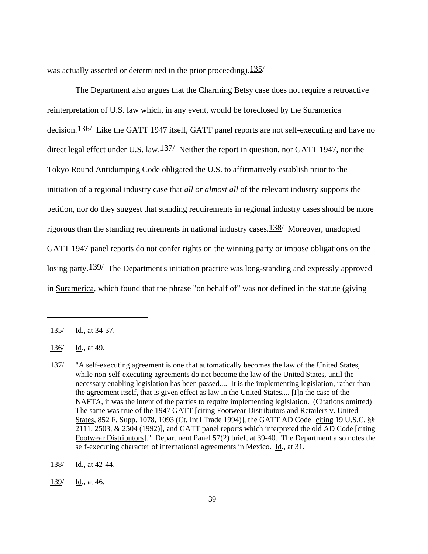was actually asserted or determined in the prior proceeding).  $135/$ 

The Department also argues that the Charming Betsy case does not require a retroactive reinterpretation of U.S. law which, in any event, would be foreclosed by the Suramerica decision.<sup>136</sup>/ Like the GATT 1947 itself, GATT panel reports are not self-executing and have no direct legal effect under U.S. law. $\frac{137}{ }$  Neither the report in question, nor GATT 1947, nor the Tokyo Round Antidumping Code obligated the U.S. to affirmatively establish prior to the initiation of a regional industry case that *all or almost all* of the relevant industry supports the petition, nor do they suggest that standing requirements in regional industry cases should be more rigorous than the standing requirements in national industry cases.  $138/$  Moreover, unadopted GATT 1947 panel reports do not confer rights on the winning party or impose obligations on the losing party.<sup>139</sup>/ The Department's initiation practice was long-standing and expressly approved in Suramerica, which found that the phrase "on behalf of" was not defined in the statute (giving

<sup>135/</sup> Id., at 34-37.

<sup>136/</sup> Id., at 49.

<sup>137/</sup> "A self-executing agreement is one that automatically becomes the law of the United States, while non-self-executing agreements do not become the law of the United States, until the necessary enabling legislation has been passed.... It is the implementing legislation, rather than the agreement itself, that is given effect as law in the United States.... [I]n the case of the NAFTA, it was the intent of the parties to require implementing legislation. (Citations omitted) The same was true of the 1947 GATT [citing Footwear Distributors and Retailers v. United States, 852 F. Supp. 1078, 1093 (Ct. Int'l Trade 1994)], the GATT AD Code [citing 19 U.S.C. §§ 2111, 2503, & 2504 (1992)], and GATT panel reports which interpreted the old AD Code [citing Footwear Distributors]." Department Panel 57(2) brief, at 39-40. The Department also notes the self-executing character of international agreements in Mexico. Id., at 31.

<sup>138/</sup> Id., at 42-44.

<sup>139/</sup> Id., at 46.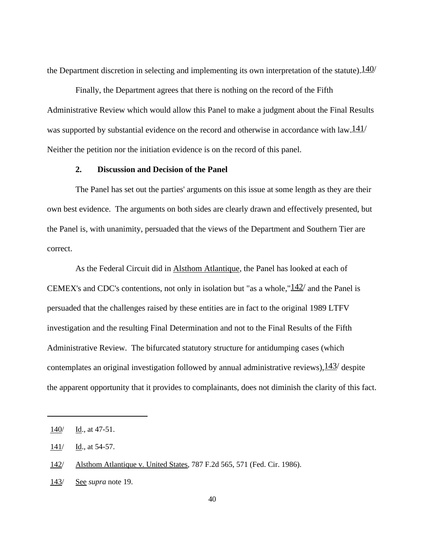the Department discretion in selecting and implementing its own interpretation of the statute).  $140/$ 

Finally, the Department agrees that there is nothing on the record of the Fifth Administrative Review which would allow this Panel to make a judgment about the Final Results was supported by substantial evidence on the record and otherwise in accordance with law.  $\frac{141}{141}$ Neither the petition nor the initiation evidence is on the record of this panel.

# **2. Discussion and Decision of the Panel**

The Panel has set out the parties' arguments on this issue at some length as they are their own best evidence. The arguments on both sides are clearly drawn and effectively presented, but the Panel is, with unanimity, persuaded that the views of the Department and Southern Tier are correct.

As the Federal Circuit did in Alsthom Atlantique, the Panel has looked at each of CEMEX's and CDC's contentions, not only in isolation but "as a whole," $142/$  and the Panel is persuaded that the challenges raised by these entities are in fact to the original 1989 LTFV investigation and the resulting Final Determination and not to the Final Results of the Fifth Administrative Review. The bifurcated statutory structure for antidumping cases (which contemplates an original investigation followed by annual administrative reviews),  $143/$  despite the apparent opportunity that it provides to complainants, does not diminish the clarity of this fact.

<sup>140/</sup> Id., at 47-51.

<sup>141/</sup> Id., at 54-57.

<sup>142/</sup> Alsthom Atlantique v. United States, 787 F.2d 565, 571 (Fed. Cir. 1986).

<sup>143/</sup> See *supra* note 19.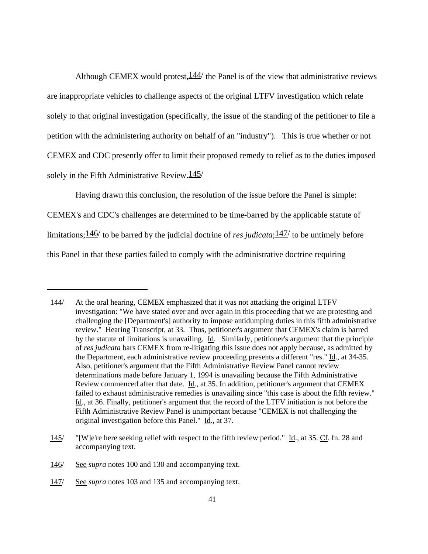Although CEMEX would protest,  $144/$  the Panel is of the view that administrative reviews are inappropriate vehicles to challenge aspects of the original LTFV investigation which relate solely to that original investigation (specifically, the issue of the standing of the petitioner to file a petition with the administering authority on behalf of an "industry"). This is true whether or not CEMEX and CDC presently offer to limit their proposed remedy to relief as to the duties imposed solely in the Fifth Administrative Review. $145/$ 

Having drawn this conclusion, the resolution of the issue before the Panel is simple:

CEMEX's and CDC's challenges are determined to be time-barred by the applicable statute of limitations;146/ to be barred by the judicial doctrine of *res judicata*;147/ to be untimely before this Panel in that these parties failed to comply with the administrative doctrine requiring

<sup>144/</sup> At the oral hearing, CEMEX emphasized that it was not attacking the original LTFV investigation: "We have stated over and over again in this proceeding that we are protesting and challenging the [Department's] authority to impose antidumping duties in this fifth administrative review." Hearing Transcript, at 33. Thus, petitioner's argument that CEMEX's claim is barred by the statute of limitations is unavailing. Id. Similarly, petitioner's argument that the principle of *res judicata* bars CEMEX from re-litigating this issue does not apply because, as admitted by the Department, each administrative review proceeding presents a different "res." Id., at 34-35. Also, petitioner's argument that the Fifth Administrative Review Panel cannot review determinations made before January 1, 1994 is unavailing because the Fifth Administrative Review commenced after that date. Id., at 35. In addition, petitioner's argument that CEMEX failed to exhaust administrative remedies is unavailing since "this case is about the fifth review." Id., at 36. Finally, petitioner's argument that the record of the LTFV initiation is not before the Fifth Administrative Review Panel is unimportant because "CEMEX is not challenging the original investigation before this Panel." Id., at 37.

<sup>145/</sup> "[W]e're here seeking relief with respect to the fifth review period." Id., at 35. Cf. fn. 28 and accompanying text.

<sup>146/</sup> See *supra* notes 100 and 130 and accompanying text.

<sup>147/</sup> See *supra* notes 103 and 135 and accompanying text.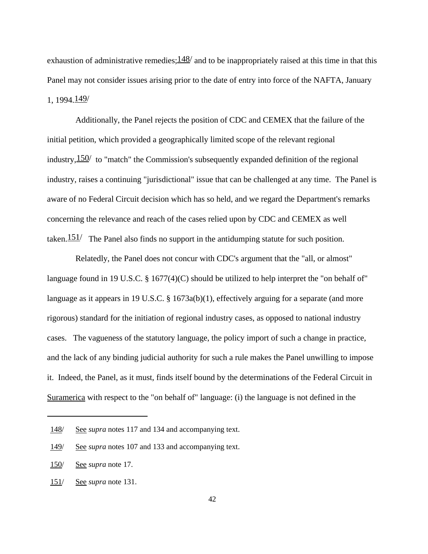exhaustion of administrative remedies;  $148/$  and to be inappropriately raised at this time in that this Panel may not consider issues arising prior to the date of entry into force of the NAFTA, January 1, 1994.149/

Additionally, the Panel rejects the position of CDC and CEMEX that the failure of the initial petition, which provided a geographically limited scope of the relevant regional industry,  $150/$  to "match" the Commission's subsequently expanded definition of the regional industry, raises a continuing "jurisdictional" issue that can be challenged at any time. The Panel is aware of no Federal Circuit decision which has so held, and we regard the Department's remarks concerning the relevance and reach of the cases relied upon by CDC and CEMEX as well taken.  $151/$  The Panel also finds no support in the antidumping statute for such position.

Relatedly, the Panel does not concur with CDC's argument that the "all, or almost" language found in 19 U.S.C.  $\S 1677(4)(C)$  should be utilized to help interpret the "on behalf of" language as it appears in 19 U.S.C. § 1673a(b)(1), effectively arguing for a separate (and more rigorous) standard for the initiation of regional industry cases, as opposed to national industry cases. The vagueness of the statutory language, the policy import of such a change in practice, and the lack of any binding judicial authority for such a rule makes the Panel unwilling to impose it. Indeed, the Panel, as it must, finds itself bound by the determinations of the Federal Circuit in Suramerica with respect to the "on behalf of" language: (i) the language is not defined in the

<sup>148/</sup> See *supra* notes 117 and 134 and accompanying text.

<sup>149/</sup> See *supra* notes 107 and 133 and accompanying text.

<sup>150/</sup> See *supra* note 17.

<sup>151/</sup> See *supra* note 131.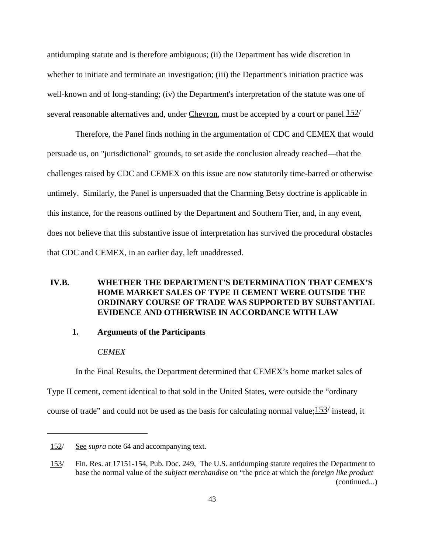antidumping statute and is therefore ambiguous; (ii) the Department has wide discretion in whether to initiate and terminate an investigation; (iii) the Department's initiation practice was well-known and of long-standing; (iv) the Department's interpretation of the statute was one of several reasonable alternatives and, under Chevron, must be accepted by a court or panel. $152/$ 

Therefore, the Panel finds nothing in the argumentation of CDC and CEMEX that would persuade us, on "jurisdictional" grounds, to set aside the conclusion already reached—that the challenges raised by CDC and CEMEX on this issue are now statutorily time-barred or otherwise untimely. Similarly, the Panel is unpersuaded that the Charming Betsy doctrine is applicable in this instance, for the reasons outlined by the Department and Southern Tier, and, in any event, does not believe that this substantive issue of interpretation has survived the procedural obstacles that CDC and CEMEX, in an earlier day, left unaddressed.

# **IV.B. WHETHER THE DEPARTMENT'S DETERMINATION THAT CEMEX'S HOME MARKET SALES OF TYPE II CEMENT WERE OUTSIDE THE ORDINARY COURSE OF TRADE WAS SUPPORTED BY SUBSTANTIAL EVIDENCE AND OTHERWISE IN ACCORDANCE WITH LAW**

### **1. Arguments of the Participants**

### *CEMEX*

In the Final Results, the Department determined that CEMEX's home market sales of Type II cement, cement identical to that sold in the United States, were outside the "ordinary

course of trade" and could not be used as the basis for calculating normal value; $153/$  instead, it

<sup>152/</sup> See *supra* note 64 and accompanying text.

<sup>153/</sup> Fin. Res. at 17151-154, Pub. Doc. 249, The U.S. antidumping statute requires the Department to base the normal value of the *subject merchandise* on "the price at which the *foreign like product* (continued...)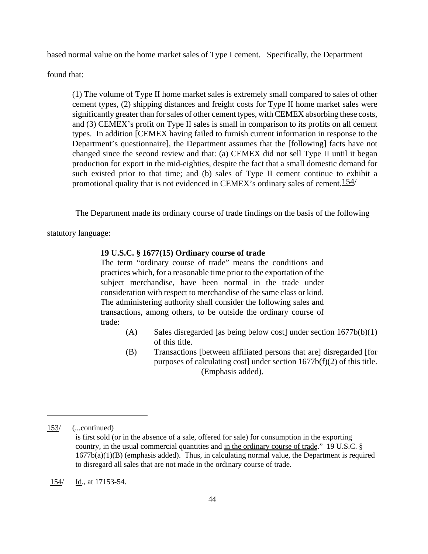based normal value on the home market sales of Type I cement. Specifically, the Department

found that:

(1) The volume of Type II home market sales is extremely small compared to sales of other cement types, (2) shipping distances and freight costs for Type II home market sales were significantly greater than for sales of other cement types, with CEMEX absorbing these costs, and (3) CEMEX's profit on Type II sales is small in comparison to its profits on all cement types. In addition [CEMEX having failed to furnish current information in response to the Department's questionnaire], the Department assumes that the [following] facts have not changed since the second review and that: (a) CEMEX did not sell Type II until it began production for export in the mid-eighties, despite the fact that a small domestic demand for such existed prior to that time; and (b) sales of Type II cement continue to exhibit a promotional quality that is not evidenced in CEMEX's ordinary sales of cement.154/

The Department made its ordinary course of trade findings on the basis of the following

statutory language:

#### **19 U.S.C. § 1677(15) Ordinary course of trade**

The term "ordinary course of trade" means the conditions and practices which, for a reasonable time prior to the exportation of the subject merchandise, have been normal in the trade under consideration with respect to merchandise of the same class or kind. The administering authority shall consider the following sales and transactions, among others, to be outside the ordinary course of trade:

- (A) Sales disregarded [as being below cost] under section 1677b(b)(1) of this title.
- (B) Transactions [between affiliated persons that are] disregarded [for purposes of calculating cost] under section  $1677b(f)(2)$  of this title. (Emphasis added).

<sup>153/</sup> (...continued) is first sold (or in the absence of a sale, offered for sale) for consumption in the exporting country, in the usual commercial quantities and in the ordinary course of trade." 19 U.S.C. §  $1677b(a)(1)(B)$  (emphasis added). Thus, in calculating normal value, the Department is required to disregard all sales that are not made in the ordinary course of trade.

<sup>154/</sup> Id., at 17153-54.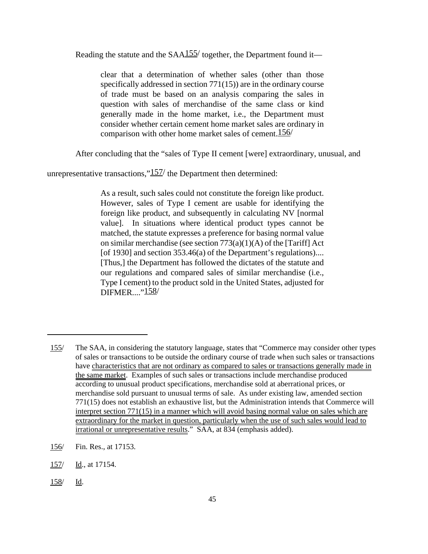Reading the statute and the  $SAA155/$  together, the Department found it—

clear that a determination of whether sales (other than those specifically addressed in section 771(15)) are in the ordinary course of trade must be based on an analysis comparing the sales in question with sales of merchandise of the same class or kind generally made in the home market, i.e., the Department must consider whether certain cement home market sales are ordinary in comparison with other home market sales of cement.156/

After concluding that the "sales of Type II cement [were] extraordinary, unusual, and

unrepresentative transactions,"157/ the Department then determined:

As a result, such sales could not constitute the foreign like product. However, sales of Type I cement are usable for identifying the foreign like product, and subsequently in calculating NV [normal value]. In situations where identical product types cannot be matched, the statute expresses a preference for basing normal value on similar merchandise (see section 773(a)(1)(A) of the [Tariff] Act [of 1930] and section 353.46(a) of the Department's regulations).... [Thus,] the Department has followed the dictates of the statute and our regulations and compared sales of similar merchandise (i.e., Type I cement) to the product sold in the United States, adjusted for DIFMER...."158/

<sup>155/</sup> The SAA, in considering the statutory language, states that "Commerce may consider other types of sales or transactions to be outside the ordinary course of trade when such sales or transactions have characteristics that are not ordinary as compared to sales or transactions generally made in the same market. Examples of such sales or transactions include merchandise produced according to unusual product specifications, merchandise sold at aberrational prices, or merchandise sold pursuant to unusual terms of sale. As under existing law, amended section 771(15) does not establish an exhaustive list, but the Administration intends that Commerce will interpret section 771(15) in a manner which will avoid basing normal value on sales which are extraordinary for the market in question, particularly when the use of such sales would lead to irrational or unrepresentative results." SAA, at 834 (emphasis added).

<sup>156/</sup> Fin. Res., at 17153.

<sup>157/</sup> Id., at 17154.

<sup>158/</sup> Id.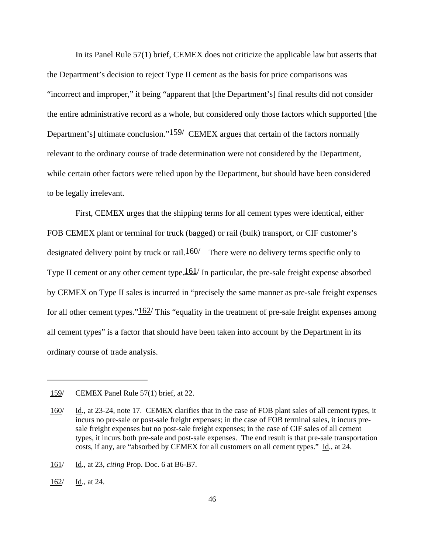In its Panel Rule 57(1) brief, CEMEX does not criticize the applicable law but asserts that the Department's decision to reject Type II cement as the basis for price comparisons was "incorrect and improper," it being "apparent that [the Department's] final results did not consider the entire administrative record as a whole, but considered only those factors which supported [the Department's] ultimate conclusion." $159/$  CEMEX argues that certain of the factors normally relevant to the ordinary course of trade determination were not considered by the Department, while certain other factors were relied upon by the Department, but should have been considered to be legally irrelevant.

First, CEMEX urges that the shipping terms for all cement types were identical, either FOB CEMEX plant or terminal for truck (bagged) or rail (bulk) transport, or CIF customer's designated delivery point by truck or rail.  $160/$  There were no delivery terms specific only to Type II cement or any other cement type. $161/$  In particular, the pre-sale freight expense absorbed by CEMEX on Type II sales is incurred in "precisely the same manner as pre-sale freight expenses for all other cement types." $162/$  This "equality in the treatment of pre-sale freight expenses among all cement types" is a factor that should have been taken into account by the Department in its ordinary course of trade analysis.

161/ Id., at 23, *citing* Prop. Doc. 6 at B6-B7.

162/ Id., at 24.

<sup>159/</sup> CEMEX Panel Rule 57(1) brief, at 22.

<sup>160/</sup> Id., at 23-24, note 17. CEMEX clarifies that in the case of FOB plant sales of all cement types, it incurs no pre-sale or post-sale freight expenses; in the case of FOB terminal sales, it incurs presale freight expenses but no post-sale freight expenses; in the case of CIF sales of all cement types, it incurs both pre-sale and post-sale expenses. The end result is that pre-sale transportation costs, if any, are "absorbed by CEMEX for all customers on all cement types." Id., at 24.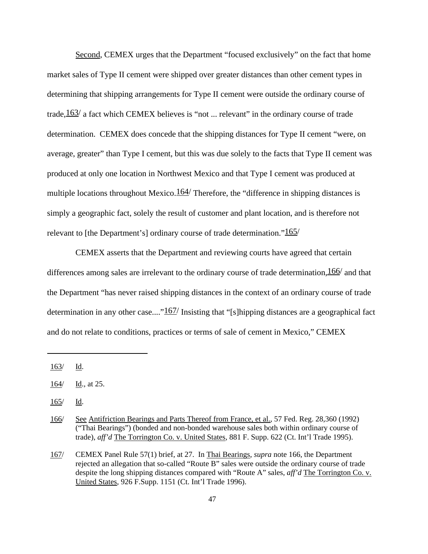Second, CEMEX urges that the Department "focused exclusively" on the fact that home market sales of Type II cement were shipped over greater distances than other cement types in determining that shipping arrangements for Type II cement were outside the ordinary course of trade,  $163/$  a fact which CEMEX believes is "not ... relevant" in the ordinary course of trade determination. CEMEX does concede that the shipping distances for Type II cement "were, on average, greater" than Type I cement, but this was due solely to the facts that Type II cement was produced at only one location in Northwest Mexico and that Type I cement was produced at multiple locations throughout Mexico. $164/$  Therefore, the "difference in shipping distances is simply a geographic fact, solely the result of customer and plant location, and is therefore not relevant to [the Department's] ordinary course of trade determination." $165/$ 

CEMEX asserts that the Department and reviewing courts have agreed that certain differences among sales are irrelevant to the ordinary course of trade determination,  $166/$  and that the Department "has never raised shipping distances in the context of an ordinary course of trade determination in any other case...." $167/$  Insisting that "[s]hipping distances are a geographical fact and do not relate to conditions, practices or terms of sale of cement in Mexico," CEMEX

165/ Id.

<sup>163/</sup> Id.

<sup>164/</sup> Id., at 25.

<sup>166/</sup> See Antifriction Bearings and Parts Thereof from France, et al., 57 Fed. Reg. 28,360 (1992) ("Thai Bearings") (bonded and non-bonded warehouse sales both within ordinary course of trade), *aff'd* The Torrington Co. v. United States, 881 F. Supp. 622 (Ct. Int'l Trade 1995).

<sup>167/</sup> CEMEX Panel Rule 57(1) brief, at 27. In Thai Bearings, *supra* note 166, the Department rejected an allegation that so-called "Route B" sales were outside the ordinary course of trade despite the long shipping distances compared with "Route A" sales, *aff'd* The Torrington Co. v. United States, 926 F.Supp. 1151 (Ct. Int'l Trade 1996).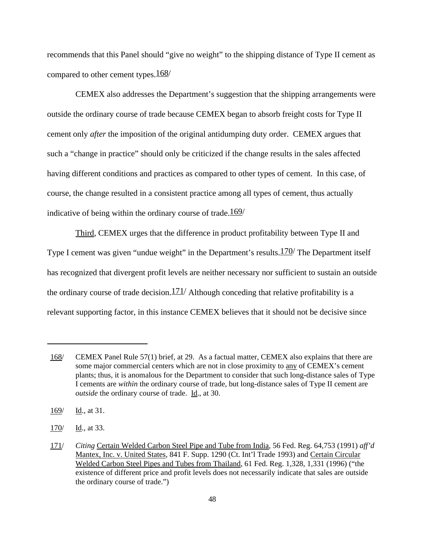recommends that this Panel should "give no weight" to the shipping distance of Type II cement as compared to other cement types.  $168/$ 

CEMEX also addresses the Department's suggestion that the shipping arrangements were outside the ordinary course of trade because CEMEX began to absorb freight costs for Type II cement only *after* the imposition of the original antidumping duty order. CEMEX argues that such a "change in practice" should only be criticized if the change results in the sales affected having different conditions and practices as compared to other types of cement. In this case, of course, the change resulted in a consistent practice among all types of cement, thus actually indicative of being within the ordinary course of trade.  $169/$ 

Third, CEMEX urges that the difference in product profitability between Type II and Type I cement was given "undue weight" in the Department's results.<sup>170</sup> The Department itself has recognized that divergent profit levels are neither necessary nor sufficient to sustain an outside the ordinary course of trade decision.  $171/$  Although conceding that relative profitability is a relevant supporting factor, in this instance CEMEX believes that it should not be decisive since

<sup>168/</sup> CEMEX Panel Rule 57(1) brief, at 29. As a factual matter, CEMEX also explains that there are some major commercial centers which are not in close proximity to any of CEMEX's cement plants; thus, it is anomalous for the Department to consider that such long-distance sales of Type I cements are *within* the ordinary course of trade, but long-distance sales of Type II cement are *outside* the ordinary course of trade. Id., at 30.

 $169/$  Id., at 31.

<sup>170/</sup> Id., at 33.

<sup>171/</sup> *Citing* Certain Welded Carbon Steel Pipe and Tube from India, 56 Fed. Reg. 64,753 (1991) *aff'd* Mantex, Inc. v. United States, 841 F. Supp. 1290 (Ct. Int'l Trade 1993) and Certain Circular Welded Carbon Steel Pipes and Tubes from Thailand, 61 Fed. Reg. 1,328, 1,331 (1996) ("the existence of different price and profit levels does not necessarily indicate that sales are outside the ordinary course of trade.")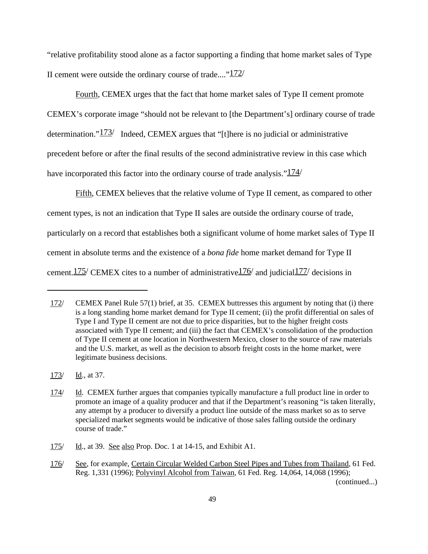"relative profitability stood alone as a factor supporting a finding that home market sales of Type II cement were outside the ordinary course of trade...." $172/$ 

Fourth, CEMEX urges that the fact that home market sales of Type II cement promote CEMEX's corporate image "should not be relevant to [the Department's] ordinary course of trade determination." $173/$  Indeed, CEMEX argues that "[t]here is no judicial or administrative precedent before or after the final results of the second administrative review in this case which have incorporated this factor into the ordinary course of trade analysis." $\frac{174}{ }$ 

Fifth, CEMEX believes that the relative volume of Type II cement, as compared to other cement types, is not an indication that Type II sales are outside the ordinary course of trade, particularly on a record that establishes both a significant volume of home market sales of Type II cement in absolute terms and the existence of a *bona fide* home market demand for Type II cement.  $175$  CEMEX cites to a number of administrative  $176/$  and judicial  $177/$  decisions in

<sup>172/</sup> CEMEX Panel Rule 57(1) brief, at 35. CEMEX buttresses this argument by noting that (i) there is a long standing home market demand for Type II cement; (ii) the profit differential on sales of Type I and Type II cement are not due to price disparities, but to the higher freight costs associated with Type II cement; and (iii) the fact that CEMEX's consolidation of the production of Type II cement at one location in Northwestern Mexico, closer to the source of raw materials and the U.S. market, as well as the decision to absorb freight costs in the home market, were legitimate business decisions.

<sup>173/</sup> Id., at 37.

<sup>174/</sup> Id. CEMEX further argues that companies typically manufacture a full product line in order to promote an image of a quality producer and that if the Department's reasoning "is taken literally, any attempt by a producer to diversify a product line outside of the mass market so as to serve specialized market segments would be indicative of those sales falling outside the ordinary course of trade."

<sup>175/</sup> Id., at 39. See also Prop. Doc. 1 at 14-15, and Exhibit A1.

<sup>176/</sup> See, for example, Certain Circular Welded Carbon Steel Pipes and Tubes from Thailand, 61 Fed. Reg. 1,331 (1996); Polyvinyl Alcohol from Taiwan, 61 Fed. Reg. 14,064, 14,068 (1996); (continued...)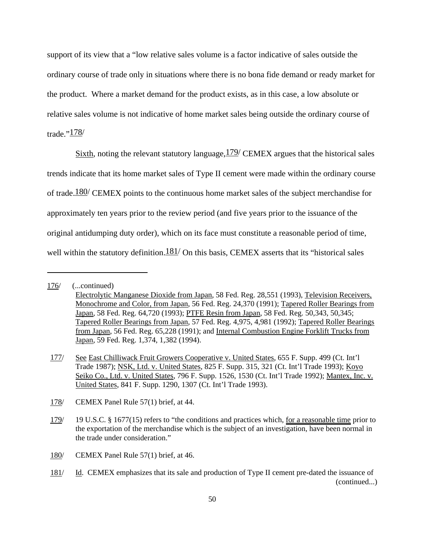support of its view that a "low relative sales volume is a factor indicative of sales outside the ordinary course of trade only in situations where there is no bona fide demand or ready market for the product. Where a market demand for the product exists, as in this case, a low absolute or relative sales volume is not indicative of home market sales being outside the ordinary course of trade." $\frac{178}{ }$ 

Sixth, noting the relevant statutory language,  $179/$  CEMEX argues that the historical sales trends indicate that its home market sales of Type II cement were made within the ordinary course of trade.<sup>180/</sup> CEMEX points to the continuous home market sales of the subject merchandise for approximately ten years prior to the review period (and five years prior to the issuance of the original antidumping duty order), which on its face must constitute a reasonable period of time, well within the statutory definition. $181/$  On this basis, CEMEX asserts that its "historical sales"

<sup>176/</sup> (...continued)

Electrolytic Manganese Dioxide from Japan, 58 Fed. Reg. 28,551 (1993), Television Receivers, Monochrome and Color, from Japan, 56 Fed. Reg. 24,370 (1991); Tapered Roller Bearings from Japan, 58 Fed. Reg. 64,720 (1993); PTFE Resin from Japan, 58 Fed. Reg. 50,343, 50,345; Tapered Roller Bearings from Japan, 57 Fed. Reg. 4,975, 4,981 (1992); Tapered Roller Bearings from Japan, 56 Fed. Reg. 65,228 (1991); and Internal Combustion Engine Forklift Trucks from Japan, 59 Fed. Reg. 1,374, 1,382 (1994).

<sup>177/</sup> See East Chilliwack Fruit Growers Cooperative v. United States, 655 F. Supp. 499 (Ct. Int'l Trade 1987); NSK, Ltd. v. United States, 825 F. Supp. 315, 321 (Ct. Int'l Trade 1993); Koyo Seiko Co., Ltd. v. United States, 796 F. Supp. 1526, 1530 (Ct. Int'l Trade 1992); Mantex, Inc. v. United States, 841 F. Supp. 1290, 1307 (Ct. Int'l Trade 1993).

<sup>178/</sup> CEMEX Panel Rule 57(1) brief, at 44.

<sup>179/</sup> 19 U.S.C. § 1677(15) refers to "the conditions and practices which, for a reasonable time prior to the exportation of the merchandise which is the subject of an investigation, have been normal in the trade under consideration."

<sup>180/</sup> CEMEX Panel Rule 57(1) brief, at 46.

<sup>181/</sup> Id. CEMEX emphasizes that its sale and production of Type II cement pre-dated the issuance of (continued...)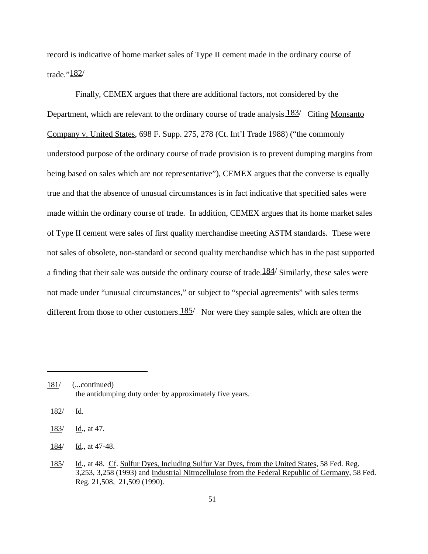record is indicative of home market sales of Type II cement made in the ordinary course of trade." $182/$ 

Finally, CEMEX argues that there are additional factors, not considered by the Department, which are relevant to the ordinary course of trade analysis.  $183/$  Citing Monsanto Company v. United States, 698 F. Supp. 275, 278 (Ct. Int'l Trade 1988) ("the commonly understood purpose of the ordinary course of trade provision is to prevent dumping margins from being based on sales which are not representative"), CEMEX argues that the converse is equally true and that the absence of unusual circumstances is in fact indicative that specified sales were made within the ordinary course of trade. In addition, CEMEX argues that its home market sales of Type II cement were sales of first quality merchandise meeting ASTM standards. These were not sales of obsolete, non-standard or second quality merchandise which has in the past supported a finding that their sale was outside the ordinary course of trade.  $184/$  Similarly, these sales were not made under "unusual circumstances," or subject to "special agreements" with sales terms different from those to other customers.  $185/$  Nor were they sample sales, which are often the

182/ Id.

<sup>181/</sup> (...continued) the antidumping duty order by approximately five years.

<sup>183/</sup> Id., at 47.

<sup>184/</sup> Id., at 47-48.

<sup>185/</sup> Id., at 48. Cf. Sulfur Dyes, Including Sulfur Vat Dyes, from the United States, 58 Fed. Reg. 3,253, 3,258 (1993) and Industrial Nitrocellulose from the Federal Republic of Germany, 58 Fed. Reg. 21,508, 21,509 (1990).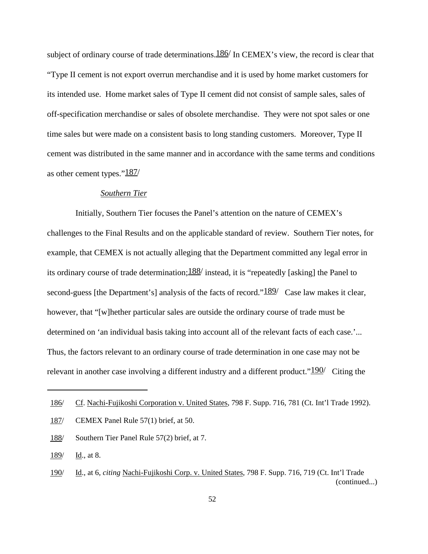subject of ordinary course of trade determinations.  $186/$  In CEMEX's view, the record is clear that "Type II cement is not export overrun merchandise and it is used by home market customers for its intended use. Home market sales of Type II cement did not consist of sample sales, sales of off-specification merchandise or sales of obsolete merchandise. They were not spot sales or one time sales but were made on a consistent basis to long standing customers. Moreover, Type II cement was distributed in the same manner and in accordance with the same terms and conditions as other cement types."187/

# *Southern Tier*

Initially, Southern Tier focuses the Panel's attention on the nature of CEMEX's challenges to the Final Results and on the applicable standard of review. Southern Tier notes, for example, that CEMEX is not actually alleging that the Department committed any legal error in its ordinary course of trade determination;  $188/$  instead, it is "repeatedly [asking] the Panel to second-guess [the Department's] analysis of the facts of record." $\frac{189}{ }$  Case law makes it clear, however, that "[w]hether particular sales are outside the ordinary course of trade must be determined on 'an individual basis taking into account all of the relevant facts of each case.'... Thus, the factors relevant to an ordinary course of trade determination in one case may not be relevant in another case involving a different industry and a different product." $190/$  Citing the

<sup>186/</sup> Cf. Nachi-Fujikoshi Corporation v. United States, 798 F. Supp. 716, 781 (Ct. Int'l Trade 1992).

<sup>187/</sup> CEMEX Panel Rule 57(1) brief, at 50.

<sup>188/</sup> Southern Tier Panel Rule 57(2) brief, at 7.

<sup>189/</sup> Id., at 8.

<sup>190/</sup> Id., at 6, *citing* Nachi-Fujikoshi Corp. v. United States, 798 F. Supp. 716, 719 (Ct. Int'l Trade (continued...)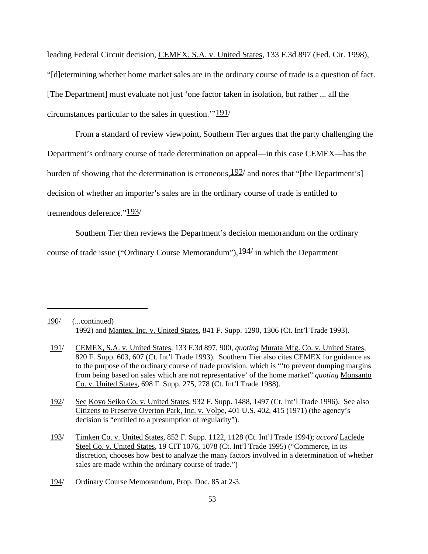leading Federal Circuit decision, CEMEX, S.A. v. United States, 133 F.3d 897 (Fed. Cir. 1998), "[d]etermining whether home market sales are in the ordinary course of trade is a question of fact. [The Department] must evaluate not just 'one factor taken in isolation, but rather ... all the circumstances particular to the sales in question. $191/$ 

From a standard of review viewpoint, Southern Tier argues that the party challenging the Department's ordinary course of trade determination on appeal—in this case CEMEX—has the burden of showing that the determination is erroneous,  $192/$  and notes that "[the Department's] decision of whether an importer's sales are in the ordinary course of trade is entitled to tremendous deference."193/

Southern Tier then reviews the Department's decision memorandum on the ordinary

course of trade issue ("Ordinary Course Memorandum"),  $194/$  in which the Department

<sup>190/</sup> (...continued) 1992) and Mantex, Inc. v. United States, 841 F. Supp. 1290, 1306 (Ct. Int'l Trade 1993).

<sup>191/</sup> CEMEX, S.A. v. United States, 133 F.3d 897, 900, *quoting* Murata Mfg. Co. v. United States, 820 F. Supp. 603, 607 (Ct. Int'l Trade 1993). Southern Tier also cites CEMEX for guidance as to the purpose of the ordinary course of trade provision, which is "'to prevent dumping margins from being based on sales which are not representative' of the home market" *quoting* Monsanto Co. v. United States, 698 F. Supp. 275, 278 (Ct. Int'l Trade 1988).

<sup>192/</sup> See Koyo Seiko Co. v. United States, 932 F. Supp. 1488, 1497 (Ct. Int'l Trade 1996). See also Citizens to Preserve Overton Park, Inc. v. Volpe, 401 U.S. 402, 415 (1971) (the agency's decision is "entitled to a presumption of regularity").

<sup>193/</sup> Timken Co. v. United States, 852 F. Supp. 1122, 1128 (Ct. Int'l Trade 1994); *accord* Laclede Steel Co. v. United States, 19 CIT 1076, 1078 (Ct. Int'l Trade 1995) ("Commerce, in its discretion, chooses how best to analyze the many factors involved in a determination of whether sales are made within the ordinary course of trade.")

<sup>194/</sup> Ordinary Course Memorandum, Prop. Doc. 85 at 2-3.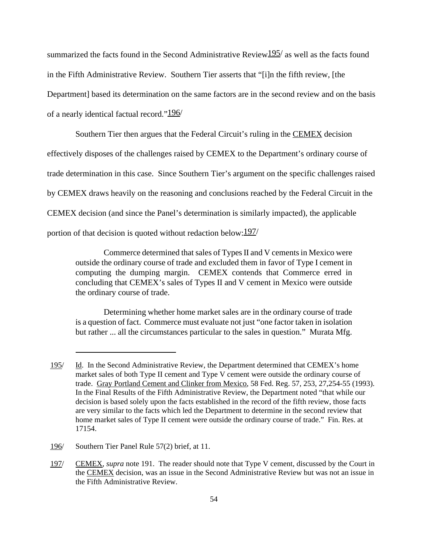summarized the facts found in the Second Administrative Review $195/$  as well as the facts found in the Fifth Administrative Review. Southern Tier asserts that "[i]n the fifth review, [the Department] based its determination on the same factors are in the second review and on the basis of a nearly identical factual record."196/

Southern Tier then argues that the Federal Circuit's ruling in the CEMEX decision effectively disposes of the challenges raised by CEMEX to the Department's ordinary course of trade determination in this case. Since Southern Tier's argument on the specific challenges raised by CEMEX draws heavily on the reasoning and conclusions reached by the Federal Circuit in the CEMEX decision (and since the Panel's determination is similarly impacted), the applicable portion of that decision is quoted without redaction below:  $\frac{197}{ }$ 

Commerce determined that sales of Types II and V cements in Mexico were outside the ordinary course of trade and excluded them in favor of Type I cement in computing the dumping margin. CEMEX contends that Commerce erred in concluding that CEMEX's sales of Types II and V cement in Mexico were outside the ordinary course of trade.

Determining whether home market sales are in the ordinary course of trade is a question of fact. Commerce must evaluate not just "one factor taken in isolation but rather ... all the circumstances particular to the sales in question." Murata Mfg.

<sup>195/</sup> Id. In the Second Administrative Review, the Department determined that CEMEX's home market sales of both Type II cement and Type V cement were outside the ordinary course of trade. Gray Portland Cement and Clinker from Mexico, 58 Fed. Reg. 57, 253, 27,254-55 (1993). In the Final Results of the Fifth Administrative Review, the Department noted "that while our decision is based solely upon the facts established in the record of the fifth review, those facts are very similar to the facts which led the Department to determine in the second review that home market sales of Type II cement were outside the ordinary course of trade." Fin. Res. at 17154.

<sup>196/</sup> Southern Tier Panel Rule 57(2) brief, at 11.

<sup>197/</sup> CEMEX, *supra* note 191. The reader should note that Type V cement, discussed by the Court in the CEMEX decision, was an issue in the Second Administrative Review but was not an issue in the Fifth Administrative Review.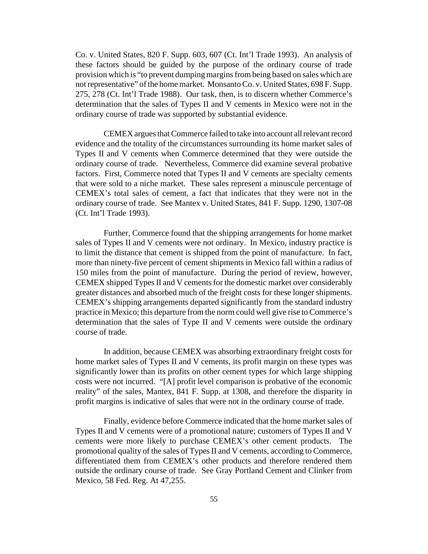Co. v. United States, 820 F. Supp. 603, 607 (Ct. Int'l Trade 1993). An analysis of these factors should be guided by the purpose of the ordinary course of trade provision which is "to prevent dumping margins from being based on sales which are not representative" of the home market. Monsanto Co. v. United States, 698 F. Supp. 275, 278 (Ct. Int'l Trade 1988). Our task, then, is to discern whether Commerce's determination that the sales of Types II and V cements in Mexico were not in the ordinary course of trade was supported by substantial evidence.

CEMEX argues that Commerce failed to take into account all relevant record evidence and the totality of the circumstances surrounding its home market sales of Types II and V cements when Commerce determined that they were outside the ordinary course of trade. Nevertheless, Commerce did examine several probative factors. First, Commerce noted that Types II and V cements are specialty cements that were sold to a niche market. These sales represent a minuscule percentage of CEMEX's total sales of cement, a fact that indicates that they were not in the ordinary course of trade. See Mantex v. United States, 841 F. Supp. 1290, 1307-08 (Ct. Int'l Trade 1993).

Further, Commerce found that the shipping arrangements for home market sales of Types II and V cements were not ordinary. In Mexico, industry practice is to limit the distance that cement is shipped from the point of manufacture. In fact, more than ninety-five percent of cement shipments in Mexico fall within a radius of 150 miles from the point of manufacture. During the period of review, however, CEMEX shipped Types II and V cements for the domestic market over considerably greater distances and absorbed much of the freight costs for these longer shipments. CEMEX's shipping arrangements departed significantly from the standard industry practice in Mexico; this departure from the norm could well give rise to Commerce's determination that the sales of Type II and V cements were outside the ordinary course of trade.

In addition, because CEMEX was absorbing extraordinary freight costs for home market sales of Types II and V cements, its profit margin on these types was significantly lower than its profits on other cement types for which large shipping costs were not incurred. "[A] profit level comparison is probative of the economic reality" of the sales, Mantex, 841 F. Supp. at 1308, and therefore the disparity in profit margins is indicative of sales that were not in the ordinary course of trade.

Finally, evidence before Commerce indicated that the home market sales of Types II and V cements were of a promotional nature; customers of Types II and V cements were more likely to purchase CEMEX's other cement products. The promotional quality of the sales of Types II and V cements, according to Commerce, differentiated them from CEMEX's other products and therefore rendered them outside the ordinary course of trade. See Gray Portland Cement and Clinker from Mexico, 58 Fed. Reg. At 47,255.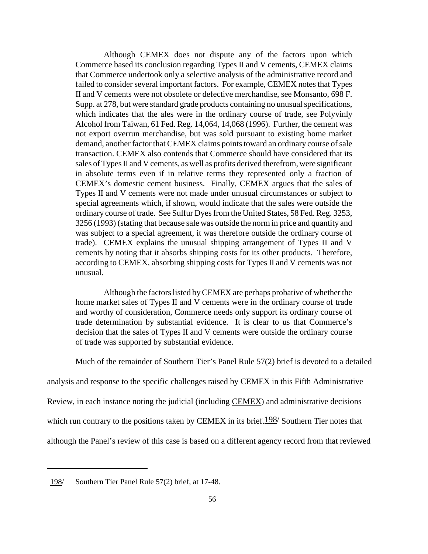Although CEMEX does not dispute any of the factors upon which Commerce based its conclusion regarding Types II and V cements, CEMEX claims that Commerce undertook only a selective analysis of the administrative record and failed to consider several important factors. For example, CEMEX notes that Types II and V cements were not obsolete or defective merchandise, see Monsanto, 698 F. Supp. at 278, but were standard grade products containing no unusual specifications, which indicates that the ales were in the ordinary course of trade, see Polyvinly Alcohol from Taiwan, 61 Fed. Reg. 14,064, 14,068 (1996). Further, the cement was not export overrun merchandise, but was sold pursuant to existing home market demand, another factor that CEMEX claims points toward an ordinary course of sale transaction. CEMEX also contends that Commerce should have considered that its sales of Types II and V cements, as well as profits derived therefrom, were significant in absolute terms even if in relative terms they represented only a fraction of CEMEX's domestic cement business. Finally, CEMEX argues that the sales of Types II and V cements were not made under unusual circumstances or subject to special agreements which, if shown, would indicate that the sales were outside the ordinary course of trade. See Sulfur Dyes from the United States, 58 Fed. Reg. 3253, 3256 (1993) (stating that because sale was outside the norm in price and quantity and was subject to a special agreement, it was therefore outside the ordinary course of trade). CEMEX explains the unusual shipping arrangement of Types II and V cements by noting that it absorbs shipping costs for its other products. Therefore, according to CEMEX, absorbing shipping costs for Types II and V cements was not unusual.

Although the factors listed by CEMEX are perhaps probative of whether the home market sales of Types II and V cements were in the ordinary course of trade and worthy of consideration, Commerce needs only support its ordinary course of trade determination by substantial evidence. It is clear to us that Commerce's decision that the sales of Types II and V cements were outside the ordinary course of trade was supported by substantial evidence.

Much of the remainder of Southern Tier's Panel Rule 57(2) brief is devoted to a detailed

analysis and response to the specific challenges raised by CEMEX in this Fifth Administrative

Review, in each instance noting the judicial (including CEMEX) and administrative decisions

which run contrary to the positions taken by CEMEX in its brief.  $198/$  Southern Tier notes that

although the Panel's review of this case is based on a different agency record from that reviewed

<sup>198/</sup> Southern Tier Panel Rule 57(2) brief, at 17-48.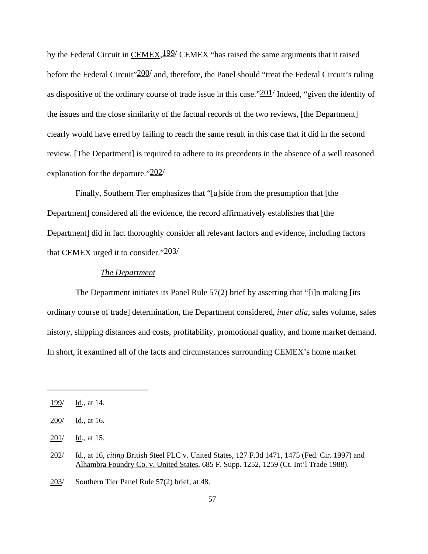by the Federal Circuit in CEMEX, <sup>199</sup>/ CEMEX "has raised the same arguments that it raised before the Federal Circuit" 200/ and, therefore, the Panel should "treat the Federal Circuit's ruling as dispositive of the ordinary course of trade issue in this case." $201/$  Indeed, "given the identity of the issues and the close similarity of the factual records of the two reviews, [the Department] clearly would have erred by failing to reach the same result in this case that it did in the second review. [The Department] is required to adhere to its precedents in the absence of a well reasoned explanation for the departure." $202/$ 

Finally, Southern Tier emphasizes that "[a]side from the presumption that [the Department] considered all the evidence, the record affirmatively establishes that [the Department] did in fact thoroughly consider all relevant factors and evidence, including factors that CEMEX urged it to consider." $203/$ 

# *The Department*

The Department initiates its Panel Rule 57(2) brief by asserting that "[i]n making [its ordinary course of trade] determination, the Department considered, *inter alia*, sales volume, sales history, shipping distances and costs, profitability, promotional quality, and home market demand. In short, it examined all of the facts and circumstances surrounding CEMEX's home market

 $199/$  Id., at 14.

<sup>200/</sup> Id., at 16.

<sup>201/</sup> Id., at 15.

<sup>202/</sup> Id., at 16, *citing* British Steel PLC v. United States, 127 F.3d 1471, 1475 (Fed. Cir. 1997) and Alhambra Foundry Co. v. United States, 685 F. Supp. 1252, 1259 (Ct. Int'l Trade 1988).

<sup>203/</sup> Southern Tier Panel Rule 57(2) brief, at 48.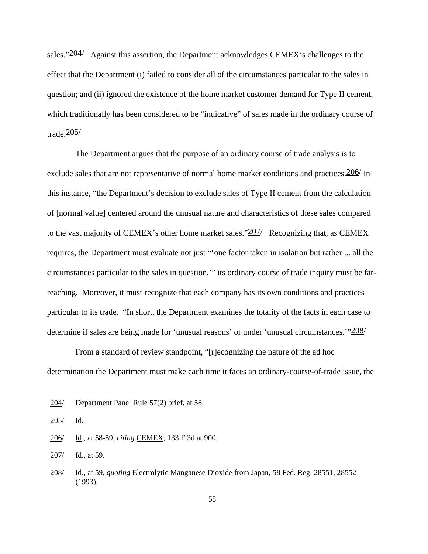sales." $204/$  Against this assertion, the Department acknowledges CEMEX's challenges to the effect that the Department (i) failed to consider all of the circumstances particular to the sales in question; and (ii) ignored the existence of the home market customer demand for Type II cement, which traditionally has been considered to be "indicative" of sales made in the ordinary course of trade. $\frac{205}{ }$ 

The Department argues that the purpose of an ordinary course of trade analysis is to exclude sales that are not representative of normal home market conditions and practices.  $206/$  In this instance, "the Department's decision to exclude sales of Type II cement from the calculation of [normal value] centered around the unusual nature and characteristics of these sales compared to the vast majority of CEMEX's other home market sales." $207/$  Recognizing that, as CEMEX requires, the Department must evaluate not just "'one factor taken in isolation but rather ... all the circumstances particular to the sales in question,'" its ordinary course of trade inquiry must be farreaching. Moreover, it must recognize that each company has its own conditions and practices particular to its trade. "In short, the Department examines the totality of the facts in each case to determine if sales are being made for 'unusual reasons' or under 'unusual circumstances.'" $208/$ 

From a standard of review standpoint, "[r]ecognizing the nature of the ad hoc determination the Department must make each time it faces an ordinary-course-of-trade issue, the

205/ Id.

207/ Id., at 59.

<sup>204/</sup> Department Panel Rule 57(2) brief, at 58.

<sup>206/</sup> Id., at 58-59, *citing* CEMEX, 133 F.3d at 900.

<sup>208/</sup> Id., at 59, *quoting* Electrolytic Manganese Dioxide from Japan, 58 Fed. Reg. 28551, 28552 (1993).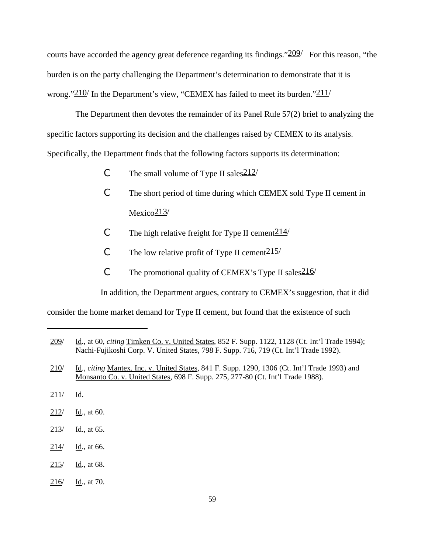courts have accorded the agency great deference regarding its findings." $209/$  For this reason, "the burden is on the party challenging the Department's determination to demonstrate that it is wrong." $210/$  In the Department's view, "CEMEX has failed to meet its burden." $211/$ 

The Department then devotes the remainder of its Panel Rule 57(2) brief to analyzing the specific factors supporting its decision and the challenges raised by CEMEX to its analysis. Specifically, the Department finds that the following factors supports its determination:

- C The small volume of Type II sales  $\frac{212}{ }$
- C The short period of time during which CEMEX sold Type II cement in  $Mexico<sub>213/</sub>$
- C The high relative freight for Type II cement  $214/$
- C The low relative profit of Type II cement  $215/$
- C The promotional quality of CEMEX's Type II sales  $216/$

In addition, the Department argues, contrary to CEMEX's suggestion, that it did

consider the home market demand for Type II cement, but found that the existence of such

- 210/ Id., *citing* Mantex, Inc. v. United States, 841 F. Supp. 1290, 1306 (Ct. Int'l Trade 1993) and Monsanto Co. v. United States, 698 F. Supp. 275, 277-80 (Ct. Int'l Trade 1988).
- 211/ Id.
- 212/ Id., at 60.
- 213/ Id., at 65.
- 214/ Id., at 66.
- $215/$  Id., at 68.
- 216/ Id., at 70.

<sup>209/</sup> Id., at 60, *citing* Timken Co. v. United States, 852 F. Supp. 1122, 1128 (Ct. Int'l Trade 1994); Nachi-Fujikoshi Corp. V. United States, 798 F. Supp. 716, 719 (Ct. Int'l Trade 1992).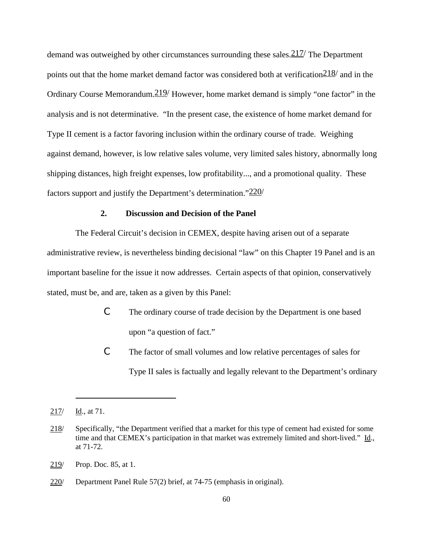demand was outweighed by other circumstances surrounding these sales.  $217/$  The Department points out that the home market demand factor was considered both at verification  $\frac{218}{}$  and in the Ordinary Course Memorandum.  $219/$  However, home market demand is simply "one factor" in the analysis and is not determinative. "In the present case, the existence of home market demand for Type II cement is a factor favoring inclusion within the ordinary course of trade. Weighing against demand, however, is low relative sales volume, very limited sales history, abnormally long shipping distances, high freight expenses, low profitability..., and a promotional quality. These factors support and justify the Department's determination." $220/$ 

# **2. Discussion and Decision of the Panel**

The Federal Circuit's decision in CEMEX, despite having arisen out of a separate administrative review, is nevertheless binding decisional "law" on this Chapter 19 Panel and is an important baseline for the issue it now addresses. Certain aspects of that opinion, conservatively stated, must be, and are, taken as a given by this Panel:

- C The ordinary course of trade decision by the Department is one based upon "a question of fact."
- C The factor of small volumes and low relative percentages of sales for Type II sales is factually and legally relevant to the Department's ordinary

 $217/$  Id., at 71.

<sup>218/</sup> Specifically, "the Department verified that a market for this type of cement had existed for some time and that CEMEX's participation in that market was extremely limited and short-lived." Id., at 71-72.

<sup>219/</sup> Prop. Doc. 85, at 1.

<sup>220/</sup> Department Panel Rule 57(2) brief, at 74-75 (emphasis in original).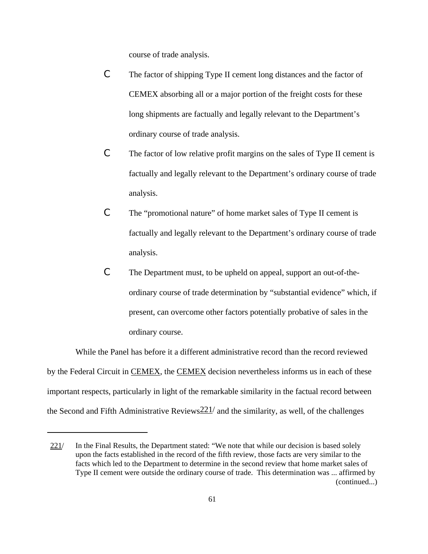course of trade analysis.

- C The factor of shipping Type II cement long distances and the factor of CEMEX absorbing all or a major portion of the freight costs for these long shipments are factually and legally relevant to the Department's ordinary course of trade analysis.
- C The factor of low relative profit margins on the sales of Type II cement is factually and legally relevant to the Department's ordinary course of trade analysis.
- C The "promotional nature" of home market sales of Type II cement is factually and legally relevant to the Department's ordinary course of trade analysis.
- C The Department must, to be upheld on appeal, support an out-of-theordinary course of trade determination by "substantial evidence" which, if present, can overcome other factors potentially probative of sales in the ordinary course.

While the Panel has before it a different administrative record than the record reviewed by the Federal Circuit in CEMEX, the CEMEX decision nevertheless informs us in each of these important respects, particularly in light of the remarkable similarity in the factual record between the Second and Fifth Administrative Reviews  $221/$  and the similarity, as well, of the challenges

<sup>221/</sup> In the Final Results, the Department stated: "We note that while our decision is based solely upon the facts established in the record of the fifth review, those facts are very similar to the facts which led to the Department to determine in the second review that home market sales of Type II cement were outside the ordinary course of trade. This determination was ... affirmed by (continued...)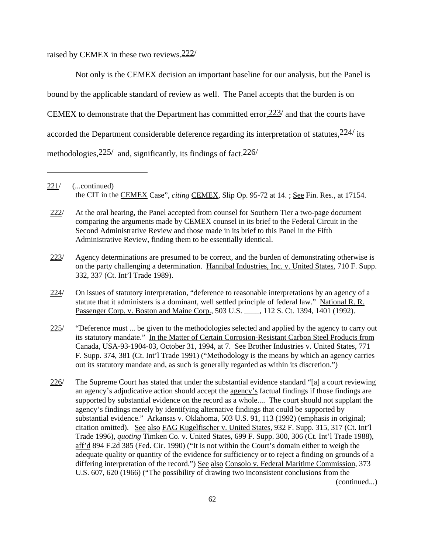raised by CEMEX in these two reviews.222/

Not only is the CEMEX decision an important baseline for our analysis, but the Panel is bound by the applicable standard of review as well. The Panel accepts that the burden is on CEMEX to demonstrate that the Department has committed error,223/ and that the courts have accorded the Department considerable deference regarding its interpretation of statutes,  $\frac{224}{115}$ methodologies,  $\frac{225}{}$  and, significantly, its findings of fact.  $\frac{226}{}$ 

- 225/ "Deference must ... be given to the methodologies selected and applied by the agency to carry out its statutory mandate." In the Matter of Certain Corrosion-Resistant Carbon Steel Products from Canada, USA-93-1904-03, October 31, 1994, at 7. See Brother Industries v. United States, 771 F. Supp. 374, 381 (Ct. Int'l Trade 1991) ("Methodology is the means by which an agency carries out its statutory mandate and, as such is generally regarded as within its discretion.")
- 226/ The Supreme Court has stated that under the substantial evidence standard "[a] a court reviewing an agency's adjudicative action should accept the agency's factual findings if those findings are supported by substantial evidence on the record as a whole.... The court should not supplant the agency's findings merely by identifying alternative findings that could be supported by substantial evidence." Arkansas v. Oklahoma, 503 U.S. 91, 113 (1992) (emphasis in original; citation omitted). See also FAG Kugelfischer v. United States, 932 F. Supp. 315, 317 (Ct. Int'l Trade 1996), *quoting* Timken Co. v. United States, 699 F. Supp. 300, 306 (Ct. Int'l Trade 1988), aff'd 894 F.2d 385 (Fed. Cir. 1990) ("It is not within the Court's domain either to weigh the adequate quality or quantity of the evidence for sufficiency or to reject a finding on grounds of a differing interpretation of the record.") See also Consolo v. Federal Maritime Commission, 373 U.S. 607, 620 (1966) ("The possibility of drawing two inconsistent conclusions from the (continued...)

<sup>221/</sup> (...continued) the CIT in the CEMEX Case", *citing* CEMEX, Slip Op. 95-72 at 14. ; See Fin. Res., at 17154.

<sup>222/</sup> At the oral hearing, the Panel accepted from counsel for Southern Tier a two-page document comparing the arguments made by CEMEX counsel in its brief to the Federal Circuit in the Second Administrative Review and those made in its brief to this Panel in the Fifth Administrative Review, finding them to be essentially identical.

<sup>223/</sup> Agency determinations are presumed to be correct, and the burden of demonstrating otherwise is on the party challenging a determination. Hannibal Industries, Inc. v. United States, 710 F. Supp. 332, 337 (Ct. Int'l Trade 1989).

<sup>224/</sup> On issues of statutory interpretation, "deference to reasonable interpretations by an agency of a statute that it administers is a dominant, well settled principle of federal law." National R. R. Passenger Corp. v. Boston and Maine Corp., 503 U.S. \_\_\_\_, 112 S. Ct. 1394, 1401 (1992).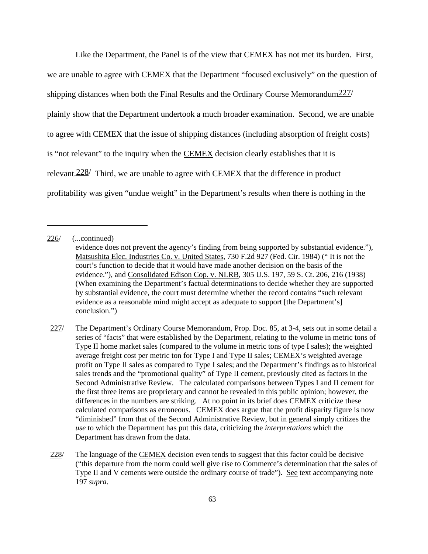Like the Department, the Panel is of the view that CEMEX has not met its burden. First, we are unable to agree with CEMEX that the Department "focused exclusively" on the question of shipping distances when both the Final Results and the Ordinary Course Memorandum $\frac{227}{ }$ plainly show that the Department undertook a much broader examination. Second, we are unable to agree with CEMEX that the issue of shipping distances (including absorption of freight costs) is "not relevant" to the inquiry when the CEMEX decision clearly establishes that it is relevant.228/ Third, we are unable to agree with CEMEX that the difference in product profitability was given "undue weight" in the Department's results when there is nothing in the

<sup>226/</sup> (...continued)

evidence does not prevent the agency's finding from being supported by substantial evidence."), Matsushita Elec. Industries Co. v. United States, 730 F.2d 927 (Fed. Cir. 1984) (" It is not the court's function to decide that it would have made another decision on the basis of the evidence."), and Consolidated Edison Cop. v. NLRB, 305 U.S. 197, 59 S. Ct. 206, 216 (1938) (When examining the Department's factual determinations to decide whether they are supported by substantial evidence, the court must determine whether the record contains "such relevant evidence as a reasonable mind might accept as adequate to support [the Department's] conclusion.")

<sup>227/</sup> The Department's Ordinary Course Memorandum, Prop. Doc. 85, at 3-4, sets out in some detail a series of "facts" that were established by the Department, relating to the volume in metric tons of Type II home market sales (compared to the volume in metric tons of type I sales); the weighted average freight cost per metric ton for Type I and Type II sales; CEMEX's weighted average profit on Type II sales as compared to Type I sales; and the Department's findings as to historical sales trends and the "promotional quality" of Type II cement, previously cited as factors in the Second Administrative Review. The calculated comparisons between Types I and II cement for the first three items are proprietary and cannot be revealed in this public opinion; however, the differences in the numbers are striking. At no point in its brief does CEMEX criticize these calculated comparisons as erroneous. CEMEX does argue that the profit disparity figure is now "diminished" from that of the Second Administrative Review, but in general simply critizes the *use* to which the Department has put this data, criticizing the *interpretations* which the Department has drawn from the data.

<sup>228/</sup> The language of the CEMEX decision even tends to suggest that this factor could be decisive ("this departure from the norm could well give rise to Commerce's determination that the sales of Type II and V cements were outside the ordinary course of trade"). See text accompanying note 197 *supra*.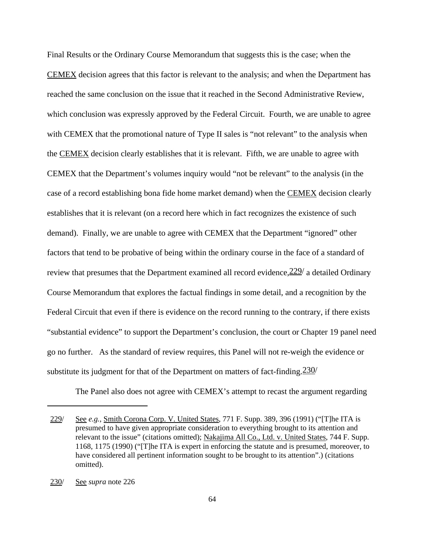Final Results or the Ordinary Course Memorandum that suggests this is the case; when the CEMEX decision agrees that this factor is relevant to the analysis; and when the Department has reached the same conclusion on the issue that it reached in the Second Administrative Review, which conclusion was expressly approved by the Federal Circuit. Fourth, we are unable to agree with CEMEX that the promotional nature of Type II sales is "not relevant" to the analysis when the CEMEX decision clearly establishes that it is relevant. Fifth, we are unable to agree with CEMEX that the Department's volumes inquiry would "not be relevant" to the analysis (in the case of a record establishing bona fide home market demand) when the CEMEX decision clearly establishes that it is relevant (on a record here which in fact recognizes the existence of such demand). Finally, we are unable to agree with CEMEX that the Department "ignored" other factors that tend to be probative of being within the ordinary course in the face of a standard of review that presumes that the Department examined all record evidence,  $\frac{229}{ }$  a detailed Ordinary Course Memorandum that explores the factual findings in some detail, and a recognition by the Federal Circuit that even if there is evidence on the record running to the contrary, if there exists "substantial evidence" to support the Department's conclusion, the court or Chapter 19 panel need go no further. As the standard of review requires, this Panel will not re-weigh the evidence or substitute its judgment for that of the Department on matters of fact-finding.  $230/$ 

The Panel also does not agree with CEMEX's attempt to recast the argument regarding

<sup>229/</sup> See *e.g.*, Smith Corona Corp. V. United States, 771 F. Supp. 389, 396 (1991) ("[T]he ITA is presumed to have given appropriate consideration to everything brought to its attention and relevant to the issue" (citations omitted); Nakajima All Co., Ltd. v. United States, 744 F. Supp. 1168, 1175 (1990) ("[T]he ITA is expert in enforcing the statute and is presumed, moreover, to have considered all pertinent information sought to be brought to its attention".) (citations omitted).

<sup>230/</sup> See *supra* note 226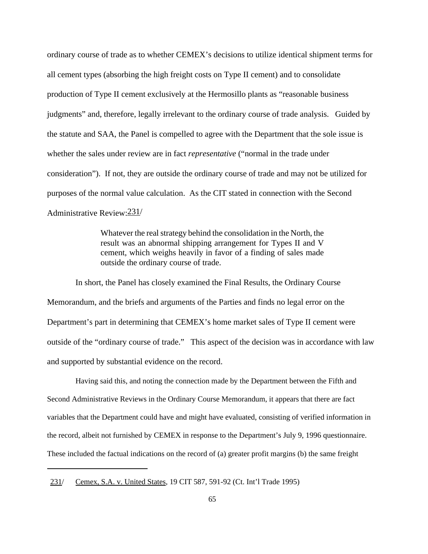ordinary course of trade as to whether CEMEX's decisions to utilize identical shipment terms for all cement types (absorbing the high freight costs on Type II cement) and to consolidate production of Type II cement exclusively at the Hermosillo plants as "reasonable business judgments" and, therefore, legally irrelevant to the ordinary course of trade analysis. Guided by the statute and SAA, the Panel is compelled to agree with the Department that the sole issue is whether the sales under review are in fact *representative* ("normal in the trade under consideration"). If not, they are outside the ordinary course of trade and may not be utilized for purposes of the normal value calculation. As the CIT stated in connection with the Second Administrative Review:231/

> Whatever the real strategy behind the consolidation in the North, the result was an abnormal shipping arrangement for Types II and V cement, which weighs heavily in favor of a finding of sales made outside the ordinary course of trade.

In short, the Panel has closely examined the Final Results, the Ordinary Course Memorandum, and the briefs and arguments of the Parties and finds no legal error on the Department's part in determining that CEMEX's home market sales of Type II cement were outside of the "ordinary course of trade." This aspect of the decision was in accordance with law and supported by substantial evidence on the record.

Having said this, and noting the connection made by the Department between the Fifth and Second Administrative Reviews in the Ordinary Course Memorandum, it appears that there are fact variables that the Department could have and might have evaluated, consisting of verified information in the record, albeit not furnished by CEMEX in response to the Department's July 9, 1996 questionnaire. These included the factual indications on the record of (a) greater profit margins (b) the same freight

<sup>231/</sup> Cemex, S.A. v. United States, 19 CIT 587, 591-92 (Ct. Int'l Trade 1995)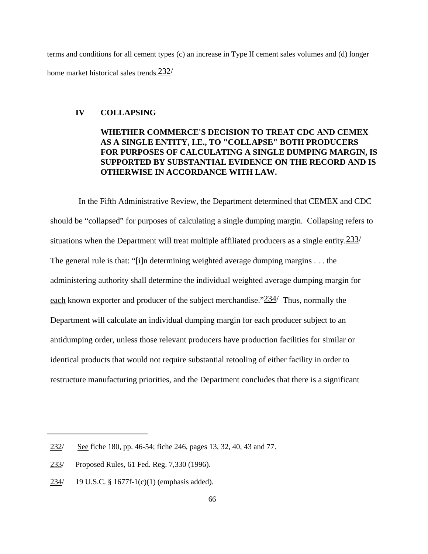terms and conditions for all cement types (c) an increase in Type II cement sales volumes and (d) longer home market historical sales trends.  $232/$ 

### **IV COLLAPSING**

# **WHETHER COMMERCE'S DECISION TO TREAT CDC AND CEMEX AS A SINGLE ENTITY, I.E., TO "COLLAPSE" BOTH PRODUCERS FOR PURPOSES OF CALCULATING A SINGLE DUMPING MARGIN, IS SUPPORTED BY SUBSTANTIAL EVIDENCE ON THE RECORD AND IS OTHERWISE IN ACCORDANCE WITH LAW.**

In the Fifth Administrative Review, the Department determined that CEMEX and CDC should be "collapsed" for purposes of calculating a single dumping margin. Collapsing refers to situations when the Department will treat multiple affiliated producers as a single entity.  $233/$ The general rule is that: "[i]n determining weighted average dumping margins . . . the administering authority shall determine the individual weighted average dumping margin for each known exporter and producer of the subject merchandise." $234/$  Thus, normally the Department will calculate an individual dumping margin for each producer subject to an antidumping order, unless those relevant producers have production facilities for similar or identical products that would not require substantial retooling of either facility in order to restructure manufacturing priorities, and the Department concludes that there is a significant

<sup>232/</sup> See fiche 180, pp. 46-54; fiche 246, pages 13, 32, 40, 43 and 77.

<sup>233/</sup> Proposed Rules, 61 Fed. Reg. 7,330 (1996).

<sup>234/</sup> 19 U.S.C. § 1677f-1(c)(1) (emphasis added).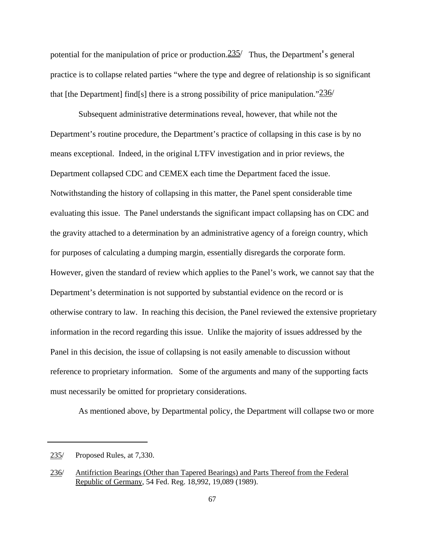potential for the manipulation of price or production.  $235/$  Thus, the Department's general practice is to collapse related parties "where the type and degree of relationship is so significant that [the Department] find[s] there is a strong possibility of price manipulation." $236/$ 

Subsequent administrative determinations reveal, however, that while not the Department's routine procedure, the Department's practice of collapsing in this case is by no means exceptional. Indeed, in the original LTFV investigation and in prior reviews, the Department collapsed CDC and CEMEX each time the Department faced the issue. Notwithstanding the history of collapsing in this matter, the Panel spent considerable time evaluating this issue. The Panel understands the significant impact collapsing has on CDC and the gravity attached to a determination by an administrative agency of a foreign country, which for purposes of calculating a dumping margin, essentially disregards the corporate form. However, given the standard of review which applies to the Panel's work, we cannot say that the Department's determination is not supported by substantial evidence on the record or is otherwise contrary to law. In reaching this decision, the Panel reviewed the extensive proprietary information in the record regarding this issue. Unlike the majority of issues addressed by the Panel in this decision, the issue of collapsing is not easily amenable to discussion without reference to proprietary information. Some of the arguments and many of the supporting facts must necessarily be omitted for proprietary considerations.

As mentioned above, by Departmental policy, the Department will collapse two or more

<sup>235/</sup> Proposed Rules, at 7,330.

<sup>236/</sup> Antifriction Bearings (Other than Tapered Bearings) and Parts Thereof from the Federal Republic of Germany, 54 Fed. Reg. 18,992, 19,089 (1989).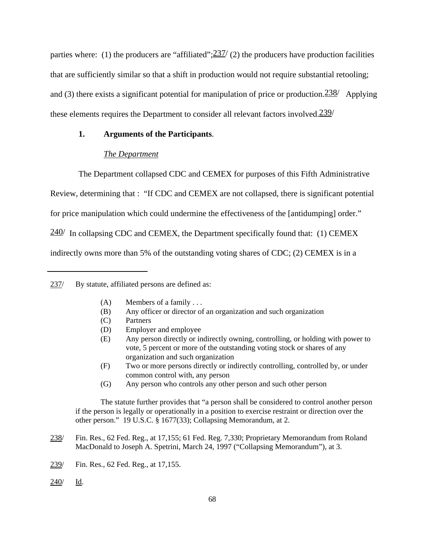parties where: (1) the producers are "affiliated"; $\frac{237}{2}$  (2) the producers have production facilities that are sufficiently similar so that a shift in production would not require substantial retooling; and (3) there exists a significant potential for manipulation of price or production.  $238/$  Applying these elements requires the Department to consider all relevant factors involved.  $239/$ 

### **1. Arguments of the Participants**.

### *The Department*

The Department collapsed CDC and CEMEX for purposes of this Fifth Administrative

Review, determining that : "If CDC and CEMEX are not collapsed, there is significant potential

for price manipulation which could undermine the effectiveness of the [antidumping] order."

 $240$  In collapsing CDC and CEMEX, the Department specifically found that: (1) CEMEX

indirectly owns more than 5% of the outstanding voting shares of CDC; (2) CEMEX is in a

# 237/ By statute, affiliated persons are defined as:

- $(A)$  Members of a family ...
- (B) Any officer or director of an organization and such organization
- (C) Partners
- (D) Employer and employee
- (E) Any person directly or indirectly owning, controlling, or holding with power to vote, 5 percent or more of the outstanding voting stock or shares of any organization and such organization
- (F) Two or more persons directly or indirectly controlling, controlled by, or under common control with, any person
- (G) Any person who controls any other person and such other person

The statute further provides that "a person shall be considered to control another person if the person is legally or operationally in a position to exercise restraint or direction over the other person." 19 U.S.C. § 1677(33); Collapsing Memorandum, at 2.

- 238/ Fin. Res., 62 Fed. Reg., at 17,155; 61 Fed. Reg. 7,330; Proprietary Memorandum from Roland MacDonald to Joseph A. Spetrini, March 24, 1997 ("Collapsing Memorandum"), at 3.
- 239/ Fin. Res., 62 Fed. Reg., at 17,155.
- 240/ Id.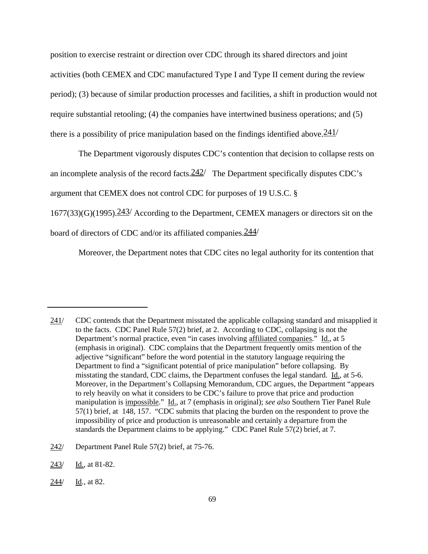position to exercise restraint or direction over CDC through its shared directors and joint activities (both CEMEX and CDC manufactured Type I and Type II cement during the review period); (3) because of similar production processes and facilities, a shift in production would not require substantial retooling; (4) the companies have intertwined business operations; and (5) there is a possibility of price manipulation based on the findings identified above.  $241/$ 

The Department vigorously disputes CDC's contention that decision to collapse rests on

an incomplete analysis of the record facts.  $242/$  The Department specifically disputes CDC's

argument that CEMEX does not control CDC for purposes of 19 U.S.C. §

 $1677(33)(G)(1995)$ .  $243/$  According to the Department, CEMEX managers or directors sit on the

board of directors of CDC and/or its affiliated companies.244/

Moreover, the Department notes that CDC cites no legal authority for its contention that

244/ Id., at 82.

<sup>241/</sup> CDC contends that the Department misstated the applicable collapsing standard and misapplied it to the facts. CDC Panel Rule 57(2) brief, at 2. According to CDC, collapsing is not the Department's normal practice, even "in cases involving affiliated companies." Id., at 5 (emphasis in original). CDC complains that the Department frequently omits mention of the adjective "significant" before the word potential in the statutory language requiring the Department to find a "significant potential of price manipulation" before collapsing. By misstating the standard, CDC claims, the Department confuses the legal standard. Id., at 5-6. Moreover, in the Department's Collapsing Memorandum, CDC argues, the Department "appears to rely heavily on what it considers to be CDC's failure to prove that price and production manipulation is impossible." Id., at 7 (emphasis in original); *see also* Southern Tier Panel Rule 57(1) brief, at 148, 157. "CDC submits that placing the burden on the respondent to prove the impossibility of price and production is unreasonable and certainly a departure from the standards the Department claims to be applying." CDC Panel Rule 57(2) brief, at 7.

<sup>242/</sup> Department Panel Rule 57(2) brief, at 75-76.

<sup>243/</sup> Id., at 81-82.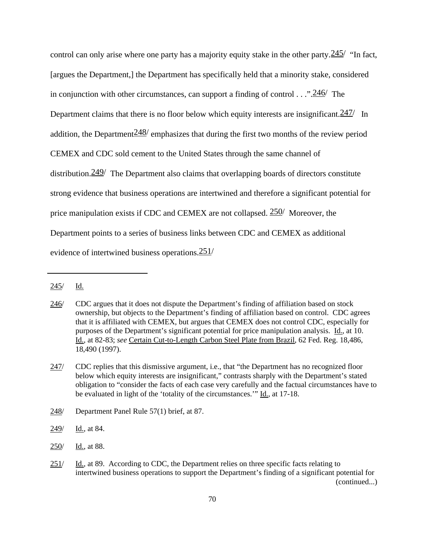control can only arise where one party has a majority equity stake in the other party.  $245'$  "In fact, [argues the Department,] the Department has specifically held that a minority stake, considered in conjunction with other circumstances, can support a finding of control . . .".246/ The Department claims that there is no floor below which equity interests are insignificant.  $247/$  In addition, the Department  $248/$  emphasizes that during the first two months of the review period CEMEX and CDC sold cement to the United States through the same channel of distribution.  $249/$  The Department also claims that overlapping boards of directors constitute strong evidence that business operations are intertwined and therefore a significant potential for price manipulation exists if CDC and CEMEX are not collapsed.  $250/$  Moreover, the Department points to a series of business links between CDC and CEMEX as additional evidence of intertwined business operations.251/

249/ Id., at 84.

<sup>245/</sup> Id.

<sup>246/</sup> CDC argues that it does not dispute the Department's finding of affiliation based on stock ownership, but objects to the Department's finding of affiliation based on control. CDC agrees that it is affiliated with CEMEX, but argues that CEMEX does not control CDC, especially for purposes of the Department's significant potential for price manipulation analysis. Id., at 10. Id., at 82-83; *see* Certain Cut-to-Length Carbon Steel Plate from Brazil, 62 Fed. Reg. 18,486, 18,490 (1997).

<sup>247/</sup> CDC replies that this dismissive argument, i.e., that "the Department has no recognized floor below which equity interests are insignificant," contrasts sharply with the Department's stated obligation to "consider the facts of each case very carefully and the factual circumstances have to be evaluated in light of the 'totality of the circumstances.'" Id., at 17-18.

<sup>248/</sup> Department Panel Rule 57(1) brief, at 87.

<sup>250/</sup> Id., at 88.

 $251$  Id., at 89. According to CDC, the Department relies on three specific facts relating to intertwined business operations to support the Department's finding of a significant potential for (continued...)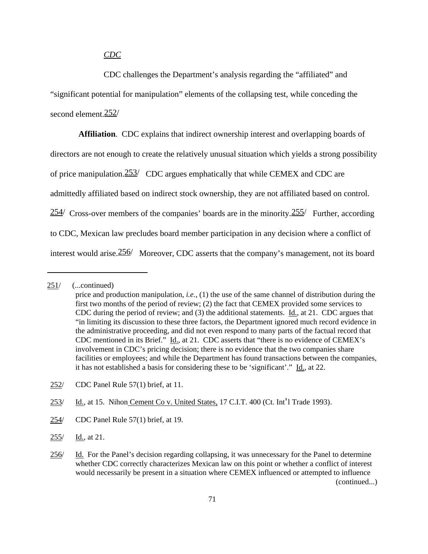### *CDC*

CDC challenges the Department's analysis regarding the "affiliated" and "significant potential for manipulation" elements of the collapsing test, while conceding the second element.252/

**Affiliation**. CDC explains that indirect ownership interest and overlapping boards of directors are not enough to create the relatively unusual situation which yields a strong possibility of price manipulation.253/ CDC argues emphatically that while CEMEX and CDC are admittedly affiliated based on indirect stock ownership, they are not affiliated based on control.  $254/$  Cross-over members of the companies' boards are in the minority.  $255/$  Further, according to CDC, Mexican law precludes board member participation in any decision where a conflict of interest would arise.256/ Moreover, CDC asserts that the company's management, not its board

253/ Id., at 15. Nihon Cement Co v. United States, 17 C.I.T. 400 (Ct. Int<sup>'</sup>l Trade 1993).

- 254/ CDC Panel Rule 57(1) brief, at 19.
- 255/ Id., at 21.

<sup>251/</sup> (...continued)

price and production manipulation, *i.e.*, (1) the use of the same channel of distribution during the first two months of the period of review; (2) the fact that CEMEX provided some services to CDC during the period of review; and (3) the additional statements. Id., at 21. CDC argues that "in limiting its discussion to these three factors, the Department ignored much record evidence in the administrative proceeding, and did not even respond to many parts of the factual record that CDC mentioned in its Brief." Id., at 21. CDC asserts that "there is no evidence of CEMEX's involvement in CDC's pricing decision; there is no evidence that the two companies share facilities or employees; and while the Department has found transactions between the companies, it has not established a basis for considering these to be 'significant'." Id., at 22.

<sup>252/</sup> CDC Panel Rule 57(1) brief, at 11.

<sup>256/</sup> Id. For the Panel's decision regarding collapsing, it was unnecessary for the Panel to determine whether CDC correctly characterizes Mexican law on this point or whether a conflict of interest would necessarily be present in a situation where CEMEX influenced or attempted to influence (continued...)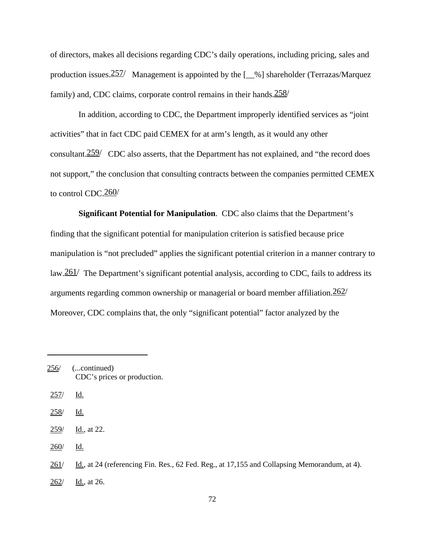of directors, makes all decisions regarding CDC's daily operations, including pricing, sales and production issues.  $257/$  Management is appointed by the  $[-\%]$  shareholder (Terrazas/Marquez family) and, CDC claims, corporate control remains in their hands.258/

In addition, according to CDC, the Department improperly identified services as "joint activities" that in fact CDC paid CEMEX for at arm's length, as it would any other consultant.  $259/$  CDC also asserts, that the Department has not explained, and "the record does" not support," the conclusion that consulting contracts between the companies permitted CEMEX to control CDC.260/

**Significant Potential for Manipulation**. CDC also claims that the Department's finding that the significant potential for manipulation criterion is satisfied because price manipulation is "not precluded" applies the significant potential criterion in a manner contrary to law.  $261/$  The Department's significant potential analysis, according to CDC, fails to address its arguments regarding common ownership or managerial or board member affiliation.262/ Moreover, CDC complains that, the only "significant potential" factor analyzed by the

- 256/ (...continued) CDC's prices or production.
- 257/ Id.
- 258/ Id.
- 259/ Id., at 22.
- 260/ Id.

262/ Id., at 26.

<sup>261/</sup> Id., at 24 (referencing Fin. Res., 62 Fed. Reg., at 17,155 and Collapsing Memorandum, at 4).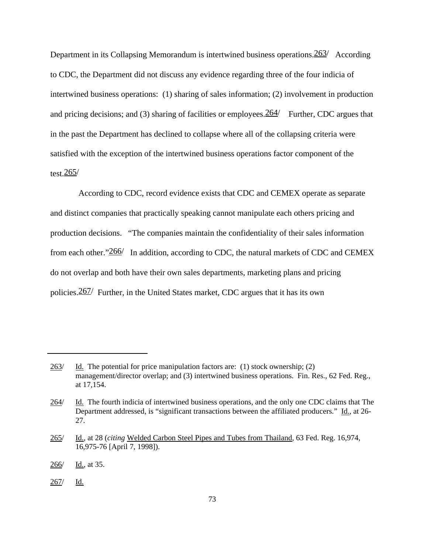Department in its Collapsing Memorandum is intertwined business operations.  $263/$  According to CDC, the Department did not discuss any evidence regarding three of the four indicia of intertwined business operations: (1) sharing of sales information; (2) involvement in production and pricing decisions; and (3) sharing of facilities or employees.  $264/$  Further, CDC argues that in the past the Department has declined to collapse where all of the collapsing criteria were satisfied with the exception of the intertwined business operations factor component of the test. $265/$ 

According to CDC, record evidence exists that CDC and CEMEX operate as separate and distinct companies that practically speaking cannot manipulate each others pricing and production decisions. "The companies maintain the confidentiality of their sales information from each other." $266/$  In addition, according to CDC, the natural markets of CDC and CEMEX do not overlap and both have their own sales departments, marketing plans and pricing policies.267/ Further, in the United States market, CDC argues that it has its own

<sup>263/</sup> Id. The potential for price manipulation factors are: (1) stock ownership; (2) management/director overlap; and (3) intertwined business operations. Fin. Res., 62 Fed. Reg., at 17,154.

<sup>264/</sup> Id. The fourth indicia of intertwined business operations, and the only one CDC claims that The Department addressed, is "significant transactions between the affiliated producers." Id., at 26-27.

<sup>265/</sup> Id., at 28 (*citing* Welded Carbon Steel Pipes and Tubes from Thailand, 63 Fed. Reg. 16,974, 16,975-76 [April 7, 1998]).

<sup>266/</sup> Id., at 35.

<sup>267/</sup> Id.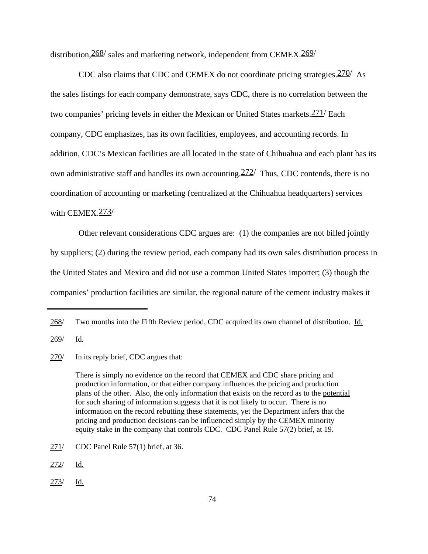distribution,  $268/$  sales and marketing network, independent from CEMEX,  $269/$ 

CDC also claims that CDC and CEMEX do not coordinate pricing strategies.270/ As the sales listings for each company demonstrate, says CDC, there is no correlation between the two companies' pricing levels in either the Mexican or United States markets.271/ Each company, CDC emphasizes, has its own facilities, employees, and accounting records. In addition, CDC's Mexican facilities are all located in the state of Chihuahua and each plant has its own administrative staff and handles its own accounting.  $272/$  Thus, CDC contends, there is no coordination of accounting or marketing (centralized at the Chihuahua headquarters) services with CEMEX 273/

Other relevant considerations CDC argues are: (1) the companies are not billed jointly by suppliers; (2) during the review period, each company had its own sales distribution process in the United States and Mexico and did not use a common United States importer; (3) though the companies' production facilities are similar, the regional nature of the cement industry makes it

<sup>268/</sup> Two months into the Fifth Review period, CDC acquired its own channel of distribution. Id.

<sup>269/</sup> Id.

<sup>270/</sup> In its reply brief, CDC argues that:

There is simply no evidence on the record that CEMEX and CDC share pricing and production information, or that either company influences the pricing and production plans of the other. Also, the only information that exists on the record as to the potential for such sharing of information suggests that it is not likely to occur. There is no information on the record rebutting these statements, yet the Department infers that the pricing and production decisions can be influenced simply by the CEMEX minority equity stake in the company that controls CDC. CDC Panel Rule 57(2) brief, at 19.

<sup>271/</sup> CDC Panel Rule 57(1) brief, at 36.

<sup>272/</sup> Id.

<sup>273/</sup> Id.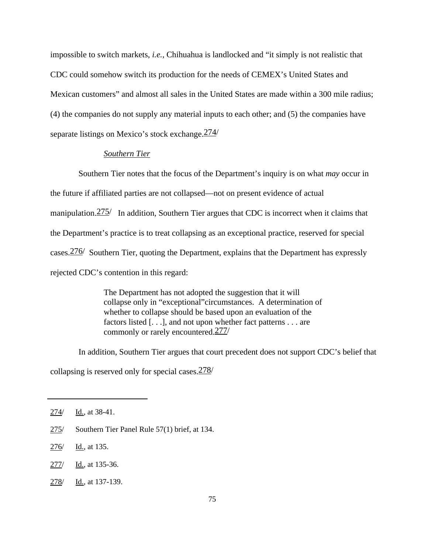impossible to switch markets, *i.e.*, Chihuahua is landlocked and "it simply is not realistic that CDC could somehow switch its production for the needs of CEMEX's United States and Mexican customers" and almost all sales in the United States are made within a 300 mile radius; (4) the companies do not supply any material inputs to each other; and (5) the companies have separate listings on Mexico's stock exchange.274/

### *Southern Tier*

Southern Tier notes that the focus of the Department's inquiry is on what *may* occur in the future if affiliated parties are not collapsed—not on present evidence of actual manipulation.  $275/$  In addition, Southern Tier argues that CDC is incorrect when it claims that the Department's practice is to treat collapsing as an exceptional practice, reserved for special cases.276/ Southern Tier, quoting the Department, explains that the Department has expressly rejected CDC's contention in this regard:

> The Department has not adopted the suggestion that it will collapse only in "exceptional"circumstances. A determination of whether to collapse should be based upon an evaluation of the factors listed [. . .], and not upon whether fact patterns . . . are commonly or rarely encountered.277/

In addition, Southern Tier argues that court precedent does not support CDC's belief that collapsing is reserved only for special cases.278/

- 275/ Southern Tier Panel Rule 57(1) brief, at 134.
- 276/ Id., at 135.
- 277/ Id., at 135-36.
- 278/ Id., at 137-139.

<sup>274/</sup> Id., at 38-41.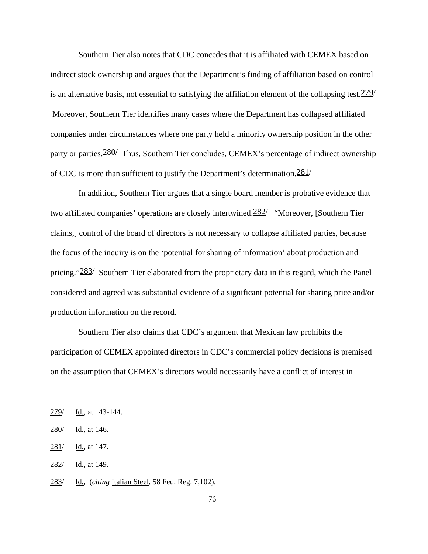Southern Tier also notes that CDC concedes that it is affiliated with CEMEX based on indirect stock ownership and argues that the Department's finding of affiliation based on control is an alternative basis, not essential to satisfying the affiliation element of the collapsing test.  $279/$  Moreover, Southern Tier identifies many cases where the Department has collapsed affiliated companies under circumstances where one party held a minority ownership position in the other party or parties.  $280/$  Thus, Southern Tier concludes, CEMEX's percentage of indirect ownership of CDC is more than sufficient to justify the Department's determination.  $\frac{281}{ }$ 

In addition, Southern Tier argues that a single board member is probative evidence that two affiliated companies' operations are closely intertwined. 282/ "Moreover, [Southern Tier claims,] control of the board of directors is not necessary to collapse affiliated parties, because the focus of the inquiry is on the 'potential for sharing of information' about production and pricing." $283/$  Southern Tier elaborated from the proprietary data in this regard, which the Panel considered and agreed was substantial evidence of a significant potential for sharing price and/or production information on the record.

Southern Tier also claims that CDC's argument that Mexican law prohibits the participation of CEMEX appointed directors in CDC's commercial policy decisions is premised on the assumption that CEMEX's directors would necessarily have a conflict of interest in

- 282/ Id., at 149.
- 283/ Id., (*citing* Italian Steel, 58 Fed. Reg. 7,102).

<sup>279/</sup> Id., at 143-144.

<sup>280/</sup> Id., at 146.

<sup>281/</sup> Id., at 147.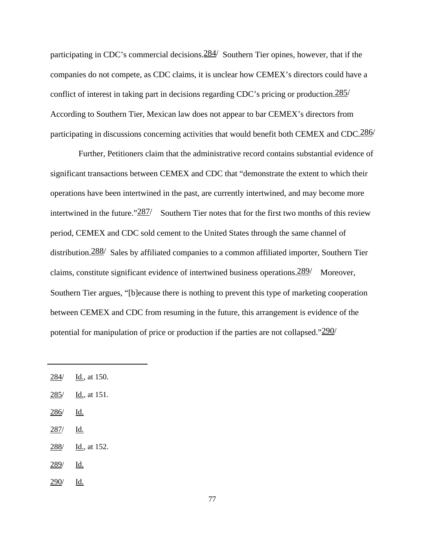participating in CDC's commercial decisions. $\frac{284}{}$  Southern Tier opines, however, that if the companies do not compete, as CDC claims, it is unclear how CEMEX's directors could have a conflict of interest in taking part in decisions regarding CDC's pricing or production.285/ According to Southern Tier, Mexican law does not appear to bar CEMEX's directors from participating in discussions concerning activities that would benefit both CEMEX and CDC.<sup>286</sup>

Further, Petitioners claim that the administrative record contains substantial evidence of significant transactions between CEMEX and CDC that "demonstrate the extent to which their operations have been intertwined in the past, are currently intertwined, and may become more intertwined in the future." $\frac{287}{ }$  Southern Tier notes that for the first two months of this review period, CEMEX and CDC sold cement to the United States through the same channel of distribution.288/ Sales by affiliated companies to a common affiliated importer, Southern Tier claims, constitute significant evidence of intertwined business operations.289/ Moreover, Southern Tier argues, "[b]ecause there is nothing to prevent this type of marketing cooperation between CEMEX and CDC from resuming in the future, this arrangement is evidence of the potential for manipulation of price or production if the parties are not collapsed." $290/$ 

- 285/ Id., at 151.
- 286/ Id.
- 287/ Id.
- 288/ Id., at 152.
- 289/ Id.
- $290/$  Id.

 $284/$  Id., at 150.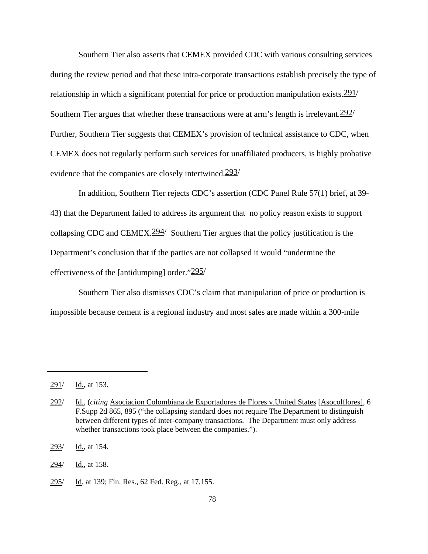Southern Tier also asserts that CEMEX provided CDC with various consulting services during the review period and that these intra-corporate transactions establish precisely the type of relationship in which a significant potential for price or production manipulation exists.  $291/$ Southern Tier argues that whether these transactions were at arm's length is irrelevant.292/ Further, Southern Tier suggests that CEMEX's provision of technical assistance to CDC, when CEMEX does not regularly perform such services for unaffiliated producers, is highly probative evidence that the companies are closely intertwined.293/

In addition, Southern Tier rejects CDC's assertion (CDC Panel Rule 57(1) brief, at 39- 43) that the Department failed to address its argument that no policy reason exists to support collapsing CDC and CEMEX.  $294/$  Southern Tier argues that the policy justification is the Department's conclusion that if the parties are not collapsed it would "undermine the effectiveness of the [antidumping] order." $295/$ 

Southern Tier also dismisses CDC's claim that manipulation of price or production is impossible because cement is a regional industry and most sales are made within a 300-mile

 $291/$  Id., at 153.

<sup>292/</sup> Id., (*citing* Asociacion Colombiana de Exportadores de Flores v.United States [Asocolflores], 6 F.Supp 2d 865, 895 ("the collapsing standard does not require The Department to distinguish between different types of inter-company transactions. The Department must only address whether transactions took place between the companies.").

<sup>293/</sup> Id., at 154.

<sup>294/</sup> Id., at 158.

<sup>295/</sup> Id, at 139; Fin. Res., 62 Fed. Reg., at 17,155.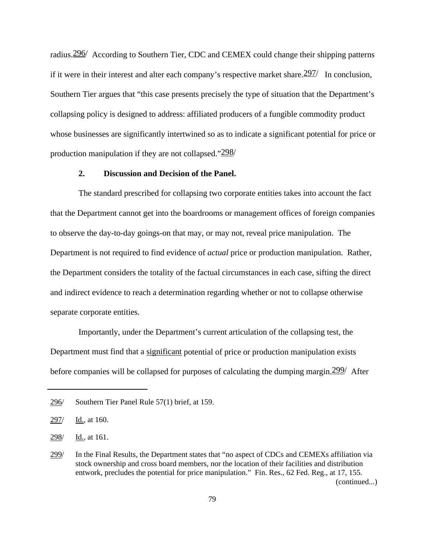radius.296/ According to Southern Tier, CDC and CEMEX could change their shipping patterns if it were in their interest and alter each company's respective market share.  $\frac{297}{1}$  In conclusion, Southern Tier argues that "this case presents precisely the type of situation that the Department's collapsing policy is designed to address: affiliated producers of a fungible commodity product whose businesses are significantly intertwined so as to indicate a significant potential for price or production manipulation if they are not collapsed."298/

### **2. Discussion and Decision of the Panel.**

The standard prescribed for collapsing two corporate entities takes into account the fact that the Department cannot get into the boardrooms or management offices of foreign companies to observe the day-to-day goings-on that may, or may not, reveal price manipulation. The Department is not required to find evidence of *actual* price or production manipulation. Rather, the Department considers the totality of the factual circumstances in each case, sifting the direct and indirect evidence to reach a determination regarding whether or not to collapse otherwise separate corporate entities.

Importantly, under the Department's current articulation of the collapsing test, the Department must find that a significant potential of price or production manipulation exists before companies will be collapsed for purposes of calculating the dumping margin. 299/ After

<sup>296/</sup> Southern Tier Panel Rule 57(1) brief, at 159.

<sup>297/</sup> Id., at 160.

<sup>298/</sup> Id., at 161.

<sup>299/</sup> In the Final Results, the Department states that "no aspect of CDCs and CEMEXs affiliation via stock ownership and cross board members, nor the location of their facilities and distribution entwork, precludes the potential for price manipulation." Fin. Res., 62 Fed. Reg., at 17, 155. (continued...)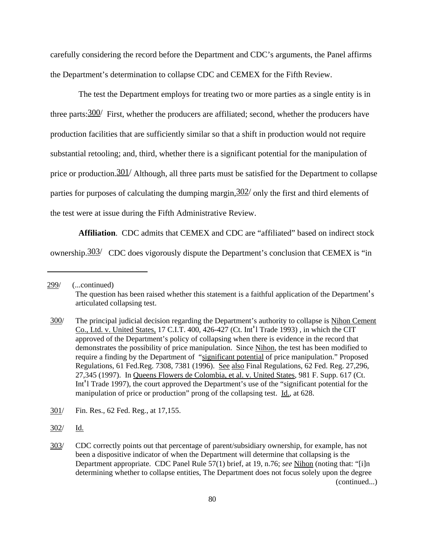carefully considering the record before the Department and CDC's arguments, the Panel affirms the Department's determination to collapse CDC and CEMEX for the Fifth Review.

The test the Department employs for treating two or more parties as a single entity is in three parts:  $300/$  First, whether the producers are affiliated; second, whether the producers have production facilities that are sufficiently similar so that a shift in production would not require substantial retooling; and, third, whether there is a significant potential for the manipulation of price or production.  $301/$  Although, all three parts must be satisfied for the Department to collapse parties for purposes of calculating the dumping margin,  $302/$  only the first and third elements of the test were at issue during the Fifth Administrative Review.

**Affiliation**. CDC admits that CEMEX and CDC are "affiliated" based on indirect stock ownership.<sup>303/</sup> CDC does vigorously dispute the Department's conclusion that CEMEX is "in

302/ Id.

<sup>299/</sup> (...continued) The question has been raised whether this statement is a faithful application of the Department's articulated collapsing test.

<sup>300/</sup> The principal judicial decision regarding the Department's authority to collapse is Nihon Cement Co., Ltd. v. United States, 17 C.I.T. 400, 426-427 (Ct. Int'l Trade 1993) , in which the CIT approved of the Department's policy of collapsing when there is evidence in the record that demonstrates the possibility of price manipulation. Since Nihon, the test has been modified to require a finding by the Department of "significant potential of price manipulation." Proposed Regulations, 61 Fed.Reg. 7308, 7381 (1996). See also Final Regulations, 62 Fed. Reg. 27,296, 27,345 (1997). In Queens Flowers de Colombia, et al. v. United States, 981 F. Supp. 617 (Ct. Int'l Trade 1997), the court approved the Department's use of the "significant potential for the manipulation of price or production" prong of the collapsing test. Id., at 628.

<sup>301/</sup> Fin. Res., 62 Fed. Reg., at 17,155.

<sup>303/</sup> CDC correctly points out that percentage of parent/subsidiary ownership, for example, has not been a dispositive indicator of when the Department will determine that collapsing is the Department appropriate. CDC Panel Rule 57(1) brief, at 19, n.76; *see* Nihon (noting that: "[i]n determining whether to collapse entities, The Department does not focus solely upon the degree (continued...)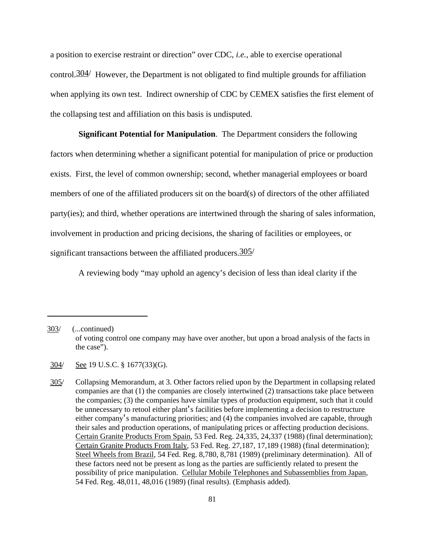a position to exercise restraint or direction" over CDC, *i.e.*, able to exercise operational control.  $304/$  However, the Department is not obligated to find multiple grounds for affiliation when applying its own test. Indirect ownership of CDC by CEMEX satisfies the first element of the collapsing test and affiliation on this basis is undisputed.

**Significant Potential for Manipulation**. The Department considers the following

factors when determining whether a significant potential for manipulation of price or production exists. First, the level of common ownership; second, whether managerial employees or board members of one of the affiliated producers sit on the board(s) of directors of the other affiliated party(ies); and third, whether operations are intertwined through the sharing of sales information, involvement in production and pricing decisions, the sharing of facilities or employees, or significant transactions between the affiliated producers.  $305/$ 

A reviewing body "may uphold an agency's decision of less than ideal clarity if the

<sup>303/</sup> (...continued) of voting control one company may have over another, but upon a broad analysis of the facts in the case").

<sup>304/</sup> See 19 U.S.C. § 1677(33)(G).

<sup>305/</sup> Collapsing Memorandum, at 3. Other factors relied upon by the Department in collapsing related companies are that (1) the companies are closely intertwined (2) transactions take place between the companies; (3) the companies have similar types of production equipment, such that it could be unnecessary to retool either plant's facilities before implementing a decision to restructure either company's manufacturing priorities; and (4) the companies involved are capable, through their sales and production operations, of manipulating prices or affecting production decisions. Certain Granite Products From Spain, 53 Fed. Reg. 24,335, 24,337 (1988) (final determination); Certain Granite Products From Italy, 53 Fed. Reg. 27,187, 17,189 (1988) (final determination); Steel Wheels from Brazil, 54 Fed. Reg. 8,780, 8,781 (1989) (preliminary determination). All of these factors need not be present as long as the parties are sufficiently related to present the possibility of price manipulation. Cellular Mobile Telephones and Subassemblies from Japan, 54 Fed. Reg. 48,011, 48,016 (1989) (final results). (Emphasis added).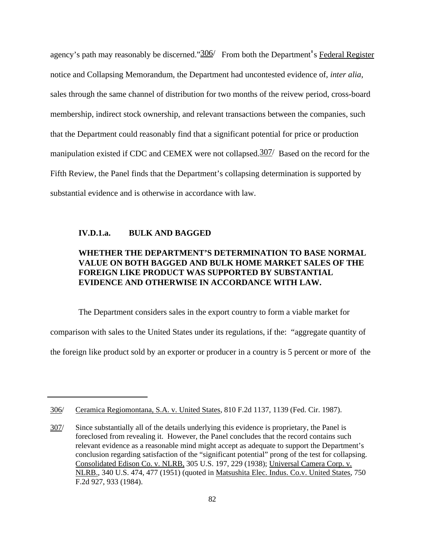agency's path may reasonably be discerned." $\frac{306}{ }$  From both the Department's Federal Register notice and Collapsing Memorandum, the Department had uncontested evidence of, *inter alia*, sales through the same channel of distribution for two months of the reivew period, cross-board membership, indirect stock ownership, and relevant transactions between the companies, such that the Department could reasonably find that a significant potential for price or production manipulation existed if CDC and CEMEX were not collapsed.307/ Based on the record for the Fifth Review, the Panel finds that the Department's collapsing determination is supported by substantial evidence and is otherwise in accordance with law.

### **IV.D.1.a. BULK AND BAGGED**

## **WHETHER THE DEPARTMENT'S DETERMINATION TO BASE NORMAL VALUE ON BOTH BAGGED AND BULK HOME MARKET SALES OF THE FOREIGN LIKE PRODUCT WAS SUPPORTED BY SUBSTANTIAL EVIDENCE AND OTHERWISE IN ACCORDANCE WITH LAW.**

The Department considers sales in the export country to form a viable market for comparison with sales to the United States under its regulations, if the: "aggregate quantity of the foreign like product sold by an exporter or producer in a country is 5 percent or more of the

<sup>306/</sup> Ceramica Regiomontana, S.A. v. United States, 810 F.2d 1137, 1139 (Fed. Cir. 1987).

<sup>307/</sup> Since substantially all of the details underlying this evidence is proprietary, the Panel is foreclosed from revealing it. However, the Panel concludes that the record contains such relevant evidence as a reasonable mind might accept as adequate to support the Department's conclusion regarding satisfaction of the "significant potential" prong of the test for collapsing. Consolidated Edison Co. v. NLRB, 305 U.S. 197, 229 (1938); Universal Camera Corp. v. NLRB., 340 U.S. 474, 477 (1951) (quoted in Matsushita Elec. Indus. Co.v. United States, 750 F.2d 927, 933 (1984).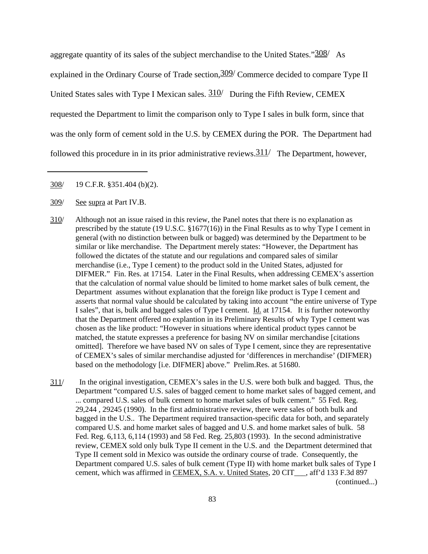aggregate quantity of its sales of the subject merchandise to the United States." $\frac{308}{ }$  As explained in the Ordinary Course of Trade section,  $309/$  Commerce decided to compare Type II United States sales with Type I Mexican sales.  $310/$  During the Fifth Review, CEMEX requested the Department to limit the comparison only to Type I sales in bulk form, since that was the only form of cement sold in the U.S. by CEMEX during the POR. The Department had followed this procedure in in its prior administrative reviews.  $311/$  The Department, however,

- 310/ Although not an issue raised in this review, the Panel notes that there is no explanation as prescribed by the statute (19 U.S.C. §1677(16)) in the Final Results as to why Type I cement in general (with no distinction between bulk or bagged) was determined by the Department to be similar or like merchandise. The Department merely states: "However, the Department has followed the dictates of the statute and our regulations and compared sales of similar merchandise (i.e., Type I cement) to the product sold in the United States, adjusted for DIFMER." Fin. Res. at 17154. Later in the Final Results, when addressing CEMEX's assertion that the calculation of normal value should be limited to home market sales of bulk cement, the Department assumes without explanation that the foreign like product is Type I cement and asserts that normal value should be calculated by taking into account "the entire universe of Type I sales", that is, bulk and bagged sales of Type I cement. Id. at 17154. It is further noteworthy that the Department offered no explantion in its Preliminary Results of why Type I cement was chosen as the like product: "However in situations where identical product types cannot be matched, the statute expresses a preference for basing NV on similar merchandise [citations omitted]. Therefore we have based NV on sales of Type I cement, since they are representative of CEMEX's sales of similar merchandise adjusted for 'differences in merchandise' (DIFMER) based on the methodology [i.e. DIFMER] above." Prelim.Res. at 51680.
- 311/ In the original investigation, CEMEX's sales in the U.S. were both bulk and bagged. Thus, the Department "compared U.S. sales of bagged cement to home market sales of bagged cement, and ... compared U.S. sales of bulk cement to home market sales of bulk cement." 55 Fed. Reg. 29,244 , 29245 (1990). In the first administrative review, there were sales of both bulk and bagged in the U.S.. The Department required transaction-specific data for both, and separately compared U.S. and home market sales of bagged and U.S. and home market sales of bulk. 58 Fed. Reg. 6,113, 6,114 (1993) and 58 Fed. Reg. 25,803 (1993). In the second administrative review, CEMEX sold only bulk Type II cement in the U.S. and the Department determined that Type II cement sold in Mexico was outside the ordinary course of trade. Consequently, the Department compared U.S. sales of bulk cement (Type II) with home market bulk sales of Type I cement, which was affirmed in CEMEX, S.A. v. United States, 20 CIT\_\_\_, aff'd 133 F.3d 897 (continued...)

<sup>308/</sup> 19 C.F.R. §351.404 (b)(2).

<sup>309/</sup> See supra at Part IV.B.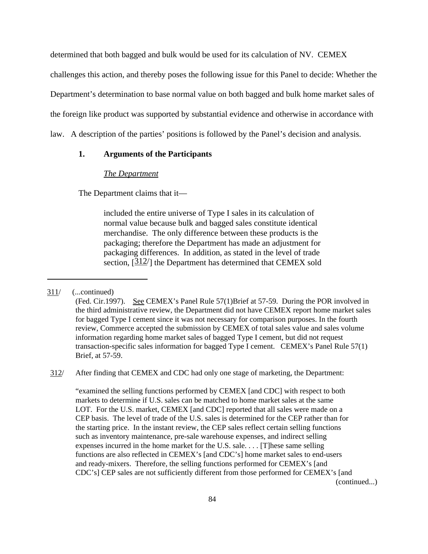determined that both bagged and bulk would be used for its calculation of NV. CEMEX

challenges this action, and thereby poses the following issue for this Panel to decide: Whether the

Department's determination to base normal value on both bagged and bulk home market sales of

the foreign like product was supported by substantial evidence and otherwise in accordance with

law. A description of the parties' positions is followed by the Panel's decision and analysis.

## **1. Arguments of the Participants**

#### *The Department*

The Department claims that it—

included the entire universe of Type I sales in its calculation of normal value because bulk and bagged sales constitute identical merchandise. The only difference between these products is the packaging; therefore the Department has made an adjustment for packaging differences. In addition, as stated in the level of trade section,  $\left[\frac{312}{\right]$  the Department has determined that CEMEX sold

312/ After finding that CEMEX and CDC had only one stage of marketing, the Department:

"examined the selling functions performed by CEMEX [and CDC] with respect to both markets to determine if U.S. sales can be matched to home market sales at the same LOT. For the U.S. market, CEMEX [and CDC] reported that all sales were made on a CEP basis. The level of trade of the U.S. sales is determined for the CEP rather than for the starting price. In the instant review, the CEP sales reflect certain selling functions such as inventory maintenance, pre-sale warehouse expenses, and indirect selling expenses incurred in the home market for the U.S. sale. . . . [T]hese same selling functions are also reflected in CEMEX's [and CDC's] home market sales to end-users and ready-mixers. Therefore, the selling functions performed for CEMEX's [and CDC's] CEP sales are not sufficiently different from those performed for CEMEX's [and (continued...)

<sup>311/</sup> (...continued)

<sup>(</sup>Fed. Cir.1997). See CEMEX's Panel Rule 57(1)Brief at 57-59. During the POR involved in the third administrative review, the Department did not have CEMEX report home market sales for bagged Type I cement since it was not necessary for comparison purposes. In the fourth review, Commerce accepted the submission by CEMEX of total sales value and sales volume information regarding home market sales of bagged Type I cement, but did not request transaction-specific sales information for bagged Type I cement. CEMEX's Panel Rule 57(1) Brief, at 57-59.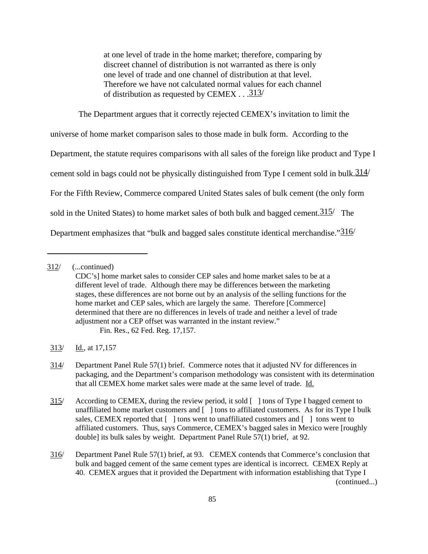at one level of trade in the home market; therefore, comparing by discreet channel of distribution is not warranted as there is only one level of trade and one channel of distribution at that level. Therefore we have not calculated normal values for each channel of distribution as requested by CEMEX . . . $\frac{313}{ }$ 

The Department argues that it correctly rejected CEMEX's invitation to limit the universe of home market comparison sales to those made in bulk form. According to the Department, the statute requires comparisons with all sales of the foreign like product and Type I cement sold in bags could not be physically distinguished from Type I cement sold in bulk.  $314/$ For the Fifth Review, Commerce compared United States sales of bulk cement (the only form sold in the United States) to home market sales of both bulk and bagged cement.  $315/$  The Department emphasizes that "bulk and bagged sales constitute identical merchandise."316/

<sup>312/</sup> (...continued)

CDC's] home market sales to consider CEP sales and home market sales to be at a different level of trade. Although there may be differences between the marketing stages, these differences are not borne out by an analysis of the selling functions for the home market and CEP sales, which are largely the same. Therefore [Commerce] determined that there are no differences in levels of trade and neither a level of trade adjustment nor a CEP offset was warranted in the instant review." Fin. Res., 62 Fed. Reg. 17,157.

<sup>313/</sup> Id., at 17,157

<sup>314/</sup> Department Panel Rule 57(1) brief. Commerce notes that it adjusted NV for differences in packaging, and the Department's comparison methodology was consistent with its determination that all CEMEX home market sales were made at the same level of trade. Id.

<sup>315/</sup> According to CEMEX, during the review period, it sold [ ] tons of Type I bagged cement to unaffiliated home market customers and [ ] tons to affiliated customers. As for its Type I bulk sales, CEMEX reported that  $\lceil \cdot \rceil$  tons went to unaffiliated customers and  $\lceil \cdot \rceil$  tons went to affiliated customers. Thus, says Commerce, CEMEX's bagged sales in Mexico were [roughly double] its bulk sales by weight. Department Panel Rule 57(1) brief, at 92.

<sup>316/</sup> Department Panel Rule 57(1) brief, at 93. CEMEX contends that Commerce's conclusion that bulk and bagged cement of the same cement types are identical is incorrect. CEMEX Reply at 40. CEMEX argues that it provided the Department with information establishing that Type I (continued...)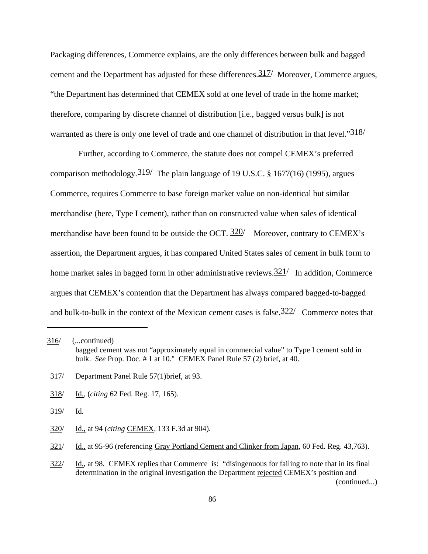Packaging differences, Commerce explains, are the only differences between bulk and bagged cement and the Department has adjusted for these differences.317/ Moreover, Commerce argues, "the Department has determined that CEMEX sold at one level of trade in the home market; therefore, comparing by discrete channel of distribution [i.e., bagged versus bulk] is not warranted as there is only one level of trade and one channel of distribution in that level." $\frac{318}{ }$ 

Further, according to Commerce, the statute does not compel CEMEX's preferred comparison methodology.  $319/$  The plain language of 19 U.S.C. § 1677(16) (1995), argues Commerce, requires Commerce to base foreign market value on non-identical but similar merchandise (here, Type I cement), rather than on constructed value when sales of identical merchandise have been found to be outside the OCT.  $320/$  Moreover, contrary to CEMEX's assertion, the Department argues, it has compared United States sales of cement in bulk form to home market sales in bagged form in other administrative reviews.  $\frac{321}{1}$  In addition, Commerce argues that CEMEX's contention that the Department has always compared bagged-to-bagged and bulk-to-bulk in the context of the Mexican cement cases is false.  $322/$  Commerce notes that

- 318/ Id., (*citing* 62 Fed. Reg. 17, 165).
- 319/ Id.
- 320/ Id., at 94 (*citing* CEMEX, 133 F.3d at 904).

<sup>316/</sup> (...continued) bagged cement was not "approximately equal in commercial value" to Type I cement sold in bulk. *See* Prop. Doc. # 1 at 10." CEMEX Panel Rule 57 (2) brief, at 40.

<sup>317/</sup> Department Panel Rule 57(1)brief, at 93.

<sup>321/</sup> Id., at 95-96 (referencing Gray Portland Cement and Clinker from Japan, 60 Fed. Reg. 43,763).

<sup>322/</sup> Id., at 98. CEMEX replies that Commerce is: "disingenuous for failing to note that in its final determination in the original investigation the Department rejected CEMEX's position and (continued...)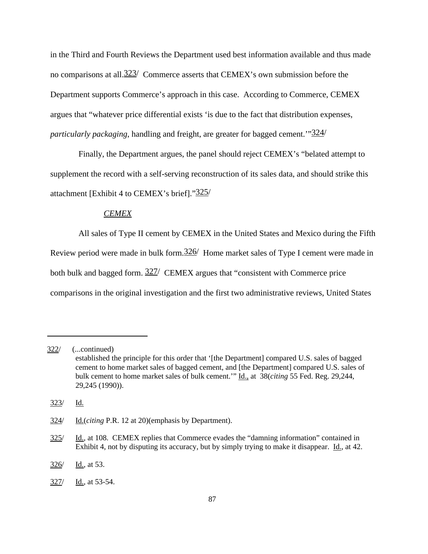in the Third and Fourth Reviews the Department used best information available and thus made no comparisons at all.<sup>323/</sup> Commerce asserts that CEMEX's own submission before the Department supports Commerce's approach in this case. According to Commerce, CEMEX argues that "whatever price differential exists 'is due to the fact that distribution expenses, *particularly packaging*, handling and freight, are greater for bagged cement.'"324/

Finally, the Department argues, the panel should reject CEMEX's "belated attempt to supplement the record with a self-serving reconstruction of its sales data, and should strike this attachment [Exhibit 4 to CEMEX's brief]."325/

## *CEMEX*

All sales of Type II cement by CEMEX in the United States and Mexico during the Fifth Review period were made in bulk form.  $326/$  Home market sales of Type I cement were made in both bulk and bagged form.  $327/$  CEMEX argues that "consistent with Commerce price" comparisons in the original investigation and the first two administrative reviews, United States

<sup>322/</sup> (...continued) established the principle for this order that '[the Department] compared U.S. sales of bagged cement to home market sales of bagged cement, and [the Department] compared U.S. sales of bulk cement to home market sales of bulk cement.'" Id., at 38(*citing* 55 Fed. Reg. 29,244, 29,245 (1990)).

<sup>323/</sup> Id.

<sup>324/</sup> Id.(*citing* P.R. 12 at 20)(emphasis by Department).

<sup>325/</sup> Id., at 108. CEMEX replies that Commerce evades the "damning information" contained in Exhibit 4, not by disputing its accuracy, but by simply trying to make it disappear. Id., at 42.

<sup>326/</sup> Id., at 53.

<sup>327/</sup> Id., at 53-54.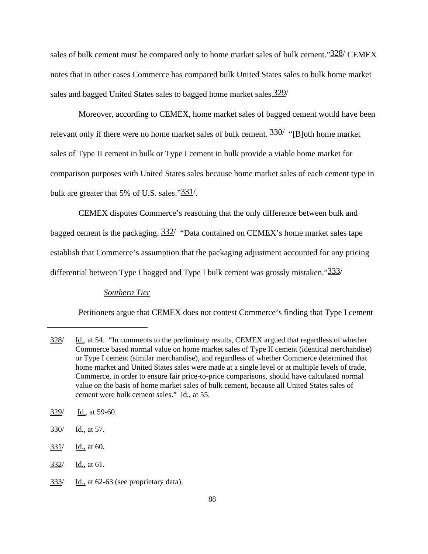sales of bulk cement must be compared only to home market sales of bulk cement."<sup>328</sup>/ CEMEX notes that in other cases Commerce has compared bulk United States sales to bulk home market sales and bagged United States sales to bagged home market sales.  $329/$ 

Moreover, according to CEMEX, home market sales of bagged cement would have been relevant only if there were no home market sales of bulk cement.  $\frac{330}{ }$  "[B]oth home market sales of Type II cement in bulk or Type I cement in bulk provide a viable home market for comparison purposes with United States sales because home market sales of each cement type in bulk are greater that 5% of U.S. sales."331/.

CEMEX disputes Commerce's reasoning that the only difference between bulk and bagged cement is the packaging.  $332/$  "Data contained on CEMEX's home market sales tape establish that Commerce's assumption that the packaging adjustment accounted for any pricing differential between Type I bagged and Type I bulk cement was grossly mistaken."333/

## *Southern Tier*

Petitioners argue that CEMEX does not contest Commerce's finding that Type I cement

- 329/ Id., at 59-60.
- 330/ Id., at 57.
- 331/ Id., at 60.
- 332/ Id., at 61.
- 333/ Id., at 62-63 (see proprietary data).

<sup>328/</sup> Id., at 54. "In comments to the preliminary results, CEMEX argued that regardless of whether Commerce based normal value on home market sales of Type II cement (identical merchandise) or Type I cement (similar merchandise), and regardless of whether Commerce determined that home market and United States sales were made at a single level or at multiple levels of trade, Commerce, in order to ensure fair price-to-price comparisons, should have calculated normal value on the basis of home market sales of bulk cement, because all United States sales of cement were bulk cement sales." Id., at 55.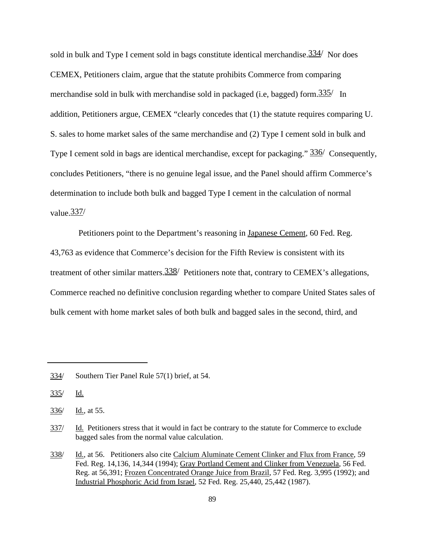sold in bulk and Type I cement sold in bags constitute identical merchandise.  $334/$  Nor does CEMEX, Petitioners claim, argue that the statute prohibits Commerce from comparing merchandise sold in bulk with merchandise sold in packaged (i.e., bagged) form.  $\frac{335}{1}$  In addition, Petitioners argue, CEMEX "clearly concedes that (1) the statute requires comparing U. S. sales to home market sales of the same merchandise and (2) Type I cement sold in bulk and Type I cement sold in bags are identical merchandise, except for packaging."  $336/$  Consequently, concludes Petitioners, "there is no genuine legal issue, and the Panel should affirm Commerce's determination to include both bulk and bagged Type I cement in the calculation of normal value.337/

Petitioners point to the Department's reasoning in Japanese Cement, 60 Fed. Reg. 43,763 as evidence that Commerce's decision for the Fifth Review is consistent with its treatment of other similar matters.  $\frac{338}{ }$  Petitioners note that, contrary to CEMEX's allegations, Commerce reached no definitive conclusion regarding whether to compare United States sales of bulk cement with home market sales of both bulk and bagged sales in the second, third, and

<sup>334/</sup> Southern Tier Panel Rule 57(1) brief, at 54.

<sup>335/</sup> Id.

 $336/$  Id., at 55.

<sup>337/</sup> Id. Petitioners stress that it would in fact be contrary to the statute for Commerce to exclude bagged sales from the normal value calculation.

<sup>338/</sup> Id., at 56. Petitioners also cite Calcium Aluminate Cement Clinker and Flux from France, 59 Fed. Reg. 14,136, 14,344 (1994); Gray Portland Cement and Clinker from Venezuela, 56 Fed. Reg. at 56,391; Frozen Concentrated Orange Juice from Brazil, 57 Fed. Reg. 3,995 (1992); and Industrial Phosphoric Acid from Israel, 52 Fed. Reg. 25,440, 25,442 (1987).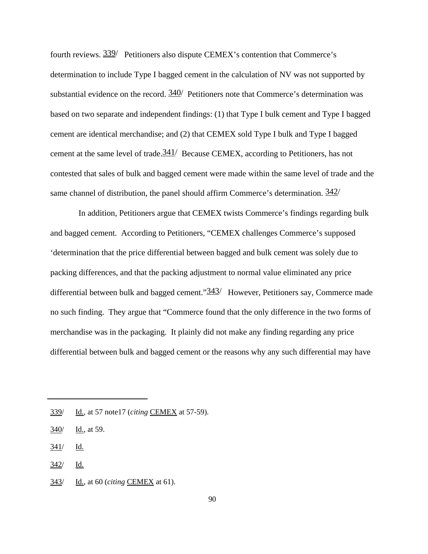fourth reviews.  $\frac{339}{ }$  Petitioners also dispute CEMEX's contention that Commerce's determination to include Type I bagged cement in the calculation of NV was not supported by substantial evidence on the record.  $340/$  Petitioners note that Commerce's determination was based on two separate and independent findings: (1) that Type I bulk cement and Type I bagged cement are identical merchandise; and (2) that CEMEX sold Type I bulk and Type I bagged cement at the same level of trade.341/ Because CEMEX, according to Petitioners, has not contested that sales of bulk and bagged cement were made within the same level of trade and the same channel of distribution, the panel should affirm Commerce's determination.  $342/$ 

In addition, Petitioners argue that CEMEX twists Commerce's findings regarding bulk and bagged cement. According to Petitioners, "CEMEX challenges Commerce's supposed 'determination that the price differential between bagged and bulk cement was solely due to packing differences, and that the packing adjustment to normal value eliminated any price differential between bulk and bagged cement." $\frac{343}{}$  However, Petitioners say, Commerce made no such finding. They argue that "Commerce found that the only difference in the two forms of merchandise was in the packaging. It plainly did not make any finding regarding any price differential between bulk and bagged cement or the reasons why any such differential may have

 $341/$  Id.

 $342/$  Id.

343/ Id., at 60 (*citing* CEMEX at 61).

<sup>339/</sup> Id., at 57 note17 (*citing* CEMEX at 57-59).

<sup>340/</sup> Id., at 59.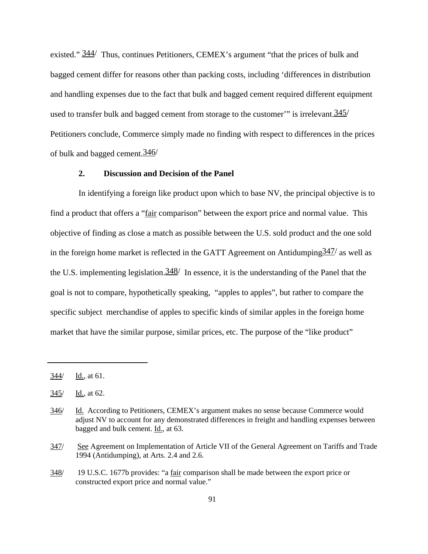existed."  $\frac{344}{7}$  Thus, continues Petitioners, CEMEX's argument "that the prices of bulk and bagged cement differ for reasons other than packing costs, including 'differences in distribution and handling expenses due to the fact that bulk and bagged cement required different equipment used to transfer bulk and bagged cement from storage to the customer" is irrelevant.  $345/$ Petitioners conclude, Commerce simply made no finding with respect to differences in the prices of bulk and bagged cement.346/

### **2. Discussion and Decision of the Panel**

In identifying a foreign like product upon which to base NV, the principal objective is to find a product that offers a "fair comparison" between the export price and normal value. This objective of finding as close a match as possible between the U.S. sold product and the one sold in the foreign home market is reflected in the GATT Agreement on Antidumping  $\frac{347}{a}$  as well as the U.S. implementing legislation.  $\frac{348}{1}$  In essence, it is the understanding of the Panel that the goal is not to compare, hypothetically speaking, "apples to apples", but rather to compare the specific subject merchandise of apples to specific kinds of similar apples in the foreign home market that have the similar purpose, similar prices, etc. The purpose of the "like product"

<sup>344/</sup> Id., at 61.

<sup>345/</sup> Id., at 62.

<sup>346/</sup> Id. According to Petitioners, CEMEX's argument makes no sense because Commerce would adjust NV to account for any demonstrated differences in freight and handling expenses between bagged and bulk cement. Id., at 63.

<sup>347/</sup> See Agreement on Implementation of Article VII of the General Agreement on Tariffs and Trade 1994 (Antidumping), at Arts. 2.4 and 2.6.

<sup>348/ 19</sup> U.S.C. 1677b provides: "a fair comparison shall be made between the export price or constructed export price and normal value."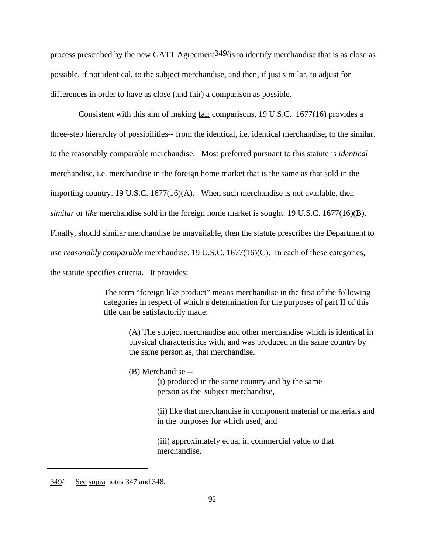process prescribed by the new GATT Agreement  $349$ /is to identify merchandise that is as close as possible, if not identical, to the subject merchandise, and then, if just similar, to adjust for differences in order to have as close (and fair) a comparison as possible.

Consistent with this aim of making fair comparisons, 19 U.S.C. 1677(16) provides a three-step hierarchy of possibilities-- from the identical, i.e. identical merchandise, to the similar, to the reasonably comparable merchandise. Most preferred pursuant to this statute is *identical* merchandise, i.e. merchandise in the foreign home market that is the same as that sold in the importing country. 19 U.S.C. 1677(16)(A). When such merchandise is not available, then *similar* or *like* merchandise sold in the foreign home market is sought. 19 U.S.C. 1677(16)(B). Finally, should similar merchandise be unavailable, then the statute prescribes the Department to use *reasonably comparable* merchandise. 19 U.S.C. 1677(16)(C). In each of these categories, the statute specifies criteria. It provides:

> The term "foreign like product" means merchandise in the first of the following categories in respect of which a determination for the purposes of part II of this title can be satisfactorily made:

(A) The subject merchandise and other merchandise which is identical in physical characteristics with, and was produced in the same country by the same person as, that merchandise.

(B) Merchandise --

(i) produced in the same country and by the same person as the subject merchandise,

(ii) like that merchandise in component material or materials and in the purposes for which used, and

(iii) approximately equal in commercial value to that merchandise.

<sup>349/</sup> See supra notes 347 and 348.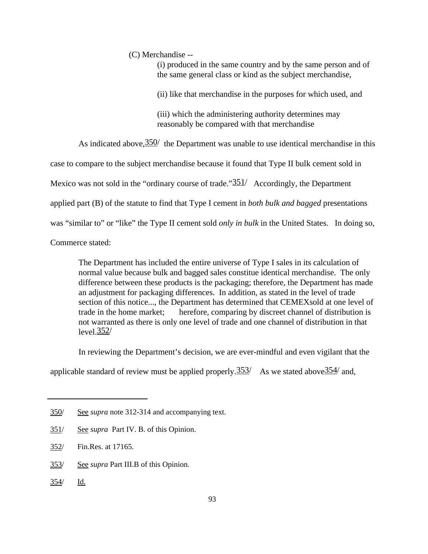(C) Merchandise --

(i) produced in the same country and by the same person and of the same general class or kind as the subject merchandise,

(ii) like that merchandise in the purposes for which used, and

(iii) which the administering authority determines may reasonably be compared with that merchandise

As indicated above,  $\frac{350}{ }$  the Department was unable to use identical merchandise in this

case to compare to the subject merchandise because it found that Type II bulk cement sold in

Mexico was not sold in the "ordinary course of trade." $\frac{351}{ }$  Accordingly, the Department

applied part (B) of the statute to find that Type I cement in *both bulk and bagged* presentations

was "similar to" or "like" the Type II cement sold *only in bulk* in the United States. In doing so,

Commerce stated:

The Department has included the entire universe of Type I sales in its calculation of normal value because bulk and bagged sales constitue identical merchandise. The only difference between these products is the packaging; therefore, the Department has made an adjustment for packaging differences. In addition, as stated in the level of trade section of this notice..., the Department has determined that CEMEXsold at one level of trade in the home market; herefore, comparing by discreet channel of distribution is not warranted as there is only one level of trade and one channel of distribution in that level. $\frac{352}{ }$ 

In reviewing the Department's decision, we are ever-mindful and even vigilant that the

applicable standard of review must be applied properly.  $353/$  As we stated above  $354/$  and,

- 353/ See *supra* Part III.B of this Opinion.
- 354/ Id.

<sup>350/</sup> See *supra* note 312-314 and accompanying text.

<sup>351/</sup> See *supra* Part IV. B. of this Opinion.

<sup>352/</sup> Fin.Res. at 17165.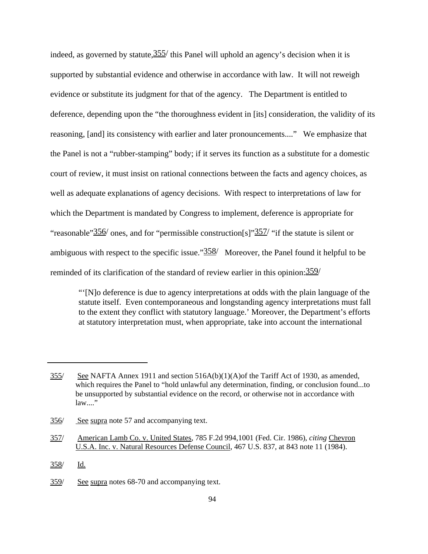indeed, as governed by statute,  $355/$  this Panel will uphold an agency's decision when it is supported by substantial evidence and otherwise in accordance with law. It will not reweigh evidence or substitute its judgment for that of the agency. The Department is entitled to deference, depending upon the "the thoroughness evident in [its] consideration, the validity of its reasoning, [and] its consistency with earlier and later pronouncements...." We emphasize that the Panel is not a "rubber-stamping" body; if it serves its function as a substitute for a domestic court of review, it must insist on rational connections between the facts and agency choices, as well as adequate explanations of agency decisions. With respect to interpretations of law for which the Department is mandated by Congress to implement, deference is appropriate for "reasonable"  $356/$  ones, and for "permissible construction [s]" $357/$  "if the statute is silent or ambiguous with respect to the specific issue." $\frac{358}{ }$  Moreover, the Panel found it helpful to be reminded of its clarification of the standard of review earlier in this opinion:359/

"'[N]o deference is due to agency interpretations at odds with the plain language of the statute itself. Even contemporaneous and longstanding agency interpretations must fall to the extent they conflict with statutory language.' Moreover, the Department's efforts at statutory interpretation must, when appropriate, take into account the international

<sup>355/</sup> See NAFTA Annex 1911 and section 516A(b)(1)(A)of the Tariff Act of 1930, as amended, which requires the Panel to "hold unlawful any determination, finding, or conclusion found...to be unsupported by substantial evidence on the record, or otherwise not in accordance with  $law...$ "

<sup>356/</sup> See supra note 57 and accompanying text.

<sup>357/</sup> American Lamb Co. v. United States, 785 F.2d 994,1001 (Fed. Cir. 1986), *citing* Chevron U.S.A. Inc. v. Natural Resources Defense Council, 467 U.S. 837, at 843 note 11 (1984).

<sup>358/</sup> Id.

<sup>359/</sup> See supra notes 68-70 and accompanying text.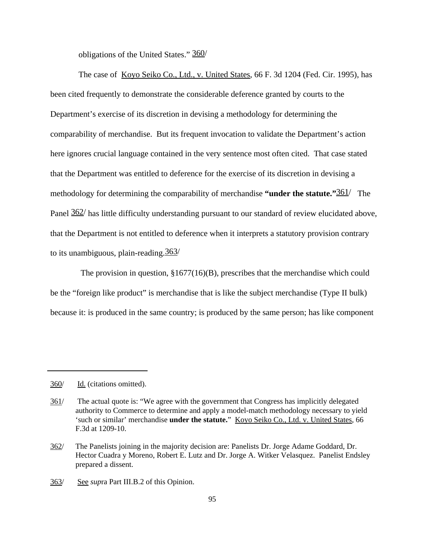obligations of the United States." 360/

The case of Koyo Seiko Co., Ltd., v. United States, 66 F. 3d 1204 (Fed. Cir. 1995), has been cited frequently to demonstrate the considerable deference granted by courts to the Department's exercise of its discretion in devising a methodology for determining the comparability of merchandise. But its frequent invocation to validate the Department's action here ignores crucial language contained in the very sentence most often cited. That case stated that the Department was entitled to deference for the exercise of its discretion in devising a methodology for determining the comparability of merchandise **"under the statute."**361/ The Panel  $362/$  has little difficulty understanding pursuant to our standard of review elucidated above, that the Department is not entitled to deference when it interprets a statutory provision contrary to its unambiguous, plain-reading.363/

 The provision in question, §1677(16)(B), prescribes that the merchandise which could be the "foreign like product" is merchandise that is like the subject merchandise (Type II bulk) because it: is produced in the same country; is produced by the same person; has like component

<sup>360/</sup> Id. (citations omitted).

<sup>361/</sup> The actual quote is: "We agree with the government that Congress has implicitly delegated authority to Commerce to determine and apply a model-match methodology necessary to yield 'such or similar' merchandise **under the statute.**" Koyo Seiko Co., Ltd. v. United States, 66 F.3d at 1209-10.

<sup>362/</sup> The Panelists joining in the majority decision are: Panelists Dr. Jorge Adame Goddard, Dr. Hector Cuadra y Moreno, Robert E. Lutz and Dr. Jorge A. Witker Velasquez. Panelist Endsley prepared a dissent.

<sup>363/</sup> See *sup*ra Part III.B.2 of this Opinion.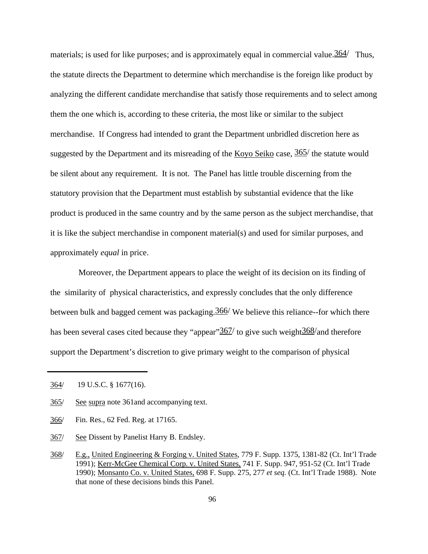materials; is used for like purposes; and is approximately equal in commercial value.  $364/$  Thus, the statute directs the Department to determine which merchandise is the foreign like product by analyzing the different candidate merchandise that satisfy those requirements and to select among them the one which is, according to these criteria, the most like or similar to the subject merchandise. If Congress had intended to grant the Department unbridled discretion here as suggested by the Department and its misreading of the  $K$ oyo Seiko case,  $365/$  the statute would be silent about any requirement. It is not. The Panel has little trouble discerning from the statutory provision that the Department must establish by substantial evidence that the like product is produced in the same country and by the same person as the subject merchandise, that it is like the subject merchandise in component material(s) and used for similar purposes, and approximately *equal* in price.

Moreover, the Department appears to place the weight of its decision on its finding of the similarity of physical characteristics, and expressly concludes that the only difference between bulk and bagged cement was packaging.366/ We believe this reliance--for which there has been several cases cited because they "appear"  $367/$  to give such weight  $368/$  and therefore support the Department's discretion to give primary weight to the comparison of physical

- 366/ Fin. Res., 62 Fed. Reg. at 17165.
- 367/ See Dissent by Panelist Harry B. Endsley.

<sup>364/ 19</sup> U.S.C. § 1677(16).

<sup>365/</sup> See supra note 361and accompanying text.

<sup>368/</sup> E.g., United Engineering & Forging v. United States, 779 F. Supp. 1375, 1381-82 (Ct. Int'l Trade 1991); Kerr-McGee Chemical Corp. v. United States, 741 F. Supp. 947, 951-52 (Ct. Int'l Trade 1990); Monsanto Co. v. United States, 698 F. Supp. 275, 277 *et seq.* (Ct. Int'l Trade 1988). Note that none of these decisions binds this Panel.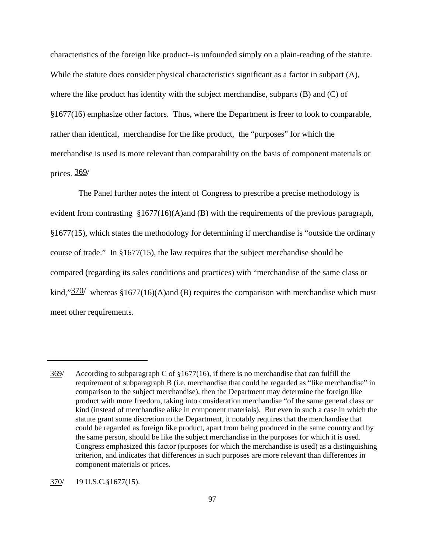characteristics of the foreign like product--is unfounded simply on a plain-reading of the statute. While the statute does consider physical characteristics significant as a factor in subpart (A), where the like product has identity with the subject merchandise, subparts (B) and (C) of §1677(16) emphasize other factors. Thus, where the Department is freer to look to comparable, rather than identical, merchandise for the like product, the "purposes" for which the merchandise is used is more relevant than comparability on the basis of component materials or prices. 369/

The Panel further notes the intent of Congress to prescribe a precise methodology is evident from contrasting §1677(16)(A)and (B) with the requirements of the previous paragraph, §1677(15), which states the methodology for determining if merchandise is "outside the ordinary course of trade." In §1677(15), the law requires that the subject merchandise should be compared (regarding its sales conditions and practices) with "merchandise of the same class or kind," $\frac{370}{ }$  whereas §1677(16)(A)and (B) requires the comparison with merchandise which must meet other requirements.

<sup>369/</sup> According to subparagraph C of §1677(16), if there is no merchandise that can fulfill the requirement of subparagraph B (i.e. merchandise that could be regarded as "like merchandise" in comparison to the subject merchandise), then the Department may determine the foreign like product with more freedom, taking into consideration merchandise "of the same general class or kind (instead of merchandise alike in component materials). But even in such a case in which the statute grant some discretion to the Department, it notably requires that the merchandise that could be regarded as foreign like product, apart from being produced in the same country and by the same person, should be like the subject merchandise in the purposes for which it is used. Congress emphasized this factor (purposes for which the merchandise is used) as a distinguishing criterion, and indicates that differences in such purposes are more relevant than differences in component materials or prices.

<sup>370/</sup> 19 U.S.C.§1677(15).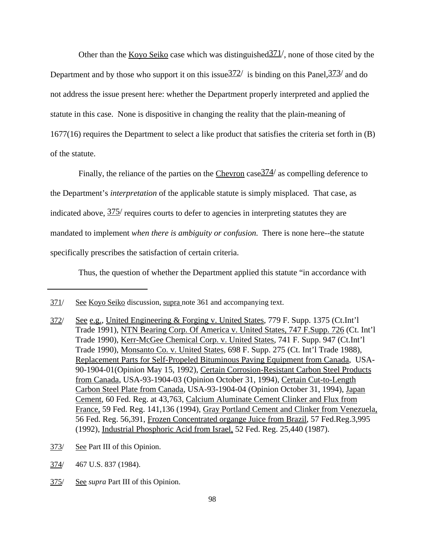Other than the Koyo Seiko case which was distinguished  $\frac{371}{}$ , none of those cited by the Department and by those who support it on this issue  $\frac{372}{ }$  is binding on this Panel,  $\frac{373}{ }$  and do not address the issue present here: whether the Department properly interpreted and applied the statute in this case. None is dispositive in changing the reality that the plain-meaning of 1677(16) requires the Department to select a like product that satisfies the criteria set forth in (B) of the statute.

Finally, the reliance of the parties on the Chevron case  $\frac{374}{ }$  as compelling deference to the Department's *interpretation* of the applicable statute is simply misplaced. That case, as indicated above,  $\frac{375}{ }$  requires courts to defer to agencies in interpreting statutes they are mandated to implement *when there is ambiguity or confusion.* There is none here--the statute specifically prescribes the satisfaction of certain criteria.

Thus, the question of whether the Department applied this statute "in accordance with

- 373/ See Part III of this Opinion.
- 374/ 467 U.S. 837 (1984).
- 375/ See *supra* Part III of this Opinion.

<sup>371/</sup> See Koyo Seiko discussion, supra note 361 and accompanying text.

<sup>372/</sup> See e.g., United Engineering & Forging v. United States, 779 F. Supp. 1375 (Ct.Int'l Trade 1991), NTN Bearing Corp. Of America v. United States, 747 F.Supp. 726 (Ct. Int'l Trade 1990), Kerr-McGee Chemical Corp. v. United States, 741 F. Supp. 947 (Ct.Int'l Trade 1990), Monsanto Co. v. United States, 698 F. Supp. 275 (Ct. Int'l Trade 1988), Replacement Parts for Self-Propeled Bituminous Paving Equipment from Canada, USA-90-1904-01(Opinion May 15, 1992), Certain Corrosion-Resistant Carbon Steel Products from Canada, USA-93-1904-03 (Opinion October 31, 1994), Certain Cut-to-Length Carbon Steel Plate from Canada, USA-93-1904-04 (Opinion October 31, 1994), Japan Cement, 60 Fed. Reg. at 43,763, Calcium Aluminate Cement Clinker and Flux from France, 59 Fed. Reg. 141,136 (1994), Gray Portland Cement and Clinker from Venezuela, 56 Fed. Reg. 56,391, Frozen Concentrated organge Juice from Brazil, 57 Fed.Reg.3,995 (1992), Industrial Phosphoric Acid from Israel, 52 Fed. Reg. 25,440 (1987).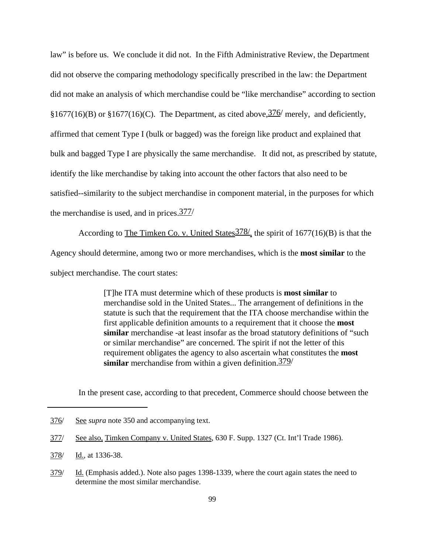law" is before us. We conclude it did not. In the Fifth Administrative Review, the Department did not observe the comparing methodology specifically prescribed in the law: the Department did not make an analysis of which merchandise could be "like merchandise" according to section §1677(16)(B) or §1677(16)(C). The Department, as cited above,  $\frac{376}{}$  merely, and deficiently, affirmed that cement Type I (bulk or bagged) was the foreign like product and explained that bulk and bagged Type I are physically the same merchandise. It did not, as prescribed by statute, identify the like merchandise by taking into account the other factors that also need to be satisfied--similarity to the subject merchandise in component material, in the purposes for which the merchandise is used, and in prices.377/

According to The Timken Co. v. United States  $\frac{378}{ }$ , the spirit of 1677(16)(B) is that the Agency should determine, among two or more merchandises, which is the **most similar** to the subject merchandise. The court states:

> [T]he ITA must determine which of these products is **most similar** to merchandise sold in the United States... The arrangement of definitions in the statute is such that the requirement that the ITA choose merchandise within the first applicable definition amounts to a requirement that it choose the **most similar** merchandise -at least insofar as the broad statutory definitions of "such or similar merchandise" are concerned. The spirit if not the letter of this requirement obligates the agency to also ascertain what constitutes the **most similar** merchandise from within a given definition.379/

In the present case, according to that precedent, Commerce should choose between the

<sup>376/</sup> See *supra* note 350 and accompanying text.

<sup>377/</sup> See also, Timken Company v. United States, 630 F. Supp. 1327 (Ct. Int'l Trade 1986).

<sup>378/</sup> Id., at 1336-38.

<sup>379/</sup> Id. (Emphasis added.). Note also pages 1398-1339, where the court again states the need to determine the most similar merchandise.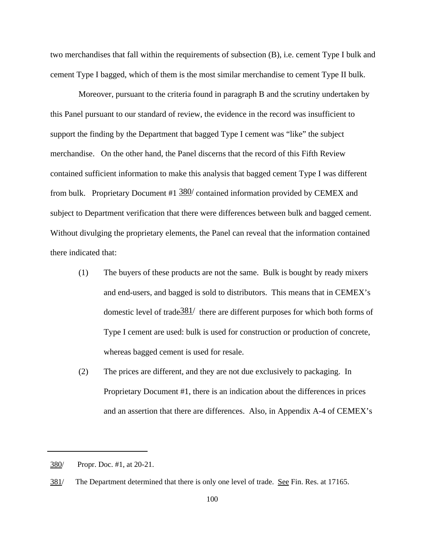two merchandises that fall within the requirements of subsection (B), i.e. cement Type I bulk and cement Type I bagged, which of them is the most similar merchandise to cement Type II bulk.

Moreover, pursuant to the criteria found in paragraph B and the scrutiny undertaken by this Panel pursuant to our standard of review, the evidence in the record was insufficient to support the finding by the Department that bagged Type I cement was "like" the subject merchandise. On the other hand, the Panel discerns that the record of this Fifth Review contained sufficient information to make this analysis that bagged cement Type I was different from bulk. Proprietary Document #1  $380/$  contained information provided by CEMEX and subject to Department verification that there were differences between bulk and bagged cement. Without divulging the proprietary elements, the Panel can reveal that the information contained there indicated that:

- (1) The buyers of these products are not the same. Bulk is bought by ready mixers and end-users, and bagged is sold to distributors. This means that in CEMEX's domestic level of trade  $\frac{381}{ }$  there are different purposes for which both forms of Type I cement are used: bulk is used for construction or production of concrete, whereas bagged cement is used for resale.
- (2) The prices are different, and they are not due exclusively to packaging. In Proprietary Document #1, there is an indication about the differences in prices and an assertion that there are differences. Also, in Appendix A-4 of CEMEX's

<sup>380/</sup> Propr. Doc. #1, at 20-21.

<sup>381/</sup> The Department determined that there is only one level of trade. See Fin. Res. at 17165.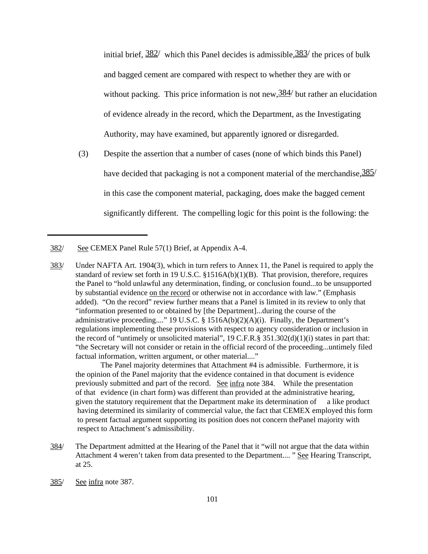initial brief,  $\frac{382}{ }$  which this Panel decides is admissible,  $\frac{383}{ }$  the prices of bulk and bagged cement are compared with respect to whether they are with or without packing. This price information is not new,  $\frac{384}{}$  but rather an elucidation of evidence already in the record, which the Department, as the Investigating Authority, may have examined, but apparently ignored or disregarded.

(3) Despite the assertion that a number of cases (none of which binds this Panel) have decided that packaging is not a component material of the merchandise,  $\frac{385}{ }$ in this case the component material, packaging, does make the bagged cement significantly different. The compelling logic for this point is the following: the

The Panel majority determines that Attachment #4 is admissible. Furthermore, it is the opinion of the Panel majority that the evidence contained in that document is evidence previously submitted and part of the record. See infra note 384. While the presentation of that evidence (in chart form) was different than provided at the administrative hearing, given the statutory requirement that the Department make its determination of a like product having determined its similarity of commercial value, the fact that CEMEX employed this form to present factual argument supporting its position does not concern thePanel majority with respect to Attachment's admissibility.

- 384/ The Department admitted at the Hearing of the Panel that it "will not argue that the data within Attachment 4 weren't taken from data presented to the Department.... " See Hearing Transcript, at 25.
- 385/ See infra note 387.

<sup>382/</sup> See CEMEX Panel Rule 57(1) Brief, at Appendix A-4.

<sup>383/</sup> Under NAFTA Art. 1904(3), which in turn refers to Annex 11, the Panel is required to apply the standard of review set forth in 19 U.S.C. §1516A(b)(1)(B). That provision, therefore, requires the Panel to "hold unlawful any determination, finding, or conclusion found...to be unsupported by substantial evidence on the record or otherwise not in accordance with law." (Emphasis added). "On the record" review further means that a Panel is limited in its review to only that "information presented to or obtained by [the Department]...during the course of the administrative proceeding...." 19 U.S.C. § 1516A(b)(2)(A)(i). Finally, the Department's regulations implementing these provisions with respect to agency consideration or inclusion in the record of "untimely or unsolicited material",  $19 \text{ C.F.R.}$ §  $351.302(d)(1)(i)$  states in part that: "the Secretary will not consider or retain in the official record of the proceeding...untimely filed factual information, written argument, or other material...."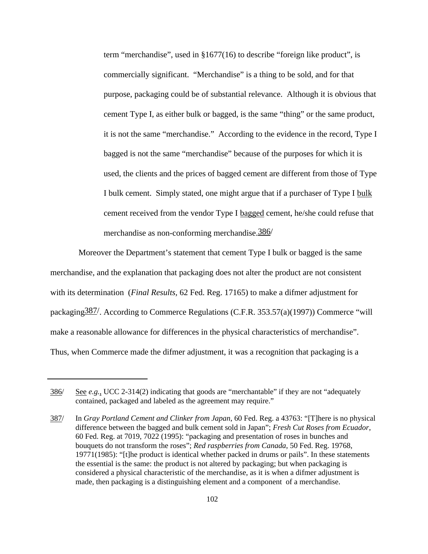term "merchandise", used in §1677(16) to describe "foreign like product", is commercially significant. "Merchandise" is a thing to be sold, and for that purpose, packaging could be of substantial relevance. Although it is obvious that cement Type I, as either bulk or bagged, is the same "thing" or the same product, it is not the same "merchandise." According to the evidence in the record, Type I bagged is not the same "merchandise" because of the purposes for which it is used, the clients and the prices of bagged cement are different from those of Type I bulk cement. Simply stated, one might argue that if a purchaser of Type I bulk cement received from the vendor Type I bagged cement, he/she could refuse that merchandise as non-conforming merchandise.386/

Moreover the Department's statement that cement Type I bulk or bagged is the same merchandise, and the explanation that packaging does not alter the product are not consistent with its determination (*Final Results,* 62 Fed. Reg. 17165) to make a difmer adjustment for packaging387/. According to Commerce Regulations (C.F.R. 353.57(a)(1997)) Commerce "will make a reasonable allowance for differences in the physical characteristics of merchandise". Thus, when Commerce made the difmer adjustment, it was a recognition that packaging is a

<sup>386/</sup> See *e.g.*, UCC 2-314(2) indicating that goods are "merchantable" if they are not "adequately contained, packaged and labeled as the agreement may require."

<sup>387/</sup> In *Gray Portland Cement and Clinker from Japan*, 60 Fed. Reg. a 43763: "[T]here is no physical difference between the bagged and bulk cement sold in Japan"; *Fresh Cut Roses from Ecuador*, 60 Fed. Reg. at 7019, 7022 (1995): "packaging and presentation of roses in bunches and bouquets do not transform the roses"; *Red raspberries from Canada*, 50 Fed. Reg. 19768, 19771(1985): "[t]he product is identical whether packed in drums or pails". In these statements the essential is the same: the product is not altered by packaging; but when packaging is considered a physical characteristic of the merchandise, as it is when a difmer adjustment is made, then packaging is a distinguishing element and a component of a merchandise.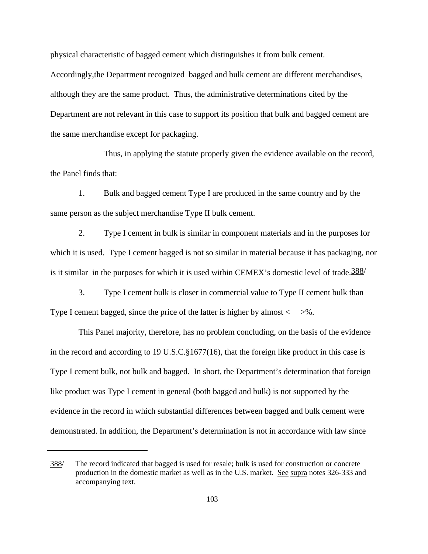physical characteristic of bagged cement which distinguishes it from bulk cement. Accordingly,the Department recognized bagged and bulk cement are different merchandises, although they are the same product. Thus, the administrative determinations cited by the Department are not relevant in this case to support its position that bulk and bagged cement are the same merchandise except for packaging.

Thus, in applying the statute properly given the evidence available on the record, the Panel finds that:

1. Bulk and bagged cement Type I are produced in the same country and by the same person as the subject merchandise Type II bulk cement.

2. Type I cement in bulk is similar in component materials and in the purposes for which it is used. Type I cement bagged is not so similar in material because it has packaging, nor is it similar in the purposes for which it is used within CEMEX's domestic level of trade. $\frac{388}{ }$ 

3. Type I cement bulk is closer in commercial value to Type II cement bulk than Type I cement bagged, since the price of the latter is higher by almost  $\langle \rangle$  >%.

This Panel majority, therefore, has no problem concluding, on the basis of the evidence in the record and according to 19 U.S.C.§1677(16), that the foreign like product in this case is Type I cement bulk, not bulk and bagged. In short, the Department's determination that foreign like product was Type I cement in general (both bagged and bulk) is not supported by the evidence in the record in which substantial differences between bagged and bulk cement were demonstrated. In addition, the Department's determination is not in accordance with law since

<sup>388/</sup> The record indicated that bagged is used for resale; bulk is used for construction or concrete production in the domestic market as well as in the U.S. market. See supra notes 326-333 and accompanying text.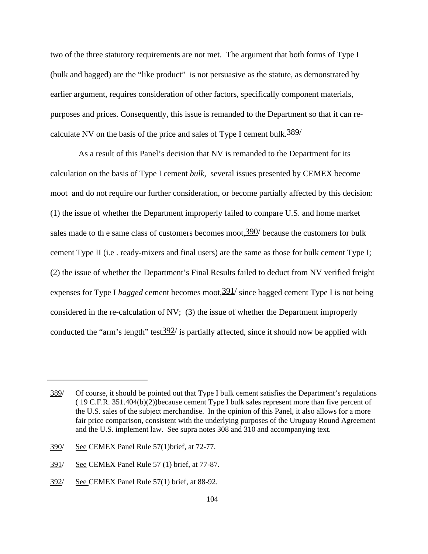two of the three statutory requirements are not met. The argument that both forms of Type I (bulk and bagged) are the "like product" is not persuasive as the statute, as demonstrated by earlier argument, requires consideration of other factors, specifically component materials, purposes and prices. Consequently, this issue is remanded to the Department so that it can recalculate NV on the basis of the price and sales of Type I cement bulk.  $\frac{389}{ }$ 

As a result of this Panel's decision that NV is remanded to the Department for its calculation on the basis of Type I cement *bulk*, several issues presented by CEMEX become moot and do not require our further consideration, or become partially affected by this decision: (1) the issue of whether the Department improperly failed to compare U.S. and home market sales made to th e same class of customers becomes moot,  $390/$  because the customers for bulk cement Type II (i.e . ready-mixers and final users) are the same as those for bulk cement Type I; (2) the issue of whether the Department's Final Results failed to deduct from NV verified freight expenses for Type I *bagged* cement becomes moot,  $\frac{391}{ }$  since bagged cement Type I is not being considered in the re-calculation of NV; (3) the issue of whether the Department improperly conducted the "arm's length" test  $\frac{392}{ }$  is partially affected, since it should now be applied with

<sup>389/</sup> Of course, it should be pointed out that Type I bulk cement satisfies the Department's regulations ( 19 C.F.R. 351.404(b)(2))because cement Type I bulk sales represent more than five percent of the U.S. sales of the subject merchandise. In the opinion of this Panel, it also allows for a more fair price comparison, consistent with the underlying purposes of the Uruguay Round Agreement and the U.S. implement law. See supra notes 308 and 310 and accompanying text.

<sup>390/</sup> See CEMEX Panel Rule 57(1)brief, at 72-77.

<sup>391/</sup> See CEMEX Panel Rule 57 (1) brief, at 77-87.

<sup>392/</sup> See CEMEX Panel Rule 57(1) brief, at 88-92.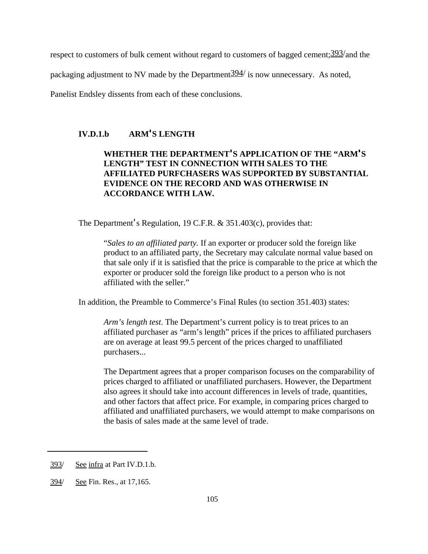respect to customers of bulk cement without regard to customers of bagged cement;  $\frac{393}{\text{and}}$  the

packaging adjustment to NV made by the Department  $394/$  is now unnecessary. As noted,

Panelist Endsley dissents from each of these conclusions.

## **IV.D.1.b ARM'S LENGTH**

# **WHETHER THE DEPARTMENT'S APPLICATION OF THE "ARM'S LENGTH" TEST IN CONNECTION WITH SALES TO THE AFFILIATED PURFCHASERS WAS SUPPORTED BY SUBSTANTIAL EVIDENCE ON THE RECORD AND WAS OTHERWISE IN ACCORDANCE WITH LAW.**

The Department's Regulation, 19 C.F.R. & 351.403(c), provides that:

"*Sales to an affiliated party.* If an exporter or producer sold the foreign like product to an affiliated party, the Secretary may calculate normal value based on that sale only if it is satisfied that the price is comparable to the price at which the exporter or producer sold the foreign like product to a person who is not affiliated with the seller."

In addition, the Preamble to Commerce's Final Rules (to section 351.403) states:

*Arm's length test*. The Department's current policy is to treat prices to an affiliated purchaser as "arm's length" prices if the prices to affiliated purchasers are on average at least 99.5 percent of the prices charged to unaffiliated purchasers...

The Department agrees that a proper comparison focuses on the comparability of prices charged to affiliated or unaffiliated purchasers. However, the Department also agrees it should take into account differences in levels of trade, quantities, and other factors that affect price. For example, in comparing prices charged to affiliated and unaffiliated purchasers, we would attempt to make comparisons on the basis of sales made at the same level of trade.

<sup>393/</sup> See infra at Part IV.D.1.b.

<sup>394/</sup> See Fin. Res., at 17,165.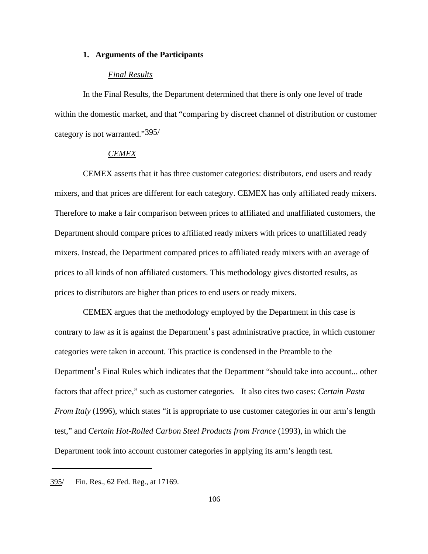#### **1. Arguments of the Participants**

#### *Final Results*

In the Final Results, the Department determined that there is only one level of trade within the domestic market, and that "comparing by discreet channel of distribution or customer category is not warranted."395/

## *CEMEX*

CEMEX asserts that it has three customer categories: distributors, end users and ready mixers, and that prices are different for each category. CEMEX has only affiliated ready mixers. Therefore to make a fair comparison between prices to affiliated and unaffiliated customers, the Department should compare prices to affiliated ready mixers with prices to unaffiliated ready mixers. Instead, the Department compared prices to affiliated ready mixers with an average of prices to all kinds of non affiliated customers. This methodology gives distorted results, as prices to distributors are higher than prices to end users or ready mixers.

CEMEX argues that the methodology employed by the Department in this case is contrary to law as it is against the Department's past administrative practice, in which customer categories were taken in account. This practice is condensed in the Preamble to the Department's Final Rules which indicates that the Department "should take into account... other factors that affect price," such as customer categories. It also cites two cases: *Certain Pasta From Italy* (1996), which states "it is appropriate to use customer categories in our arm's length test," and *Certain Hot-Rolled Carbon Steel Products from France* (1993), in which the Department took into account customer categories in applying its arm's length test.

<sup>395/</sup> Fin. Res., 62 Fed. Reg., at 17169.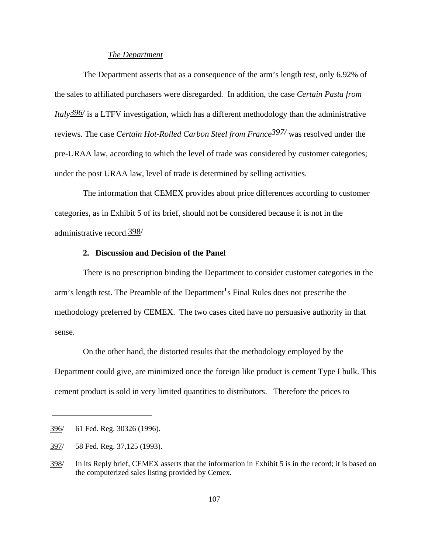#### *The Department*

The Department asserts that as a consequence of the arm's length test, only 6.92% of the sales to affiliated purchasers were disregarded. In addition, the case *Certain Pasta from Italy396/* is a LTFV investigation, which has a different methodology than the administrative reviews. The case *Certain Hot-Rolled Carbon Steel from France397/* was resolved under the pre-URAA law, according to which the level of trade was considered by customer categories; under the post URAA law, level of trade is determined by selling activities.

The information that CEMEX provides about price differences according to customer categories, as in Exhibit 5 of its brief, should not be considered because it is not in the administrative record.398/

#### **2. Discussion and Decision of the Panel**

There is no prescription binding the Department to consider customer categories in the arm's length test. The Preamble of the Department's Final Rules does not prescribe the methodology preferred by CEMEX. The two cases cited have no persuasive authority in that sense.

On the other hand, the distorted results that the methodology employed by the Department could give, are minimized once the foreign like product is cement Type I bulk. This cement product is sold in very limited quantities to distributors. Therefore the prices to

<sup>396/</sup> 61 Fed. Reg. 30326 (1996).

<sup>397/</sup> 58 Fed. Reg. 37,125 (1993).

<sup>398/</sup> In its Reply brief, CEMEX asserts that the information in Exhibit 5 is in the record; it is based on the computerized sales listing provided by Cemex.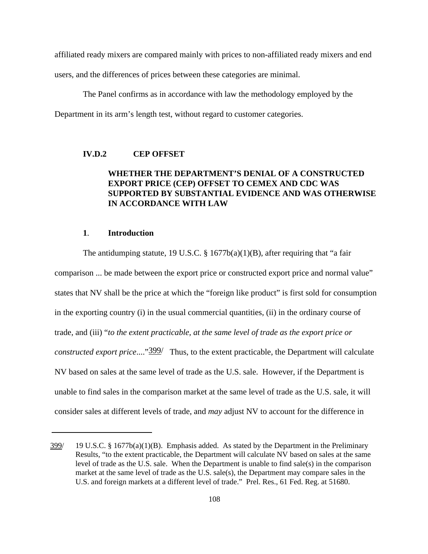affiliated ready mixers are compared mainly with prices to non-affiliated ready mixers and end users, and the differences of prices between these categories are minimal.

The Panel confirms as in accordance with law the methodology employed by the Department in its arm's length test, without regard to customer categories.

## **IV.D.2 CEP OFFSET**

# **WHETHER THE DEPARTMENT'S DENIAL OF A CONSTRUCTED EXPORT PRICE (CEP) OFFSET TO CEMEX AND CDC WAS SUPPORTED BY SUBSTANTIAL EVIDENCE AND WAS OTHERWISE IN ACCORDANCE WITH LAW**

#### **1**. **Introduction**

The antidumping statute, 19 U.S.C. § 1677b(a)(1)(B), after requiring that "a fair comparison ... be made between the export price or constructed export price and normal value" states that NV shall be the price at which the "foreign like product" is first sold for consumption in the exporting country (i) in the usual commercial quantities, (ii) in the ordinary course of trade, and (iii) "*to the extent practicable, at the same level of trade as the export price or constructed export price*...."399/ Thus, to the extent practicable, the Department will calculate NV based on sales at the same level of trade as the U.S. sale. However, if the Department is unable to find sales in the comparison market at the same level of trade as the U.S. sale, it will consider sales at different levels of trade, and *may* adjust NV to account for the difference in

 $399/$  19 U.S.C. § 1677b(a)(1)(B). Emphasis added. As stated by the Department in the Preliminary Results, "to the extent practicable, the Department will calculate NV based on sales at the same level of trade as the U.S. sale. When the Department is unable to find sale(s) in the comparison market at the same level of trade as the U.S. sale(s), the Department may compare sales in the U.S. and foreign markets at a different level of trade." Prel. Res., 61 Fed. Reg. at 51680.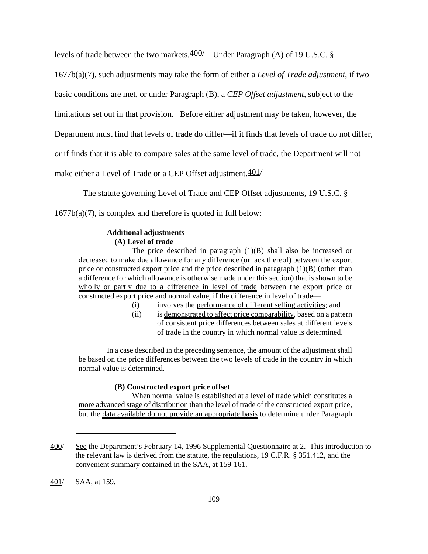levels of trade between the two markets. $\frac{400}{ }$  Under Paragraph (A) of 19 U.S.C. §

1677b(a)(7), such adjustments may take the form of either a *Level of Trade adjustment*, if two

basic conditions are met, or under Paragraph (B), a *CEP Offset adjustment*, subject to the

limitations set out in that provision. Before either adjustment may be taken, however, the

Department must find that levels of trade do differ—if it finds that levels of trade do not differ,

or if finds that it is able to compare sales at the same level of trade, the Department will not

make either a Level of Trade or a CEP Offset adjustment.401/

The statute governing Level of Trade and CEP Offset adjustments, 19 U.S.C. §

 $1677b(a)(7)$ , is complex and therefore is quoted in full below:

#### **Additional adjustments (A) Level of trade**

The price described in paragraph (1)(B) shall also be increased or decreased to make due allowance for any difference (or lack thereof) between the export price or constructed export price and the price described in paragraph (1)(B) (other than a difference for which allowance is otherwise made under this section) that is shown to be wholly or partly due to a difference in level of trade between the export price or constructed export price and normal value, if the difference in level of trade—

- (i) involves the performance of different selling activities; and
- (ii) is demonstrated to affect price comparability, based on a pattern of consistent price differences between sales at different levels of trade in the country in which normal value is determined.

In a case described in the preceding sentence, the amount of the adjustment shall be based on the price differences between the two levels of trade in the country in which normal value is determined.

#### **(B) Constructed export price offset**

When normal value is established at a level of trade which constitutes a more advanced stage of distribution than the level of trade of the constructed export price, but the data available do not provide an appropriate basis to determine under Paragraph

<sup>400/</sup> See the Department's February 14, 1996 Supplemental Questionnaire at 2. This introduction to the relevant law is derived from the statute, the regulations, 19 C.F.R. § 351.412, and the convenient summary contained in the SAA, at 159-161.

<sup>401/</sup> SAA, at 159.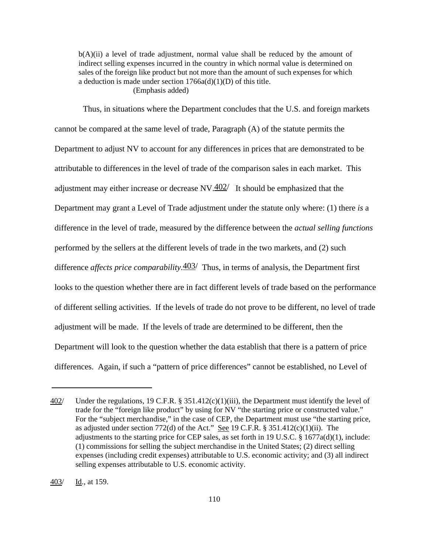b(A)(ii) a level of trade adjustment, normal value shall be reduced by the amount of indirect selling expenses incurred in the country in which normal value is determined on sales of the foreign like product but not more than the amount of such expenses for which a deduction is made under section  $1766a(d)(1)(D)$  of this title. (Emphasis added)

Thus, in situations where the Department concludes that the U.S. and foreign markets cannot be compared at the same level of trade, Paragraph (A) of the statute permits the Department to adjust NV to account for any differences in prices that are demonstrated to be attributable to differences in the level of trade of the comparison sales in each market. This adjustment may either increase or decrease  $N_{\text{V}} = \frac{402}{1}$  It should be emphasized that the Department may grant a Level of Trade adjustment under the statute only where: (1) there *is* a difference in the level of trade, measured by the difference between the *actual selling functions* performed by the sellers at the different levels of trade in the two markets, and (2) such difference *affects price comparability*.403/ Thus, in terms of analysis, the Department first looks to the question whether there are in fact different levels of trade based on the performance of different selling activities. If the levels of trade do not prove to be different, no level of trade adjustment will be made. If the levels of trade are determined to be different, then the Department will look to the question whether the data establish that there is a pattern of price differences. Again, if such a "pattern of price differences" cannot be established, no Level of

<sup>402/</sup> Under the regulations, 19 C.F.R. § 351.412(c)(1)(iii), the Department must identify the level of trade for the "foreign like product" by using for NV "the starting price or constructed value." For the "subject merchandise," in the case of CEP, the Department must use "the starting price, as adjusted under section 772(d) of the Act." See 19 C.F.R. § 351.412(c)(1)(ii). The adjustments to the starting price for CEP sales, as set forth in 19 U.S.C.  $\S$  1677a(d)(1), include: (1) commissions for selling the subject merchandise in the United States; (2) direct selling expenses (including credit expenses) attributable to U.S. economic activity; and (3) all indirect selling expenses attributable to U.S. economic activity.

<sup>403/</sup> Id., at 159.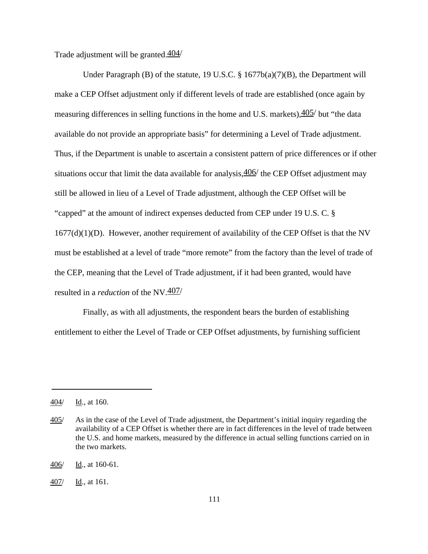Trade adjustment will be granted.  $404/$ 

Under Paragraph (B) of the statute, 19 U.S.C. § 1677b(a)(7)(B), the Department will make a CEP Offset adjustment only if different levels of trade are established (once again by measuring differences in selling functions in the home and U.S. markets), $\frac{405}{ }$  but "the data" available do not provide an appropriate basis" for determining a Level of Trade adjustment. Thus, if the Department is unable to ascertain a consistent pattern of price differences or if other situations occur that limit the data available for analysis,  $\frac{406}{ }$  the CEP Offset adjustment may still be allowed in lieu of a Level of Trade adjustment, although the CEP Offset will be "capped" at the amount of indirect expenses deducted from CEP under 19 U.S. C. §  $1677(d)(1)(D)$ . However, another requirement of availability of the CEP Offset is that the NV must be established at a level of trade "more remote" from the factory than the level of trade of the CEP, meaning that the Level of Trade adjustment, if it had been granted, would have resulted in a *reduction* of the NV.407/

Finally, as with all adjustments, the respondent bears the burden of establishing entitlement to either the Level of Trade or CEP Offset adjustments, by furnishing sufficient

<sup>404/</sup> Id., at 160.

<sup>405/</sup> As in the case of the Level of Trade adjustment, the Department's initial inquiry regarding the availability of a CEP Offset is whether there are in fact differences in the level of trade between the U.S. and home markets, measured by the difference in actual selling functions carried on in the two markets.

<sup>406/</sup> Id., at 160-61.

<sup>407/</sup> Id., at 161.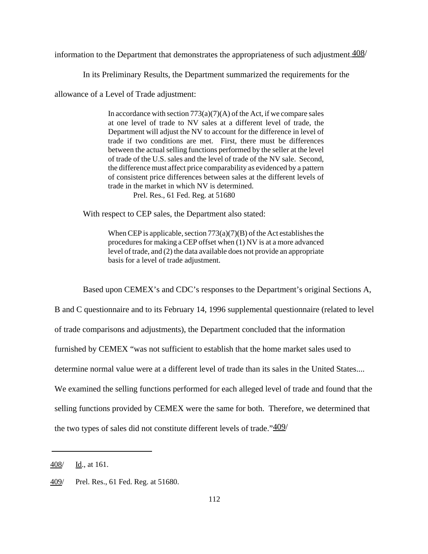information to the Department that demonstrates the appropriateness of such adjustment.  $\frac{408}{ }$ 

In its Preliminary Results, the Department summarized the requirements for the

allowance of a Level of Trade adjustment:

In accordance with section  $773(a)(7)(A)$  of the Act, if we compare sales at one level of trade to NV sales at a different level of trade, the Department will adjust the NV to account for the difference in level of trade if two conditions are met. First, there must be differences between the actual selling functions performed by the seller at the level of trade of the U.S. sales and the level of trade of the NV sale. Second, the difference must affect price comparability as evidenced by a pattern of consistent price differences between sales at the different levels of trade in the market in which NV is determined. Prel. Res., 61 Fed. Reg. at 51680

With respect to CEP sales, the Department also stated:

When CEP is applicable, section  $773(a)(7)(B)$  of the Act establishes the procedures for making a CEP offset when (1) NV is at a more advanced level of trade, and (2) the data available does not provide an appropriate basis for a level of trade adjustment.

Based upon CEMEX's and CDC's responses to the Department's original Sections A,

B and C questionnaire and to its February 14, 1996 supplemental questionnaire (related to level

of trade comparisons and adjustments), the Department concluded that the information

furnished by CEMEX "was not sufficient to establish that the home market sales used to

determine normal value were at a different level of trade than its sales in the United States....

We examined the selling functions performed for each alleged level of trade and found that the

selling functions provided by CEMEX were the same for both. Therefore, we determined that

the two types of sales did not constitute different levels of trade." $\frac{409}{ }$ 

<sup>408/</sup> Id., at 161.

<sup>409/</sup> Prel. Res., 61 Fed. Reg. at 51680.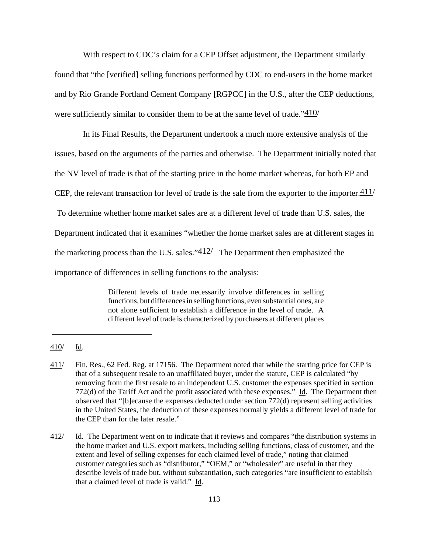With respect to CDC's claim for a CEP Offset adjustment, the Department similarly found that "the [verified] selling functions performed by CDC to end-users in the home market and by Rio Grande Portland Cement Company [RGPCC] in the U.S., after the CEP deductions, were sufficiently similar to consider them to be at the same level of trade." $\frac{410}{ }$ 

In its Final Results, the Department undertook a much more extensive analysis of the issues, based on the arguments of the parties and otherwise. The Department initially noted that the NV level of trade is that of the starting price in the home market whereas, for both EP and CEP, the relevant transaction for level of trade is the sale from the exporter to the importer. $411/$  To determine whether home market sales are at a different level of trade than U.S. sales, the Department indicated that it examines "whether the home market sales are at different stages in the marketing process than the U.S. sales." $412/$  The Department then emphasized the importance of differences in selling functions to the analysis:

> Different levels of trade necessarily involve differences in selling functions, but differences in selling functions, even substantial ones, are not alone sufficient to establish a difference in the level of trade. A different level of trade is characterized by purchasers at different places

<sup>410/</sup> Id.

<sup>411/</sup> Fin. Res., 62 Fed. Reg. at 17156. The Department noted that while the starting price for CEP is that of a subsequent resale to an unaffiliated buyer, under the statute, CEP is calculated "by removing from the first resale to an independent U.S. customer the expenses specified in section 772(d) of the Tariff Act and the profit associated with these expenses." Id. The Department then observed that "[b]ecause the expenses deducted under section 772(d) represent selling activities in the United States, the deduction of these expenses normally yields a different level of trade for the CEP than for the later resale."

<sup>412/</sup> Id. The Department went on to indicate that it reviews and compares "the distribution systems in the home market and U.S. export markets, including selling functions, class of customer, and the extent and level of selling expenses for each claimed level of trade," noting that claimed customer categories such as "distributor," "OEM," or "wholesaler" are useful in that they describe levels of trade but, without substantiation, such categories "are insufficient to establish that a claimed level of trade is valid." Id.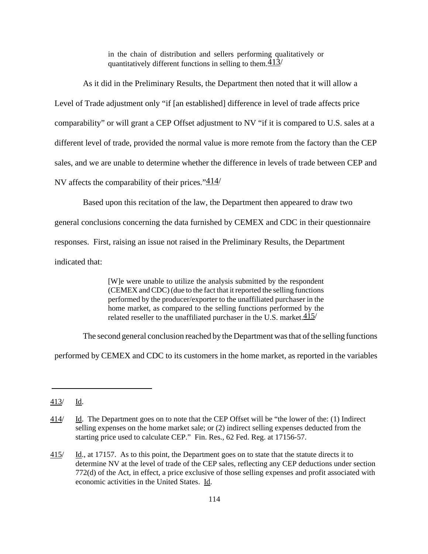in the chain of distribution and sellers performing qualitatively or quantitatively different functions in selling to them.  $413/$ 

As it did in the Preliminary Results, the Department then noted that it will allow a Level of Trade adjustment only "if [an established] difference in level of trade affects price comparability" or will grant a CEP Offset adjustment to NV "if it is compared to U.S. sales at a different level of trade, provided the normal value is more remote from the factory than the CEP sales, and we are unable to determine whether the difference in levels of trade between CEP and NV affects the comparability of their prices." $414/$ 

Based upon this recitation of the law, the Department then appeared to draw two

general conclusions concerning the data furnished by CEMEX and CDC in their questionnaire

responses. First, raising an issue not raised in the Preliminary Results, the Department

indicated that:

[W]e were unable to utilize the analysis submitted by the respondent (CEMEX andCDC)(due to the fact that it reported the selling functions performed by the producer/exporter to the unaffiliated purchaser in the home market, as compared to the selling functions performed by the related reseller to the unaffiliated purchaser in the U.S. market.  $415/$ 

The second general conclusion reached by the Department was that of the selling functions

performed by CEMEX and CDC to its customers in the home market, as reported in the variables

<sup>413/</sup> Id.

<sup>414/</sup> Id. The Department goes on to note that the CEP Offset will be "the lower of the: (1) Indirect selling expenses on the home market sale; or (2) indirect selling expenses deducted from the starting price used to calculate CEP." Fin. Res., 62 Fed. Reg. at 17156-57.

<sup>415/</sup> Id., at 17157. As to this point, the Department goes on to state that the statute directs it to determine NV at the level of trade of the CEP sales, reflecting any CEP deductions under section 772(d) of the Act, in effect, a price exclusive of those selling expenses and profit associated with economic activities in the United States. Id.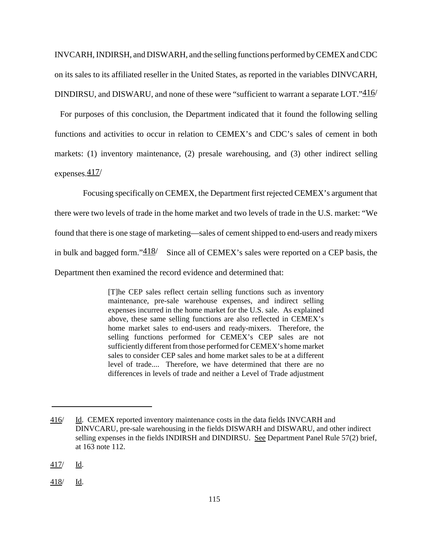INVCARH, INDIRSH, and DISWARH, and the selling functions performed byCEMEX andCDC on its sales to its affiliated reseller in the United States, as reported in the variables DINVCARH, DINDIRSU, and DISWARU, and none of these were "sufficient to warrant a separate LOT."416/

 For purposes of this conclusion, the Department indicated that it found the following selling functions and activities to occur in relation to CEMEX's and CDC's sales of cement in both markets: (1) inventory maintenance, (2) presale warehousing, and (3) other indirect selling expenses.417/

Focusing specifically on CEMEX, the Department first rejected CEMEX's argument that there were two levels of trade in the home market and two levels of trade in the U.S. market: "We found that there is one stage of marketing—sales of cement shipped to end-users and ready mixers in bulk and bagged form." $\frac{418}{ }$  Since all of CEMEX's sales were reported on a CEP basis, the Department then examined the record evidence and determined that:

> [T]he CEP sales reflect certain selling functions such as inventory maintenance, pre-sale warehouse expenses, and indirect selling expenses incurred in the home market for the U.S. sale. As explained above, these same selling functions are also reflected in CEMEX's home market sales to end-users and ready-mixers. Therefore, the selling functions performed for CEMEX's CEP sales are not sufficiently different from those performed for CEMEX's home market sales to consider CEP sales and home market sales to be at a different level of trade.... Therefore, we have determined that there are no differences in levels of trade and neither a Level of Trade adjustment

418/ Id.

<sup>416/</sup> Id. CEMEX reported inventory maintenance costs in the data fields INVCARH and DINVCARU, pre-sale warehousing in the fields DISWARH and DISWARU, and other indirect selling expenses in the fields INDIRSH and DINDIRSU. See Department Panel Rule 57(2) brief, at 163 note 112.

<sup>417/</sup> Id.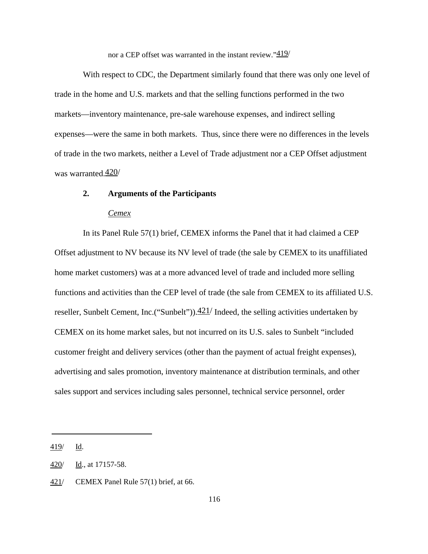nor a CEP offset was warranted in the instant review." $419/$ 

With respect to CDC, the Department similarly found that there was only one level of trade in the home and U.S. markets and that the selling functions performed in the two markets—inventory maintenance, pre-sale warehouse expenses, and indirect selling expenses—were the same in both markets. Thus, since there were no differences in the levels of trade in the two markets, neither a Level of Trade adjustment nor a CEP Offset adjustment was warranted.420/

## **2. Arguments of the Participants**

#### *Cemex*

In its Panel Rule 57(1) brief, CEMEX informs the Panel that it had claimed a CEP Offset adjustment to NV because its NV level of trade (the sale by CEMEX to its unaffiliated home market customers) was at a more advanced level of trade and included more selling functions and activities than the CEP level of trade (the sale from CEMEX to its affiliated U.S. reseller, Sunbelt Cement, Inc.("Sunbelt")). $\frac{421}{}$  Indeed, the selling activities undertaken by CEMEX on its home market sales, but not incurred on its U.S. sales to Sunbelt "included customer freight and delivery services (other than the payment of actual freight expenses), advertising and sales promotion, inventory maintenance at distribution terminals, and other sales support and services including sales personnel, technical service personnel, order

<sup>419/</sup> Id.

<sup>420/</sup> Id., at 17157-58.

<sup>421/</sup> CEMEX Panel Rule 57(1) brief, at 66.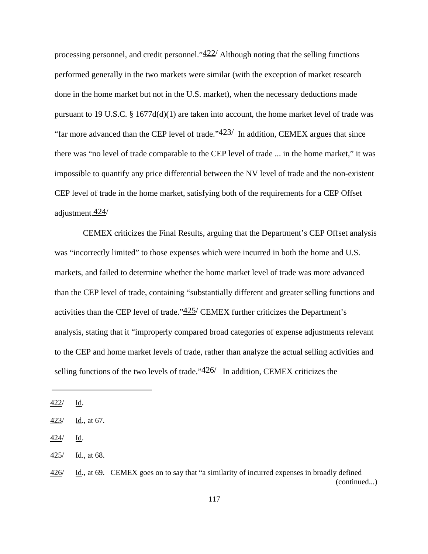processing personnel, and credit personnel." $422/$  Although noting that the selling functions performed generally in the two markets were similar (with the exception of market research done in the home market but not in the U.S. market), when the necessary deductions made pursuant to 19 U.S.C. § 1677 $d(d)(1)$  are taken into account, the home market level of trade was "far more advanced than the CEP level of trade." $423/$  In addition, CEMEX argues that since there was "no level of trade comparable to the CEP level of trade ... in the home market," it was impossible to quantify any price differential between the NV level of trade and the non-existent CEP level of trade in the home market, satisfying both of the requirements for a CEP Offset adjustment.424/

CEMEX criticizes the Final Results, arguing that the Department's CEP Offset analysis was "incorrectly limited" to those expenses which were incurred in both the home and U.S. markets, and failed to determine whether the home market level of trade was more advanced than the CEP level of trade, containing "substantially different and greater selling functions and activities than the CEP level of trade." $425/$  CEMEX further criticizes the Department's analysis, stating that it "improperly compared broad categories of expense adjustments relevant to the CEP and home market levels of trade, rather than analyze the actual selling activities and selling functions of the two levels of trade." $\frac{426}{ }$  In addition, CEMEX criticizes the

<sup>422/</sup> Id.

<sup>423/</sup> Id., at 67.

<sup>424/</sup> Id.

<sup>425/</sup> Id., at 68.

<sup>426/</sup> Id., at 69. CEMEX goes on to say that "a similarity of incurred expenses in broadly defined (continued...)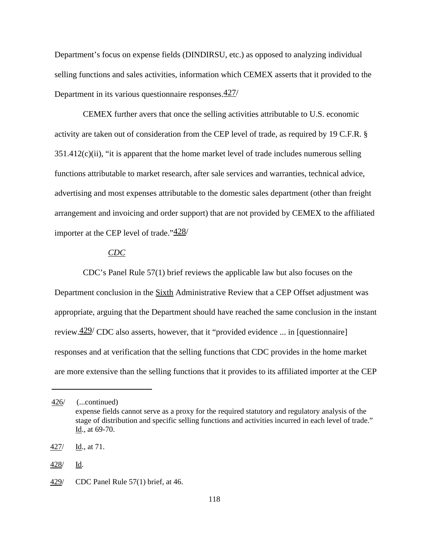Department's focus on expense fields (DINDIRSU, etc.) as opposed to analyzing individual selling functions and sales activities, information which CEMEX asserts that it provided to the Department in its various questionnaire responses.427/

CEMEX further avers that once the selling activities attributable to U.S. economic activity are taken out of consideration from the CEP level of trade, as required by 19 C.F.R. § 351.412(c)(ii), "it is apparent that the home market level of trade includes numerous selling functions attributable to market research, after sale services and warranties, technical advice, advertising and most expenses attributable to the domestic sales department (other than freight arrangement and invoicing and order support) that are not provided by CEMEX to the affiliated importer at the CEP level of trade." $\frac{428}{ }$ 

## *CDC*

CDC's Panel Rule 57(1) brief reviews the applicable law but also focuses on the Department conclusion in the Sixth Administrative Review that a CEP Offset adjustment was appropriate, arguing that the Department should have reached the same conclusion in the instant review.  $429$  CDC also asserts, however, that it "provided evidence ... in [questionnaire] responses and at verification that the selling functions that CDC provides in the home market are more extensive than the selling functions that it provides to its affiliated importer at the CEP

<sup>426/</sup> (...continued) expense fields cannot serve as a proxy for the required statutory and regulatory analysis of the stage of distribution and specific selling functions and activities incurred in each level of trade." Id., at 69-70.

<sup>427/</sup> Id., at 71.

<sup>428/</sup> Id.

<sup>429/</sup> CDC Panel Rule 57(1) brief, at 46.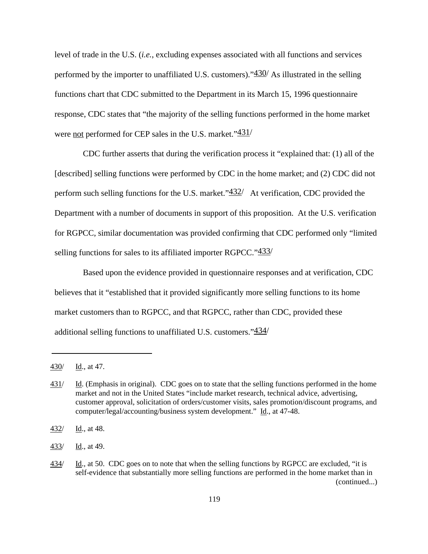level of trade in the U.S. (*i.e.*, excluding expenses associated with all functions and services performed by the importer to unaffiliated U.S. customers)." $430/$  As illustrated in the selling functions chart that CDC submitted to the Department in its March 15, 1996 questionnaire response, CDC states that "the majority of the selling functions performed in the home market were not performed for CEP sales in the U.S. market."431/

CDC further asserts that during the verification process it "explained that: (1) all of the [described] selling functions were performed by CDC in the home market; and (2) CDC did not perform such selling functions for the U.S. market." $\frac{432}{ }$  At verification, CDC provided the Department with a number of documents in support of this proposition. At the U.S. verification for RGPCC, similar documentation was provided confirming that CDC performed only "limited selling functions for sales to its affiliated importer RGPCC."433/

Based upon the evidence provided in questionnaire responses and at verification, CDC believes that it "established that it provided significantly more selling functions to its home market customers than to RGPCC, and that RGPCC, rather than CDC, provided these additional selling functions to unaffiliated U.S. customers."434/

<sup>430/</sup> Id., at 47.

<sup>431/</sup> Id. (Emphasis in original). CDC goes on to state that the selling functions performed in the home market and not in the United States "include market research, technical advice, advertising, customer approval, solicitation of orders/customer visits, sales promotion/discount programs, and computer/legal/accounting/business system development." Id., at 47-48.

 $\frac{432}{ }$  Id., at 48.

<sup>433/</sup> Id., at 49.

<sup>434/</sup> Id., at 50. CDC goes on to note that when the selling functions by RGPCC are excluded, "it is self-evidence that substantially more selling functions are performed in the home market than in (continued...)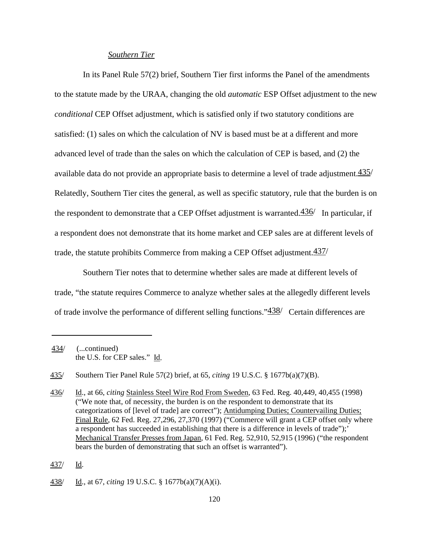### *Southern Tier*

In its Panel Rule 57(2) brief, Southern Tier first informs the Panel of the amendments to the statute made by the URAA, changing the old *automatic* ESP Offset adjustment to the new *conditional* CEP Offset adjustment, which is satisfied only if two statutory conditions are satisfied: (1) sales on which the calculation of NV is based must be at a different and more advanced level of trade than the sales on which the calculation of CEP is based, and (2) the available data do not provide an appropriate basis to determine a level of trade adjustment. $\frac{435}{ }$ Relatedly, Southern Tier cites the general, as well as specific statutory, rule that the burden is on the respondent to demonstrate that a CEP Offset adjustment is warranted. $\frac{436}{ }$  In particular, if a respondent does not demonstrate that its home market and CEP sales are at different levels of trade, the statute prohibits Commerce from making a CEP Offset adjustment. $\frac{437}{ }$ 

Southern Tier notes that to determine whether sales are made at different levels of trade, "the statute requires Commerce to analyze whether sales at the allegedly different levels of trade involve the performance of different selling functions." 438/ Certain differences are

437/ Id.

<sup>434/</sup> (...continued) the U.S. for CEP sales." Id.

<sup>435/</sup> Southern Tier Panel Rule 57(2) brief, at 65, *citing* 19 U.S.C. § 1677b(a)(7)(B).

<sup>436/</sup> Id., at 66, *citing* Stainless Steel Wire Rod From Sweden, 63 Fed. Reg. 40,449, 40,455 (1998) ("We note that, of necessity, the burden is on the respondent to demonstrate that its categorizations of [level of trade] are correct"); Antidumping Duties; Countervailing Duties; Final Rule, 62 Fed. Reg. 27,296, 27,370 (1997) ("Commerce will grant a CEP offset only where a respondent has succeeded in establishing that there is a difference in levels of trade");' Mechanical Transfer Presses from Japan, 61 Fed. Reg. 52,910, 52,915 (1996) ("the respondent bears the burden of demonstrating that such an offset is warranted").

<sup>438/</sup> Id., at 67, *citing* 19 U.S.C. § 1677b(a)(7)(A)(i).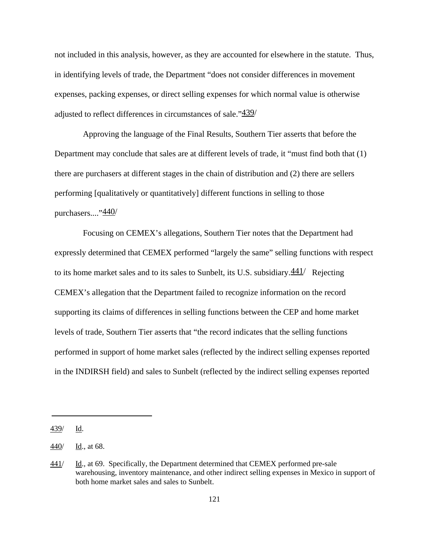not included in this analysis, however, as they are accounted for elsewhere in the statute. Thus, in identifying levels of trade, the Department "does not consider differences in movement expenses, packing expenses, or direct selling expenses for which normal value is otherwise adjusted to reflect differences in circumstances of sale."439/

Approving the language of the Final Results, Southern Tier asserts that before the Department may conclude that sales are at different levels of trade, it "must find both that (1) there are purchasers at different stages in the chain of distribution and (2) there are sellers performing [qualitatively or quantitatively] different functions in selling to those purchasers...."440/

Focusing on CEMEX's allegations, Southern Tier notes that the Department had expressly determined that CEMEX performed "largely the same" selling functions with respect to its home market sales and to its sales to Sunbelt, its U.S. subsidiary. $\frac{441}{ }$  Rejecting CEMEX's allegation that the Department failed to recognize information on the record supporting its claims of differences in selling functions between the CEP and home market levels of trade, Southern Tier asserts that "the record indicates that the selling functions performed in support of home market sales (reflected by the indirect selling expenses reported in the INDIRSH field) and sales to Sunbelt (reflected by the indirect selling expenses reported

<sup>439/</sup> Id.

<sup>440/</sup> Id., at 68.

 $\frac{441}{ }$  Id., at 69. Specifically, the Department determined that CEMEX performed pre-sale warehousing, inventory maintenance, and other indirect selling expenses in Mexico in support of both home market sales and sales to Sunbelt.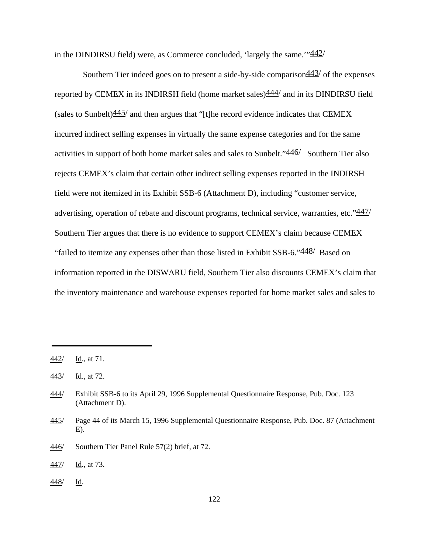in the DINDIRSU field) were, as Commerce concluded, 'largely the same.'" $\frac{442}{ }$ 

Southern Tier indeed goes on to present a side-by-side comparison  $\frac{443}{ }$  of the expenses reported by CEMEX in its INDIRSH field (home market sales) $\frac{444}{4}$  and in its DINDIRSU field (sales to Sunbelt) $\frac{445}{ }$  and then argues that "[t]he record evidence indicates that CEMEX incurred indirect selling expenses in virtually the same expense categories and for the same activities in support of both home market sales and sales to Sunbelt."446/ Southern Tier also rejects CEMEX's claim that certain other indirect selling expenses reported in the INDIRSH field were not itemized in its Exhibit SSB-6 (Attachment D), including "customer service, advertising, operation of rebate and discount programs, technical service, warranties, etc." $\frac{447}{ }$ Southern Tier argues that there is no evidence to support CEMEX's claim because CEMEX "failed to itemize any expenses other than those listed in Exhibit  $SSB-6$ ." $\frac{448}{ }$  Based on information reported in the DISWARU field, Southern Tier also discounts CEMEX's claim that the inventory maintenance and warehouse expenses reported for home market sales and sales to

446/ Southern Tier Panel Rule 57(2) brief, at 72.

 $\frac{448}{ }$  Id.

<sup>442/</sup> Id., at 71.

 $\frac{443}{}$  Id., at 72.

<sup>444/</sup> Exhibit SSB-6 to its April 29, 1996 Supplemental Questionnaire Response, Pub. Doc. 123 (Attachment D).

<sup>445/</sup> Page 44 of its March 15, 1996 Supplemental Questionnaire Response, Pub. Doc. 87 (Attachment  $E$ ).

<sup>447/</sup> Id., at 73.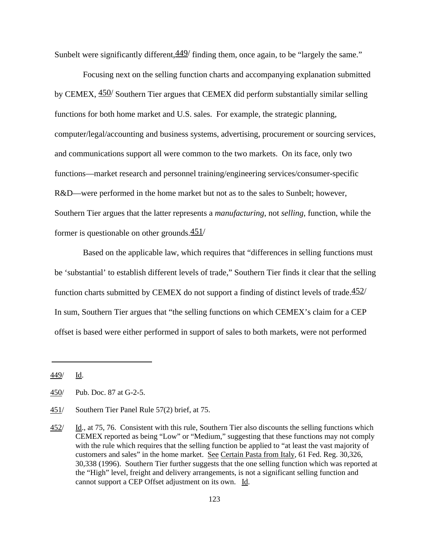Sunbelt were significantly different,  $\frac{449}{ }$  finding them, once again, to be "largely the same."

Focusing next on the selling function charts and accompanying explanation submitted by CEMEX, 450/ Southern Tier argues that CEMEX did perform substantially similar selling functions for both home market and U.S. sales. For example, the strategic planning, computer/legal/accounting and business systems, advertising, procurement or sourcing services, and communications support all were common to the two markets. On its face, only two functions—market research and personnel training/engineering services/consumer-specific R&D—were performed in the home market but not as to the sales to Sunbelt; however, Southern Tier argues that the latter represents a *manufacturing*, not *selling*, function, while the former is questionable on other grounds. $451/$ 

Based on the applicable law, which requires that "differences in selling functions must be 'substantial' to establish different levels of trade," Southern Tier finds it clear that the selling function charts submitted by CEMEX do not support a finding of distinct levels of trade. $\frac{452}{ }$ In sum, Southern Tier argues that "the selling functions on which CEMEX's claim for a CEP offset is based were either performed in support of sales to both markets, were not performed

<sup>449/</sup> Id.

<sup>450/</sup> Pub. Doc. 87 at G-2-5.

<sup>451/</sup> Southern Tier Panel Rule 57(2) brief, at 75.

<sup>452/</sup> Id., at 75, 76. Consistent with this rule, Southern Tier also discounts the selling functions which CEMEX reported as being "Low" or "Medium," suggesting that these functions may not comply with the rule which requires that the selling function be applied to "at least the vast majority of customers and sales" in the home market. See Certain Pasta from Italy, 61 Fed. Reg. 30,326, 30,338 (1996). Southern Tier further suggests that the one selling function which was reported at the "High" level, freight and delivery arrangements, is not a significant selling function and cannot support a CEP Offset adjustment on its own. Id.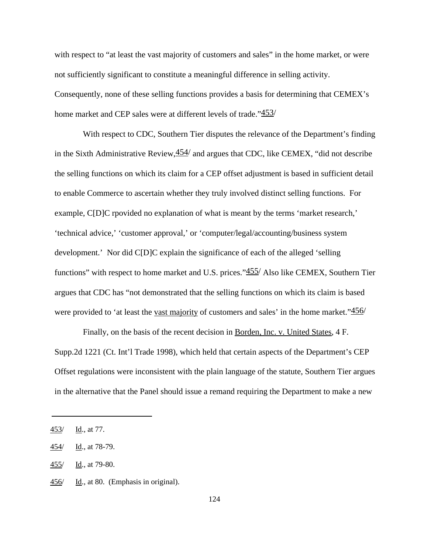with respect to "at least the vast majority of customers and sales" in the home market, or were not sufficiently significant to constitute a meaningful difference in selling activity. Consequently, none of these selling functions provides a basis for determining that CEMEX's home market and CEP sales were at different levels of trade."453/

With respect to CDC, Southern Tier disputes the relevance of the Department's finding in the Sixth Administrative Review,  $454/$  and argues that CDC, like CEMEX, "did not describe the selling functions on which its claim for a CEP offset adjustment is based in sufficient detail to enable Commerce to ascertain whether they truly involved distinct selling functions. For example, C[D]C rpovided no explanation of what is meant by the terms 'market research,' 'technical advice,' 'customer approval,' or 'computer/legal/accounting/business system development.' Nor did C[D]C explain the significance of each of the alleged 'selling functions" with respect to home market and U.S. prices." $455/$  Also like CEMEX, Southern Tier argues that CDC has "not demonstrated that the selling functions on which its claim is based were provided to 'at least the <u>vast majority</u> of customers and sales' in the home market." $\frac{456}{ }$ 

Finally, on the basis of the recent decision in Borden, Inc. v. United States, 4 F. Supp.2d 1221 (Ct. Int'l Trade 1998), which held that certain aspects of the Department's CEP Offset regulations were inconsistent with the plain language of the statute, Southern Tier argues in the alternative that the Panel should issue a remand requiring the Department to make a new

<sup>453/</sup> Id., at 77.

<sup>454/</sup> Id., at 78-79.

<sup>455/</sup> Id., at 79-80.

<sup>456/</sup> Id., at 80. (Emphasis in original).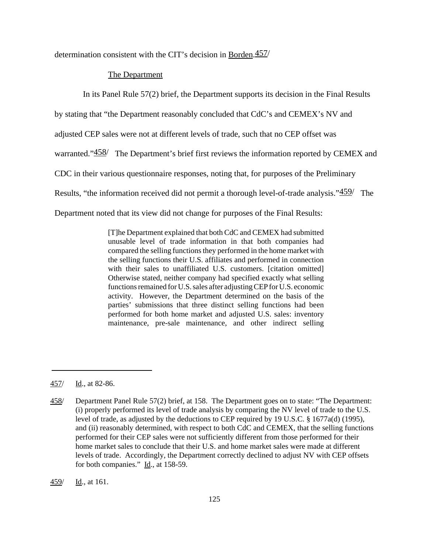determination consistent with the CIT's decision in Borden.457/

### The Department

In its Panel Rule 57(2) brief, the Department supports its decision in the Final Results

by stating that "the Department reasonably concluded that CdC's and CEMEX's NV and

adjusted CEP sales were not at different levels of trade, such that no CEP offset was

warranted."458/ The Department's brief first reviews the information reported by CEMEX and

CDC in their various questionnaire responses, noting that, for purposes of the Preliminary

Results, "the information received did not permit a thorough level-of-trade analysis."459/ The

Department noted that its view did not change for purposes of the Final Results:

[T]he Department explained that both CdC and CEMEX had submitted unusable level of trade information in that both companies had compared the selling functionsthey performed in the home market with the selling functions their U.S. affiliates and performed in connection with their sales to unaffiliated U.S. customers. [citation omitted] Otherwise stated, neither company had specified exactly what selling functions remained for U.S. sales after adjusting CEP for U.S. economic activity. However, the Department determined on the basis of the parties' submissions that three distinct selling functions had been performed for both home market and adjusted U.S. sales: inventory maintenance, pre-sale maintenance, and other indirect selling

459/ Id., at 161.

<sup>457/</sup> Id., at 82-86.

<sup>458/</sup> Department Panel Rule 57(2) brief, at 158. The Department goes on to state: "The Department: (i) properly performed its level of trade analysis by comparing the NV level of trade to the U.S. level of trade, as adjusted by the deductions to CEP required by 19 U.S.C. § 1677a(d) (1995), and (ii) reasonably determined, with respect to both CdC and CEMEX, that the selling functions performed for their CEP sales were not sufficiently different from those performed for their home market sales to conclude that their U.S. and home market sales were made at different levels of trade. Accordingly, the Department correctly declined to adjust NV with CEP offsets for both companies." Id., at 158-59.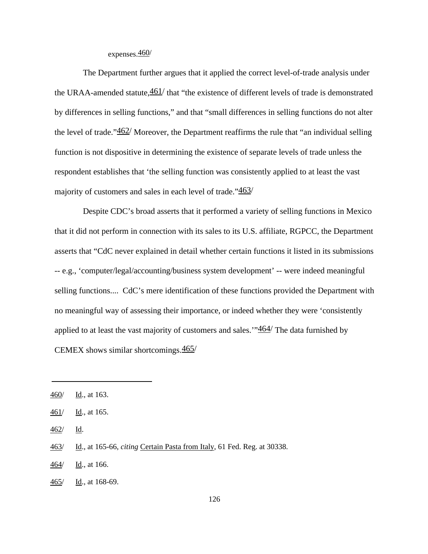## expenses.460/

The Department further argues that it applied the correct level-of-trade analysis under the URAA-amended statute, $\frac{461}{t}$  that "the existence of different levels of trade is demonstrated by differences in selling functions," and that "small differences in selling functions do not alter the level of trade." $\frac{462}{ }$  Moreover, the Department reaffirms the rule that "an individual selling" function is not dispositive in determining the existence of separate levels of trade unless the respondent establishes that 'the selling function was consistently applied to at least the vast majority of customers and sales in each level of trade."463/

Despite CDC's broad asserts that it performed a variety of selling functions in Mexico that it did not perform in connection with its sales to its U.S. affiliate, RGPCC, the Department asserts that "CdC never explained in detail whether certain functions it listed in its submissions -- e.g., 'computer/legal/accounting/business system development' -- were indeed meaningful selling functions.... CdC's mere identification of these functions provided the Department with no meaningful way of assessing their importance, or indeed whether they were 'consistently applied to at least the vast majority of customers and sales." $464/$  The data furnished by CEMEX shows similar shortcomings.465/

<sup>460/</sup> Id., at 163.

<sup>461/</sup> Id., at 165.

<sup>462/</sup> Id.

<sup>463/</sup> Id., at 165-66, *citing* Certain Pasta from Italy, 61 Fed. Reg. at 30338.

<sup>464/</sup> Id., at 166.

<sup>465/</sup> Id., at 168-69.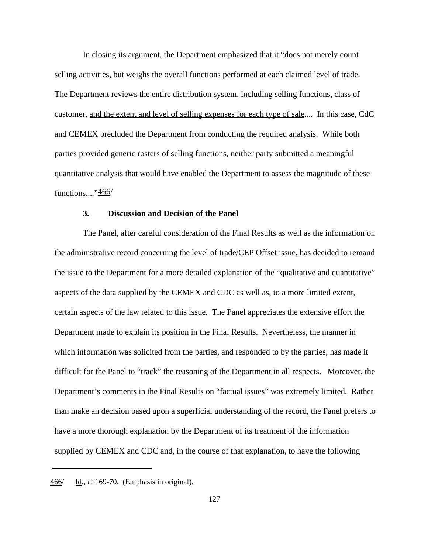In closing its argument, the Department emphasized that it "does not merely count selling activities, but weighs the overall functions performed at each claimed level of trade. The Department reviews the entire distribution system, including selling functions, class of customer, and the extent and level of selling expenses for each type of sale.... In this case, CdC and CEMEX precluded the Department from conducting the required analysis. While both parties provided generic rosters of selling functions, neither party submitted a meaningful quantitative analysis that would have enabled the Department to assess the magnitude of these functions...."466/

## **3. Discussion and Decision of the Panel**

The Panel, after careful consideration of the Final Results as well as the information on the administrative record concerning the level of trade/CEP Offset issue, has decided to remand the issue to the Department for a more detailed explanation of the "qualitative and quantitative" aspects of the data supplied by the CEMEX and CDC as well as, to a more limited extent, certain aspects of the law related to this issue. The Panel appreciates the extensive effort the Department made to explain its position in the Final Results. Nevertheless, the manner in which information was solicited from the parties, and responded to by the parties, has made it difficult for the Panel to "track" the reasoning of the Department in all respects. Moreover, the Department's comments in the Final Results on "factual issues" was extremely limited. Rather than make an decision based upon a superficial understanding of the record, the Panel prefers to have a more thorough explanation by the Department of its treatment of the information supplied by CEMEX and CDC and, in the course of that explanation, to have the following

<sup>466/</sup> Id., at 169-70. (Emphasis in original).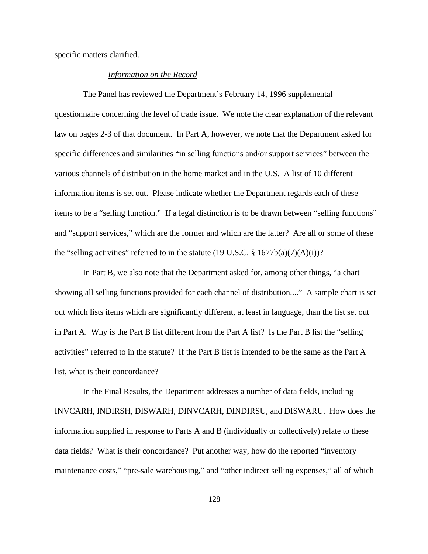specific matters clarified.

#### *Information on the Record*

The Panel has reviewed the Department's February 14, 1996 supplemental questionnaire concerning the level of trade issue. We note the clear explanation of the relevant law on pages 2-3 of that document. In Part A, however, we note that the Department asked for specific differences and similarities "in selling functions and/or support services" between the various channels of distribution in the home market and in the U.S. A list of 10 different information items is set out. Please indicate whether the Department regards each of these items to be a "selling function." If a legal distinction is to be drawn between "selling functions" and "support services," which are the former and which are the latter? Are all or some of these the "selling activities" referred to in the statute  $(19 \text{ U.S.C.} \text{ § } 1677b(a)(7)(A)(i))$ ?

In Part B, we also note that the Department asked for, among other things, "a chart showing all selling functions provided for each channel of distribution...." A sample chart is set out which lists items which are significantly different, at least in language, than the list set out in Part A. Why is the Part B list different from the Part A list? Is the Part B list the "selling activities" referred to in the statute? If the Part B list is intended to be the same as the Part A list, what is their concordance?

In the Final Results, the Department addresses a number of data fields, including INVCARH, INDIRSH, DISWARH, DINVCARH, DINDIRSU, and DISWARU. How does the information supplied in response to Parts A and B (individually or collectively) relate to these data fields? What is their concordance? Put another way, how do the reported "inventory maintenance costs," "pre-sale warehousing," and "other indirect selling expenses," all of which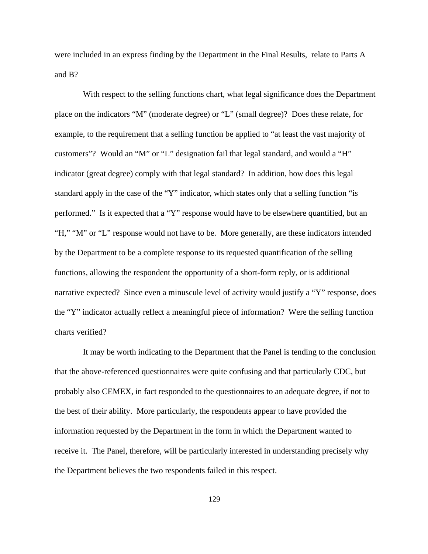were included in an express finding by the Department in the Final Results, relate to Parts A and B?

With respect to the selling functions chart, what legal significance does the Department place on the indicators "M" (moderate degree) or "L" (small degree)? Does these relate, for example, to the requirement that a selling function be applied to "at least the vast majority of customers"? Would an "M" or "L" designation fail that legal standard, and would a "H" indicator (great degree) comply with that legal standard? In addition, how does this legal standard apply in the case of the "Y" indicator, which states only that a selling function "is performed." Is it expected that a "Y" response would have to be elsewhere quantified, but an "H," "M" or "L" response would not have to be. More generally, are these indicators intended by the Department to be a complete response to its requested quantification of the selling functions, allowing the respondent the opportunity of a short-form reply, or is additional narrative expected? Since even a minuscule level of activity would justify a "Y" response, does the "Y" indicator actually reflect a meaningful piece of information? Were the selling function charts verified?

It may be worth indicating to the Department that the Panel is tending to the conclusion that the above-referenced questionnaires were quite confusing and that particularly CDC, but probably also CEMEX, in fact responded to the questionnaires to an adequate degree, if not to the best of their ability. More particularly, the respondents appear to have provided the information requested by the Department in the form in which the Department wanted to receive it. The Panel, therefore, will be particularly interested in understanding precisely why the Department believes the two respondents failed in this respect.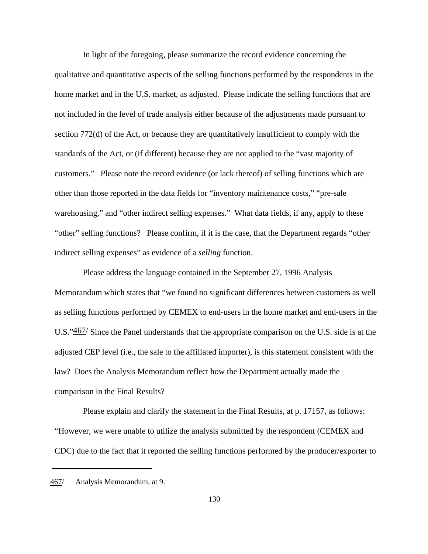In light of the foregoing, please summarize the record evidence concerning the qualitative and quantitative aspects of the selling functions performed by the respondents in the home market and in the U.S. market, as adjusted. Please indicate the selling functions that are not included in the level of trade analysis either because of the adjustments made pursuant to section 772(d) of the Act, or because they are quantitatively insufficient to comply with the standards of the Act, or (if different) because they are not applied to the "vast majority of customers." Please note the record evidence (or lack thereof) of selling functions which are other than those reported in the data fields for "inventory maintenance costs," "pre-sale warehousing," and "other indirect selling expenses." What data fields, if any, apply to these "other" selling functions? Please confirm, if it is the case, that the Department regards "other indirect selling expenses" as evidence of a *selling* function.

Please address the language contained in the September 27, 1996 Analysis Memorandum which states that "we found no significant differences between customers as well as selling functions performed by CEMEX to end-users in the home market and end-users in the U.S."467/ Since the Panel understands that the appropriate comparison on the U.S. side is at the adjusted CEP level (i.e., the sale to the affiliated importer), is this statement consistent with the law? Does the Analysis Memorandum reflect how the Department actually made the comparison in the Final Results?

Please explain and clarify the statement in the Final Results, at p. 17157, as follows: "However, we were unable to utilize the analysis submitted by the respondent (CEMEX and CDC) due to the fact that it reported the selling functions performed by the producer/exporter to

<sup>467/</sup> Analysis Memorandum, at 9.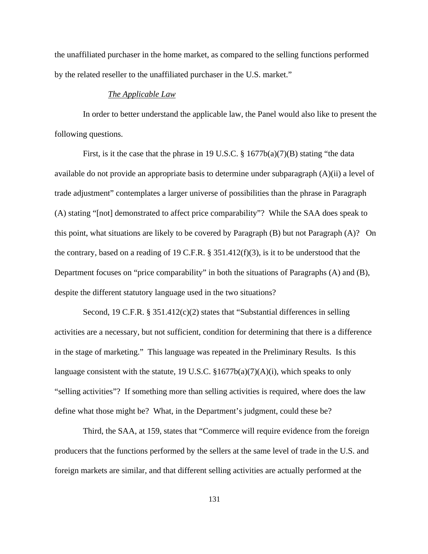the unaffiliated purchaser in the home market, as compared to the selling functions performed by the related reseller to the unaffiliated purchaser in the U.S. market."

#### *The Applicable Law*

In order to better understand the applicable law, the Panel would also like to present the following questions.

First, is it the case that the phrase in 19 U.S.C.  $\S$  1677b(a)(7)(B) stating "the data available do not provide an appropriate basis to determine under subparagraph (A)(ii) a level of trade adjustment" contemplates a larger universe of possibilities than the phrase in Paragraph (A) stating "[not] demonstrated to affect price comparability"? While the SAA does speak to this point, what situations are likely to be covered by Paragraph (B) but not Paragraph (A)? On the contrary, based on a reading of 19 C.F.R. § 351.412(f)(3), is it to be understood that the Department focuses on "price comparability" in both the situations of Paragraphs (A) and (B), despite the different statutory language used in the two situations?

Second, 19 C.F.R. § 351.412(c)(2) states that "Substantial differences in selling activities are a necessary, but not sufficient, condition for determining that there is a difference in the stage of marketing." This language was repeated in the Preliminary Results. Is this language consistent with the statute, 19 U.S.C.  $\S 1677b(a)(7)(A)(i)$ , which speaks to only "selling activities"? If something more than selling activities is required, where does the law define what those might be? What, in the Department's judgment, could these be?

Third, the SAA, at 159, states that "Commerce will require evidence from the foreign producers that the functions performed by the sellers at the same level of trade in the U.S. and foreign markets are similar, and that different selling activities are actually performed at the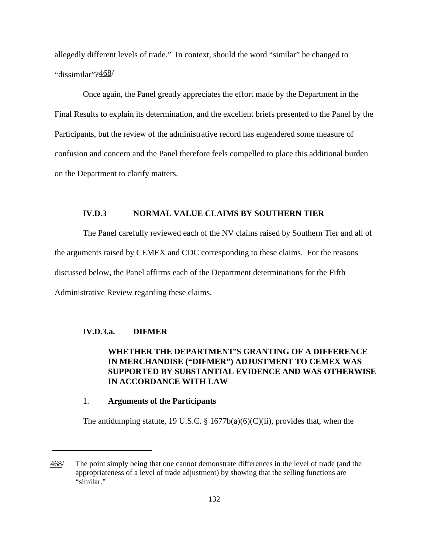allegedly different levels of trade." In context, should the word "similar" be changed to "dissimilar"?468/

Once again, the Panel greatly appreciates the effort made by the Department in the Final Results to explain its determination, and the excellent briefs presented to the Panel by the Participants, but the review of the administrative record has engendered some measure of confusion and concern and the Panel therefore feels compelled to place this additional burden on the Department to clarify matters.

# **IV.D.3 NORMAL VALUE CLAIMS BY SOUTHERN TIER**

The Panel carefully reviewed each of the NV claims raised by Southern Tier and all of the arguments raised by CEMEX and CDC corresponding to these claims. For the reasons discussed below, the Panel affirms each of the Department determinations for the Fifth Administrative Review regarding these claims.

### **IV.D.3.a. DIFMER**

# **WHETHER THE DEPARTMENT'S GRANTING OF A DIFFERENCE IN MERCHANDISE ("DIFMER") ADJUSTMENT TO CEMEX WAS SUPPORTED BY SUBSTANTIAL EVIDENCE AND WAS OTHERWISE IN ACCORDANCE WITH LAW**

#### 1. **Arguments of the Participants**

The antidumping statute, 19 U.S.C.  $\S$  1677b(a)(6)(C)(ii), provides that, when the

<sup>468/</sup> The point simply being that one cannot demonstrate differences in the level of trade (and the appropriateness of a level of trade adjustment) by showing that the selling functions are "similar."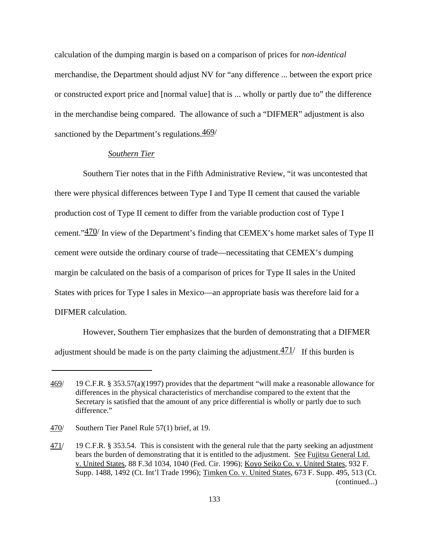calculation of the dumping margin is based on a comparison of prices for *non-identical* merchandise, the Department should adjust NV for "any difference ... between the export price or constructed export price and [normal value] that is ... wholly or partly due to" the difference in the merchandise being compared. The allowance of such a "DIFMER" adjustment is also sanctioned by the Department's regulations.  $\frac{469}{ }$ 

### *Southern Tier*

Southern Tier notes that in the Fifth Administrative Review, "it was uncontested that there were physical differences between Type I and Type II cement that caused the variable production cost of Type II cement to differ from the variable production cost of Type I cement."  $470/$  In view of the Department's finding that CEMEX's home market sales of Type II cement were outside the ordinary course of trade—necessitating that CEMEX's dumping margin be calculated on the basis of a comparison of prices for Type II sales in the United States with prices for Type I sales in Mexico—an appropriate basis was therefore laid for a DIFMER calculation.

However, Southern Tier emphasizes that the burden of demonstrating that a DIFMER adjustment should be made is on the party claiming the adjustment. $\frac{471}{1}$  If this burden is

<sup>469/</sup> 19 C.F.R. § 353.57(a)(1997) provides that the department "will make a reasonable allowance for differences in the physical characteristics of merchandise compared to the extent that the Secretary is satisfied that the amount of any price differential is wholly or partly due to such difference."

<sup>470/</sup> Southern Tier Panel Rule 57(1) brief, at 19.

<sup>471/</sup> 19 C.F.R. § 353.54. This is consistent with the general rule that the party seeking an adjustment bears the burden of demonstrating that it is entitled to the adjustment. See Fujitsu General Ltd. v. United States, 88 F.3d 1034, 1040 (Fed. Cir. 1996); Koyo Seiko Co. v. United States, 932 F. Supp. 1488, 1492 (Ct. Int'l Trade 1996); Timken Co. v. United States, 673 F. Supp. 495, 513 (Ct. (continued...)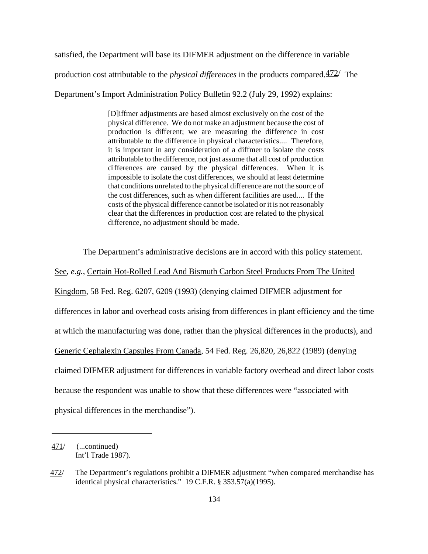satisfied, the Department will base its DIFMER adjustment on the difference in variable production cost attributable to the *physical differences* in the products compared.472/ The

Department's Import Administration Policy Bulletin 92.2 (July 29, 1992) explains:

[D]iffmer adjustments are based almost exclusively on the cost of the physical difference. We do not make an adjustment because the cost of production is different; we are measuring the difference in cost attributable to the difference in physical characteristics.... Therefore, it is important in any consideration of a diffmer to isolate the costs attributable to the difference, not just assume that all cost of production differences are caused by the physical differences. When it is impossible to isolate the cost differences, we should at least determine that conditions unrelated to the physical difference are not the source of the cost differences, such as when different facilities are used.... If the costs of the physical difference cannot be isolated or it is not reasonably clear that the differences in production cost are related to the physical difference, no adjustment should be made.

The Department's administrative decisions are in accord with this policy statement.

See, *e.g.*, Certain Hot-Rolled Lead And Bismuth Carbon Steel Products From The United Kingdom, 58 Fed. Reg. 6207, 6209 (1993) (denying claimed DIFMER adjustment for differences in labor and overhead costs arising from differences in plant efficiency and the time at which the manufacturing was done, rather than the physical differences in the products), and Generic Cephalexin Capsules From Canada, 54 Fed. Reg. 26,820, 26,822 (1989) (denying claimed DIFMER adjustment for differences in variable factory overhead and direct labor costs because the respondent was unable to show that these differences were "associated with physical differences in the merchandise").

<sup>471/</sup> (...continued) Int'l Trade 1987).

<sup>472/</sup> The Department's regulations prohibit a DIFMER adjustment "when compared merchandise has identical physical characteristics." 19 C.F.R. § 353.57(a)(1995).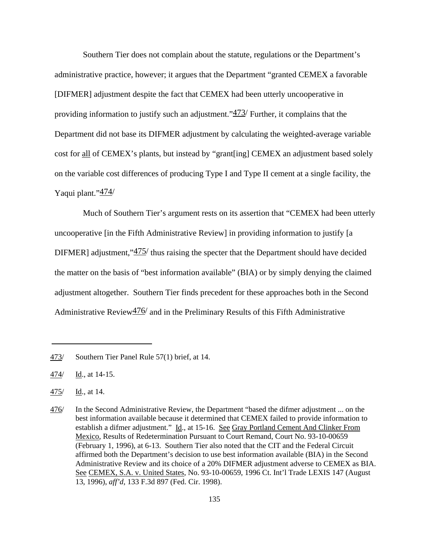Southern Tier does not complain about the statute, regulations or the Department's administrative practice, however; it argues that the Department "granted CEMEX a favorable [DIFMER] adjustment despite the fact that CEMEX had been utterly uncooperative in providing information to justify such an adjustment." $\frac{473}{}$  Further, it complains that the Department did not base its DIFMER adjustment by calculating the weighted-average variable cost for all of CEMEX's plants, but instead by "grant[ing] CEMEX an adjustment based solely on the variable cost differences of producing Type I and Type II cement at a single facility, the Yaqui plant."474/

Much of Southern Tier's argument rests on its assertion that "CEMEX had been utterly uncooperative [in the Fifth Administrative Review] in providing information to justify [a DIFMER] adjustment," $\frac{475}{100}$  thus raising the specter that the Department should have decided the matter on the basis of "best information available" (BIA) or by simply denying the claimed adjustment altogether. Southern Tier finds precedent for these approaches both in the Second Administrative Review $\frac{476}{}$  and in the Preliminary Results of this Fifth Administrative

<sup>473/</sup> Southern Tier Panel Rule 57(1) brief, at 14.

<sup>474/</sup> Id., at 14-15.

 $\frac{475}{ }$  Id., at 14.

<sup>476/</sup> In the Second Administrative Review, the Department "based the difmer adjustment ... on the best information available because it determined that CEMEX failed to provide information to establish a difmer adjustment." Id., at 15-16. See Gray Portland Cement And Clinker From Mexico, Results of Redetermination Pursuant to Court Remand, Court No. 93-10-00659 (February 1, 1996), at 6-13. Southern Tier also noted that the CIT and the Federal Circuit affirmed both the Department's decision to use best information available (BIA) in the Second Administrative Review and its choice of a 20% DIFMER adjustment adverse to CEMEX as BIA. See CEMEX, S.A. v. United States, No. 93-10-00659, 1996 Ct. Int'l Trade LEXIS 147 (August 13, 1996), *aff'd*, 133 F.3d 897 (Fed. Cir. 1998).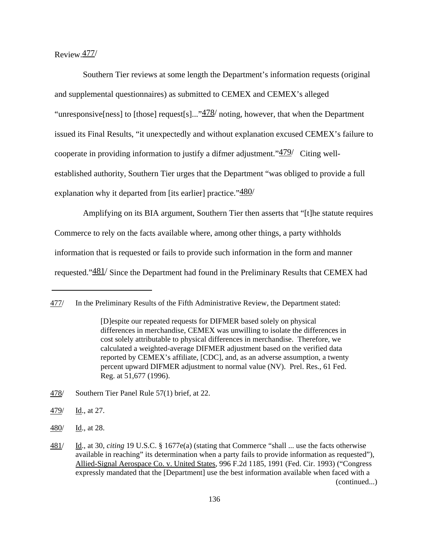### Review.477/

Southern Tier reviews at some length the Department's information requests (original and supplemental questionnaires) as submitted to CEMEX and CEMEX's alleged "unresponsive[ness] to [those] request[s]..." $\frac{478}{ }$  noting, however, that when the Department issued its Final Results, "it unexpectedly and without explanation excused CEMEX's failure to cooperate in providing information to justify a difmer adjustment."479/ Citing wellestablished authority, Southern Tier urges that the Department "was obliged to provide a full explanation why it departed from [its earlier] practice." $480/$ 

Amplifying on its BIA argument, Southern Tier then asserts that "[t]he statute requires Commerce to rely on the facts available where, among other things, a party withholds information that is requested or fails to provide such information in the form and manner requested."481/ Since the Department had found in the Preliminary Results that CEMEX had

480/ Id., at 28.

<sup>477/</sup> In the Preliminary Results of the Fifth Administrative Review, the Department stated:

<sup>[</sup>D]espite our repeated requests for DIFMER based solely on physical differences in merchandise, CEMEX was unwilling to isolate the differences in cost solely attributable to physical differences in merchandise. Therefore, we calculated a weighted-average DIFMER adjustment based on the verified data reported by CEMEX's affiliate, [CDC], and, as an adverse assumption, a twenty percent upward DIFMER adjustment to normal value (NV). Prel. Res., 61 Fed. Reg. at 51,677 (1996).

<sup>478/</sup> Southern Tier Panel Rule 57(1) brief, at 22.

 $\frac{479}{ }$  Id., at 27.

<sup>481/</sup> Id., at 30, *citing* 19 U.S.C. § 1677e(a) (stating that Commerce "shall ... use the facts otherwise available in reaching" its determination when a party fails to provide information as requested"), Allied-Signal Aerospace Co. v. United States, 996 F.2d 1185, 1991 (Fed. Cir. 1993) ("Congress expressly mandated that the [Department] use the best information available when faced with a (continued...)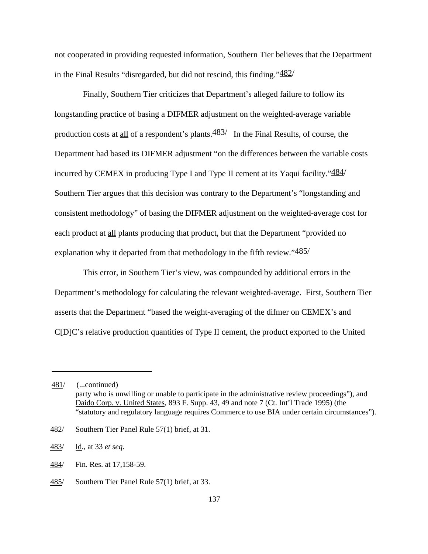not cooperated in providing requested information, Southern Tier believes that the Department in the Final Results "disregarded, but did not rescind, this finding."482/

Finally, Southern Tier criticizes that Department's alleged failure to follow its longstanding practice of basing a DIFMER adjustment on the weighted-average variable production costs at all of a respondent's plants. $\frac{483}{ }$  In the Final Results, of course, the Department had based its DIFMER adjustment "on the differences between the variable costs incurred by CEMEX in producing Type I and Type II cement at its Yaqui facility." $484/$ Southern Tier argues that this decision was contrary to the Department's "longstanding and consistent methodology" of basing the DIFMER adjustment on the weighted-average cost for each product at all plants producing that product, but that the Department "provided no explanation why it departed from that methodology in the fifth review." $485/$ 

This error, in Southern Tier's view, was compounded by additional errors in the Department's methodology for calculating the relevant weighted-average. First, Southern Tier asserts that the Department "based the weight-averaging of the difmer on CEMEX's and C[D]C's relative production quantities of Type II cement, the product exported to the United

<sup>481/</sup> (...continued) party who is unwilling or unable to participate in the administrative review proceedings"), and Daido Corp. v. United States, 893 F. Supp. 43, 49 and note 7 (Ct. Int'l Trade 1995) (the "statutory and regulatory language requires Commerce to use BIA under certain circumstances").

<sup>482/</sup> Southern Tier Panel Rule 57(1) brief, at 31.

<sup>483/</sup> Id., at 33 *et seq*.

<sup>484/</sup> Fin. Res. at 17,158-59.

<sup>485/</sup> Southern Tier Panel Rule 57(1) brief, at 33.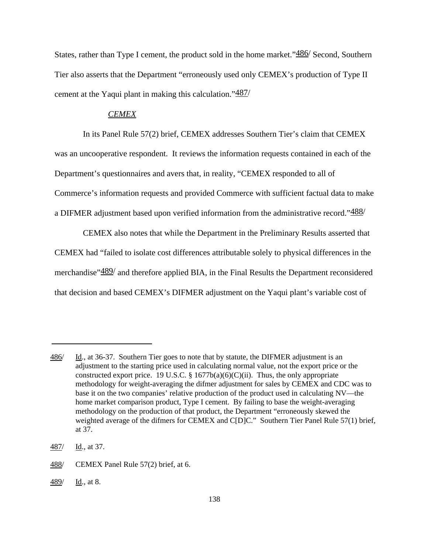States, rather than Type I cement, the product sold in the home market."<sup>486</sup>/ Second, Southern Tier also asserts that the Department "erroneously used only CEMEX's production of Type II cement at the Yaqui plant in making this calculation."487/

#### *CEMEX*

In its Panel Rule 57(2) brief, CEMEX addresses Southern Tier's claim that CEMEX was an uncooperative respondent. It reviews the information requests contained in each of the Department's questionnaires and avers that, in reality, "CEMEX responded to all of Commerce's information requests and provided Commerce with sufficient factual data to make a DIFMER adjustment based upon verified information from the administrative record."488/

CEMEX also notes that while the Department in the Preliminary Results asserted that CEMEX had "failed to isolate cost differences attributable solely to physical differences in the merchandise"  $489'$  and therefore applied BIA, in the Final Results the Department reconsidered that decision and based CEMEX's DIFMER adjustment on the Yaqui plant's variable cost of

<sup>486/</sup> Id., at 36-37. Southern Tier goes to note that by statute, the DIFMER adjustment is an adjustment to the starting price used in calculating normal value, not the export price or the constructed export price. 19 U.S.C. §  $1677b(a)(6)(C)(ii)$ . Thus, the only appropriate methodology for weight-averaging the difmer adjustment for sales by CEMEX and CDC was to base it on the two companies' relative production of the product used in calculating NV—the home market comparison product, Type I cement. By failing to base the weight-averaging methodology on the production of that product, the Department "erroneously skewed the weighted average of the difmers for CEMEX and C[D]C." Southern Tier Panel Rule 57(1) brief, at 37.

<sup>487/</sup> Id., at 37.

<sup>488/</sup> CEMEX Panel Rule 57(2) brief, at 6.

<sup>489/</sup> Id., at 8.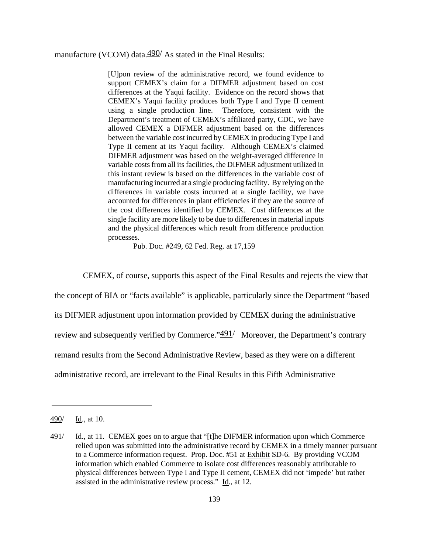manufacture (VCOM) data. $490/$  As stated in the Final Results:

[U]pon review of the administrative record, we found evidence to support CEMEX's claim for a DIFMER adjustment based on cost differences at the Yaqui facility. Evidence on the record shows that CEMEX's Yaqui facility produces both Type I and Type II cement using a single production line. Therefore, consistent with the Department's treatment of CEMEX's affiliated party, CDC, we have allowed CEMEX a DIFMER adjustment based on the differences between the variable cost incurred by CEMEX in producing Type I and Type II cement at its Yaqui facility. Although CEMEX's claimed DIFMER adjustment was based on the weight-averaged difference in variable costs from all its facilities, the DIFMER adjustment utilized in this instant review is based on the differences in the variable cost of manufacturing incurred at a single producing facility. By relying on the differences in variable costs incurred at a single facility, we have accounted for differences in plant efficiencies if they are the source of the cost differences identified by CEMEX. Cost differences at the single facility are more likely to be due to differences in material inputs and the physical differences which result from difference production processes.

Pub. Doc. #249, 62 Fed. Reg. at 17,159

CEMEX, of course, supports this aspect of the Final Results and rejects the view that

the concept of BIA or "facts available" is applicable, particularly since the Department "based

its DIFMER adjustment upon information provided by CEMEX during the administrative

review and subsequently verified by Commerce." $\frac{491}{ }$  Moreover, the Department's contrary

remand results from the Second Administrative Review, based as they were on a different

administrative record, are irrelevant to the Final Results in this Fifth Administrative

<sup>490/</sup> Id., at 10.

<sup>491/</sup> Id., at 11. CEMEX goes on to argue that "[t]he DIFMER information upon which Commerce relied upon was submitted into the administrative record by CEMEX in a timely manner pursuant to a Commerce information request. Prop. Doc. #51 at Exhibit SD-6. By providing VCOM information which enabled Commerce to isolate cost differences reasonably attributable to physical differences between Type I and Type II cement, CEMEX did not 'impede' but rather assisted in the administrative review process." Id., at 12.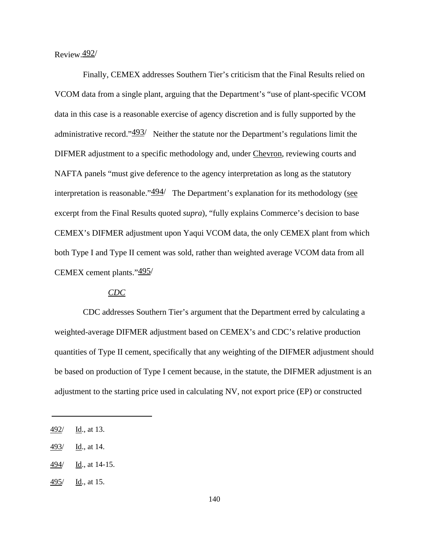## Review.492/

Finally, CEMEX addresses Southern Tier's criticism that the Final Results relied on VCOM data from a single plant, arguing that the Department's "use of plant-specific VCOM data in this case is a reasonable exercise of agency discretion and is fully supported by the administrative record." $\frac{493}{ }$  Neither the statute nor the Department's regulations limit the DIFMER adjustment to a specific methodology and, under Chevron, reviewing courts and NAFTA panels "must give deference to the agency interpretation as long as the statutory interpretation is reasonable." $\frac{494}{ }$  The Department's explanation for its methodology (see excerpt from the Final Results quoted *supra*), "fully explains Commerce's decision to base CEMEX's DIFMER adjustment upon Yaqui VCOM data, the only CEMEX plant from which both Type I and Type II cement was sold, rather than weighted average VCOM data from all CEMEX cement plants."495/

## *CDC*

CDC addresses Southern Tier's argument that the Department erred by calculating a weighted-average DIFMER adjustment based on CEMEX's and CDC's relative production quantities of Type II cement, specifically that any weighting of the DIFMER adjustment should be based on production of Type I cement because, in the statute, the DIFMER adjustment is an adjustment to the starting price used in calculating NV, not export price (EP) or constructed

<sup>492/</sup> Id., at 13.

<sup>493/</sup> Id., at 14.

 $\frac{494}{}$  Id., at 14-15.

 $\frac{495}{10}$ , at 15.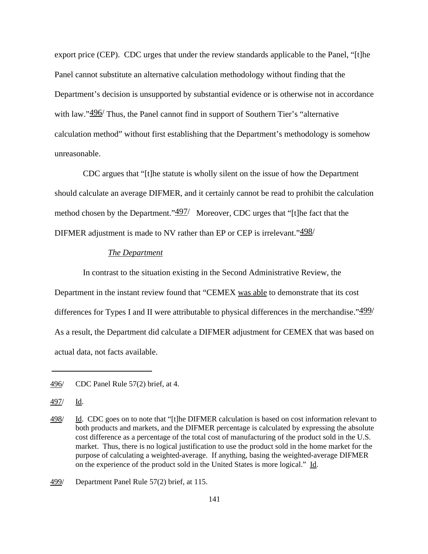export price (CEP). CDC urges that under the review standards applicable to the Panel, "[t]he Panel cannot substitute an alternative calculation methodology without finding that the Department's decision is unsupported by substantial evidence or is otherwise not in accordance with law."496/ Thus, the Panel cannot find in support of Southern Tier's "alternative" calculation method" without first establishing that the Department's methodology is somehow unreasonable.

CDC argues that "[t]he statute is wholly silent on the issue of how the Department should calculate an average DIFMER, and it certainly cannot be read to prohibit the calculation method chosen by the Department." $\frac{497}{ }$  Moreover, CDC urges that "[t]he fact that the DIFMER adjustment is made to NV rather than EP or CEP is irrelevant." $\frac{498}{ }$ 

#### *The Department*

In contrast to the situation existing in the Second Administrative Review, the Department in the instant review found that "CEMEX was able to demonstrate that its cost differences for Types I and II were attributable to physical differences in the merchandise." $499/$ As a result, the Department did calculate a DIFMER adjustment for CEMEX that was based on actual data, not facts available.

<sup>496/</sup> CDC Panel Rule 57(2) brief, at 4.

<sup>497/</sup> Id.

<sup>498/</sup> Id. CDC goes on to note that "[t]he DIFMER calculation is based on cost information relevant to both products and markets, and the DIFMER percentage is calculated by expressing the absolute cost difference as a percentage of the total cost of manufacturing of the product sold in the U.S. market. Thus, there is no logical justification to use the product sold in the home market for the purpose of calculating a weighted-average. If anything, basing the weighted-average DIFMER on the experience of the product sold in the United States is more logical." Id.

<sup>499/</sup> Department Panel Rule 57(2) brief, at 115.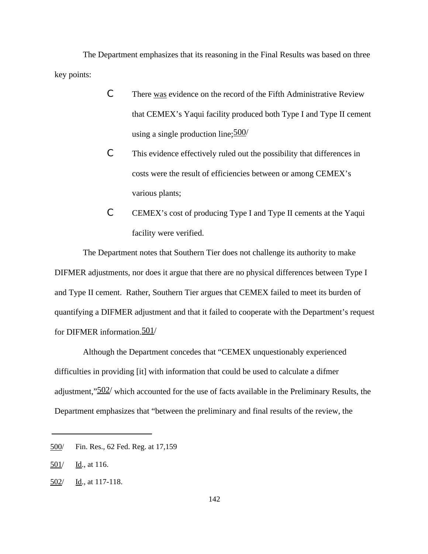The Department emphasizes that its reasoning in the Final Results was based on three key points:

- C There was evidence on the record of the Fifth Administrative Review that CEMEX's Yaqui facility produced both Type I and Type II cement using a single production line;  $\frac{500}{ }$
- C This evidence effectively ruled out the possibility that differences in costs were the result of efficiencies between or among CEMEX's various plants;
- C CEMEX's cost of producing Type I and Type II cements at the Yaqui facility were verified.

The Department notes that Southern Tier does not challenge its authority to make DIFMER adjustments, nor does it argue that there are no physical differences between Type I and Type II cement. Rather, Southern Tier argues that CEMEX failed to meet its burden of quantifying a DIFMER adjustment and that it failed to cooperate with the Department's request for DIFMER information.501/

Although the Department concedes that "CEMEX unquestionably experienced difficulties in providing [it] with information that could be used to calculate a difmer adjustment,"502/ which accounted for the use of facts available in the Preliminary Results, the Department emphasizes that "between the preliminary and final results of the review, the

<sup>500/</sup> Fin. Res., 62 Fed. Reg. at 17,159

 $501/$  Id., at 116.

<sup>502/</sup> Id., at 117-118.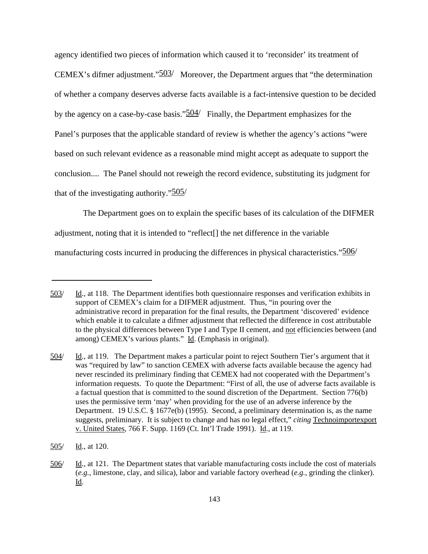agency identified two pieces of information which caused it to 'reconsider' its treatment of CEMEX's difmer adjustment."503/ Moreover, the Department argues that "the determination of whether a company deserves adverse facts available is a fact-intensive question to be decided by the agency on a case-by-case basis."<sup>504</sup>/ Finally, the Department emphasizes for the Panel's purposes that the applicable standard of review is whether the agency's actions "were based on such relevant evidence as a reasonable mind might accept as adequate to support the conclusion.... The Panel should not reweigh the record evidence, substituting its judgment for that of the investigating authority." $505/$ 

The Department goes on to explain the specific bases of its calculation of the DIFMER adjustment, noting that it is intended to "reflect[] the net difference in the variable manufacturing costs incurred in producing the differences in physical characteristics."<sup>506</sup>/

<sup>503/</sup> Id., at 118. The Department identifies both questionnaire responses and verification exhibits in support of CEMEX's claim for a DIFMER adjustment. Thus, "in pouring over the administrative record in preparation for the final results, the Department 'discovered' evidence which enable it to calculate a difmer adjustment that reflected the difference in cost attributable to the physical differences between Type I and Type II cement, and not efficiencies between (and among) CEMEX's various plants." Id. (Emphasis in original).

<sup>504/</sup> Id., at 119. The Department makes a particular point to reject Southern Tier's argument that it was "required by law" to sanction CEMEX with adverse facts available because the agency had never rescinded its preliminary finding that CEMEX had not cooperated with the Department's information requests. To quote the Department: "First of all, the use of adverse facts available is a factual question that is committed to the sound discretion of the Department. Section 776(b) uses the permissive term 'may' when providing for the use of an adverse inference by the Department. 19 U.S.C. § 1677e(b) (1995). Second, a preliminary determination is, as the name suggests, preliminary. It is subject to change and has no legal effect," *citing* Technoimportexport v. United States, 766 F. Supp. 1169 (Ct. Int'l Trade 1991). Id., at 119.

<sup>505/</sup> Id., at 120.

<sup>506/</sup> Id., at 121. The Department states that variable manufacturing costs include the cost of materials (*e.g.*, limestone, clay, and silica), labor and variable factory overhead (*e.g.*, grinding the clinker). Id.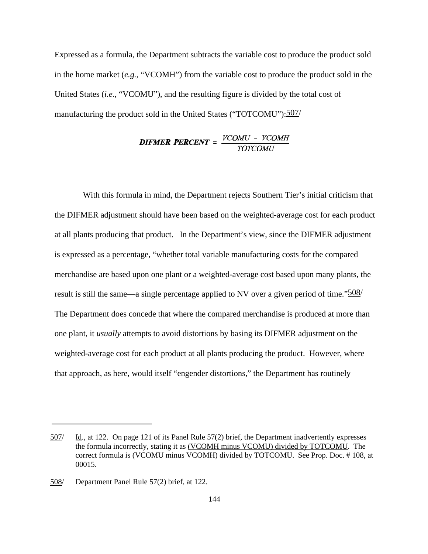Expressed as a formula, the Department subtracts the variable cost to produce the product sold in the home market (*e.g.*, "VCOMH") from the variable cost to produce the product sold in the United States (*i.e.*, "VCOMU"), and the resulting figure is divided by the total cost of manufacturing the product sold in the United States ("TOTCOMU"): 507/

# **DIFMER PERCENT** =  $\frac{VCOMU - VCOMH}{TOTCOMU}$

With this formula in mind, the Department rejects Southern Tier's initial criticism that the DIFMER adjustment should have been based on the weighted-average cost for each product at all plants producing that product. In the Department's view, since the DIFMER adjustment is expressed as a percentage, "whether total variable manufacturing costs for the compared merchandise are based upon one plant or a weighted-average cost based upon many plants, the result is still the same—a single percentage applied to NV over a given period of time." $\frac{508}{ }$ The Department does concede that where the compared merchandise is produced at more than one plant, it *usually* attempts to avoid distortions by basing its DIFMER adjustment on the weighted-average cost for each product at all plants producing the product. However, where that approach, as here, would itself "engender distortions," the Department has routinely

<sup>507/</sup> Id., at 122. On page 121 of its Panel Rule 57(2) brief, the Department inadvertently expresses the formula incorrectly, stating it as (VCOMH minus VCOMU) divided by TOTCOMU. The correct formula is (VCOMU minus VCOMH) divided by TOTCOMU. See Prop. Doc. # 108, at 00015.

<sup>508/</sup> Department Panel Rule 57(2) brief, at 122.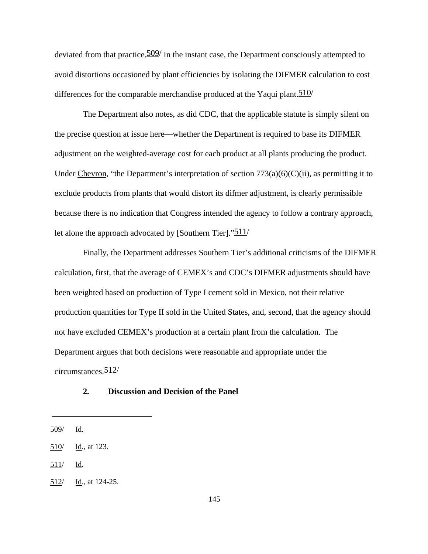deviated from that practice.  $\frac{509}{1}$  In the instant case, the Department consciously attempted to avoid distortions occasioned by plant efficiencies by isolating the DIFMER calculation to cost differences for the comparable merchandise produced at the Yaqui plant.  $510/$ 

The Department also notes, as did CDC, that the applicable statute is simply silent on the precise question at issue here—whether the Department is required to base its DIFMER adjustment on the weighted-average cost for each product at all plants producing the product. Under Chevron, "the Department's interpretation of section  $773(a)(6)(C)(ii)$ , as permitting it to exclude products from plants that would distort its difmer adjustment, is clearly permissible because there is no indication that Congress intended the agency to follow a contrary approach, let alone the approach advocated by [Southern Tier]."511/

Finally, the Department addresses Southern Tier's additional criticisms of the DIFMER calculation, first, that the average of CEMEX's and CDC's DIFMER adjustments should have been weighted based on production of Type I cement sold in Mexico, not their relative production quantities for Type II sold in the United States, and, second, that the agency should not have excluded CEMEX's production at a certain plant from the calculation. The Department argues that both decisions were reasonable and appropriate under the circumstances.512/

## **2. Discussion and Decision of the Panel**

511/ Id.

<sup>509/</sup> Id.

<sup>510/</sup> Id., at 123.

<sup>512/</sup> Id., at 124-25.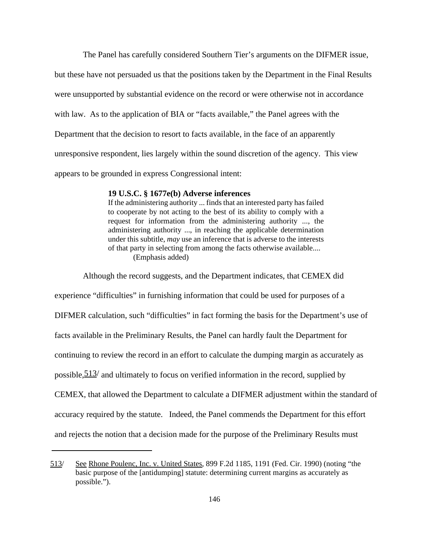The Panel has carefully considered Southern Tier's arguments on the DIFMER issue,

but these have not persuaded us that the positions taken by the Department in the Final Results were unsupported by substantial evidence on the record or were otherwise not in accordance with law. As to the application of BIA or "facts available," the Panel agrees with the Department that the decision to resort to facts available, in the face of an apparently unresponsive respondent, lies largely within the sound discretion of the agency. This view appears to be grounded in express Congressional intent:

#### **19 U.S.C. § 1677e(b) Adverse inferences**

If the administering authority ... finds that an interested party has failed to cooperate by not acting to the best of its ability to comply with a request for information from the administering authority ..., the administering authority ..., in reaching the applicable determination under this subtitle, *may* use an inference that is adverse to the interests of that party in selecting from among the facts otherwise available.... (Emphasis added)

Although the record suggests, and the Department indicates, that CEMEX did experience "difficulties" in furnishing information that could be used for purposes of a DIFMER calculation, such "difficulties" in fact forming the basis for the Department's use of facts available in the Preliminary Results, the Panel can hardly fault the Department for continuing to review the record in an effort to calculate the dumping margin as accurately as possible,  $\frac{513}{ }$  and ultimately to focus on verified information in the record, supplied by CEMEX, that allowed the Department to calculate a DIFMER adjustment within the standard of accuracy required by the statute. Indeed, the Panel commends the Department for this effort and rejects the notion that a decision made for the purpose of the Preliminary Results must

<sup>513/</sup> See Rhone Poulenc, Inc. v. United States, 899 F.2d 1185, 1191 (Fed. Cir. 1990) (noting "the basic purpose of the [antidumping] statute: determining current margins as accurately as possible.").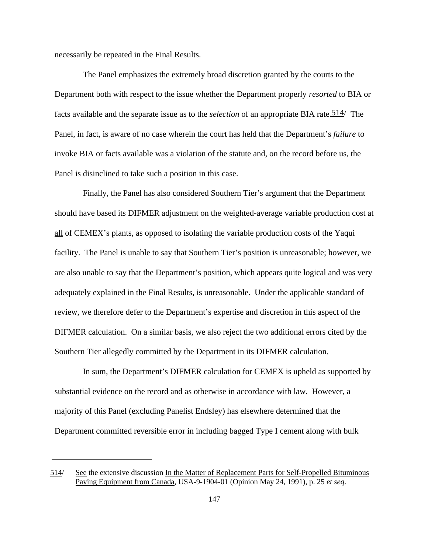necessarily be repeated in the Final Results.

The Panel emphasizes the extremely broad discretion granted by the courts to the Department both with respect to the issue whether the Department properly *resorted* to BIA or facts available and the separate issue as to the *selection* of an appropriate BIA rate.514/ The Panel, in fact, is aware of no case wherein the court has held that the Department's *failure* to invoke BIA or facts available was a violation of the statute and, on the record before us, the Panel is disinclined to take such a position in this case.

Finally, the Panel has also considered Southern Tier's argument that the Department should have based its DIFMER adjustment on the weighted-average variable production cost at all of CEMEX's plants, as opposed to isolating the variable production costs of the Yaqui facility. The Panel is unable to say that Southern Tier's position is unreasonable; however, we are also unable to say that the Department's position, which appears quite logical and was very adequately explained in the Final Results, is unreasonable. Under the applicable standard of review, we therefore defer to the Department's expertise and discretion in this aspect of the DIFMER calculation. On a similar basis, we also reject the two additional errors cited by the Southern Tier allegedly committed by the Department in its DIFMER calculation.

In sum, the Department's DIFMER calculation for CEMEX is upheld as supported by substantial evidence on the record and as otherwise in accordance with law. However, a majority of this Panel (excluding Panelist Endsley) has elsewhere determined that the Department committed reversible error in including bagged Type I cement along with bulk

<sup>514/</sup> See the extensive discussion In the Matter of Replacement Parts for Self-Propelled Bituminous Paving Equipment from Canada, USA-9-1904-01 (Opinion May 24, 1991), p. 25 *et seq*.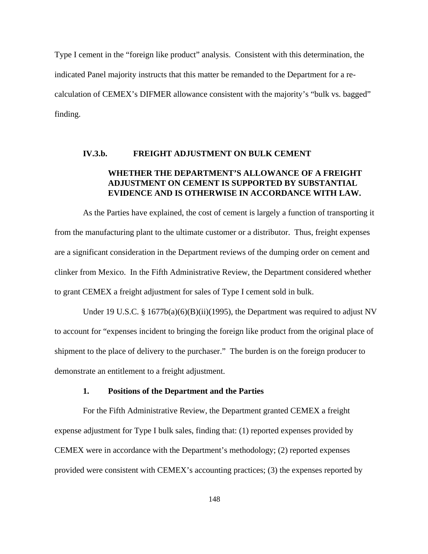Type I cement in the "foreign like product" analysis. Consistent with this determination, the indicated Panel majority instructs that this matter be remanded to the Department for a recalculation of CEMEX's DIFMER allowance consistent with the majority's "bulk vs. bagged" finding.

#### **IV.3.b. FREIGHT ADJUSTMENT ON BULK CEMENT**

# **WHETHER THE DEPARTMENT'S ALLOWANCE OF A FREIGHT ADJUSTMENT ON CEMENT IS SUPPORTED BY SUBSTANTIAL EVIDENCE AND IS OTHERWISE IN ACCORDANCE WITH LAW.**

As the Parties have explained, the cost of cement is largely a function of transporting it from the manufacturing plant to the ultimate customer or a distributor. Thus, freight expenses are a significant consideration in the Department reviews of the dumping order on cement and clinker from Mexico. In the Fifth Administrative Review, the Department considered whether to grant CEMEX a freight adjustment for sales of Type I cement sold in bulk.

Under 19 U.S.C. §  $1677b(a)(6)(B)(ii)(1995)$ , the Department was required to adjust NV to account for "expenses incident to bringing the foreign like product from the original place of shipment to the place of delivery to the purchaser." The burden is on the foreign producer to demonstrate an entitlement to a freight adjustment.

#### **1. Positions of the Department and the Parties**

For the Fifth Administrative Review, the Department granted CEMEX a freight expense adjustment for Type I bulk sales, finding that: (1) reported expenses provided by CEMEX were in accordance with the Department's methodology; (2) reported expenses provided were consistent with CEMEX's accounting practices; (3) the expenses reported by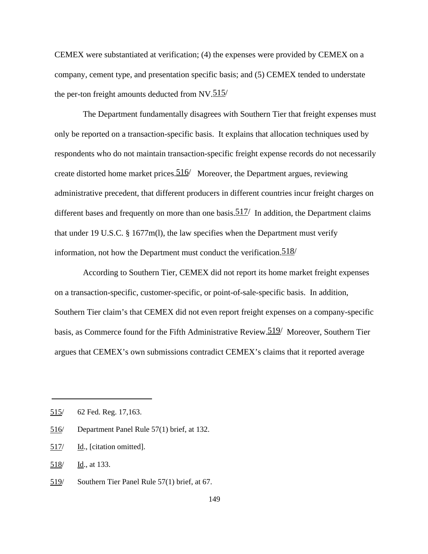CEMEX were substantiated at verification; (4) the expenses were provided by CEMEX on a company, cement type, and presentation specific basis; and (5) CEMEX tended to understate the per-ton freight amounts deducted from NV. $515/$ 

The Department fundamentally disagrees with Southern Tier that freight expenses must only be reported on a transaction-specific basis. It explains that allocation techniques used by respondents who do not maintain transaction-specific freight expense records do not necessarily create distorted home market prices.516/ Moreover, the Department argues, reviewing administrative precedent, that different producers in different countries incur freight charges on different bases and frequently on more than one basis.  $517/$  In addition, the Department claims that under 19 U.S.C. § 1677m(l), the law specifies when the Department must verify information, not how the Department must conduct the verification.  $518/$ 

According to Southern Tier, CEMEX did not report its home market freight expenses on a transaction-specific, customer-specific, or point-of-sale-specific basis. In addition, Southern Tier claim's that CEMEX did not even report freight expenses on a company-specific basis, as Commerce found for the Fifth Administrative Review. 519/ Moreover, Southern Tier argues that CEMEX's own submissions contradict CEMEX's claims that it reported average

<sup>515/ 62</sup> Fed. Reg. 17,163.

<sup>516/</sup> Department Panel Rule 57(1) brief, at 132.

<sup>517/</sup> Id., [citation omitted].

<sup>518/</sup> Id., at 133.

<sup>519/</sup> Southern Tier Panel Rule 57(1) brief, at 67.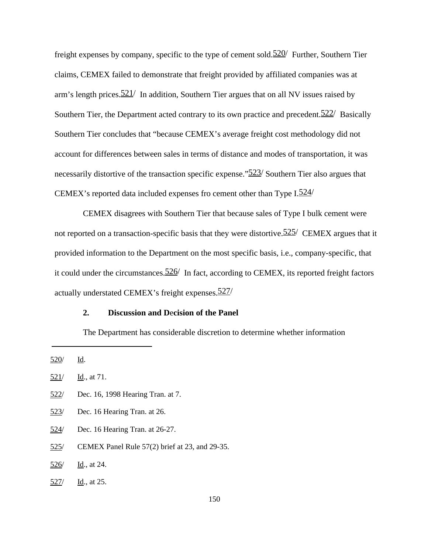freight expenses by company, specific to the type of cement sold. $520/$  Further, Southern Tier claims, CEMEX failed to demonstrate that freight provided by affiliated companies was at arm's length prices.  $521/$  In addition, Southern Tier argues that on all NV issues raised by Southern Tier, the Department acted contrary to its own practice and precedent.  $522/$  Basically Southern Tier concludes that "because CEMEX's average freight cost methodology did not account for differences between sales in terms of distance and modes of transportation, it was necessarily distortive of the transaction specific expense."<sup>523</sup>/ Southern Tier also argues that CEMEX's reported data included expenses fro cement other than Type  $I.524/$ 

CEMEX disagrees with Southern Tier that because sales of Type I bulk cement were not reported on a transaction-specific basis that they were distortive.  $525/$  CEMEX argues that it provided information to the Department on the most specific basis, i.e., company-specific, that it could under the circumstances.  $526/$  In fact, according to CEMEX, its reported freight factors actually understated CEMEX's freight expenses.527/

## **2. Discussion and D**e**cision of the Panel**

The Department has considerable discretion to determine whether information

- 522/ Dec. 16, 1998 Hearing Tran. at 7.
- 523/ Dec. 16 Hearing Tran. at 26.
- 524/ Dec. 16 Hearing Tran. at 26-27.
- 525/ CEMEX Panel Rule 57(2) brief at 23, and 29-35.
- $526/$  Id., at 24.
- 527/ Id., at 25.

<sup>520/</sup> Id.

 $521/$  Id., at 71.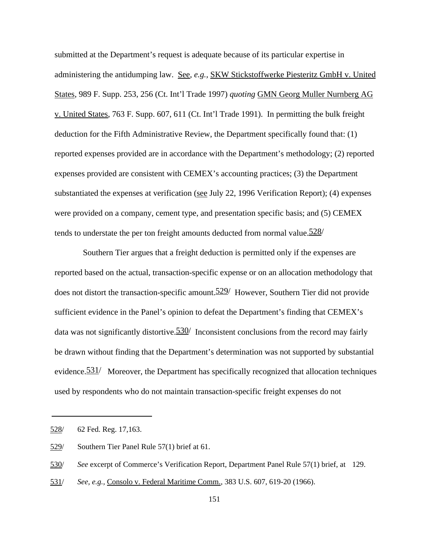submitted at the Department's request is adequate because of its particular expertise in administering the antidumping law. See*, e.g.,* SKW Stickstoffwerke Piesteritz GmbH v. United States, 989 F. Supp. 253, 256 (Ct. Int'l Trade 1997) *quoting* GMN Georg Muller Nurnberg AG v. United States, 763 F. Supp. 607, 611 (Ct. Int'l Trade 1991). In permitting the bulk freight deduction for the Fifth Administrative Review, the Department specifically found that: (1) reported expenses provided are in accordance with the Department's methodology; (2) reported expenses provided are consistent with CEMEX's accounting practices; (3) the Department substantiated the expenses at verification (see July 22, 1996 Verification Report); (4) expenses were provided on a company, cement type, and presentation specific basis; and (5) CEMEX tends to understate the per ton freight amounts deducted from normal value.  $528/$ 

Southern Tier argues that a freight deduction is permitted only if the expenses are reported based on the actual, transaction-specific expense or on an allocation methodology that does not distort the transaction-specific amount. 529 However, Southern Tier did not provide sufficient evidence in the Panel's opinion to defeat the Department's finding that CEMEX's data was not significantly distortive.  $\frac{530}{ }$  Inconsistent conclusions from the record may fairly be drawn without finding that the Department's determination was not supported by substantial evidence.<sup>531/</sup> Moreover, the Department has specifically recognized that allocation techniques used by respondents who do not maintain transaction-specific freight expenses do not

<sup>528/ 62</sup> Fed. Reg. 17,163.

<sup>529/</sup> Southern Tier Panel Rule 57(1) brief at 61.

<sup>530/</sup> *See* excerpt of Commerce's Verification Report, Department Panel Rule 57(1) brief, at 129.

<sup>531/</sup> *See, e.g.,* Consolo v. Federal Maritime Comm., 383 U.S. 607, 619-20 (1966).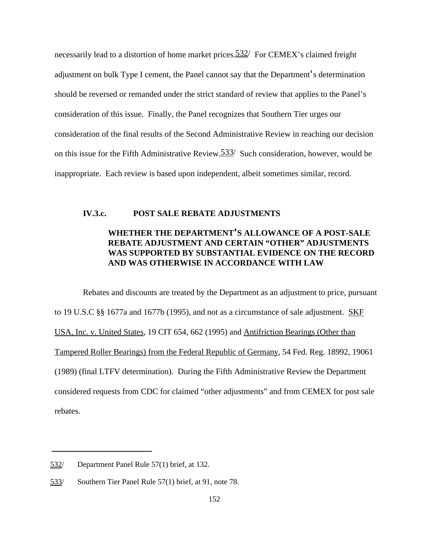necessarily lead to a distortion of home market prices.  $532/$  For CEMEX's claimed freight adjustment on bulk Type I cement, the Panel cannot say that the Department's determination should be reversed or remanded under the strict standard of review that applies to the Panel's consideration of this issue. Finally, the Panel recognizes that Southern Tier urges our consideration of the final results of the Second Administrative Review in reaching our decision on this issue for the Fifth Administrative Review.533/ Such consideration, however, would be inappropriate. Each review is based upon independent, albeit sometimes similar, record.

# **IV.3.c. POST SALE REBATE ADJUSTMENTS**

# **WHETHER THE DEPARTMENT'S ALLOWANCE OF A POST-SALE REBATE ADJUSTMENT AND CERTAIN "OTHER" ADJUSTMENTS WAS SUPPORTED BY SUBSTANTIAL EVIDENCE ON THE RECORD AND WAS OTHERWISE IN ACCORDANCE WITH LAW**

Rebates and discounts are treated by the Department as an adjustment to price, pursuant to 19 U.S.C §§ 1677a and 1677b (1995), and not as a circumstance of sale adjustment. SKF USA, Inc. v. United States, 19 CIT 654, 662 (1995) and Antifriction Bearings (Other than Tampered Roller Bearings) from the Federal Republic of Germany, 54 Fed. Reg. 18992, 19061 (1989) (final LTFV determination). During the Fifth Administrative Review the Department considered requests from CDC for claimed "other adjustments" and from CEMEX for post sale rebates.

<sup>532/</sup> Department Panel Rule 57(1) brief, at 132.

<sup>533/</sup> Southern Tier Panel Rule 57(1) brief, at 91, note 78.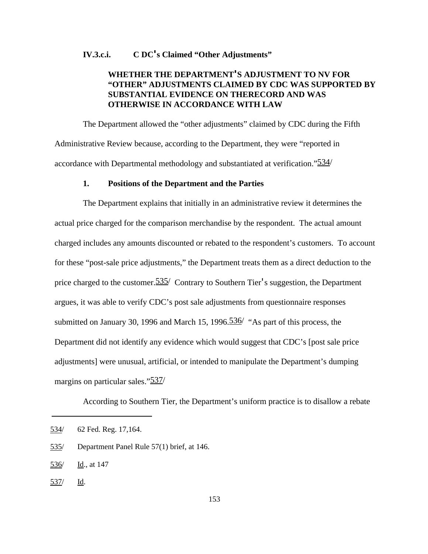## **IV.3.c.i. C DC's Claimed "Other Adjustments"**

# **WHETHER THE DEPARTMENT'S ADJUSTMENT TO NV FOR "OTHER" ADJUSTMENTS CLAIMED BY CDC WAS SUPPORTED BY SUBSTANTIAL EVIDENCE ON THERECORD AND WAS OTHERWISE IN ACCORDANCE WITH LAW**

The Department allowed the "other adjustments" claimed by CDC during the Fifth Administrative Review because, according to the Department, they were "reported in accordance with Departmental methodology and substantiated at verification."534/

#### **1. Positions of the Department and the Parties**

The Department explains that initially in an administrative review it determines the actual price charged for the comparison merchandise by the respondent. The actual amount charged includes any amounts discounted or rebated to the respondent's customers. To account for these "post-sale price adjustments," the Department treats them as a direct deduction to the price charged to the customer. 535/ Contrary to Southern Tier's suggestion, the Department argues, it was able to verify CDC's post sale adjustments from questionnaire responses submitted on January 30, 1996 and March 15, 1996.<sup>536</sup> "As part of this process, the Department did not identify any evidence which would suggest that CDC's [post sale price adjustments] were unusual, artificial, or intended to manipulate the Department's dumping margins on particular sales."<sup>537</sup>/

According to Southern Tier, the Department's uniform practice is to disallow a rebate

537/ Id.

<sup>534/ 62</sup> Fed. Reg. 17,164.

<sup>535/</sup> Department Panel Rule 57(1) brief, at 146.

<sup>536/</sup> Id., at 147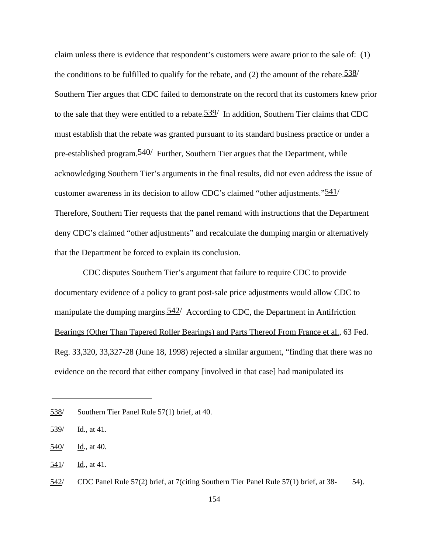claim unless there is evidence that respondent's customers were aware prior to the sale of: (1) the conditions to be fulfilled to qualify for the rebate, and (2) the amount of the rebate.  $\frac{538}{ }$ Southern Tier argues that CDC failed to demonstrate on the record that its customers knew prior to the sale that they were entitled to a rebate.539/ In addition, Southern Tier claims that CDC must establish that the rebate was granted pursuant to its standard business practice or under a pre-established program.540/ Further, Southern Tier argues that the Department, while acknowledging Southern Tier's arguments in the final results, did not even address the issue of customer awareness in its decision to allow CDC's claimed "other adjustments." $\frac{541}{ }$ Therefore, Southern Tier requests that the panel remand with instructions that the Department deny CDC's claimed "other adjustments" and recalculate the dumping margin or alternatively that the Department be forced to explain its conclusion.

CDC disputes Southern Tier's argument that failure to require CDC to provide documentary evidence of a policy to grant post-sale price adjustments would allow CDC to manipulate the dumping margins.  $\frac{542}{ }$  According to CDC, the Department in Antifriction Bearings (Other Than Tapered Roller Bearings) and Parts Thereof From France et al., 63 Fed. Reg. 33,320, 33,327-28 (June 18, 1998) rejected a similar argument, "finding that there was no evidence on the record that either company [involved in that case] had manipulated its

<sup>538/</sup> Southern Tier Panel Rule 57(1) brief, at 40.

<sup>539/</sup> Id., at 41.

<sup>540/</sup> Id., at 40.

<sup>541/</sup> Id., at 41.

<sup>542/</sup> CDC Panel Rule 57(2) brief, at 7(citing Southern Tier Panel Rule 57(1) brief, at 38- 54).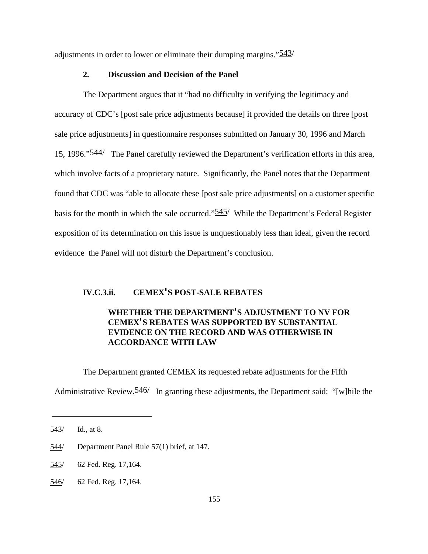adjustments in order to lower or eliminate their dumping margins." $\frac{543}{ }$ 

## **2. Discussion and Decision of the Panel**

The Department argues that it "had no difficulty in verifying the legitimacy and accuracy of CDC's [post sale price adjustments because] it provided the details on three [post sale price adjustments] in questionnaire responses submitted on January 30, 1996 and March 15, 1996."544/ The Panel carefully reviewed the Department's verification efforts in this area, which involve facts of a proprietary nature. Significantly, the Panel notes that the Department found that CDC was "able to allocate these [post sale price adjustments] on a customer specific basis for the month in which the sale occurred." $\frac{545}{ }$  While the Department's Federal Register exposition of its determination on this issue is unquestionably less than ideal, given the record evidence the Panel will not disturb the Department's conclusion.

## **IV.C.3.ii. CEMEX'S POST-SALE REBATES**

# **WHETHER THE DEPARTMENT'S ADJUSTMENT TO NV FOR CEMEX'S REBATES WAS SUPPORTED BY SUBSTANTIAL EVIDENCE ON THE RECORD AND WAS OTHERWISE IN ACCORDANCE WITH LAW**

The Department granted CEMEX its requested rebate adjustments for the Fifth Administrative Review.  $\frac{546}{ }$  In granting these adjustments, the Department said: "[w]hile the

<sup>543/</sup> Id., at 8.

<sup>544/</sup> Department Panel Rule 57(1) brief, at 147.

<sup>545/ 62</sup> Fed. Reg. 17,164.

<sup>546/ 62</sup> Fed. Reg. 17,164.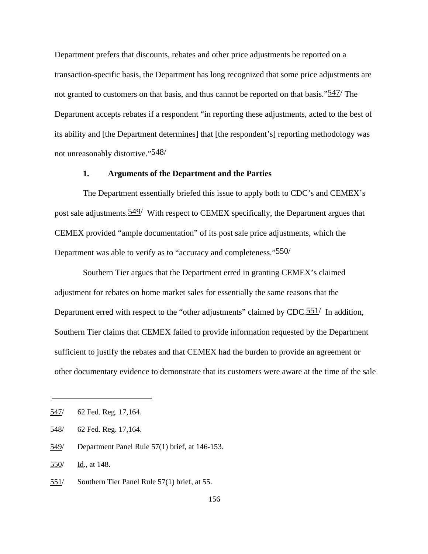Department prefers that discounts, rebates and other price adjustments be reported on a transaction-specific basis, the Department has long recognized that some price adjustments are not granted to customers on that basis, and thus cannot be reported on that basis."<sup>547</sup>/ The Department accepts rebates if a respondent "in reporting these adjustments, acted to the best of its ability and [the Department determines] that [the respondent's] reporting methodology was not unreasonably distortive."548/

## **1. Arguments of the Department and the Parties**

The Department essentially briefed this issue to apply both to CDC's and CEMEX's post sale adjustments.549/ With respect to CEMEX specifically, the Department argues that CEMEX provided "ample documentation" of its post sale price adjustments, which the Department was able to verify as to "accuracy and completeness."<sup>550</sup>/

Southern Tier argues that the Department erred in granting CEMEX's claimed adjustment for rebates on home market sales for essentially the same reasons that the Department erred with respect to the "other adjustments" claimed by  $CDC.551/$  In addition, Southern Tier claims that CEMEX failed to provide information requested by the Department sufficient to justify the rebates and that CEMEX had the burden to provide an agreement or other documentary evidence to demonstrate that its customers were aware at the time of the sale

<sup>547/ 62</sup> Fed. Reg. 17,164.

<sup>548/ 62</sup> Fed. Reg. 17,164.

<sup>549/</sup> Department Panel Rule 57(1) brief, at 146-153.

<sup>550/</sup> Id., at 148.

<sup>551/</sup> Southern Tier Panel Rule 57(1) brief, at 55.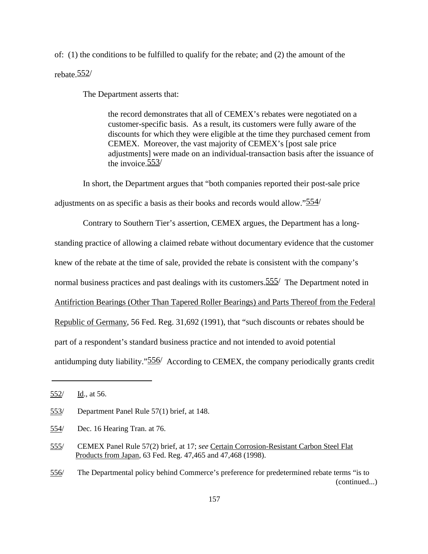of: (1) the conditions to be fulfilled to qualify for the rebate; and (2) the amount of the rebate.552/

The Department asserts that:

the record demonstrates that all of CEMEX's rebates were negotiated on a customer-specific basis. As a result, its customers were fully aware of the discounts for which they were eligible at the time they purchased cement from CEMEX. Moreover, the vast majority of CEMEX's [post sale price adjustments] were made on an individual-transaction basis after the issuance of the invoice  $553/$ 

In short, the Department argues that "both companies reported their post-sale price

adjustments on as specific a basis as their books and records would allow."554/

Contrary to Southern Tier's assertion, CEMEX argues, the Department has a long-

standing practice of allowing a claimed rebate without documentary evidence that the customer

knew of the rebate at the time of sale, provided the rebate is consistent with the company's

normal business practices and past dealings with its customers. 555/ The Department noted in

Antifriction Bearings (Other Than Tapered Roller Bearings) and Parts Thereof from the Federal

Republic of Germany, 56 Fed. Reg. 31,692 (1991), that "such discounts or rebates should be

part of a respondent's standard business practice and not intended to avoid potential

antidumping duty liability."556/ According to CEMEX, the company periodically grants credit

<sup>552/</sup> Id., at 56.

<sup>553/</sup> Department Panel Rule 57(1) brief, at 148.

<sup>554/</sup> Dec. 16 Hearing Tran. at 76.

<sup>555/</sup> CEMEX Panel Rule 57(2) brief, at 17; *see* Certain Corrosion-Resistant Carbon Steel Flat Products from Japan, 63 Fed. Reg. 47,465 and 47,468 (1998).

<sup>556/</sup> The Departmental policy behind Commerce's preference for predetermined rebate terms "is to (continued...)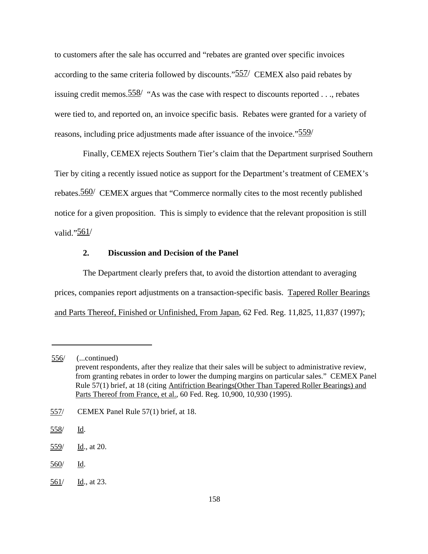to customers after the sale has occurred and "rebates are granted over specific invoices according to the same criteria followed by discounts."557/ CEMEX also paid rebates by issuing credit memos.  $\frac{558}{ }$  "As was the case with respect to discounts reported . . ., rebates were tied to, and reported on, an invoice specific basis. Rebates were granted for a variety of reasons, including price adjustments made after issuance of the invoice."<sup>559</sup>/

Finally, CEMEX rejects Southern Tier's claim that the Department surprised Southern Tier by citing a recently issued notice as support for the Department's treatment of CEMEX's rebates.560/ CEMEX argues that "Commerce normally cites to the most recently published notice for a given proposition. This is simply to evidence that the relevant proposition is still valid."561/

## **2. Discussion and D**e**cision of the Panel**

The Department clearly prefers that, to avoid the distortion attendant to averaging prices, companies report adjustments on a transaction-specific basis. Tapered Roller Bearings and Parts Thereof, Finished or Unfinished, From Japan, 62 Fed. Reg. 11,825, 11,837 (1997);

- 560/ Id.
- 561/ Id., at 23.

<sup>556/</sup> (...continued) prevent respondents, after they realize that their sales will be subject to administrative review, from granting rebates in order to lower the dumping margins on particular sales." CEMEX Panel Rule 57(1) brief, at 18 (citing Antifriction Bearings(Other Than Tapered Roller Bearings) and Parts Thereof from France, et al., 60 Fed. Reg. 10,900, 10,930 (1995).

<sup>557/</sup> CEMEX Panel Rule 57(1) brief, at 18.

<sup>558/</sup> Id.

<sup>559/</sup> Id., at 20.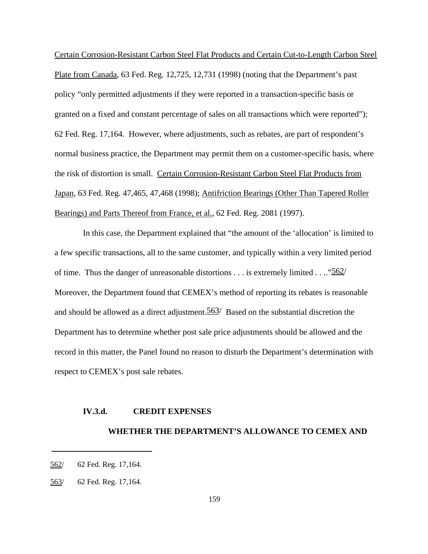Certain Corrosion-Resistant Carbon Steel Flat Products and Certain Cut-to-Length Carbon Steel Plate from Canada, 63 Fed. Reg. 12,725, 12,731 (1998) (noting that the Department's past policy "only permitted adjustments if they were reported in a transaction-specific basis or granted on a fixed and constant percentage of sales on all transactions which were reported"); 62 Fed. Reg. 17,164. However, where adjustments, such as rebates, are part of respondent's normal business practice, the Department may permit them on a customer-specific basis, where the risk of distortion is small. Certain Corrosion-Resistant Carbon Steel Flat Products from Japan, 63 Fed. Reg. 47,465, 47,468 (1998); Antifriction Bearings (Other Than Tapered Roller Bearings) and Parts Thereof from France, et al., 62 Fed. Reg. 2081 (1997).

In this case, the Department explained that "the amount of the 'allocation' is limited to a few specific transactions, all to the same customer, and typically within a very limited period of time. Thus the danger of unreasonable distortions  $\dots$  is extremely limited  $\dots$  "562 Moreover, the Department found that CEMEX's method of reporting its rebates is reasonable and should be allowed as a direct adjustment.  $563/$  Based on the substantial discretion the Department has to determine whether post sale price adjustments should be allowed and the record in this matter, the Panel found no reason to disturb the Department's determination with respect to CEMEX's post sale rebates.

#### **IV.3.d. CREDIT EXPENSES**

## **WHETHER THE DEPARTMENT'S ALLOWANCE TO CEMEX AND**

<sup>562/ 62</sup> Fed. Reg. 17,164.

<sup>563/ 62</sup> Fed. Reg. 17,164.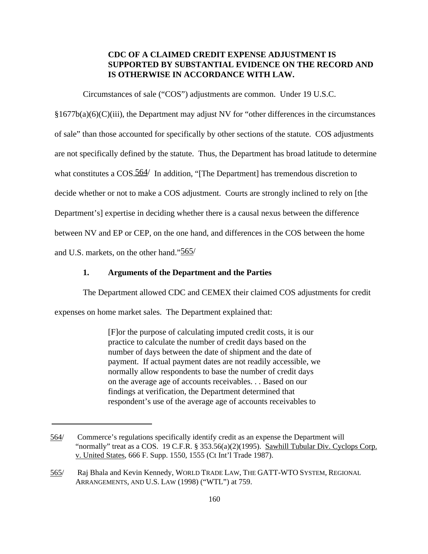# **CDC OF A CLAIMED CREDIT EXPENSE ADJUSTMENT IS SUPPORTED BY SUBSTANTIAL EVIDENCE ON THE RECORD AND IS OTHERWISE IN ACCORDANCE WITH LAW.**

Circumstances of sale ("COS") adjustments are common. Under 19 U.S.C.

 $§1677b(a)(6)(C)(iii)$ , the Department may adjust NV for "other differences in the circumstances" of sale" than those accounted for specifically by other sections of the statute. COS adjustments are not specifically defined by the statute. Thus, the Department has broad latitude to determine what constitutes a COS.<sup>564</sup>/ In addition, "[The Department] has tremendous discretion to decide whether or not to make a COS adjustment. Courts are strongly inclined to rely on [the Department's] expertise in deciding whether there is a causal nexus between the difference between NV and EP or CEP, on the one hand, and differences in the COS between the home and U.S. markets, on the other hand."565/

## **1. Arguments of the Department and the Parties**

The Department allowed CDC and CEMEX their claimed COS adjustments for credit

expenses on home market sales. The Department explained that:

[F]or the purpose of calculating imputed credit costs, it is our practice to calculate the number of credit days based on the number of days between the date of shipment and the date of payment. If actual payment dates are not readily accessible, we normally allow respondents to base the number of credit days on the average age of accounts receivables. . . Based on our findings at verification, the Department determined that respondent's use of the average age of accounts receivables to

<sup>564/</sup> Commerce's regulations specifically identify credit as an expense the Department will "normally" treat as a COS. 19 C.F.R. § 353.56(a)(2)(1995). Sawhill Tubular Div. Cyclops Corp. v. United States, 666 F. Supp. 1550, 1555 (Ct Int'l Trade 1987).

<sup>565/</sup> Raj Bhala and Kevin Kennedy, WORLD TRADE LAW, THE GATT-WTO SYSTEM, REGIONAL ARRANGEMENTS, AND U.S. LAW (1998) ("WTL") at 759.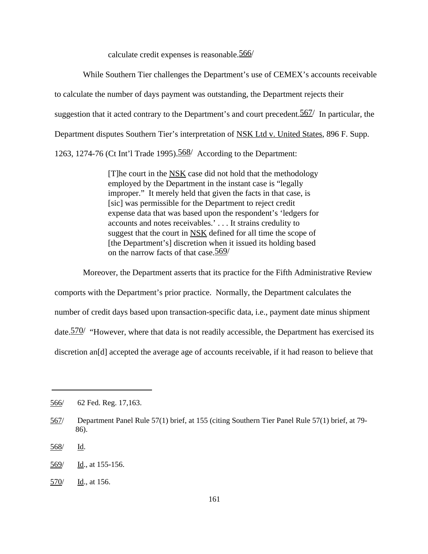calculate credit expenses is reasonable.566/

While Southern Tier challenges the Department's use of CEMEX's accounts receivable to calculate the number of days payment was outstanding, the Department rejects their suggestion that it acted contrary to the Department's and court precedent. 567/ In particular, the Department disputes Southern Tier's interpretation of NSK Ltd v. United States, 896 F. Supp. 1263, 1274-76 (Ct Int'l Trade 1995).568/ According to the Department:

> [T]he court in the NSK case did not hold that the methodology employed by the Department in the instant case is "legally improper." It merely held that given the facts in that case, is [sic] was permissible for the Department to reject credit expense data that was based upon the respondent's 'ledgers for accounts and notes receivables.' . . . It strains credulity to suggest that the court in NSK defined for all time the scope of [the Department's] discretion when it issued its holding based on the narrow facts of that case. 569/

Moreover, the Department asserts that its practice for the Fifth Administrative Review comports with the Department's prior practice. Normally, the Department calculates the number of credit days based upon transaction-specific data, i.e., payment date minus shipment date.570/"However, where that data is not readily accessible, the Department has exercised its discretion an[d] accepted the average age of accounts receivable, if it had reason to believe that

<sup>566/ 62</sup> Fed. Reg. 17,163.

<sup>567/</sup> Department Panel Rule 57(1) brief, at 155 (citing Southern Tier Panel Rule 57(1) brief, at 79- 86).

<sup>568/</sup> Id.

<sup>569/</sup> Id., at 155-156.

<sup>570/</sup> Id., at 156.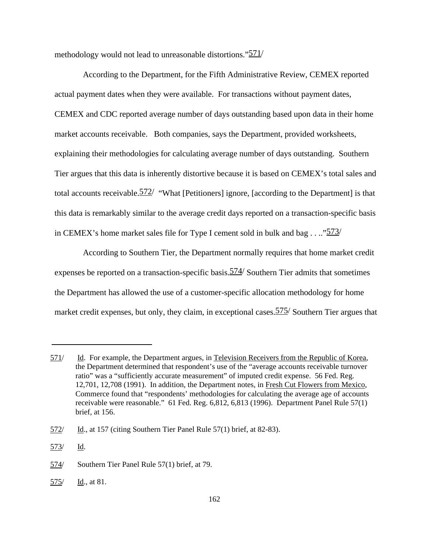methodology would not lead to unreasonable distortions."571/

According to the Department, for the Fifth Administrative Review, CEMEX reported actual payment dates when they were available. For transactions without payment dates, CEMEX and CDC reported average number of days outstanding based upon data in their home market accounts receivable. Both companies, says the Department, provided worksheets, explaining their methodologies for calculating average number of days outstanding. Southern Tier argues that this data is inherently distortive because it is based on CEMEX's total sales and total accounts receivable.572/ "What [Petitioners] ignore, [according to the Department] is that this data is remarkably similar to the average credit days reported on a transaction-specific basis in CEMEX's home market sales file for Type I cement sold in bulk and bag  $\ldots$  "573/

According to Southern Tier, the Department normally requires that home market credit expenses be reported on a transaction-specific basis.  $574/$  Southern Tier admits that sometimes the Department has allowed the use of a customer-specific allocation methodology for home market credit expenses, but only, they claim, in exceptional cases.  $575/$  Southern Tier argues that

<sup>571/</sup> Id. For example, the Department argues, in Television Receivers from the Republic of Korea, the Department determined that respondent's use of the "average accounts receivable turnover ratio" was a "sufficiently accurate measurement" of imputed credit expense. 56 Fed. Reg. 12,701, 12,708 (1991). In addition, the Department notes, in Fresh Cut Flowers from Mexico, Commerce found that "respondents' methodologies for calculating the average age of accounts receivable were reasonable." 61 Fed. Reg. 6,812, 6,813 (1996). Department Panel Rule 57(1) brief, at 156.

<sup>572/</sup> Id., at 157 (citing Southern Tier Panel Rule 57(1) brief, at 82-83).

<sup>573/</sup> Id.

<sup>574/</sup> Southern Tier Panel Rule 57(1) brief, at 79.

<sup>575/</sup> Id., at 81.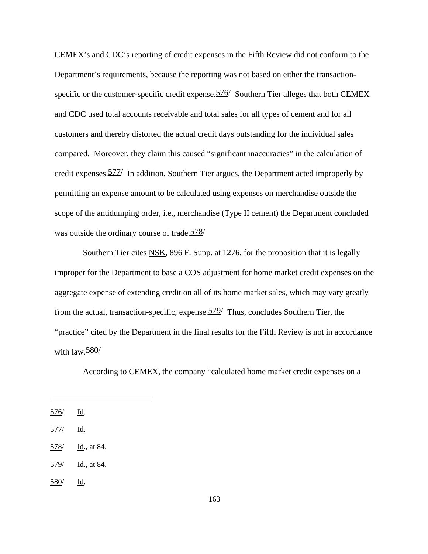CEMEX's and CDC's reporting of credit expenses in the Fifth Review did not conform to the Department's requirements, because the reporting was not based on either the transactionspecific or the customer-specific credit expense.  $576/$  Southern Tier alleges that both CEMEX and CDC used total accounts receivable and total sales for all types of cement and for all customers and thereby distorted the actual credit days outstanding for the individual sales compared. Moreover, they claim this caused "significant inaccuracies" in the calculation of credit expenses.577/ In addition, Southern Tier argues, the Department acted improperly by permitting an expense amount to be calculated using expenses on merchandise outside the scope of the antidumping order, i.e., merchandise (Type II cement) the Department concluded was outside the ordinary course of trade.578/

Southern Tier cites NSK, 896 F. Supp. at 1276, for the proposition that it is legally improper for the Department to base a COS adjustment for home market credit expenses on the aggregate expense of extending credit on all of its home market sales, which may vary greatly from the actual, transaction-specific, expense.  $579/$  Thus, concludes Southern Tier, the "practice" cited by the Department in the final results for the Fifth Review is not in accordance with  $\text{law}.\underline{580}/$ 

According to CEMEX, the company "calculated home market credit expenses on a

580/ Id.

<sup>576/</sup> Id.

<sup>577/</sup> Id.

<sup>578/</sup> Id., at 84.

 $579/$  Id., at 84.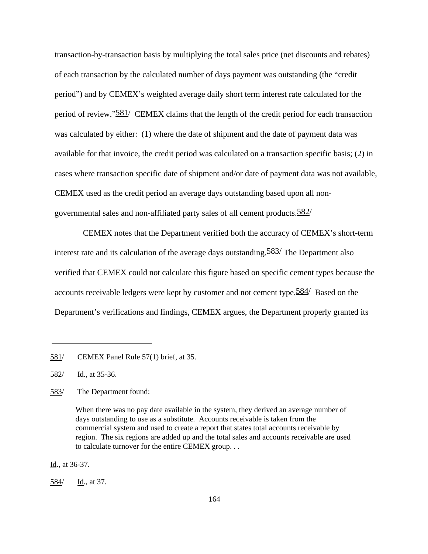transaction-by-transaction basis by multiplying the total sales price (net discounts and rebates) of each transaction by the calculated number of days payment was outstanding (the "credit period") and by CEMEX's weighted average daily short term interest rate calculated for the period of review."581/ CEMEX claims that the length of the credit period for each transaction was calculated by either: (1) where the date of shipment and the date of payment data was available for that invoice, the credit period was calculated on a transaction specific basis; (2) in cases where transaction specific date of shipment and/or date of payment data was not available, CEMEX used as the credit period an average days outstanding based upon all nongovernmental sales and non-affiliated party sales of all cement products. $\frac{582}{ }$ 

CEMEX notes that the Department verified both the accuracy of CEMEX's short-term interest rate and its calculation of the average days outstanding.<sup>583</sup>/ The Department also verified that CEMEX could not calculate this figure based on specific cement types because the accounts receivable ledgers were kept by customer and not cement type.<sup>584</sup> Based on the Department's verifications and findings, CEMEX argues, the Department properly granted its

583/ The Department found:

Id., at 36-37.

<sup>581/</sup> CEMEX Panel Rule 57(1) brief, at 35.

<sup>582/</sup> Id., at 35-36.

When there was no pay date available in the system, they derived an average number of days outstanding to use as a substitute. Accounts receivable is taken from the commercial system and used to create a report that states total accounts receivable by region. The six regions are added up and the total sales and accounts receivable are used to calculate turnover for the entire CEMEX group. . .

<sup>584/</sup> Id., at 37.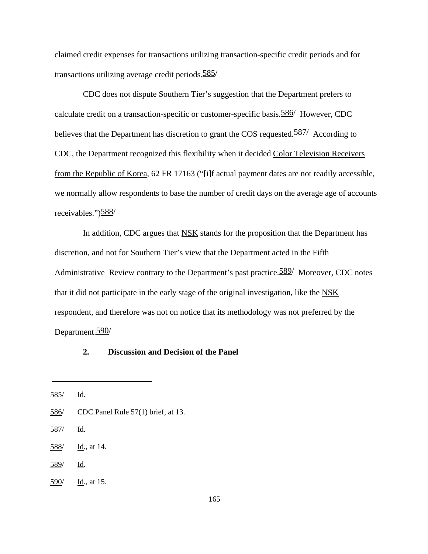claimed credit expenses for transactions utilizing transaction-specific credit periods and for transactions utilizing average credit periods.585/

CDC does not dispute Southern Tier's suggestion that the Department prefers to calculate credit on a transaction-specific or customer-specific basis.586/ However, CDC believes that the Department has discretion to grant the COS requested.<sup>587</sup>/ According to CDC, the Department recognized this flexibility when it decided Color Television Receivers from the Republic of Korea, 62 FR 17163 ("[i]f actual payment dates are not readily accessible, we normally allow respondents to base the number of credit days on the average age of accounts receivables.")588/

In addition, CDC argues that NSK stands for the proposition that the Department has discretion, and not for Southern Tier's view that the Department acted in the Fifth Administrative Review contrary to the Department's past practice. 589/ Moreover, CDC notes that it did not participate in the early stage of the original investigation, like the NSK respondent, and therefore was not on notice that its methodology was not preferred by the Department.590/

# **2. Discussion and Decision of the Panel**

<sup>585/</sup> Id.

<sup>586/</sup> CDC Panel Rule 57(1) brief, at 13.

<sup>587/</sup> Id.

<sup>588/</sup> Id., at 14.

<sup>589/</sup> Id.

<sup>590/</sup> Id., at 15.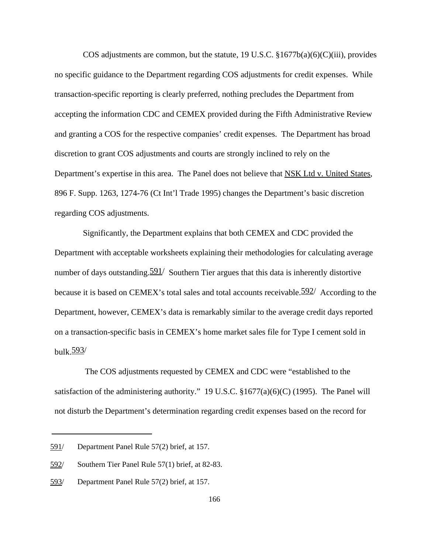COS adjustments are common, but the statute, 19 U.S.C.  $$1677b(a)(6)(C(iii))$ , provides no specific guidance to the Department regarding COS adjustments for credit expenses. While transaction-specific reporting is clearly preferred, nothing precludes the Department from accepting the information CDC and CEMEX provided during the Fifth Administrative Review and granting a COS for the respective companies' credit expenses. The Department has broad discretion to grant COS adjustments and courts are strongly inclined to rely on the Department's expertise in this area. The Panel does not believe that NSK Ltd v. United States, 896 F. Supp. 1263, 1274-76 (Ct Int'l Trade 1995) changes the Department's basic discretion regarding COS adjustments.

Significantly, the Department explains that both CEMEX and CDC provided the Department with acceptable worksheets explaining their methodologies for calculating average number of days outstanding.  $\frac{591}{ }$  Southern Tier argues that this data is inherently distortive because it is based on CEMEX's total sales and total accounts receivable.<sup>592/</sup> According to the Department, however, CEMEX's data is remarkably similar to the average credit days reported on a transaction-specific basis in CEMEX's home market sales file for Type I cement sold in bulk. $593/$ 

 The COS adjustments requested by CEMEX and CDC were "established to the satisfaction of the administering authority." 19 U.S.C. §1677(a)(6)(C) (1995). The Panel will not disturb the Department's determination regarding credit expenses based on the record for

<sup>591/</sup> Department Panel Rule 57(2) brief, at 157.

<sup>592/</sup> Southern Tier Panel Rule 57(1) brief, at 82-83.

<sup>593/</sup> Department Panel Rule 57(2) brief, at 157.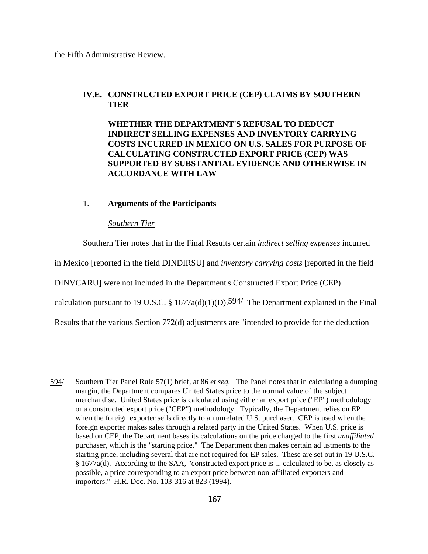the Fifth Administrative Review.

# **IV.E. CONSTRUCTED EXPORT PRICE (CEP) CLAIMS BY SOUTHERN TIER**

**WHETHER THE DEPARTMENT'S REFUSAL TO DEDUCT INDIRECT SELLING EXPENSES AND INVENTORY CARRYING COSTS INCURRED IN MEXICO ON U.S. SALES FOR PURPOSE OF CALCULATING CONSTRUCTED EXPORT PRICE (CEP) WAS SUPPORTED BY SUBSTANTIAL EVIDENCE AND OTHERWISE IN ACCORDANCE WITH LAW**

## 1. **Arguments of the Participants**

## *Southern Tier*

Southern Tier notes that in the Final Results certain *indirect selling expenses* incurred in Mexico [reported in the field DINDIRSU] and *inventory carrying costs* [reported in the field DINVCARU] were not included in the Department's Constructed Export Price (CEP) calculation pursuant to 19 U.S.C. § 1677a(d)(1)(D). $\frac{594}{ }$  The Department explained in the Final Results that the various Section 772(d) adjustments are "intended to provide for the deduction

<sup>594/</sup> Southern Tier Panel Rule 57(1) brief, at 86 *et seq*. The Panel notes that in calculating a dumping margin, the Department compares United States price to the normal value of the subject merchandise. United States price is calculated using either an export price ("EP") methodology or a constructed export price ("CEP") methodology. Typically, the Department relies on EP when the foreign exporter sells directly to an unrelated U.S. purchaser. CEP is used when the foreign exporter makes sales through a related party in the United States. When U.S. price is based on CEP, the Department bases its calculations on the price charged to the first *unaffiliated* purchaser, which is the "starting price." The Department then makes certain adjustments to the starting price, including several that are not required for EP sales. These are set out in 19 U.S.C. § 1677a(d). According to the SAA, "constructed export price is ... calculated to be, as closely as possible, a price corresponding to an export price between non-affiliated exporters and importers." H.R. Doc. No. 103-316 at 823 (1994).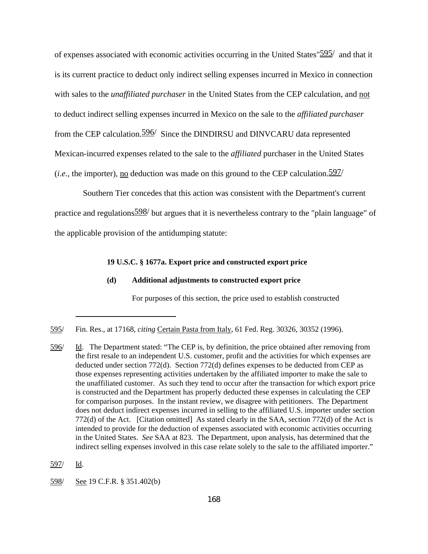of expenses associated with economic activities occurring in the United States"595/ and that it is its current practice to deduct only indirect selling expenses incurred in Mexico in connection with sales to the *unaffiliated purchaser* in the United States from the CEP calculation, and not to deduct indirect selling expenses incurred in Mexico on the sale to the *affiliated purchaser* from the CEP calculation.596/ Since the DINDIRSU and DINVCARU data represented Mexican-incurred expenses related to the sale to the *affiliated* purchaser in the United States (*i.e.*, the importer), no deduction was made on this ground to the CEP calculation.  $\frac{597}{ }$ 

Southern Tier concedes that this action was consistent with the Department's current practice and regulations598/ but argues that it is nevertheless contrary to the "plain language" of the applicable provision of the antidumping statute:

## **19 U.S.C. § 1677a. Export price and constructed export price**

## **(d) Additional adjustments to constructed export price**

For purposes of this section, the price used to establish constructed

<sup>595/</sup> Fin. Res., at 17168, *citing* Certain Pasta from Italy, 61 Fed. Reg. 30326, 30352 (1996).

<sup>596/</sup> Id. The Department stated: "The CEP is, by definition, the price obtained after removing from the first resale to an independent U.S. customer, profit and the activities for which expenses are deducted under section 772(d). Section 772(d) defines expenses to be deducted from CEP as those expenses representing activities undertaken by the affiliated importer to make the sale to the unaffiliated customer. As such they tend to occur after the transaction for which export price is constructed and the Department has properly deducted these expenses in calculating the CEP for comparison purposes. In the instant review, we disagree with petitioners. The Department does not deduct indirect expenses incurred in selling to the affiliated U.S. importer under section 772(d) of the Act. [Citation omitted] As stated clearly in the SAA, section 772(d) of the Act is intended to provide for the deduction of expenses associated with economic activities occurring in the United States. *See* SAA at 823. The Department, upon analysis, has determined that the indirect selling expenses involved in this case relate solely to the sale to the affiliated importer."

<sup>597/</sup> Id.

<sup>598/</sup> See 19 C.F.R. § 351.402(b)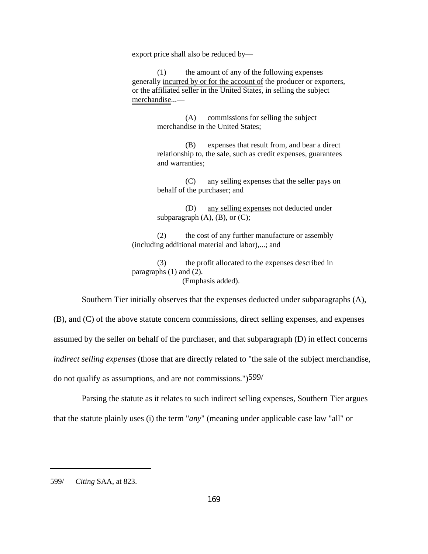export price shall also be reduced by—

(1) the amount of any of the following expenses generally incurred by or for the account of the producer or exporters, or the affiliated seller in the United States, in selling the subject merchandise...—

> (A) commissions for selling the subject merchandise in the United States;

(B) expenses that result from, and bear a direct relationship to, the sale, such as credit expenses, guarantees and warranties;

(C) any selling expenses that the seller pays on behalf of the purchaser; and

(D) any selling expenses not deducted under subparagraph  $(A)$ ,  $(B)$ , or  $(C)$ ;

(2) the cost of any further manufacture or assembly (including additional material and labor),...; and

(3) the profit allocated to the expenses described in paragraphs (1) and (2). (Emphasis added).

Southern Tier initially observes that the expenses deducted under subparagraphs (A),

(B), and (C) of the above statute concern commissions, direct selling expenses, and expenses assumed by the seller on behalf of the purchaser, and that subparagraph (D) in effect concerns *indirect selling expenses* (those that are directly related to "the sale of the subject merchandise, do not qualify as assumptions, and are not commissions." $599/$ 

Parsing the statute as it relates to such indirect selling expenses, Southern Tier argues that the statute plainly uses (i) the term "*any*" (meaning under applicable case law "all" or

<sup>599/</sup> *Citing* SAA, at 823.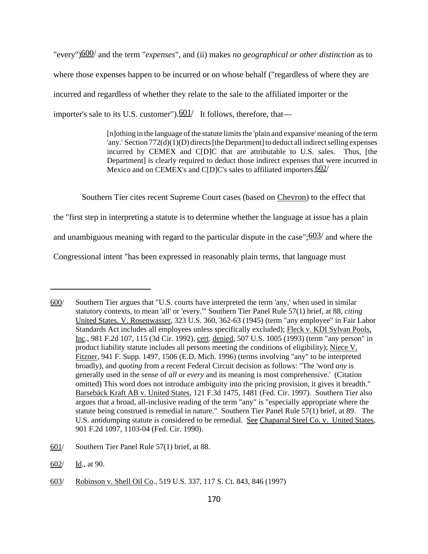"every")600/ and the term "*expenses*", and (ii) makes *no geographical or other distinction* as to where those expenses happen to be incurred or on whose behalf ("regardless of where they are incurred and regardless of whether they relate to the sale to the affiliated importer or the importer's sale to its U.S. customer").  $601/$  It follows, therefore, that—

> [n]othing in the language of the statute limits the 'plain and expansive' meaning of the term 'any.' Section 772(d)(1)(D) directs [the Department] to deduct all indirect selling expenses incurred by CEMEX and C[D]C that are attributable to U.S. sales. Thus, [the Department] is clearly required to deduct those indirect expenses that were incurred in Mexico and on CEMEX's and C[D]C's sales to affiliated importers. 602/

Southern Tier cites recent Supreme Court cases (based on Chevron) to the effect that

the "first step in interpreting a statute is to determine whether the language at issue has a plain

and unambiguous meaning with regard to the particular dispute in the case"; $\frac{603}{ }$  and where the

Congressional intent "has been expressed in reasonably plain terms, that language must

602/ Id., at 90.

<sup>600/</sup> Southern Tier argues that "U.S. courts have interpreted the term 'any,' when used in similar statutory contexts, to mean 'all' or 'every.'" Southern Tier Panel Rule 57(1) brief, at 88, *citing* United States. V. Rosenwasser, 323 U.S. 360, 362-63 (1945) (term "any employee" in Fair Labor Standards Act includes all employees unless specifically excluded); Fleck v. KDI Sylvan Pools, Inc., 981 F.2d 107, 115 (3d Cir. 1992), cert. denied, 507 U.S. 1005 (1993) (term "any person" in product liability statute includes all persons meeting the conditions of eligibility); Niece V. Fitzner, 941 F. Supp. 1497, 1506 (E.D. Mich. 1996) (terms involving "any" to be interpreted broadly), and *quoting* from a recent Federal Circuit decision as follows: "The 'word *any* is generally used in the sense of *all* or *every* and its meaning is most comprehensive.' (Citation omitted) This word does not introduce ambiguity into the pricing provision, it gives it breadth." Barsebäck Kraft AB v. United States, 121 F.3d 1475, 1481 (Fed. Cir. 1997). Southern Tier also argues that a broad, all-inclusive reading of the term "any" is "especially appropriate where the statute being construed is remedial in nature." Southern Tier Panel Rule 57(1) brief, at 89. The U.S. antidumping statute is considered to be remedial. See Chaparral Steel Co. v. United States, 901 F.2d 1097, 1103-04 (Fed. Cir. 1990).

<sup>601/</sup> Southern Tier Panel Rule 57(1) brief, at 88.

<sup>603/</sup> Robinson v. Shell Oil Co., 519 U.S. 337, 117 S. Ct. 843, 846 (1997)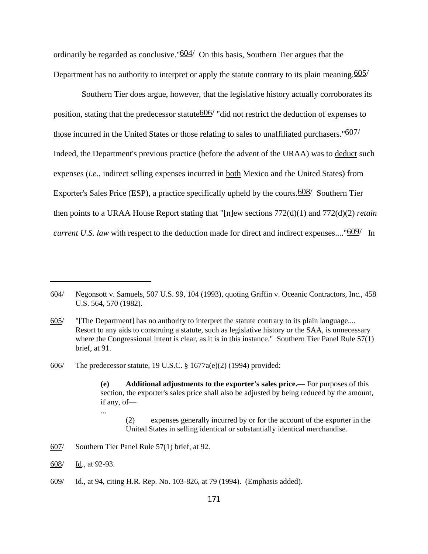ordinarily be regarded as conclusive. " $604/$  On this basis, Southern Tier argues that the Department has no authority to interpret or apply the statute contrary to its plain meaning. 605/

Southern Tier does argue, however, that the legislative history actually corroborates its position, stating that the predecessor statute  $606/$  "did not restrict the deduction of expenses to those incurred in the United States or those relating to sales to unaffiliated purchasers." $607/$ Indeed, the Department's previous practice (before the advent of the URAA) was to deduct such expenses (*i.e.*, indirect selling expenses incurred in both Mexico and the United States) from Exporter's Sales Price (ESP), a practice specifically upheld by the courts. $\frac{608}{ }$  Southern Tier then points to a URAA House Report stating that "[n]ew sections 772(d)(1) and 772(d)(2) *retain current U.S. law* with respect to the deduction made for direct and indirect expenses...."<sup>609</sup>/ In

...

<sup>604/</sup> Negonsott v. Samuels, 507 U.S. 99, 104 (1993), quoting Griffin v. Oceanic Contractors, Inc., 458 U.S. 564, 570 (1982).

<sup>605/</sup> "[The Department] has no authority to interpret the statute contrary to its plain language.... Resort to any aids to construing a statute, such as legislative history or the SAA, is unnecessary where the Congressional intent is clear, as it is in this instance." Southern Tier Panel Rule 57(1) brief, at 91.

<sup>606/</sup> The predecessor statute, 19 U.S.C. § 1677a(e)(2) (1994) provided:

**<sup>(</sup>e) Additional adjustments to the exporter's sales price.—** For purposes of this section, the exporter's sales price shall also be adjusted by being reduced by the amount, if any, of—

<sup>(2)</sup> expenses generally incurred by or for the account of the exporter in the United States in selling identical or substantially identical merchandise.

<sup>607/</sup> Southern Tier Panel Rule 57(1) brief, at 92.

<sup>608/</sup> Id., at 92-93.

<sup>609/</sup> Id., at 94, citing H.R. Rep. No. 103-826, at 79 (1994). (Emphasis added).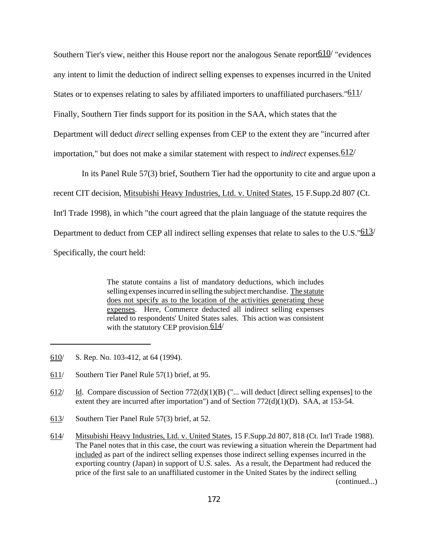Southern Tier's view, neither this House report nor the analogous Senate report  $610/$  "evidences" any intent to limit the deduction of indirect selling expenses to expenses incurred in the United States or to expenses relating to sales by affiliated importers to unaffiliated purchasers."<sup>611</sup>/ Finally, Southern Tier finds support for its position in the SAA, which states that the Department will deduct *direct* selling expenses from CEP to the extent they are "incurred after importation," but does not make a similar statement with respect to *indirect* expenses.612/

In its Panel Rule 57(3) brief, Southern Tier had the opportunity to cite and argue upon a recent CIT decision, Mitsubishi Heavy Industries, Ltd. v. United States, 15 F.Supp.2d 807 (Ct. Int'l Trade 1998), in which "the court agreed that the plain language of the statute requires the Department to deduct from CEP all indirect selling expenses that relate to sales to the U.S." $\frac{613}{ }$ Specifically, the court held:

> The statute contains a list of mandatory deductions, which includes selling expenses incurred in selling the subject merchandise. The statute does not specify as to the location of the activities generating these expenses. Here, Commerce deducted all indirect selling expenses related to respondents' United States sales. This action was consistent with the statutory CEP provision.  $614/$

- 610/ S. Rep. No. 103-412, at 64 (1994).
- 611/ Southern Tier Panel Rule 57(1) brief, at 95.
- 612/ Id. Compare discussion of Section  $772(d)(1)(B)$  ("... will deduct [direct selling expenses] to the extent they are incurred after importation") and of Section  $772(d)(1)(D)$ . SAA, at 153-54.
- 613/ Southern Tier Panel Rule 57(3) brief, at 52.
- 614/ Mitsubishi Heavy Industries, Ltd. v. United States, 15 F.Supp.2d 807, 818 (Ct. Int'l Trade 1988). The Panel notes that in this case, the court was reviewing a situation wherein the Department had included as part of the indirect selling expenses those indirect selling expenses incurred in the exporting country (Japan) in support of U.S. sales. As a result, the Department had reduced the price of the first sale to an unaffiliated customer in the United States by the indirect selling (continued...)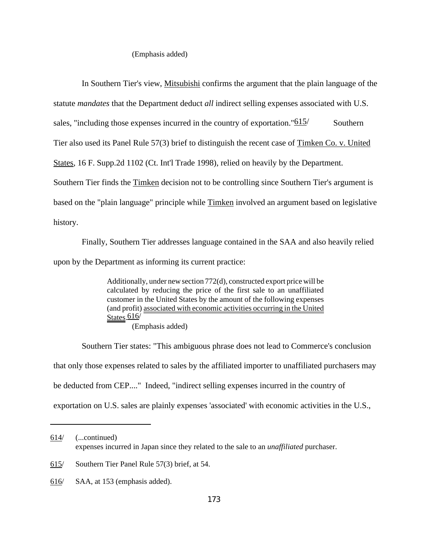#### (Emphasis added)

In Southern Tier's view, Mitsubishi confirms the argument that the plain language of the statute *mandates* that the Department deduct *all* indirect selling expenses associated with U.S. sales, "including those expenses incurred in the country of exportation." $\frac{615}{ }$  Southern Tier also used its Panel Rule 57(3) brief to distinguish the recent case of Timken Co. v. United States, 16 F. Supp.2d 1102 (Ct. Int'l Trade 1998), relied on heavily by the Department. Southern Tier finds the Timken decision not to be controlling since Southern Tier's argument is based on the "plain language" principle while Timken involved an argument based on legislative history.

Finally, Southern Tier addresses language contained in the SAA and also heavily relied upon by the Department as informing its current practice:

> Additionally, under new section 772(d), constructed export price will be calculated by reducing the price of the first sale to an unaffiliated customer in the United States by the amount of the following expenses (and profit) associated with economic activities occurring in the United States. 616/ (Emphasis added)

Southern Tier states: "This ambiguous phrase does not lead to Commerce's conclusion that only those expenses related to sales by the affiliated importer to unaffiliated purchasers may be deducted from CEP...." Indeed, "indirect selling expenses incurred in the country of exportation on U.S. sales are plainly expenses 'associated' with economic activities in the U.S.,

<sup>614/</sup> (...continued) expenses incurred in Japan since they related to the sale to an *unaffiliated* purchaser.

<sup>615/</sup> Southern Tier Panel Rule 57(3) brief, at 54.

<sup>616/</sup> SAA, at 153 (emphasis added).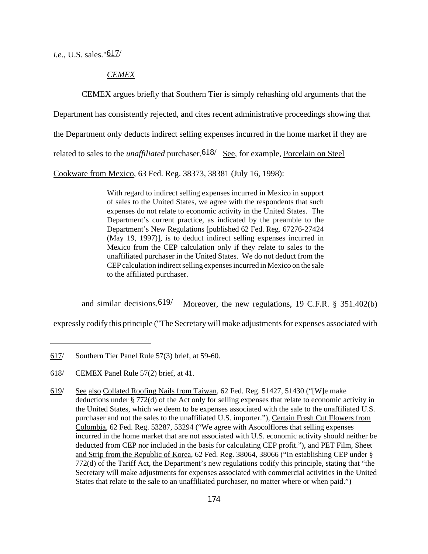*i.e.*, U.S. sales."617/

# *CEMEX*

CEMEX argues briefly that Southern Tier is simply rehashing old arguments that the

Department has consistently rejected, and cites recent administrative proceedings showing that

the Department only deducts indirect selling expenses incurred in the home market if they are

related to sales to the *unaffiliated* purchaser. 618/ See, for example, Porcelain on Steel

Cookware from Mexico, 63 Fed. Reg. 38373, 38381 (July 16, 1998):

With regard to indirect selling expenses incurred in Mexico in support of sales to the United States, we agree with the respondents that such expenses do not relate to economic activity in the United States. The Department's current practice, as indicated by the preamble to the Department's New Regulations [published 62 Fed. Reg. 67276-27424 (May 19, 1997)], is to deduct indirect selling expenses incurred in Mexico from the CEP calculation only if they relate to sales to the unaffiliated purchaser in the United States. We do not deduct from the CEP calculation indirect selling expenses incurred in Mexico on the sale to the affiliated purchaser.

and similar decisions. $\frac{619}{ }$  Moreover, the new regulations, 19 C.F.R. § 351.402(b)

expressly codify this principle ("The Secretary will make adjustmentsfor expenses associated with

<sup>617/</sup> Southern Tier Panel Rule 57(3) brief, at 59-60.

<sup>618/</sup> CEMEX Panel Rule 57(2) brief, at 41.

<sup>619/</sup> See also Collated Roofing Nails from Taiwan, 62 Fed. Reg. 51427, 51430 ("[W]e make deductions under § 772(d) of the Act only for selling expenses that relate to economic activity in the United States, which we deem to be expenses associated with the sale to the unaffiliated U.S. purchaser and not the sales to the unaffiliated U.S. importer."), Certain Fresh Cut Flowers from Colombia, 62 Fed. Reg. 53287, 53294 ("We agree with Asocolflores that selling expenses incurred in the home market that are not associated with U.S. economic activity should neither be deducted from CEP nor included in the basis for calculating CEP profit."), and PET Film, Sheet and Strip from the Republic of Korea, 62 Fed. Reg. 38064, 38066 ("In establishing CEP under § 772(d) of the Tariff Act, the Department's new regulations codify this principle, stating that "the Secretary will make adjustments for expenses associated with commercial activities in the United States that relate to the sale to an unaffiliated purchaser, no matter where or when paid.")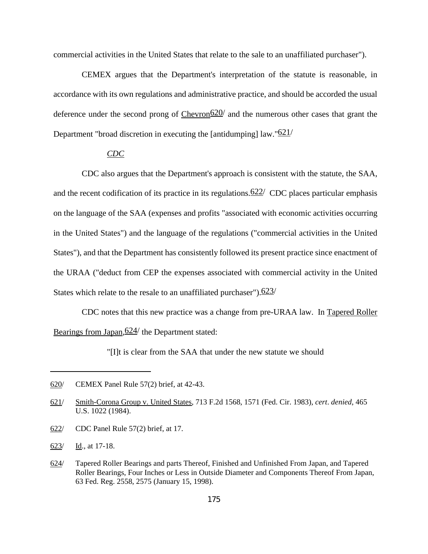commercial activities in the United States that relate to the sale to an unaffiliated purchaser").

CEMEX argues that the Department's interpretation of the statute is reasonable, in accordance with its own regulations and administrative practice, and should be accorded the usual deference under the second prong of Chevron $620/$  and the numerous other cases that grant the Department "broad discretion in executing the [antidumping] law. " $621/$ 

# *CDC*

CDC also argues that the Department's approach is consistent with the statute, the SAA, and the recent codification of its practice in its regulations.  $622/$  CDC places particular emphasis on the language of the SAA (expenses and profits "associated with economic activities occurring in the United States") and the language of the regulations ("commercial activities in the United States"), and that the Department has consistently followed its present practice since enactment of the URAA ("deduct from CEP the expenses associated with commercial activity in the United States which relate to the resale to an unaffiliated purchaser"). $623/$ 

CDC notes that this new practice was a change from pre-URAA law. In Tapered Roller Bearings from Japan,  $624/$  the Department stated:

"[I]t is clear from the SAA that under the new statute we should

622/ CDC Panel Rule 57(2) brief, at 17.

<sup>620/</sup> CEMEX Panel Rule 57(2) brief, at 42-43.

<sup>621/</sup> Smith-Corona Group v. United States, 713 F.2d 1568, 1571 (Fed. Cir. 1983), *cert*. *denied*, 465 U.S. 1022 (1984).

<sup>623/</sup> Id., at 17-18.

<sup>624/</sup> Tapered Roller Bearings and parts Thereof, Finished and Unfinished From Japan, and Tapered Roller Bearings, Four Inches or Less in Outside Diameter and Components Thereof From Japan, 63 Fed. Reg. 2558, 2575 (January 15, 1998).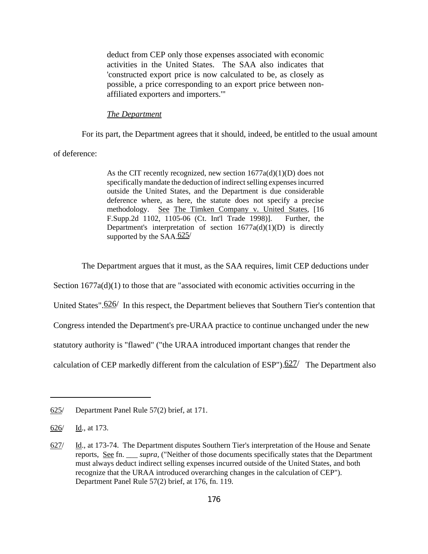deduct from CEP only those expenses associated with economic activities in the United States. The SAA also indicates that 'constructed export price is now calculated to be, as closely as possible, a price corresponding to an export price between nonaffiliated exporters and importers.'"

#### *The Department*

For its part, the Department agrees that it should, indeed, be entitled to the usual amount

of deference:

As the CIT recently recognized, new section  $1677a(d)(1)(D)$  does not specifically mandate the deduction of indirect selling expenses incurred outside the United States, and the Department is due considerable deference where, as here, the statute does not specify a precise methodology. See The Timken Company v. United States, [16 F.Supp.2d 1102, 1105-06 (Ct. Int'l Trade 1998)]. Further, the Department's interpretation of section  $1677a(d)(1)(D)$  is directly supported by the  $SAA.625/$ 

The Department argues that it must, as the SAA requires, limit CEP deductions under

Section  $1677a(d)(1)$  to those that are "associated with economic activities occurring in the

United States".  $626/$  In this respect, the Department believes that Southern Tier's contention that

Congress intended the Department's pre-URAA practice to continue unchanged under the new

statutory authority is "flawed" ("the URAA introduced important changes that render the

calculation of CEP markedly different from the calculation of ESP"). $627/$  The Department also

<sup>625/</sup> Department Panel Rule 57(2) brief, at 171.

<sup>626/</sup> Id., at 173.

<sup>627/</sup> Id., at 173-74. The Department disputes Southern Tier's interpretation of the House and Senate reports, See fn. \_\_\_ *supra,* ("Neither of those documents specifically states that the Department must always deduct indirect selling expenses incurred outside of the United States, and both recognize that the URAA introduced overarching changes in the calculation of CEP"). Department Panel Rule 57(2) brief, at 176, fn. 119.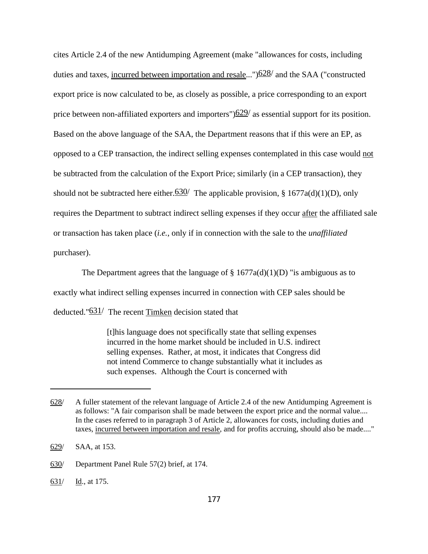cites Article 2.4 of the new Antidumping Agreement (make "allowances for costs, including duties and taxes, incurred between importation and resale..." $628/$  and the SAA ("constructed") export price is now calculated to be, as closely as possible, a price corresponding to an export price between non-affiliated exporters and importers" $\frac{629}{ }$  as essential support for its position. Based on the above language of the SAA, the Department reasons that if this were an EP, as opposed to a CEP transaction, the indirect selling expenses contemplated in this case would not be subtracted from the calculation of the Export Price; similarly (in a CEP transaction), they should not be subtracted here either.  $630/$  The applicable provision, § 1677a(d)(1)(D), only requires the Department to subtract indirect selling expenses if they occur after the affiliated sale or transaction has taken place (*i.e.*, only if in connection with the sale to the *unaffiliated* purchaser).

The Department agrees that the language of  $\S 1677a(d)(1)(D)$  "is ambiguous as to exactly what indirect selling expenses incurred in connection with CEP sales should be deducted."631/ The recent Timken decision stated that

> [t]his language does not specifically state that selling expenses incurred in the home market should be included in U.S. indirect selling expenses. Rather, at most, it indicates that Congress did not intend Commerce to change substantially what it includes as such expenses. Although the Court is concerned with

631/ Id., at 175.

<sup>628/</sup> A fuller statement of the relevant language of Article 2.4 of the new Antidumping Agreement is as follows: "A fair comparison shall be made between the export price and the normal value.... In the cases referred to in paragraph 3 of Article 2, allowances for costs, including duties and taxes, incurred between importation and resale, and for profits accruing, should also be made...."

<sup>629/</sup> SAA, at 153.

<sup>630/</sup> Department Panel Rule 57(2) brief, at 174.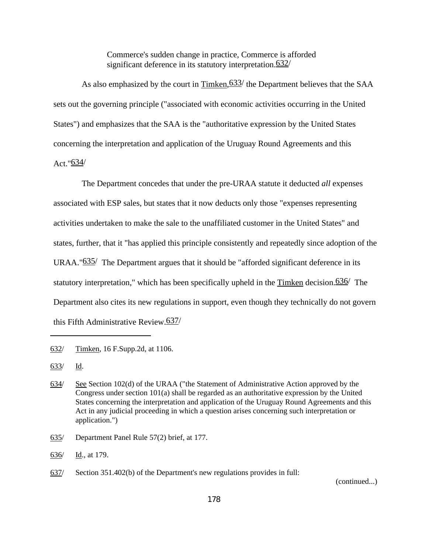Commerce's sudden change in practice, Commerce is afforded significant deference in its statutory interpretation. 632/

As also emphasized by the court in  $Timken, 633$  the Department believes that the SAA</u> sets out the governing principle ("associated with economic activities occurring in the United States") and emphasizes that the SAA is the "authoritative expression by the United States concerning the interpretation and application of the Uruguay Round Agreements and this Act." $634/$ 

The Department concedes that under the pre-URAA statute it deducted *all* expenses associated with ESP sales, but states that it now deducts only those "expenses representing activities undertaken to make the sale to the unaffiliated customer in the United States" and states, further, that it "has applied this principle consistently and repeatedly since adoption of the URAA." $635/$  The Department argues that it should be "afforded significant deference in its statutory interpretation," which has been specifically upheld in the Timken decision.636/ The Department also cites its new regulations in support, even though they technically do not govern this Fifth Administrative Review.637/

635/ Department Panel Rule 57(2) brief, at 177.

(continued...)

<sup>632/</sup> Timken, 16 F.Supp.2d, at 1106.

<sup>633/</sup> Id.

<sup>634/</sup> See Section 102(d) of the URAA ("the Statement of Administrative Action approved by the Congress under section 101(a) shall be regarded as an authoritative expression by the United States concerning the interpretation and application of the Uruguay Round Agreements and this Act in any judicial proceeding in which a question arises concerning such interpretation or application.")

<sup>636/</sup> Id., at 179.

<sup>637/</sup> Section 351.402(b) of the Department's new regulations provides in full: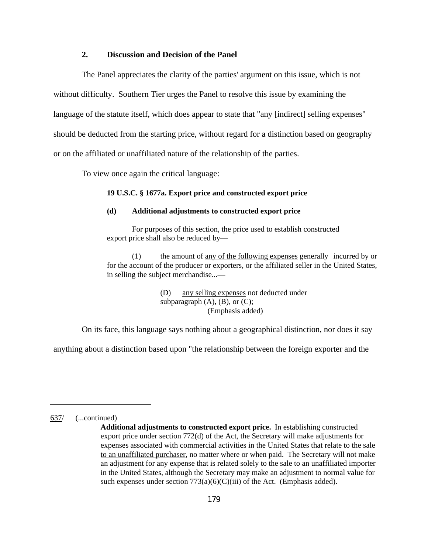## **2. Discussion and Decision of the Panel**

The Panel appreciates the clarity of the parties' argument on this issue, which is not without difficulty. Southern Tier urges the Panel to resolve this issue by examining the language of the statute itself, which does appear to state that "any [indirect] selling expenses" should be deducted from the starting price, without regard for a distinction based on geography or on the affiliated or unaffiliated nature of the relationship of the parties.

To view once again the critical language:

#### **19 U.S.C. § 1677a. Export price and constructed export price**

## **(d) Additional adjustments to constructed export price**

For purposes of this section, the price used to establish constructed export price shall also be reduced by—

(1) the amount of any of the following expenses generally incurred by or for the account of the producer or exporters, or the affiliated seller in the United States, in selling the subject merchandise...—

> (D) any selling expenses not deducted under subparagraph  $(A)$ ,  $(B)$ , or  $(C)$ ; (Emphasis added)

On its face, this language says nothing about a geographical distinction, nor does it say

anything about a distinction based upon "the relationship between the foreign exporter and the

637/ (...continued)

**Additional adjustments to constructed export price.** In establishing constructed export price under section 772(d) of the Act, the Secretary will make adjustments for expenses associated with commercial activities in the United States that relate to the sale to an unaffiliated purchaser, no matter where or when paid. The Secretary will not make an adjustment for any expense that is related solely to the sale to an unaffiliated importer in the United States, although the Secretary may make an adjustment to normal value for such expenses under section  $773(a)(6)(C)(iii)$  of the Act. (Emphasis added).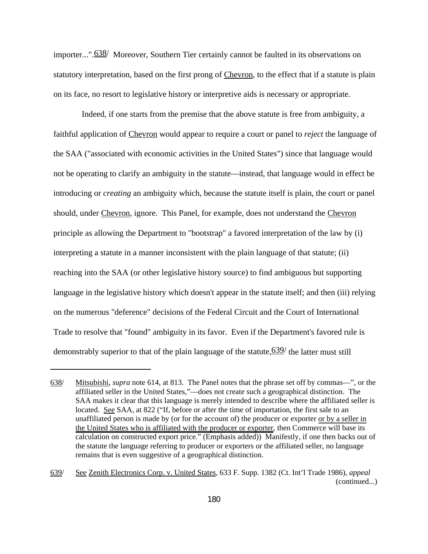importer...". 638/ Moreover, Southern Tier certainly cannot be faulted in its observations on statutory interpretation, based on the first prong of Chevron, to the effect that if a statute is plain on its face, no resort to legislative history or interpretive aids is necessary or appropriate.

Indeed, if one starts from the premise that the above statute is free from ambiguity, a faithful application of Chevron would appear to require a court or panel to *reject* the language of the SAA ("associated with economic activities in the United States") since that language would not be operating to clarify an ambiguity in the statute—instead, that language would in effect be introducing or *creating* an ambiguity which, because the statute itself is plain, the court or panel should, under Chevron, ignore. This Panel, for example, does not understand the Chevron principle as allowing the Department to "bootstrap" a favored interpretation of the law by (i) interpreting a statute in a manner inconsistent with the plain language of that statute; (ii) reaching into the SAA (or other legislative history source) to find ambiguous but supporting language in the legislative history which doesn't appear in the statute itself; and then (iii) relying on the numerous "deference" decisions of the Federal Circuit and the Court of International Trade to resolve that "found" ambiguity in its favor. Even if the Department's favored rule is demonstrably superior to that of the plain language of the statute,  $639/$  the latter must still

<sup>638/</sup> Mitsubishi, *supra* note 614, at 813. The Panel notes that the phrase set off by commas—", or the affiliated seller in the United States,"—does not create such a geographical distinction. The SAA makes it clear that this language is merely intended to describe where the affiliated seller is located. See SAA, at 822 ("If, before or after the time of importation, the first sale to an unaffiliated person is made by (or for the account of) the producer or exporter or by a seller in the United States who is affiliated with the producer or exporter, then Commerce will base its calculation on constructed export price." (Emphasis added)) Manifestly, if one then backs out of the statute the language referring to producer or exporters or the affiliated seller, no language remains that is even suggestive of a geographical distinction.

<sup>639/</sup> See Zenith Electronics Corp. v. United States, 633 F. Supp. 1382 (Ct. Int'l Trade 1986), *appeal* (continued...)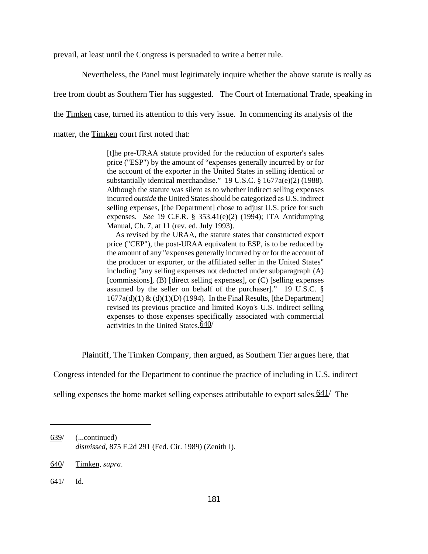prevail, at least until the Congress is persuaded to write a better rule.

Nevertheless, the Panel must legitimately inquire whether the above statute is really as

free from doubt as Southern Tier has suggested. The Court of International Trade, speaking in

the Timken case, turned its attention to this very issue. In commencing its analysis of the

matter, the Timken court first noted that:

[t]he pre-URAA statute provided for the reduction of exporter's sales price ("ESP") by the amount of "expenses generally incurred by or for the account of the exporter in the United States in selling identical or substantially identical merchandise." 19 U.S.C. § 1677a(e)(2) (1988). Although the statute was silent as to whether indirect selling expenses incurred *outside* the United States should be categorized as U.S. indirect selling expenses, [the Department] chose to adjust U.S. price for such expenses. *See* 19 C.F.R. § 353.41(e)(2) (1994); ITA Antidumping Manual, Ch. 7, at 11 (rev. ed. July 1993).

 As revised by the URAA, the statute states that constructed export price ("CEP"), the post-URAA equivalent to ESP, is to be reduced by the amount of any "expenses generally incurred by or for the account of the producer or exporter, or the affiliated seller in the United States" including "any selling expenses not deducted under subparagraph (A) [commissions], (B) [direct selling expenses], or (C) [selling expenses assumed by the seller on behalf of the purchaser]." 19 U.S.C. §  $1677a(d)(1) & (d)(1)(D)$  (1994). In the Final Results, [the Department] revised its previous practice and limited Koyo's U.S. indirect selling expenses to those expenses specifically associated with commercial activities in the United States  $\overline{640/}$ 

Plaintiff, The Timken Company, then argued, as Southern Tier argues here, that

Congress intended for the Department to continue the practice of including in U.S. indirect

selling expenses the home market selling expenses attributable to export sales.  $\frac{641}{ }$  The

<sup>639/</sup> (...continued) *dismissed*, 875 F.2d 291 (Fed. Cir. 1989) (Zenith I).

<sup>640/</sup> Timken, *supra*.

<sup>641/</sup> Id.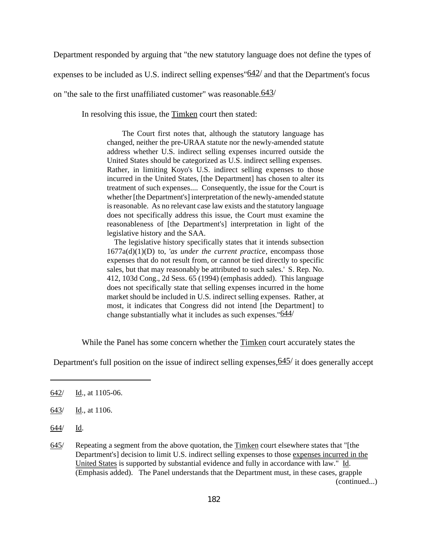Department responded by arguing that "the new statutory language does not define the types of

expenses to be included as U.S. indirect selling expenses  $642/$  and that the Department's focus

on "the sale to the first unaffiliated customer" was reasonable. $643/$ 

In resolving this issue, the Timken court then stated:

 The Court first notes that, although the statutory language has changed, neither the pre-URAA statute nor the newly-amended statute address whether U.S. indirect selling expenses incurred outside the United States should be categorized as U.S. indirect selling expenses. Rather, in limiting Koyo's U.S. indirect selling expenses to those incurred in the United States, [the Department] has chosen to alter its treatment of such expenses.... Consequently, the issue for the Court is whether [the Department's] interpretation of the newly-amended statute is reasonable. As no relevant case law exists and the statutory language does not specifically address this issue, the Court must examine the reasonableness of [the Department's] interpretation in light of the legislative history and the SAA.

 The legislative history specifically states that it intends subsection 1677a(d)(1)(D) to, '*as under the current practice*, encompass those expenses that do not result from, or cannot be tied directly to specific sales, but that may reasonably be attributed to such sales.' S. Rep. No. 412, 103d Cong., 2d Sess. 65 (1994) (emphasis added). This language does not specifically state that selling expenses incurred in the home market should be included in U.S. indirect selling expenses. Rather, at most, it indicates that Congress did not intend [the Department] to change substantially what it includes as such expenses.  $644/$ 

While the Panel has some concern whether the Timken court accurately states the

Department's full position on the issue of indirect selling expenses,  $645/$  it does generally accept

644/ Id.

<sup>642/</sup> Id., at 1105-06.

<sup>643/</sup> Id., at 1106.

<sup>645/</sup> Repeating a segment from the above quotation, the Timken court elsewhere states that "[the Department's] decision to limit U.S. indirect selling expenses to those expenses incurred in the United States is supported by substantial evidence and fully in accordance with law." Id. (Emphasis added). The Panel understands that the Department must, in these cases, grapple (continued...)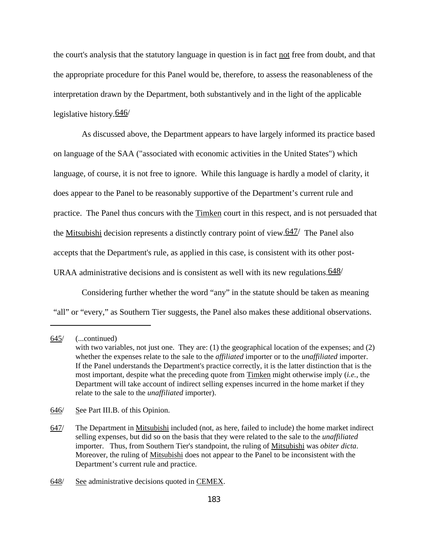the court's analysis that the statutory language in question is in fact not free from doubt, and that the appropriate procedure for this Panel would be, therefore, to assess the reasonableness of the interpretation drawn by the Department, both substantively and in the light of the applicable legislative history. 646/

As discussed above, the Department appears to have largely informed its practice based on language of the SAA ("associated with economic activities in the United States") which language, of course, it is not free to ignore. While this language is hardly a model of clarity, it does appear to the Panel to be reasonably supportive of the Department's current rule and practice. The Panel thus concurs with the Timken court in this respect, and is not persuaded that the Mitsubishi decision represents a distinctly contrary point of view.<sup>647/</sup> The Panel also accepts that the Department's rule, as applied in this case, is consistent with its other post-URAA administrative decisions and is consistent as well with its new regulations.  $648/$ 

Considering further whether the word "any" in the statute should be taken as meaning "all" or "every," as Southern Tier suggests, the Panel also makes these additional observations.

<sup>645/</sup> (...continued) with two variables, not just one. They are: (1) the geographical location of the expenses; and (2) whether the expenses relate to the sale to the *affiliated* importer or to the *unaffiliated* importer. If the Panel understands the Department's practice correctly, it is the latter distinction that is the most important, despite what the preceding quote from Timken might otherwise imply (*i.e.*, the Department will take account of indirect selling expenses incurred in the home market if they relate to the sale to the *unaffiliated* importer).

<sup>646/</sup> See Part III.B. of this Opinion.

<sup>647/</sup> The Department in Mitsubishi included (not, as here, failed to include) the home market indirect selling expenses, but did so on the basis that they were related to the sale to the *unaffiliated* importer. Thus, from Southern Tier's standpoint, the ruling of Mitsubishi was *obiter dicta*. Moreover, the ruling of Mitsubishi does not appear to the Panel to be inconsistent with the Department's current rule and practice.

<sup>648/</sup> See administrative decisions quoted in CEMEX.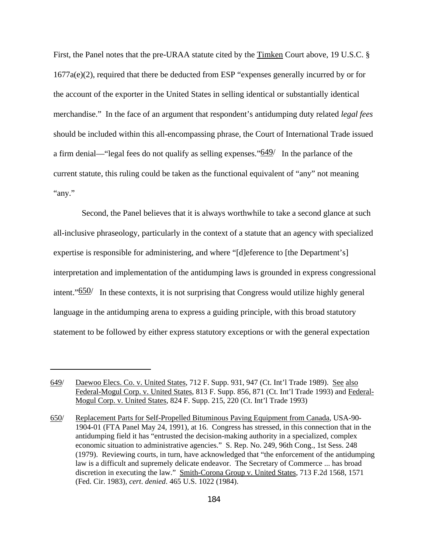First, the Panel notes that the pre-URAA statute cited by the Timken Court above, 19 U.S.C. § 1677a(e)(2), required that there be deducted from ESP "expenses generally incurred by or for the account of the exporter in the United States in selling identical or substantially identical merchandise." In the face of an argument that respondent's antidumping duty related *legal fees* should be included within this all-encompassing phrase, the Court of International Trade issued a firm denial—"legal fees do not qualify as selling expenses." $649/$  In the parlance of the current statute, this ruling could be taken as the functional equivalent of "any" not meaning "any."

Second, the Panel believes that it is always worthwhile to take a second glance at such all-inclusive phraseology, particularly in the context of a statute that an agency with specialized expertise is responsible for administering, and where "[d]eference to [the Department's] interpretation and implementation of the antidumping laws is grounded in express congressional intent." $650/$  In these contexts, it is not surprising that Congress would utilize highly general language in the antidumping arena to express a guiding principle, with this broad statutory statement to be followed by either express statutory exceptions or with the general expectation

<sup>649/</sup> Daewoo Elecs. Co. v. United States, 712 F. Supp. 931, 947 (Ct. Int'l Trade 1989). See also Federal-Mogul Corp. v. United States, 813 F. Supp. 856, 871 (Ct. Int'l Trade 1993) and Federal-Mogul Corp. v. United States, 824 F. Supp. 215, 220 (Ct. Int'l Trade 1993)

<sup>650/</sup> Replacement Parts for Self-Propelled Bituminous Paving Equipment from Canada, USA-90- 1904-01 (FTA Panel May 24, 1991), at 16. Congress has stressed, in this connection that in the antidumping field it has "entrusted the decision-making authority in a specialized, complex economic situation to administrative agencies." S. Rep. No. 249, 96th Cong., 1st Sess. 248 (1979). Reviewing courts, in turn, have acknowledged that "the enforcement of the antidumping law is a difficult and supremely delicate endeavor. The Secretary of Commerce ... has broad discretion in executing the law." Smith-Corona Group v. United States, 713 F.2d 1568, 1571 (Fed. Cir. 1983), *cert*. *denied*. 465 U.S. 1022 (1984).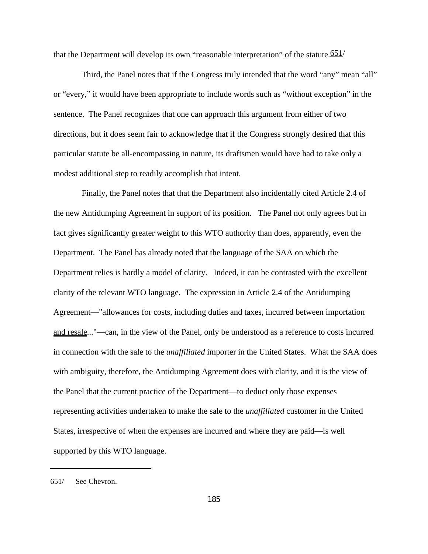that the Department will develop its own "reasonable interpretation" of the statute. $651/$ 

Third, the Panel notes that if the Congress truly intended that the word "any" mean "all" or "every," it would have been appropriate to include words such as "without exception" in the sentence. The Panel recognizes that one can approach this argument from either of two directions, but it does seem fair to acknowledge that if the Congress strongly desired that this particular statute be all-encompassing in nature, its draftsmen would have had to take only a modest additional step to readily accomplish that intent.

Finally, the Panel notes that that the Department also incidentally cited Article 2.4 of the new Antidumping Agreement in support of its position. The Panel not only agrees but in fact gives significantly greater weight to this WTO authority than does, apparently, even the Department. The Panel has already noted that the language of the SAA on which the Department relies is hardly a model of clarity. Indeed, it can be contrasted with the excellent clarity of the relevant WTO language. The expression in Article 2.4 of the Antidumping Agreement—"allowances for costs, including duties and taxes, incurred between importation and resale..."—can, in the view of the Panel, only be understood as a reference to costs incurred in connection with the sale to the *unaffiliated* importer in the United States. What the SAA does with ambiguity, therefore, the Antidumping Agreement does with clarity, and it is the view of the Panel that the current practice of the Department—to deduct only those expenses representing activities undertaken to make the sale to the *unaffiliated* customer in the United States, irrespective of when the expenses are incurred and where they are paid—is well supported by this WTO language.

<sup>651/</sup> See Chevron.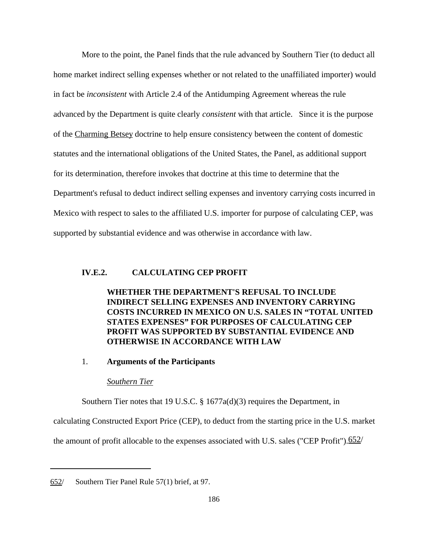More to the point, the Panel finds that the rule advanced by Southern Tier (to deduct all home market indirect selling expenses whether or not related to the unaffiliated importer) would in fact be *inconsistent* with Article 2.4 of the Antidumping Agreement whereas the rule advanced by the Department is quite clearly *consistent* with that article. Since it is the purpose of the Charming Betsey doctrine to help ensure consistency between the content of domestic statutes and the international obligations of the United States, the Panel, as additional support for its determination, therefore invokes that doctrine at this time to determine that the Department's refusal to deduct indirect selling expenses and inventory carrying costs incurred in Mexico with respect to sales to the affiliated U.S. importer for purpose of calculating CEP, was supported by substantial evidence and was otherwise in accordance with law.

## **IV.E.2. CALCULATING CEP PROFIT**

**WHETHER THE DEPARTMENT'S REFUSAL TO INCLUDE INDIRECT SELLING EXPENSES AND INVENTORY CARRYING COSTS INCURRED IN MEXICO ON U.S. SALES IN "TOTAL UNITED STATES EXPENSES" FOR PURPOSES OF CALCULATING CEP PROFIT WAS SUPPORTED BY SUBSTANTIAL EVIDENCE AND OTHERWISE IN ACCORDANCE WITH LAW**

## 1. **Arguments of the Participants**

### *Southern Tier*

Southern Tier notes that 19 U.S.C. § 1677a(d)(3) requires the Department, in

calculating Constructed Export Price (CEP), to deduct from the starting price in the U.S. market

the amount of profit allocable to the expenses associated with U.S. sales ("CEP Profit"). $\frac{652}{ }$ 

<sup>652/</sup> Southern Tier Panel Rule 57(1) brief, at 97.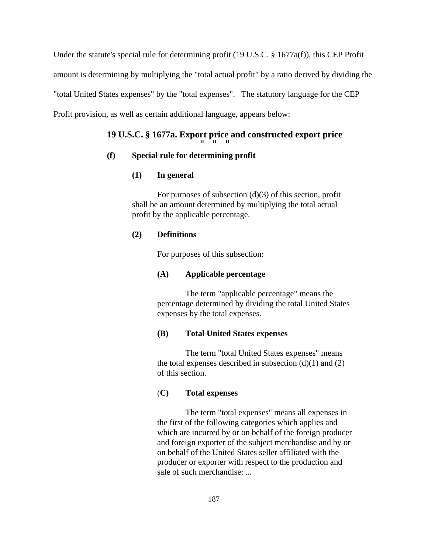Under the statute's special rule for determining profit (19 U.S.C. § 1677a(f)), this CEP Profit amount is determining by multiplying the "total actual profit" by a ratio derived by dividing the "total United States expenses" by the "total expenses". The statutory language for the CEP Profit provision, as well as certain additional language, appears below:

# **19 U.S.C. § 1677a. Export price and constructed export price** " " "

# **(f) Special rule for determining profit**

# **(1) In general**

For purposes of subsection  $(d)(3)$  of this section, profit shall be an amount determined by multiplying the total actual profit by the applicable percentage.

# **(2) Definitions**

For purposes of this subsection:

# **(A) Applicable percentage**

The term "applicable percentage" means the percentage determined by dividing the total United States expenses by the total expenses.

## **(B) Total United States expenses**

The term "total United States expenses" means the total expenses described in subsection  $(d)(1)$  and  $(2)$ of this section.

# (**C) Total expenses**

The term "total expenses" means all expenses in the first of the following categories which applies and which are incurred by or on behalf of the foreign producer and foreign exporter of the subject merchandise and by or on behalf of the United States seller affiliated with the producer or exporter with respect to the production and sale of such merchandise: ...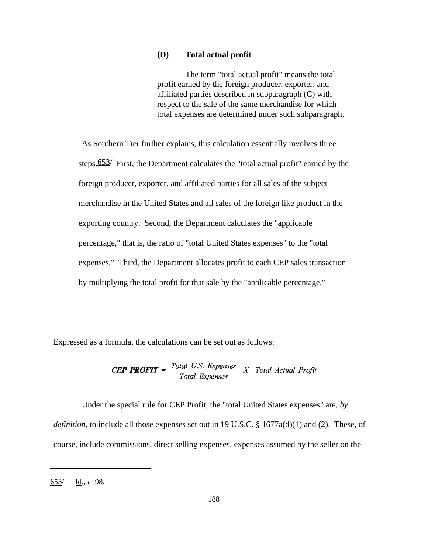## **(D) Total actual profit**

The term "total actual profit" means the total profit earned by the foreign producer, exporter, and affiliated parties described in subparagraph (C) with respect to the sale of the same merchandise for which total expenses are determined under such subparagraph.

As Southern Tier further explains, this calculation essentially involves three steps.653/ First, the Department calculates the "total actual profit" earned by the foreign producer, exporter, and affiliated parties for all sales of the subject merchandise in the United States and all sales of the foreign like product in the exporting country. Second, the Department calculates the "applicable percentage," that is, the ratio of "total United States expenses" to the "total expenses." Third, the Department allocates profit to each CEP sales transaction by multiplying the total profit for that sale by the "applicable percentage."

Expressed as a formula, the calculations can be set out as follows:

# **CEP PROFIT** =  $\frac{Total \; U.S. \; Expenses}{Total \; Expenses}$  X Total Actual Profit

Under the special rule for CEP Profit, the "total United States expenses" are, *by definition*, to include all those expenses set out in 19 U.S.C. § 1677a(d)(1) and (2). These, of course, include commissions, direct selling expenses, expenses assumed by the seller on the

<sup>653/</sup> Id., at 98.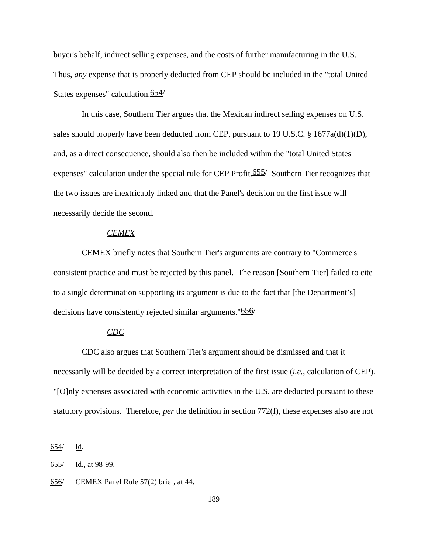buyer's behalf, indirect selling expenses, and the costs of further manufacturing in the U.S. Thus, *any* expense that is properly deducted from CEP should be included in the "total United States expenses" calculation.654/

In this case, Southern Tier argues that the Mexican indirect selling expenses on U.S. sales should properly have been deducted from CEP, pursuant to 19 U.S.C. § 1677a(d)(1)(D), and, as a direct consequence, should also then be included within the "total United States expenses" calculation under the special rule for CEP Profit.<sup>655/</sup> Southern Tier recognizes that the two issues are inextricably linked and that the Panel's decision on the first issue will necessarily decide the second.

## *CEMEX*

CEMEX briefly notes that Southern Tier's arguments are contrary to "Commerce's consistent practice and must be rejected by this panel. The reason [Southern Tier] failed to cite to a single determination supporting its argument is due to the fact that [the Department's] decisions have consistently rejected similar arguments."<sup>656</sup>/

## *CDC*

CDC also argues that Southern Tier's argument should be dismissed and that it necessarily will be decided by a correct interpretation of the first issue (*i.e.*, calculation of CEP). "[O]nly expenses associated with economic activities in the U.S. are deducted pursuant to these statutory provisions. Therefore, *per* the definition in section 772(f), these expenses also are not

<sup>654/</sup> Id.

<sup>655/</sup> Id., at 98-99.

<sup>656/</sup> CEMEX Panel Rule 57(2) brief, at 44.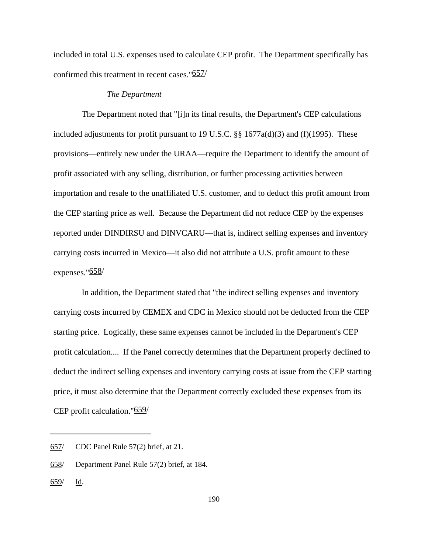included in total U.S. expenses used to calculate CEP profit. The Department specifically has confirmed this treatment in recent cases."657/

#### *The Department*

The Department noted that "[i]n its final results, the Department's CEP calculations included adjustments for profit pursuant to 19 U.S.C. §§ 1677a(d)(3) and (f)(1995). These provisions—entirely new under the URAA—require the Department to identify the amount of profit associated with any selling, distribution, or further processing activities between importation and resale to the unaffiliated U.S. customer, and to deduct this profit amount from the CEP starting price as well. Because the Department did not reduce CEP by the expenses reported under DINDIRSU and DINVCARU—that is, indirect selling expenses and inventory carrying costs incurred in Mexico—it also did not attribute a U.S. profit amount to these expenses."658/

In addition, the Department stated that "the indirect selling expenses and inventory carrying costs incurred by CEMEX and CDC in Mexico should not be deducted from the CEP starting price. Logically, these same expenses cannot be included in the Department's CEP profit calculation.... If the Panel correctly determines that the Department properly declined to deduct the indirect selling expenses and inventory carrying costs at issue from the CEP starting price, it must also determine that the Department correctly excluded these expenses from its CEP profit calculation."659/

<sup>657/</sup> CDC Panel Rule 57(2) brief, at 21.

<sup>658/</sup> Department Panel Rule 57(2) brief, at 184.

<sup>659/</sup> Id.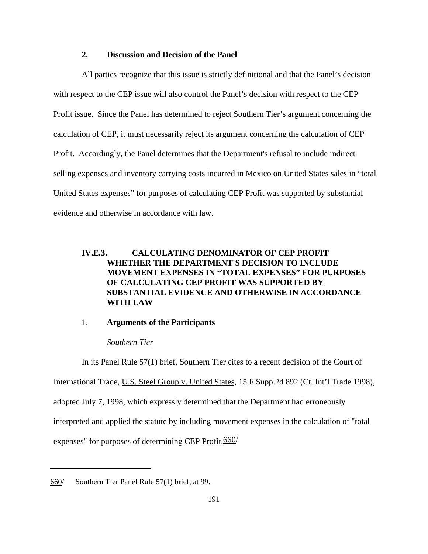## **2. Discussion and Decision of the Panel**

All parties recognize that this issue is strictly definitional and that the Panel's decision with respect to the CEP issue will also control the Panel's decision with respect to the CEP Profit issue. Since the Panel has determined to reject Southern Tier's argument concerning the calculation of CEP, it must necessarily reject its argument concerning the calculation of CEP Profit. Accordingly, the Panel determines that the Department's refusal to include indirect selling expenses and inventory carrying costs incurred in Mexico on United States sales in "total United States expenses" for purposes of calculating CEP Profit was supported by substantial evidence and otherwise in accordance with law.

# **IV.E.3. CALCULATING DENOMINATOR OF CEP PROFIT WHETHER THE DEPARTMENT'S DECISION TO INCLUDE MOVEMENT EXPENSES IN "TOTAL EXPENSES" FOR PURPOSES OF CALCULATING CEP PROFIT WAS SUPPORTED BY SUBSTANTIAL EVIDENCE AND OTHERWISE IN ACCORDANCE WITH LAW**

## 1. **Arguments of the Participants**

#### *Southern Tier*

In its Panel Rule 57(1) brief, Southern Tier cites to a recent decision of the Court of International Trade, U.S. Steel Group v. United States, 15 F.Supp.2d 892 (Ct. Int'l Trade 1998), adopted July 7, 1998, which expressly determined that the Department had erroneously interpreted and applied the statute by including movement expenses in the calculation of "total expenses" for purposes of determining CEP Profit.<sup>660</sup>/

<sup>660/</sup> Southern Tier Panel Rule 57(1) brief, at 99.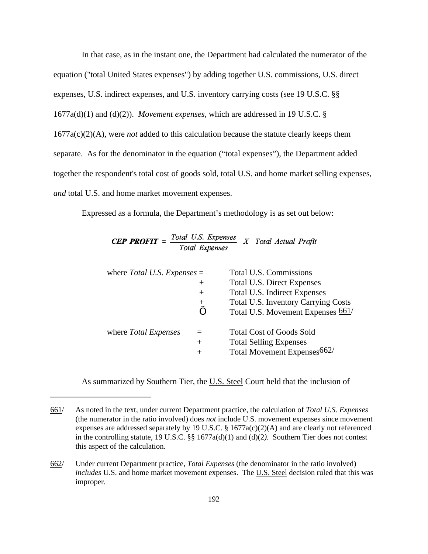In that case, as in the instant one, the Department had calculated the numerator of the equation ("total United States expenses") by adding together U.S. commissions, U.S. direct expenses, U.S. indirect expenses, and U.S. inventory carrying costs (see 19 U.S.C. §§ 1677a(d)(1) and (d)(2)). *Movement expenses*, which are addressed in 19 U.S.C. § 1677a(c)(2)(A), were *not* added to this calculation because the statute clearly keeps them separate. As for the denominator in the equation ("total expenses"), the Department added together the respondent's total cost of goods sold, total U.S. and home market selling expenses, *and* total U.S. and home market movement expenses.

Expressed as a formula, the Department's methodology is as set out below:

| <b>CEP PROFIT</b> = $\frac{101}{100}$ | $\mathcal{L}$ $\mathcal{L}$ $\mathcal{L}$ $\mathcal{L}$ $\mathcal{L}$ $\mathcal{L}$ $\mathcal{L}$ $\mathcal{L}$ $\mathcal{L}$ $\mathcal{L}$ $\mathcal{L}$ $\mathcal{L}$ $\mathcal{L}$ $\mathcal{L}$ $\mathcal{L}$ $\mathcal{L}$ $\mathcal{L}$ $\mathcal{L}$ $\mathcal{L}$ $\mathcal{L}$ $\mathcal{L}$ $\mathcal{L}$ $\mathcal{L}$ $\mathcal{L}$ $\mathcal{$ |  |  |
|---------------------------------------|-------------------------------------------------------------------------------------------------------------------------------------------------------------------------------------------------------------------------------------------------------------------------------------------------------------------------------------------------------------|--|--|
|                                       | Total Expenses                                                                                                                                                                                                                                                                                                                                              |  |  |

| where <i>Total U.S. Expenses</i> $=$ |         | Total U.S. Commissions                     |
|--------------------------------------|---------|--------------------------------------------|
|                                      | $^+$    | <b>Total U.S. Direct Expenses</b>          |
|                                      | $^{+}$  | Total U.S. Indirect Expenses               |
|                                      | $\,+\,$ | <b>Total U.S. Inventory Carrying Costs</b> |
|                                      |         | Total U.S. Movement Expenses 661/          |
| where Total Expenses                 |         | <b>Total Cost of Goods Sold</b>            |
|                                      | $^{+}$  | <b>Total Selling Expenses</b>              |
|                                      | $^{+}$  | Total Movement Expenses 662                |

As summarized by Southern Tier, the U.S. Steel Court held that the inclusion of

<sup>661/</sup> As noted in the text, under current Department practice, the calculation of *Total U.S. Expenses* (the numerator in the ratio involved) does *not* include U.S. movement expenses since movement expenses are addressed separately by 19 U.S.C. § 1677a(c)(2)(A) and are clearly not referenced in the controlling statute, 19 U.S.C. §§ 1677a(d)(1) and (d)(2*).* Southern Tier does not contest this aspect of the calculation.

<sup>662/</sup> Under current Department practice, *Total Expenses* (the denominator in the ratio involved) *includes* U.S. and home market movement expenses. The U.S. Steel decision ruled that this was improper.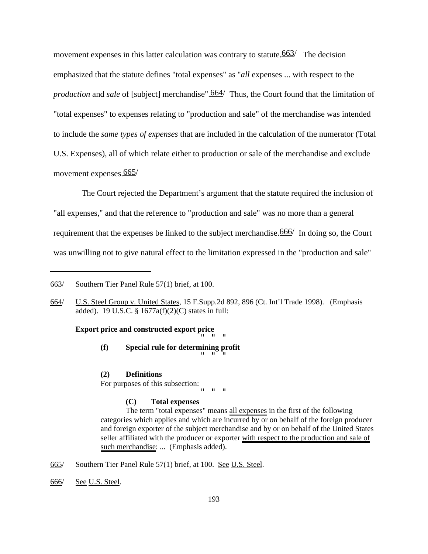movement expenses in this latter calculation was contrary to statute.  $663/$  The decision emphasized that the statute defines "total expenses" as "*all* expenses ... with respect to the *production* and *sale* of [subject] merchandise". 664/ Thus, the Court found that the limitation of "total expenses" to expenses relating to "production and sale" of the merchandise was intended to include the *same types of expenses* that are included in the calculation of the numerator (Total U.S. Expenses), all of which relate either to production or sale of the merchandise and exclude movement expenses.665/

The Court rejected the Department's argument that the statute required the inclusion of "all expenses," and that the reference to "production and sale" was no more than a general requirement that the expenses be linked to the subject merchandise. 666/ In doing so, the Court was unwilling not to give natural effect to the limitation expressed in the "production and sale"

#### **Export price and constructed export price**  $\overline{0}$  "  $\overline{0}$ "  $\overline{0}$ "  $\overline{0}$

**(f) Special rule for determining profit** " " "

**(2) Definitions**

For purposes of this subsection:  $\alpha$  "  $\alpha$  "  $\alpha$ "

## **(C) Total expenses**

The term "total expenses" means all expenses in the first of the following categories which applies and which are incurred by or on behalf of the foreign producer and foreign exporter of the subject merchandise and by or on behalf of the United States seller affiliated with the producer or exporter with respect to the production and sale of such merchandise: ... (Emphasis added).

- 665/ Southern Tier Panel Rule 57(1) brief, at 100. See U.S. Steel.
- 666/ See U.S. Steel.

<sup>663/</sup> Southern Tier Panel Rule 57(1) brief, at 100.

<sup>664/</sup> U.S. Steel Group v. United States, 15 F.Supp.2d 892, 896 (Ct. Int'l Trade 1998). (Emphasis added). 19 U.S.C. § 1677a(f)(2)(C) states in full: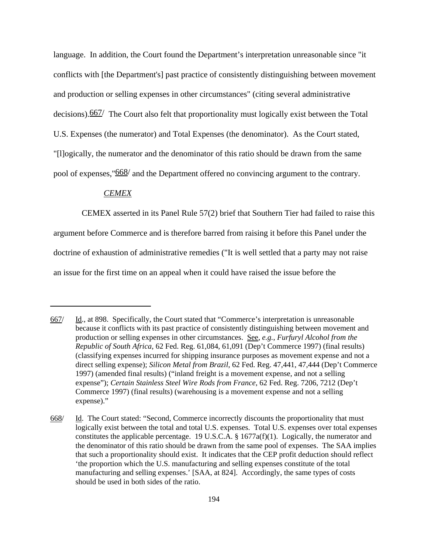language. In addition, the Court found the Department's interpretation unreasonable since "it conflicts with [the Department's] past practice of consistently distinguishing between movement and production or selling expenses in other circumstances" (citing several administrative decisions).667/ The Court also felt that proportionality must logically exist between the Total U.S. Expenses (the numerator) and Total Expenses (the denominator). As the Court stated, "[l]ogically, the numerator and the denominator of this ratio should be drawn from the same pool of expenses,"668/ and the Department offered no convincing argument to the contrary.

## *CEMEX*

CEMEX asserted in its Panel Rule 57(2) brief that Southern Tier had failed to raise this

argument before Commerce and is therefore barred from raising it before this Panel under the doctrine of exhaustion of administrative remedies ("It is well settled that a party may not raise an issue for the first time on an appeal when it could have raised the issue before the

<sup>667/</sup> Id., at 898. Specifically, the Court stated that "Commerce's interpretation is unreasonable because it conflicts with its past practice of consistently distinguishing between movement and production or selling expenses in other circumstances. See, *e.g.*, *Furfuryl Alcohol from the Republic of South Africa*, 62 Fed. Reg. 61,084, 61,091 (Dep't Commerce 1997) (final results) (classifying expenses incurred for shipping insurance purposes as movement expense and not a direct selling expense); *Silicon Metal from Brazil*, 62 Fed. Reg. 47,441, 47,444 (Dep't Commerce 1997) (amended final results) ("inland freight is a movement expense, and not a selling expense"); *Certain Stainless Steel Wire Rods from France*, 62 Fed. Reg. 7206, 7212 (Dep't Commerce 1997) (final results) (warehousing is a movement expense and not a selling expense)."

<sup>668/</sup> Id. The Court stated: "Second, Commerce incorrectly discounts the proportionality that must logically exist between the total and total U.S. expenses. Total U.S. expenses over total expenses constitutes the applicable percentage. 19 U.S.C.A. § 1677a(f)(1). Logically, the numerator and the denominator of this ratio should be drawn from the same pool of expenses. The SAA implies that such a proportionality should exist. It indicates that the CEP profit deduction should reflect 'the proportion which the U.S. manufacturing and selling expenses constitute of the total manufacturing and selling expenses.' [SAA, at 824]. Accordingly, the same types of costs should be used in both sides of the ratio.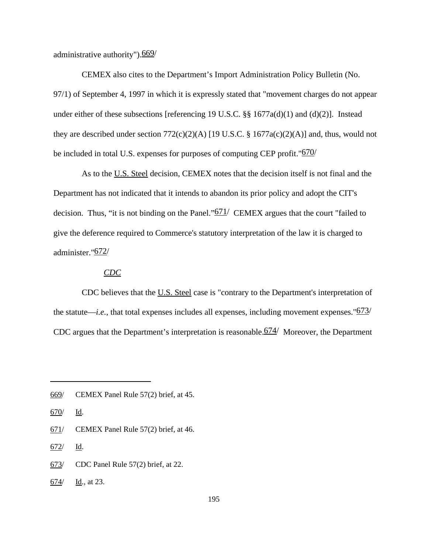administrative authority").669/

CEMEX also cites to the Department's Import Administration Policy Bulletin (No. 97/1) of September 4, 1997 in which it is expressly stated that "movement charges do not appear under either of these subsections [referencing 19 U.S.C. §§ 1677a(d)(1) and (d)(2)]. Instead they are described under section  $772(c)(2)(A)$  [19 U.S.C. § 1677a(c)(2)(A)] and, thus, would not be included in total U.S. expenses for purposes of computing CEP profit."<sup>670/</sup>

As to the U.S. Steel decision, CEMEX notes that the decision itself is not final and the Department has not indicated that it intends to abandon its prior policy and adopt the CIT's decision. Thus, "it is not binding on the Panel." $671/$  CEMEX argues that the court "failed to give the deference required to Commerce's statutory interpretation of the law it is charged to administer."672/

## *CDC*

CDC believes that the U.S. Steel case is "contrary to the Department's interpretation of the statute—*i.e.*, that total expenses includes all expenses, including movement expenses." $673/$ CDC argues that the Department's interpretation is reasonable.674/ Moreover, the Department

671/ CEMEX Panel Rule 57(2) brief, at 46.

672/ Id.

- 673/ CDC Panel Rule 57(2) brief, at 22.
- 674/ Id., at 23.

<sup>669/</sup> CEMEX Panel Rule 57(2) brief, at 45.

<sup>670/</sup> Id.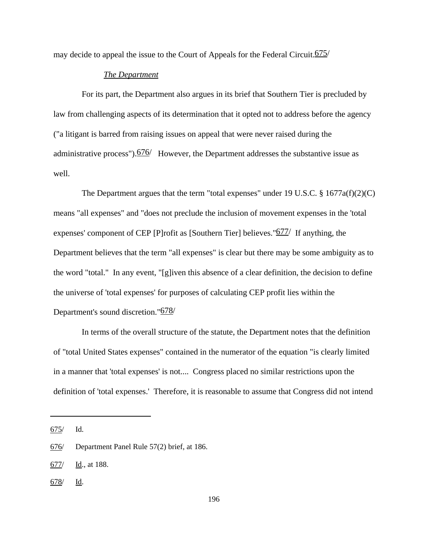may decide to appeal the issue to the Court of Appeals for the Federal Circuit.  $675/$ 

## *The Department*

For its part, the Department also argues in its brief that Southern Tier is precluded by law from challenging aspects of its determination that it opted not to address before the agency ("a litigant is barred from raising issues on appeal that were never raised during the administrative process").676/ However, the Department addresses the substantive issue as well.

The Department argues that the term "total expenses" under 19 U.S.C.  $\S$  1677a(f)(2)(C) means "all expenses" and "does not preclude the inclusion of movement expenses in the 'total expenses' component of CEP [P]rofit as [Southern Tier] believes."677/ If anything, the Department believes that the term "all expenses" is clear but there may be some ambiguity as to the word "total." In any event, "[g]iven this absence of a clear definition, the decision to define the universe of 'total expenses' for purposes of calculating CEP profit lies within the Department's sound discretion."678/

In terms of the overall structure of the statute, the Department notes that the definition of "total United States expenses" contained in the numerator of the equation "is clearly limited in a manner that 'total expenses' is not.... Congress placed no similar restrictions upon the definition of 'total expenses.' Therefore, it is reasonable to assume that Congress did not intend

 $678$  Id.

<sup>675/</sup> Id.

<sup>676/</sup> Department Panel Rule 57(2) brief, at 186.

<sup>677/</sup> Id., at 188.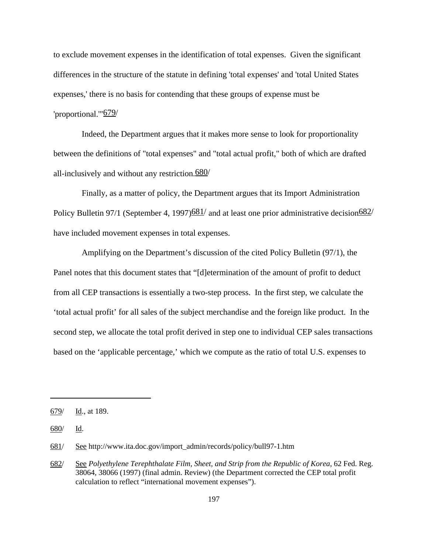to exclude movement expenses in the identification of total expenses. Given the significant differences in the structure of the statute in defining 'total expenses' and 'total United States expenses,' there is no basis for contending that these groups of expense must be 'proportional.'"679/

Indeed, the Department argues that it makes more sense to look for proportionality between the definitions of "total expenses" and "total actual profit," both of which are drafted all-inclusively and without any restriction. $\frac{680}{ }$ 

Finally, as a matter of policy, the Department argues that its Import Administration Policy Bulletin 97/1 (September 4, 1997) $\frac{681}{ }$  and at least one prior administrative decision $\frac{682}{ }$ have included movement expenses in total expenses.

Amplifying on the Department's discussion of the cited Policy Bulletin (97/1), the Panel notes that this document states that "[d]etermination of the amount of profit to deduct from all CEP transactions is essentially a two-step process. In the first step, we calculate the 'total actual profit' for all sales of the subject merchandise and the foreign like product. In the second step, we allocate the total profit derived in step one to individual CEP sales transactions based on the 'applicable percentage,' which we compute as the ratio of total U.S. expenses to

<sup>679/</sup> Id., at 189.

<sup>680/</sup> Id.

<sup>681/</sup> See http://www.ita.doc.gov/import\_admin/records/policy/bull97-1.htm

<sup>682/</sup> See *Polyethylene Terephthalate Film, Sheet, and Strip from the Republic of Korea*, 62 Fed. Reg. 38064, 38066 (1997) (final admin. Review) (the Department corrected the CEP total profit calculation to reflect "international movement expenses").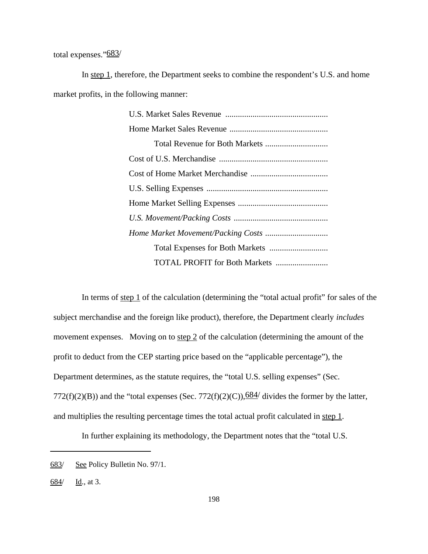total expenses."683/

In step 1, therefore, the Department seeks to combine the respondent's U.S. and home market profits, in the following manner:

| <b>TOTAL PROFIT for Both Markets </b> |  |  |  |  |
|---------------------------------------|--|--|--|--|

In terms of <u>step 1</u> of the calculation (determining the "total actual profit" for sales of the subject merchandise and the foreign like product), therefore, the Department clearly *includes* movement expenses. Moving on to step 2 of the calculation (determining the amount of the profit to deduct from the CEP starting price based on the "applicable percentage"), the Department determines, as the statute requires, the "total U.S. selling expenses" (Sec. 772(f)(2)(B)) and the "total expenses (Sec. 772(f)(2)(C)), $\frac{684}{}$  divides the former by the latter, and multiplies the resulting percentage times the total actual profit calculated in step 1.

In further explaining its methodology, the Department notes that the "total U.S.

<sup>683/</sup> See Policy Bulletin No. 97/1.

<sup>684/</sup>  $\frac{Id}{.}$ , at 3.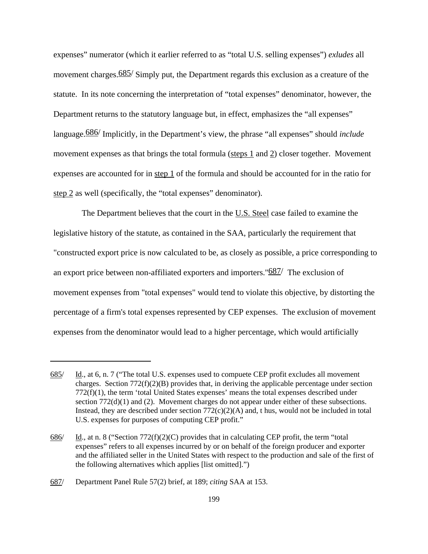expenses" numerator (which it earlier referred to as "total U.S. selling expenses") *exludes* all movement charges.<sup>685/</sup> Simply put, the Department regards this exclusion as a creature of the statute. In its note concerning the interpretation of "total expenses" denominator, however, the Department returns to the statutory language but, in effect, emphasizes the "all expenses" language.686/ Implicitly, in the Department's view, the phrase "all expenses" should *include* movement expenses as that brings the total formula (steps 1 and 2) closer together. Movement expenses are accounted for in step 1 of the formula and should be accounted for in the ratio for step 2 as well (specifically, the "total expenses" denominator).

The Department believes that the court in the U.S. Steel case failed to examine the legislative history of the statute, as contained in the SAA, particularly the requirement that "constructed export price is now calculated to be, as closely as possible, a price corresponding to an export price between non-affiliated exporters and importers."687/ The exclusion of movement expenses from "total expenses" would tend to violate this objective, by distorting the percentage of a firm's total expenses represented by CEP expenses. The exclusion of movement expenses from the denominator would lead to a higher percentage, which would artificially

<sup>685/</sup> Id., at 6, n. 7 ("The total U.S. expenses used to compuete CEP profit excludes all movement charges. Section  $772(f)(2)(B)$  provides that, in deriving the applicable percentage under section 772(f)(1), the term 'total United States expenses' means the total expenses described under section  $772(d)(1)$  and (2). Movement charges do not appear under either of these subsections. Instead, they are described under section  $772(c)(2)(A)$  and, t hus, would not be included in total U.S. expenses for purposes of computing CEP profit."

<sup>686/</sup> Id., at n. 8 ("Section  $772(f)(2)(C)$  provides that in calculating CEP profit, the term "total expenses" refers to all expenses incurred by or on behalf of the foreign producer and exporter and the affiliated seller in the United States with respect to the production and sale of the first of the following alternatives which applies [list omitted].")

<sup>687/</sup> Department Panel Rule 57(2) brief, at 189; *citing* SAA at 153.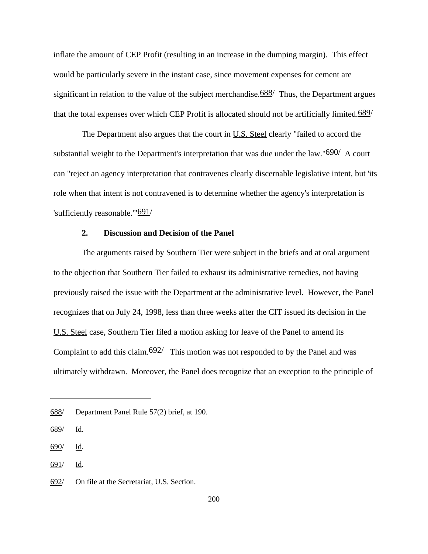inflate the amount of CEP Profit (resulting in an increase in the dumping margin). This effect would be particularly severe in the instant case, since movement expenses for cement are significant in relation to the value of the subject merchandise.  $688/$  Thus, the Department argues that the total expenses over which CEP Profit is allocated should not be artificially limited. $\frac{689}{ }$ 

The Department also argues that the court in U.S. Steel clearly "failed to accord the substantial weight to the Department's interpretation that was due under the law." $690/$  A court can "reject an agency interpretation that contravenes clearly discernable legislative intent, but 'its role when that intent is not contravened is to determine whether the agency's interpretation is 'sufficiently reasonable.'"691/

## **2. Discussion and Decision of the Panel**

The arguments raised by Southern Tier were subject in the briefs and at oral argument to the objection that Southern Tier failed to exhaust its administrative remedies, not having previously raised the issue with the Department at the administrative level. However, the Panel recognizes that on July 24, 1998, less than three weeks after the CIT issued its decision in the U.S. Steel case, Southern Tier filed a motion asking for leave of the Panel to amend its Complaint to add this claim. $\frac{692}{ }$  This motion was not responded to by the Panel and was ultimately withdrawn. Moreover, the Panel does recognize that an exception to the principle of

<sup>688/</sup> Department Panel Rule 57(2) brief, at 190.

<sup>689/</sup> Id.

<sup>690/</sup> Id.

<sup>691/</sup> Id.

<sup>692/</sup> On file at the Secretariat, U.S. Section.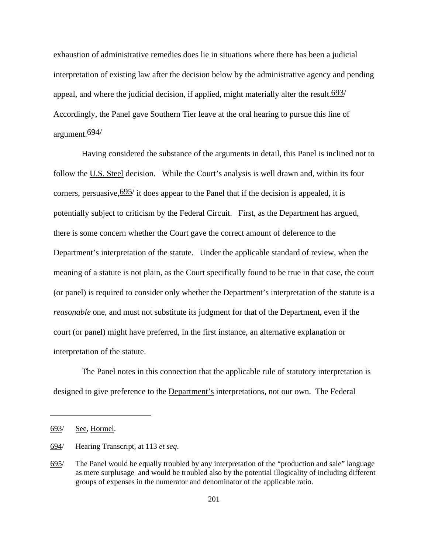exhaustion of administrative remedies does lie in situations where there has been a judicial interpretation of existing law after the decision below by the administrative agency and pending appeal, and where the judicial decision, if applied, might materially alter the result. $\frac{693}{ }$ Accordingly, the Panel gave Southern Tier leave at the oral hearing to pursue this line of argument.694/

Having considered the substance of the arguments in detail, this Panel is inclined not to follow the U.S. Steel decision. While the Court's analysis is well drawn and, within its four corners, persuasive,  $\frac{695}{i}$  it does appear to the Panel that if the decision is appealed, it is potentially subject to criticism by the Federal Circuit. First, as the Department has argued, there is some concern whether the Court gave the correct amount of deference to the Department's interpretation of the statute. Under the applicable standard of review, when the meaning of a statute is not plain, as the Court specifically found to be true in that case, the court (or panel) is required to consider only whether the Department's interpretation of the statute is a *reasonable* one, and must not substitute its judgment for that of the Department, even if the court (or panel) might have preferred, in the first instance, an alternative explanation or interpretation of the statute.

The Panel notes in this connection that the applicable rule of statutory interpretation is designed to give preference to the Department's interpretations, not our own. The Federal

<sup>693/</sup> See, Hormel.

<sup>694/</sup> Hearing Transcript, at 113 *et seq*.

<sup>695/</sup> The Panel would be equally troubled by any interpretation of the "production and sale" language as mere surplusage and would be troubled also by the potential illogicality of including different groups of expenses in the numerator and denominator of the applicable ratio.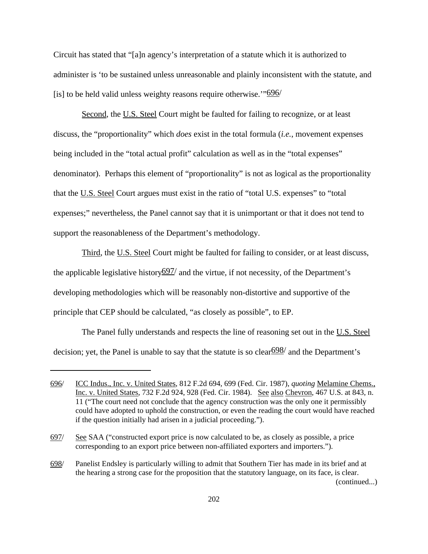Circuit has stated that "[a]n agency's interpretation of a statute which it is authorized to administer is 'to be sustained unless unreasonable and plainly inconsistent with the statute, and [is] to be held valid unless weighty reasons require otherwise. $\frac{96}{6}$ 

Second, the U.S. Steel Court might be faulted for failing to recognize, or at least discuss, the "proportionality" which *does* exist in the total formula (*i.e.*, movement expenses being included in the "total actual profit" calculation as well as in the "total expenses" denominator). Perhaps this element of "proportionality" is not as logical as the proportionality that the U.S. Steel Court argues must exist in the ratio of "total U.S. expenses" to "total expenses;" nevertheless, the Panel cannot say that it is unimportant or that it does not tend to support the reasonableness of the Department's methodology.

Third, the U.S. Steel Court might be faulted for failing to consider, or at least discuss, the applicable legislative history $697/$  and the virtue, if not necessity, of the Department's developing methodologies which will be reasonably non-distortive and supportive of the principle that CEP should be calculated, "as closely as possible", to EP.

The Panel fully understands and respects the line of reasoning set out in the U.S. Steel decision; yet, the Panel is unable to say that the statute is so clear  $\frac{698}{ }$  and the Department's

<sup>696/</sup> ICC Indus., Inc. v. United States, 812 F.2d 694, 699 (Fed. Cir. 1987), *quoting* Melamine Chems., Inc. v. United States, 732 F.2d 924, 928 (Fed. Cir. 1984). See also Chevron, 467 U.S. at 843, n. 11 ("The court need not conclude that the agency construction was the only one it permissibly could have adopted to uphold the construction, or even the reading the court would have reached if the question initially had arisen in a judicial proceeding.").

<sup>697/</sup> See SAA ("constructed export price is now calculated to be, as closely as possible, a price corresponding to an export price between non-affiliated exporters and importers.").

<sup>698/</sup> Panelist Endsley is particularly willing to admit that Southern Tier has made in its brief and at the hearing a strong case for the proposition that the statutory language, on its face, is clear. (continued...)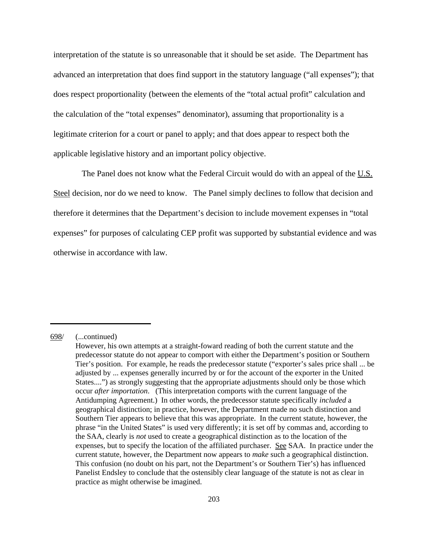interpretation of the statute is so unreasonable that it should be set aside. The Department has advanced an interpretation that does find support in the statutory language ("all expenses"); that does respect proportionality (between the elements of the "total actual profit" calculation and the calculation of the "total expenses" denominator), assuming that proportionality is a legitimate criterion for a court or panel to apply; and that does appear to respect both the applicable legislative history and an important policy objective.

The Panel does not know what the Federal Circuit would do with an appeal of the U.S. Steel decision, nor do we need to know. The Panel simply declines to follow that decision and therefore it determines that the Department's decision to include movement expenses in "total expenses" for purposes of calculating CEP profit was supported by substantial evidence and was otherwise in accordance with law.

<sup>698/</sup> (...continued)

However, his own attempts at a straight-foward reading of both the current statute and the predecessor statute do not appear to comport with either the Department's position or Southern Tier's position. For example, he reads the predecessor statute ("exporter's sales price shall ... be adjusted by ... expenses generally incurred by or for the account of the exporter in the United States....") as strongly suggesting that the appropriate adjustments should only be those which occur *after importation*. (This interpretation comports with the current language of the Antidumping Agreement.) In other words, the predecessor statute specifically *included* a geographical distinction; in practice, however, the Department made no such distinction and Southern Tier appears to believe that this was appropriate. In the current statute, however, the phrase "in the United States" is used very differently; it is set off by commas and, according to the SAA, clearly is *not* used to create a geographical distinction as to the location of the expenses, but to specify the location of the affiliated purchaser. See SAA. In practice under the current statute, however, the Department now appears to *make* such a geographical distinction. This confusion (no doubt on his part, not the Department's or Southern Tier's) has influenced Panelist Endsley to conclude that the ostensibly clear language of the statute is not as clear in practice as might otherwise be imagined.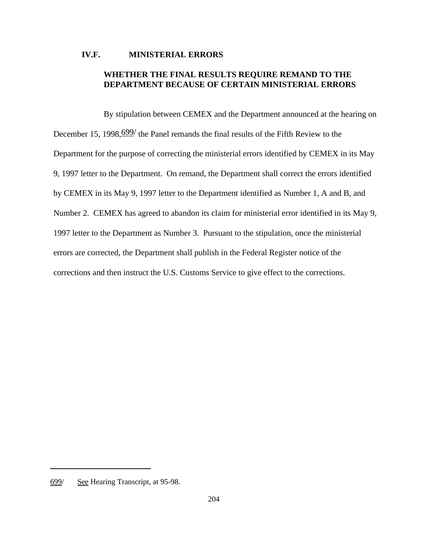## **IV.F. MINISTERIAL ERRORS**

# **WHETHER THE FINAL RESULTS REQUIRE REMAND TO THE DEPARTMENT BECAUSE OF CERTAIN MINISTERIAL ERRORS**

By stipulation between CEMEX and the Department announced at the hearing on December 15, 1998, <u>699</u> the Panel remands the final results of the Fifth Review to the Department for the purpose of correcting the ministerial errors identified by CEMEX in its May 9, 1997 letter to the Department. On remand, the Department shall correct the errors identified by CEMEX in its May 9, 1997 letter to the Department identified as Number 1, A and B, and Number 2. CEMEX has agreed to abandon its claim for ministerial error identified in its May 9, 1997 letter to the Department as Number 3. Pursuant to the stipulation, once the ministerial errors are corrected, the Department shall publish in the Federal Register notice of the corrections and then instruct the U.S. Customs Service to give effect to the corrections.

<sup>699/</sup> See Hearing Transcript, at 95-98.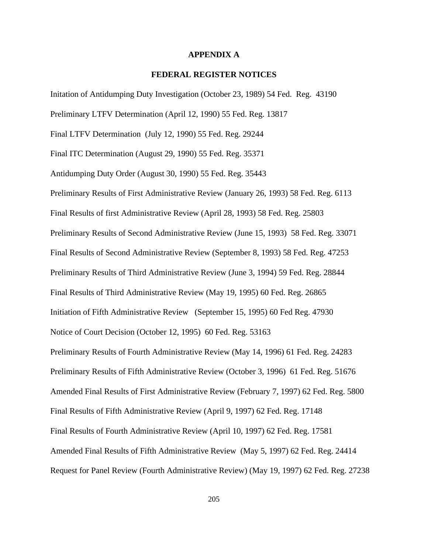## **APPENDIX A**

## **FEDERAL REGISTER NOTICES**

Initation of Antidumping Duty Investigation (October 23, 1989) 54 Fed. Reg. 43190

Preliminary LTFV Determination (April 12, 1990) 55 Fed. Reg. 13817

Final LTFV Determination (July 12, 1990) 55 Fed. Reg. 29244

Final ITC Determination (August 29, 1990) 55 Fed. Reg. 35371

Antidumping Duty Order (August 30, 1990) 55 Fed. Reg. 35443

Preliminary Results of First Administrative Review (January 26, 1993) 58 Fed. Reg. 6113 Final Results of first Administrative Review (April 28, 1993) 58 Fed. Reg. 25803 Preliminary Results of Second Administrative Review (June 15, 1993) 58 Fed. Reg. 33071 Final Results of Second Administrative Review (September 8, 1993) 58 Fed. Reg. 47253 Preliminary Results of Third Administrative Review (June 3, 1994) 59 Fed. Reg. 28844 Final Results of Third Administrative Review (May 19, 1995) 60 Fed. Reg. 26865 Initiation of Fifth Administrative Review (September 15, 1995) 60 Fed Reg. 47930 Notice of Court Decision (October 12, 1995) 60 Fed. Reg. 53163 Preliminary Results of Fourth Administrative Review (May 14, 1996) 61 Fed. Reg. 24283 Preliminary Results of Fifth Administrative Review (October 3, 1996) 61 Fed. Reg. 51676 Amended Final Results of First Administrative Review (February 7, 1997) 62 Fed. Reg. 5800 Final Results of Fifth Administrative Review (April 9, 1997) 62 Fed. Reg. 17148 Final Results of Fourth Administrative Review (April 10, 1997) 62 Fed. Reg. 17581 Amended Final Results of Fifth Administrative Review (May 5, 1997) 62 Fed. Reg. 24414 Request for Panel Review (Fourth Administrative Review) (May 19, 1997) 62 Fed. Reg. 27238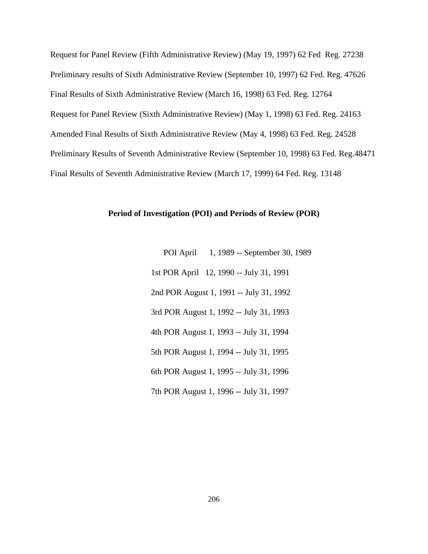Request for Panel Review (Fifth Administrative Review) (May 19, 1997) 62 Fed Reg. 27238 Preliminary results of Sixth Administrative Review (September 10, 1997) 62 Fed. Reg. 47626 Final Results of Sixth Administrative Review (March 16, 1998) 63 Fed. Reg. 12764 Request for Panel Review (Sixth Administrative Review) (May 1, 1998) 63 Fed. Reg. 24163 Amended Final Results of Sixth Administrative Review (May 4, 1998) 63 Fed. Reg. 24528 Preliminary Results of Seventh Administrative Review (September 10, 1998) 63 Fed. Reg.48471 Final Results of Seventh Administrative Review (March 17, 1999) 64 Fed. Reg. 13148

## **Period of Investigation (POI) and Periods of Review (POR)**

 POI April 1, 1989 -- September 30, 1989 1st POR April 12, 1990 -- July 31, 1991 2nd POR August 1, 1991 -- July 31, 1992 3rd POR August 1, 1992 -- July 31, 1993 4th POR August 1, 1993 -- July 31, 1994 5th POR August 1, 1994 -- July 31, 1995 6th POR August 1, 1995 -- July 31, 1996 7th POR August 1, 1996 -- July 31, 1997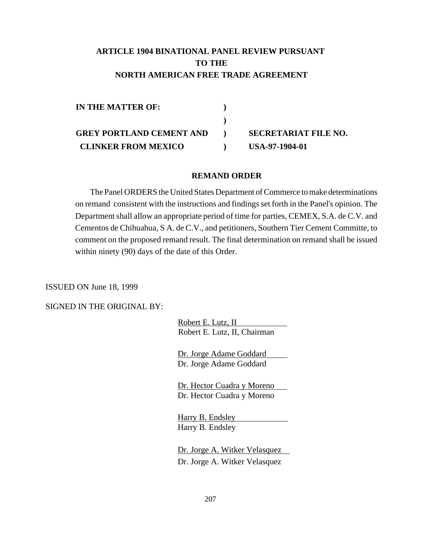# **ARTICLE 1904 BINATIONAL PANEL REVIEW PURSUANT TO THE NORTH AMERICAN FREE TRADE AGREEMENT**

| IN THE MATTER OF:               |                             |
|---------------------------------|-----------------------------|
|                                 |                             |
| <b>GREY PORTLAND CEMENT AND</b> | <b>SECRETARIAT FILE NO.</b> |
| <b>CLINKER FROM MEXICO</b>      | USA-97-1904-01              |

#### **REMAND ORDER**

The Panel ORDERS the United States Department of Commerce to make determinations on remand consistent with the instructions and findings set forth in the Panel's opinion. The Department shall allow an appropriate period of time for parties, CEMEX, S.A. de C.V. and Cementos de Chihuahua, S A. de C.V., and petitioners, Southern Tier Cement Committe, to comment on the proposed remand result. The final determination on remand shall be issued within ninety (90) days of the date of this Order.

ISSUED ON June 18, 1999

SIGNED IN THE ORIGINAL BY:

 Robert E. Lutz, II Robert E. Lutz, II, Chairman

 Dr. Jorge Adame Goddard Dr. Jorge Adame Goddard

 Dr. Hector Cuadra y Moreno Dr. Hector Cuadra y Moreno

 Harry B. Endsley Harry B. Endsley

 Dr. Jorge A. Witker Velasquez Dr. Jorge A. Witker Velasquez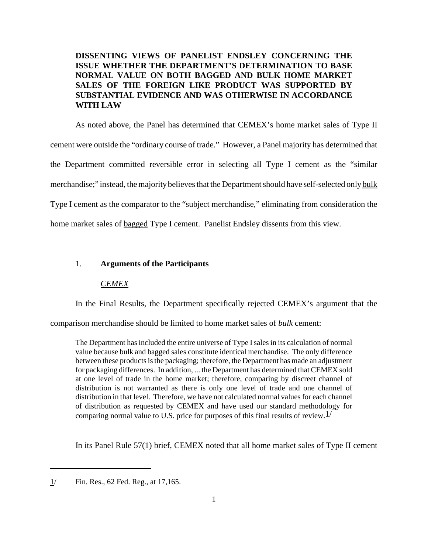# **DISSENTING VIEWS OF PANELIST ENDSLEY CONCERNING THE ISSUE WHETHER THE DEPARTMENT'S DETERMINATION TO BASE NORMAL VALUE ON BOTH BAGGED AND BULK HOME MARKET SALES OF THE FOREIGN LIKE PRODUCT WAS SUPPORTED BY SUBSTANTIAL EVIDENCE AND WAS OTHERWISE IN ACCORDANCE WITH LAW**

As noted above, the Panel has determined that CEMEX's home market sales of Type II cement were outside the "ordinary course of trade." However, a Panel majority has determined that the Department committed reversible error in selecting all Type I cement as the "similar merchandise;" instead, the majority believes that the Department should have self-selected only bulk Type I cement as the comparator to the "subject merchandise," eliminating from consideration the home market sales of bagged Type I cement. Panelist Endsley dissents from this view.

## 1. **Arguments of the Participants**

#### *CEMEX*

In the Final Results, the Department specifically rejected CEMEX's argument that the

comparison merchandise should be limited to home market sales of *bulk* cement:

The Department has included the entire universe of Type I sales in its calculation of normal value because bulk and bagged sales constitute identical merchandise. The only difference between these products is the packaging; therefore, the Department has made an adjustment for packaging differences. In addition, ... the Department has determined that CEMEX sold at one level of trade in the home market; therefore, comparing by discreet channel of distribution is not warranted as there is only one level of trade and one channel of distribution in that level. Therefore, we have not calculated normal values for each channel of distribution as requested by CEMEX and have used our standard methodology for comparing normal value to U.S. price for purposes of this final results of review.  $1/$ 

In its Panel Rule 57(1) brief, CEMEX noted that all home market sales of Type II cement

<sup>1/</sup> Fin. Res., 62 Fed. Reg., at 17,165.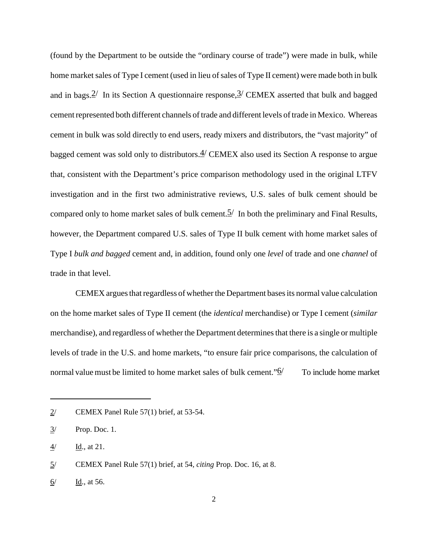(found by the Department to be outside the "ordinary course of trade") were made in bulk, while home market sales of Type I cement (used in lieu of sales of Type II cement) were made both in bulk and in bags.  $2^{\prime}$  In its Section A questionnaire response,  $3^{\prime}$  CEMEX asserted that bulk and bagged cement represented both different channels of trade and different levels of trade in Mexico. Whereas cement in bulk was sold directly to end users, ready mixers and distributors, the "vast majority" of bagged cement was sold only to distributors.  $4$  CEMEX also used its Section A response to argue that, consistent with the Department's price comparison methodology used in the original LTFV investigation and in the first two administrative reviews, U.S. sales of bulk cement should be compared only to home market sales of bulk cement.  $\frac{5}{1}$  In both the preliminary and Final Results, however, the Department compared U.S. sales of Type II bulk cement with home market sales of Type I *bulk and bagged* cement and, in addition, found only one *level* of trade and one *channel* of trade in that level.

CEMEX argues that regardless of whether the Department bases its normal value calculation on the home market sales of Type II cement (the *identical* merchandise) or Type I cement (*similar* merchandise), and regardless of whether the Department determinesthat there is a single or multiple levels of trade in the U.S. and home markets, "to ensure fair price comparisons, the calculation of normal value must be limited to home market sales of bulk cement." $\mathbf{\hat{Q}}$  To include home market

 $2$  CEMEX Panel Rule 57(1) brief, at 53-54.

<sup>3/</sup> Prop. Doc. 1.

<sup>4/</sup> Id., at 21.

<sup>5/</sup> CEMEX Panel Rule 57(1) brief, at 54, *citing* Prop. Doc. 16, at 8.

<sup>6/</sup> Id., at 56.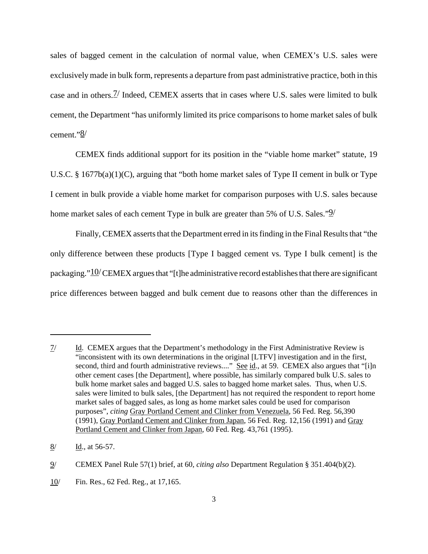sales of bagged cement in the calculation of normal value, when CEMEX's U.S. sales were exclusively made in bulk form, represents a departure from past administrative practice, both in this case and in others.7/ Indeed, CEMEX asserts that in cases where U.S. sales were limited to bulk cement, the Department "has uniformly limited its price comparisons to home market sales of bulk cement."8/

CEMEX finds additional support for its position in the "viable home market" statute, 19 U.S.C. § 1677b(a)(1)(C), arguing that "both home market sales of Type II cement in bulk or Type I cement in bulk provide a viable home market for comparison purposes with U.S. sales because home market sales of each cement Type in bulk are greater than 5% of U.S. Sales." $\frac{9}{2}$ 

Finally, CEMEX asserts that the Department erred in its finding in the Final Results that "the only difference between these products [Type I bagged cement vs. Type I bulk cement] is the packaging." $10$ / CEMEX argues that "[t]he administrative record establishes that there are significant price differences between bagged and bulk cement due to reasons other than the differences in

<sup>7/</sup> Id. CEMEX argues that the Department's methodology in the First Administrative Review is "inconsistent with its own determinations in the original [LTFV] investigation and in the first, second, third and fourth administrative reviews...." See id., at 59. CEMEX also argues that "[i]n other cement cases [the Department], where possible, has similarly compared bulk U.S. sales to bulk home market sales and bagged U.S. sales to bagged home market sales. Thus, when U.S. sales were limited to bulk sales, [the Department] has not required the respondent to report home market sales of bagged sales, as long as home market sales could be used for comparison purposes", *citing* Gray Portland Cement and Clinker from Venezuela, 56 Fed. Reg. 56,390 (1991), Gray Portland Cement and Clinker from Japan, 56 Fed. Reg. 12,156 (1991) and Gray Portland Cement and Clinker from Japan, 60 Fed. Reg. 43,761 (1995).

 $8/$  Id., at 56-57.

<sup>9/</sup> CEMEX Panel Rule 57(1) brief, at 60, *citing also* Department Regulation § 351.404(b)(2).

<sup>10/</sup> Fin. Res., 62 Fed. Reg., at 17,165.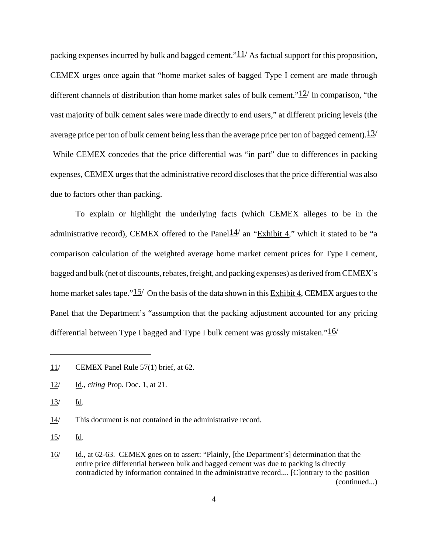packing expenses incurred by bulk and bagged cement." $11/$  As factual support for this proposition, CEMEX urges once again that "home market sales of bagged Type I cement are made through different channels of distribution than home market sales of bulk cement." $12/$  In comparison, "the vast majority of bulk cement sales were made directly to end users," at different pricing levels (the average price per ton of bulk cement being less than the average price per ton of bagged cement).  $13/$ While CEMEX concedes that the price differential was "in part" due to differences in packing expenses, CEMEX urges that the administrative record discloses that the price differential was also due to factors other than packing.

To explain or highlight the underlying facts (which CEMEX alleges to be in the administrative record), CEMEX offered to the Panel $14/$  an "Exhibit 4," which it stated to be "a comparison calculation of the weighted average home market cement prices for Type I cement, bagged and bulk (net of discounts, rebates, freight, and packing expenses) as derived from CEMEX's home market sales tape." $15/$  On the basis of the data shown in this Exhibit 4, CEMEX argues to the Panel that the Department's "assumption that the packing adjustment accounted for any pricing differential between Type I bagged and Type I bulk cement was grossly mistaken." $16/$ 

<sup>11/</sup> CEMEX Panel Rule 57(1) brief, at 62.

<sup>12/</sup> Id., *citing* Prop. Doc. 1, at 21.

<sup>13/</sup> Id.

<sup>14/</sup> This document is not contained in the administrative record.

<sup>15/</sup> Id.

<sup>16/</sup> Id., at 62-63. CEMEX goes on to assert: "Plainly, [the Department's] determination that the entire price differential between bulk and bagged cement was due to packing is directly contradicted by information contained in the administrative record.... [C]ontrary to the position (continued...)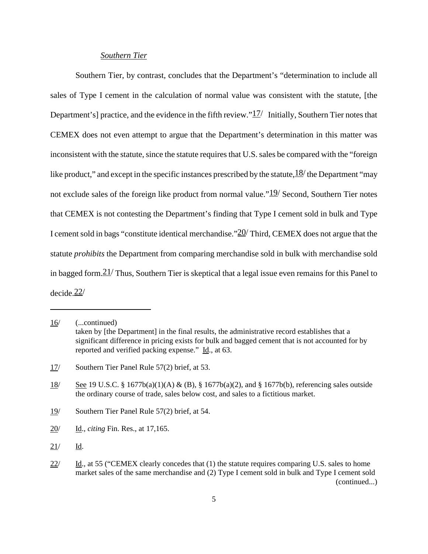## *Southern Tier*

Southern Tier, by contrast, concludes that the Department's "determination to include all sales of Type I cement in the calculation of normal value was consistent with the statute, [the Department's] practice, and the evidence in the fifth review." $1/2/$  Initially, Southern Tier notes that CEMEX does not even attempt to argue that the Department's determination in this matter was inconsistent with the statute, since the statute requires that U.S. sales be compared with the "foreign" like product," and except in the specific instances prescribed by the statute,  $\frac{18}{\text{ }}$  the Department "may not exclude sales of the foreign like product from normal value." $19/$  Second, Southern Tier notes that CEMEX is not contesting the Department's finding that Type I cement sold in bulk and Type I cement sold in bags "constitute identical merchandise."20/ Third, CEMEX does not argue that the statute *prohibits* the Department from comparing merchandise sold in bulk with merchandise sold in bagged form.  $21/$  Thus, Southern Tier is skeptical that a legal issue even remains for this Panel to decide.22/

<sup>16/</sup> (...continued) taken by [the Department] in the final results, the administrative record establishes that a significant difference in pricing exists for bulk and bagged cement that is not accounted for by reported and verified packing expense." Id., at 63.

<sup>17/</sup> Southern Tier Panel Rule 57(2) brief, at 53.

 $\frac{18}{18}$  See 19 U.S.C. § 1677b(a)(1)(A) & (B), § 1677b(a)(2), and § 1677b(b), referencing sales outside the ordinary course of trade, sales below cost, and sales to a fictitious market.

<sup>19/</sup> Southern Tier Panel Rule 57(2) brief, at 54.

<sup>20/</sup> Id., *citing* Fin. Res., at 17,165.

<sup>21/</sup> Id.

 $22$ / Id., at 55 ("CEMEX clearly concedes that (1) the statute requires comparing U.S. sales to home market sales of the same merchandise and (2) Type I cement sold in bulk and Type I cement sold (continued...)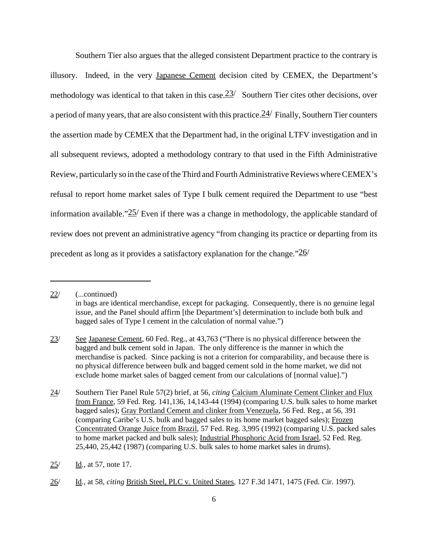Southern Tier also argues that the alleged consistent Department practice to the contrary is illusory. Indeed, in the very Japanese Cement decision cited by CEMEX, the Department's methodology was identical to that taken in this case.  $23/$  Southern Tier cites other decisions, over a period of many years, that are also consistent with this practice.  $24$  Finally, Southern Tier counters the assertion made by CEMEX that the Department had, in the original LTFV investigation and in all subsequent reviews, adopted a methodology contrary to that used in the Fifth Administrative Review, particularlyso in the case of the Third and Fourth Administrative Reviews where CEMEX's refusal to report home market sales of Type I bulk cement required the Department to use "best information available." $25/$  Even if there was a change in methodology, the applicable standard of review does not prevent an administrative agency "from changing its practice or departing from its precedent as long as it provides a satisfactory explanation for the change."26/

<sup>22/</sup> (...continued) in bags are identical merchandise, except for packaging. Consequently, there is no genuine legal issue, and the Panel should affirm [the Department's] determination to include both bulk and bagged sales of Type I cement in the calculation of normal value.")

<sup>23/</sup> See Japanese Cement, 60 Fed. Reg., at 43,763 ("There is no physical difference between the bagged and bulk cement sold in Japan. The only difference is the manner in which the merchandise is packed. Since packing is not a criterion for comparability, and because there is no physical difference between bulk and bagged cement sold in the home market, we did not exclude home market sales of bagged cement from our calculations of [normal value].")

<sup>24/</sup> Southern Tier Panel Rule 57(2) brief, at 56, *citing* Calcium Aluminate Cement Clinker and Flux from France, 59 Fed. Reg. 141,136, 14,143-44 (1994) (comparing U.S. bulk sales to home market bagged sales); Gray Portland Cement and clinker from Venezuela, 56 Fed. Reg., at 56, 391 (comparing Caribe's U.S. bulk and bagged sales to its home market bagged sales); Frozen Concentrated Orange Juice from Brazil, 57 Fed. Reg. 3,995 (1992) (comparing U.S. packed sales to home market packed and bulk sales); Industrial Phosphoric Acid from Israel, 52 Fed. Reg. 25,440, 25,442 (1987) (comparing U.S. bulk sales to home market sales in drums).

<sup>25/</sup> Id., at 57, note 17.

<sup>26/</sup> Id., at 58, *citing* British Steel, PLC v. United States, 127 F.3d 1471, 1475 (Fed. Cir. 1997).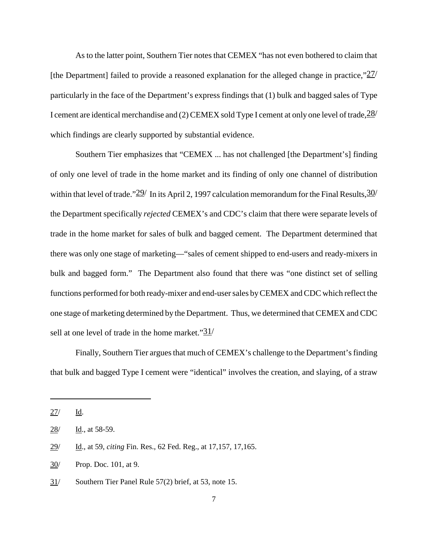As to the latter point, Southern Tier notes that CEMEX "has not even bothered to claim that [the Department] failed to provide a reasoned explanation for the alleged change in practice," $\frac{27}{ }$ particularly in the face of the Department's express findings that (1) bulk and bagged sales of Type I cement are identical merchandise and (2) CEMEX sold Type I cement at only one level of trade,  $\frac{28}{1}$ which findings are clearly supported by substantial evidence.

Southern Tier emphasizes that "CEMEX ... has not challenged [the Department's] finding of only one level of trade in the home market and its finding of only one channel of distribution within that level of trade." $29/$  In its April 2, 1997 calculation memorandum for the Final Results,  $30/$ the Department specifically *rejected* CEMEX's and CDC's claim that there were separate levels of trade in the home market for sales of bulk and bagged cement. The Department determined that there was only one stage of marketing—"sales of cement shipped to end-users and ready-mixers in bulk and bagged form." The Department also found that there was "one distinct set of selling functions performed for both ready-mixer and end-usersales byCEMEX andCDC which reflect the one stage of marketing determined by the Department. Thus, we determined that CEMEX and CDC sell at one level of trade in the home market." $31/$ 

Finally, Southern Tier argues that much of CEMEX's challenge to the Department's finding that bulk and bagged Type I cement were "identical" involves the creation, and slaying, of a straw

 $27/$  Id.

<sup>28/</sup> Id., at 58-59.

<sup>29/</sup> Id., at 59, *citing* Fin. Res., 62 Fed. Reg., at 17,157, 17,165.

<sup>30/</sup> Prop. Doc. 101, at 9.

<sup>31/</sup> Southern Tier Panel Rule 57(2) brief, at 53, note 15.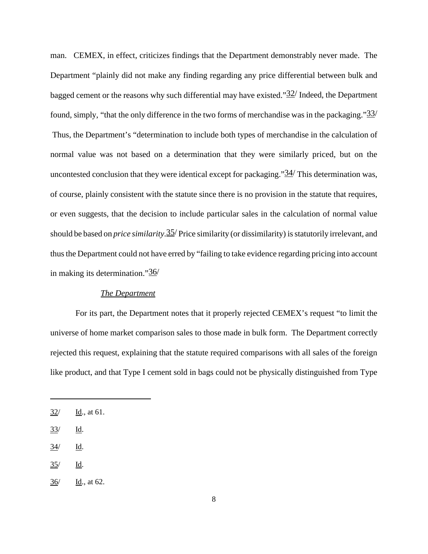man. CEMEX, in effect, criticizes findings that the Department demonstrably never made. The Department "plainly did not make any finding regarding any price differential between bulk and bagged cement or the reasons why such differential may have existed." $32/$  Indeed, the Department found, simply, "that the only difference in the two forms of merchandise was in the packaging." $\frac{33}{ }$ Thus, the Department's "determination to include both types of merchandise in the calculation of normal value was not based on a determination that they were similarly priced, but on the uncontested conclusion that they were identical except for packaging." $34/$  This determination was, of course, plainly consistent with the statute since there is no provision in the statute that requires, or even suggests, that the decision to include particular sales in the calculation of normal value should be based on *price similarity*.35/ Price similarity (or dissimilarity) isstatutorily irrelevant, and thus the Department could not have erred by "failing to take evidence regarding pricing into account in making its determination."36/

## *The Department*

For its part, the Department notes that it properly rejected CEMEX's request "to limit the universe of home market comparison sales to those made in bulk form. The Department correctly rejected this request, explaining that the statute required comparisons with all sales of the foreign like product, and that Type I cement sold in bags could not be physically distinguished from Type

 $35/$  Id.

<sup>32/</sup> Id., at 61.

<sup>33/</sup> Id.

 $\frac{34}{ }$  Id.

 $36/$  Id., at 62.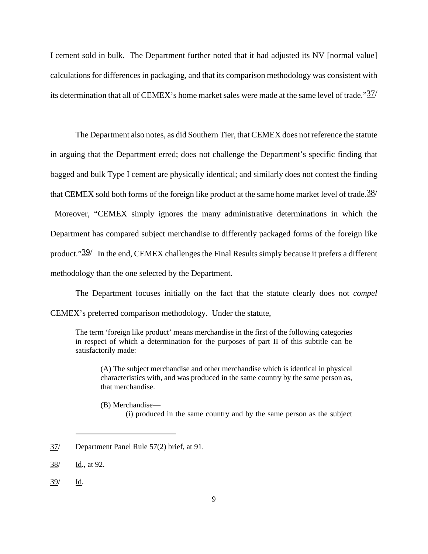I cement sold in bulk. The Department further noted that it had adjusted its NV [normal value] calculations for differences in packaging, and that its comparison methodology was consistent with its determination that all of CEMEX's home market sales were made at the same level of trade."37/

The Department also notes, as did Southern Tier, that CEMEX does not reference the statute in arguing that the Department erred; does not challenge the Department's specific finding that bagged and bulk Type I cement are physically identical; and similarly does not contest the finding that CEMEX sold both forms of the foreign like product at the same home market level of trade.  $\frac{38}{1}$ Moreover, "CEMEX simply ignores the many administrative determinations in which the Department has compared subject merchandise to differently packaged forms of the foreign like product."39/ In the end, CEMEX challenges the Final Results simply because it prefers a different methodology than the one selected by the Department.

The Department focuses initially on the fact that the statute clearly does not *compel* CEMEX's preferred comparison methodology. Under the statute,

The term 'foreign like product' means merchandise in the first of the following categories in respect of which a determination for the purposes of part II of this subtitle can be satisfactorily made:

(A) The subject merchandise and other merchandise which is identical in physical characteristics with, and was produced in the same country by the same person as, that merchandise.

(B) Merchandise—

(i) produced in the same country and by the same person as the subject

<sup>37/</sup> Department Panel Rule 57(2) brief, at 91.

<sup>38/</sup> Id., at 92.

<sup>39/</sup> Id.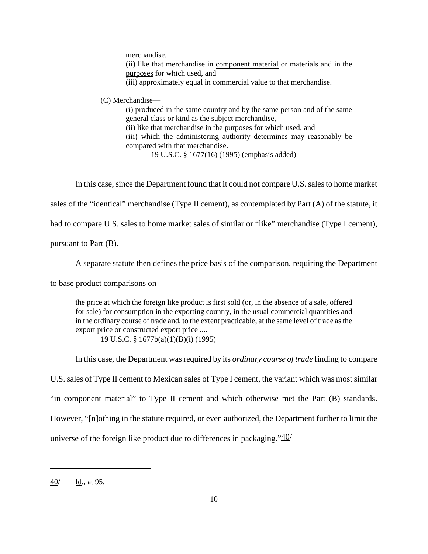merchandise, (ii) like that merchandise in component material or materials and in the purposes for which used, and (iii) approximately equal in commercial value to that merchandise.

(C) Merchandise—

(i) produced in the same country and by the same person and of the same general class or kind as the subject merchandise, (ii) like that merchandise in the purposes for which used, and (iii) which the administering authority determines may reasonably be compared with that merchandise. 19 U.S.C. § 1677(16) (1995) (emphasis added)

In this case, since the Department found that it could not compare U.S. sales to home market

sales of the "identical" merchandise (Type II cement), as contemplated by Part (A) of the statute, it

had to compare U.S. sales to home market sales of similar or "like" merchandise (Type I cement),

pursuant to Part (B).

A separate statute then defines the price basis of the comparison, requiring the Department

to base product comparisons on—

the price at which the foreign like product is first sold (or, in the absence of a sale, offered for sale) for consumption in the exporting country, in the usual commercial quantities and in the ordinary course of trade and, to the extent practicable, at the same level of trade asthe export price or constructed export price ....

19 U.S.C. § 1677b(a)(1)(B)(i) (1995)

In this case, the Department was required by its *ordinary course of trade* finding to compare U.S. sales of Type II cement to Mexican sales of Type I cement, the variant which was most similar "in component material" to Type II cement and which otherwise met the Part (B) standards. However, "[n]othing in the statute required, or even authorized, the Department further to limit the universe of the foreign like product due to differences in packaging." $40/$ 

<sup>40/</sup> Id., at 95.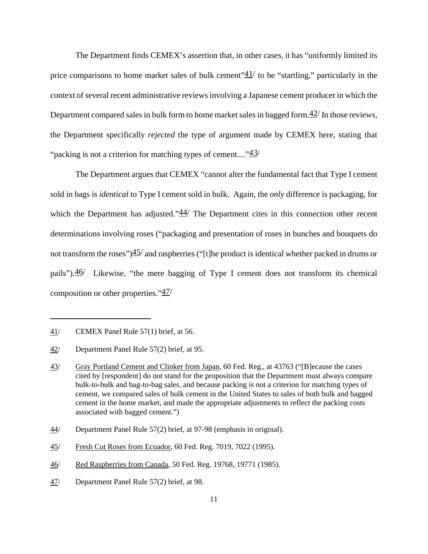The Department finds CEMEX's assertion that, in other cases, it has "uniformly limited its price comparisons to home market sales of bulk cement" $\frac{41}{1}$  to be "startling," particularly in the context of several recent administrative reviews involving a Japanese cement producer in which the Department compared sales in bulk form to home market sales in bagged form. $42/$  In those reviews, the Department specifically *rejected* the type of argument made by CEMEX here, stating that "packing is not a criterion for matching types of cement...." $43/$ 

The Department argues that CEMEX "cannot alter the fundamental fact that Type I cement sold in bags is *identical* to Type I cement sold in bulk. Again, the *only* difference is packaging, for which the Department has adjusted." $\frac{44}{1}$  The Department cites in this connection other recent determinations involving roses ("packaging and presentation of roses in bunches and bouquets do not transform the roses") $\frac{45}{}$  and raspberries ("[t]he product is identical whether packed in drums or pails"). $\frac{46}{ }$  Likewise, "the mere bagging of Type I cement does not transform its chemical composition or other properties." $\frac{47}{ }$ 

<sup>41/</sup> CEMEX Panel Rule 57(1) brief, at 56.

<sup>42/</sup> Department Panel Rule 57(2) brief, at 95.

<sup>43/</sup> Gray Portland Cement and Clinker from Japan, 60 Fed. Reg., at 43763 ("[B]ecause the cases cited by [respondent] do not stand for the proposition that the Department must always compare bulk-to-bulk and bag-to-bag sales, and because packing is not a criterion for matching types of cement, we compared sales of bulk cement in the United States to sales of both bulk and bagged cement in the home market, and made the appropriate adjustments to reflect the packing costs associated with bagged cement.")

<sup>44/</sup> Department Panel Rule 57(2) brief, at 97-98 (emphasis in original).

<sup>45/</sup> Fresh Cut Roses from Ecuador, 60 Fed. Reg. 7019, 7022 (1995).

<sup>46/</sup> Red Raspberries from Canada, 50 Fed. Reg. 19768, 19771 (1985).

<sup>47/</sup> Department Panel Rule 57(2) brief, at 98.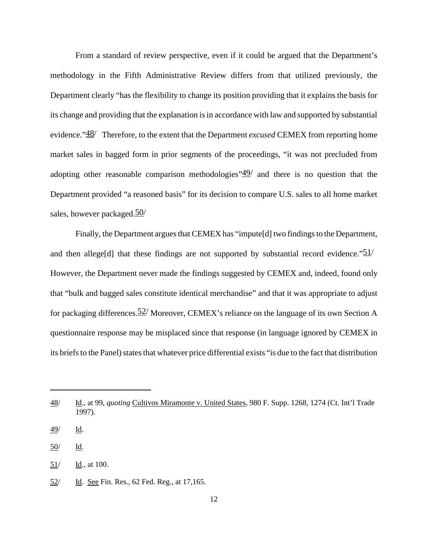From a standard of review perspective, even if it could be argued that the Department's methodology in the Fifth Administrative Review differs from that utilized previously, the Department clearly "has the flexibility to change its position providing that it explains the basis for its change and providing that the explanation is in accordance with law and supported by substantial evidence."48/ Therefore, to the extent that the Department *excused* CEMEX from reporting home market sales in bagged form in prior segments of the proceedings, "it was not precluded from adopting other reasonable comparison methodologies" $\frac{49}{ }$  and there is no question that the Department provided "a reasoned basis" for its decision to compare U.S. sales to all home market sales, however packaged. 50/

Finally, the Department argues that CEMEX has "impute[d] two findings to the Department, and then allege<sup>[d]</sup> that these findings are not supported by substantial record evidence." $51/$ However, the Department never made the findings suggested by CEMEX and, indeed, found only that "bulk and bagged sales constitute identical merchandise" and that it was appropriate to adjust for packaging differences.  $52/$  Moreover, CEMEX's reliance on the language of its own Section A questionnaire response may be misplaced since that response (in language ignored by CEMEX in its briefs to the Panel) states that whatever price differential exists "is due to the fact that distribution

<sup>48/</sup> Id., at 99, *quoting* Cultivos Miramonte v. United States, 980 F. Supp. 1268, 1274 (Ct. Int'l Trade 1997).

<sup>49/</sup> Id.

<sup>50/</sup> Id.

 $51/$  Id., at 100.

<sup>52/</sup> Id. See Fin. Res., 62 Fed. Reg., at 17,165.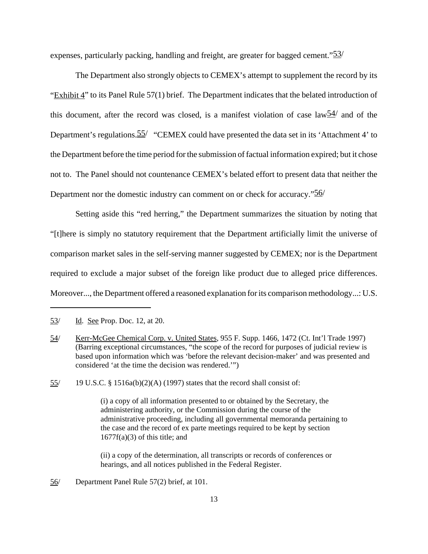expenses, particularly packing, handling and freight, are greater for bagged cement."<sup>53</sup>/

The Department also strongly objects to CEMEX's attempt to supplement the record by its " $Exhibit 4$ " to its Panel Rule 57(1) brief. The Department indicates that the belated introduction of this document, after the record was closed, is a manifest violation of case law $\frac{54}{ }$  and of the Department's regulations.  $55/$  "CEMEX could have presented the data set in its 'Attachment 4' to the Department before the time period forthe submission offactual information expired; but it chose not to. The Panel should not countenance CEMEX's belated effort to present data that neither the Department nor the domestic industry can comment on or check for accuracy."<sup>56</sup>

Setting aside this "red herring," the Department summarizes the situation by noting that "[t]here is simply no statutory requirement that the Department artificially limit the universe of comparison market sales in the self-serving manner suggested by CEMEX; nor is the Department required to exclude a major subset of the foreign like product due to alleged price differences. Moreover..., the Department offered a reasoned explanation forits comparison methodology...: U.S.

55/ 19 U.S.C. § 1516a(b)(2)(A) (1997) states that the record shall consist of:

(i) a copy of all information presented to or obtained by the Secretary, the administering authority, or the Commission during the course of the administrative proceeding, including all governmental memoranda pertaining to the case and the record of ex parte meetings required to be kept by section  $1677f(a)(3)$  of this title; and

(ii) a copy of the determination, all transcripts or records of conferences or hearings, and all notices published in the Federal Register.

<sup>53/</sup> Id. See Prop. Doc. 12, at 20.

<sup>54/</sup> Kerr-McGee Chemical Corp. v. United States, 955 F. Supp. 1466, 1472 (Ct. Int'l Trade 1997) (Barring exceptional circumstances, "the scope of the record for purposes of judicial review is based upon information which was 'before the relevant decision-maker' and was presented and considered 'at the time the decision was rendered.'")

<sup>56/</sup> Department Panel Rule 57(2) brief, at 101.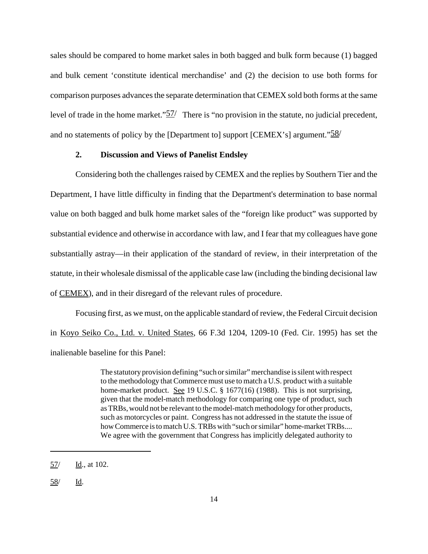sales should be compared to home market sales in both bagged and bulk form because (1) bagged and bulk cement 'constitute identical merchandise' and (2) the decision to use both forms for comparison purposes advances the separate determination that CEMEX sold both forms at the same level of trade in the home market."57/ There is "no provision in the statute, no judicial precedent, and no statements of policy by the [Department to] support [CEMEX's] argument." $\frac{58}{ }$ 

## **2. Discussion and Views of Panelist Endsley**

Considering both the challenges raised by CEMEX and the replies by Southern Tier and the Department, I have little difficulty in finding that the Department's determination to base normal value on both bagged and bulk home market sales of the "foreign like product" was supported by substantial evidence and otherwise in accordance with law, and I fear that my colleagues have gone substantially astray—in their application of the standard of review, in their interpretation of the statute, in their wholesale dismissal of the applicable case law (including the binding decisional law of CEMEX), and in their disregard of the relevant rules of procedure.

Focusing first, as we must, on the applicable standard of review, the Federal Circuit decision in Koyo Seiko Co., Ltd. v. United States, 66 F.3d 1204, 1209-10 (Fed. Cir. 1995) has set the inalienable baseline for this Panel:

> The statutory provision defining "such orsimilar" merchandise is silent with respect to the methodology that Commerce must use to match a U.S. product with a suitable home-market product. See 19 U.S.C. § 1677(16) (1988). This is not surprising, given that the model-match methodology for comparing one type of product, such asTRBs,would not be relevant to themodel-matchmethodology for other products, such as motorcycles or paint. Congress has not addressed in the statute the issue of how Commerce is to match U.S. TRBs with "such or similar" home-market TRBs.... We agree with the government that Congress has implicitly delegated authority to

<sup>57/</sup> Id., at 102.

<sup>58/</sup> Id.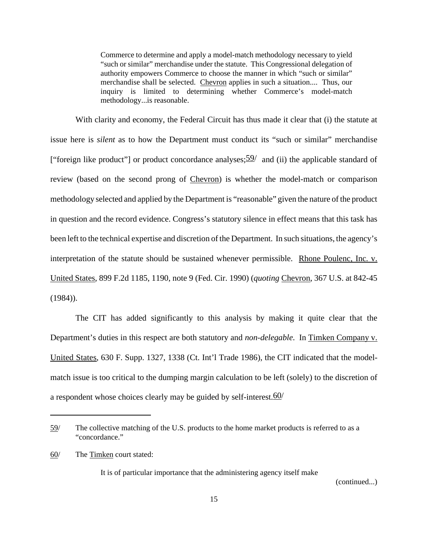Commerce to determine and apply a model-match methodology necessary to yield "such or similar" merchandise under the statute. This Congressional delegation of authority empowers Commerce to choose the manner in which "such or similar" merchandise shall be selected. Chevron applies in such a situation.... Thus, our inquiry is limited to determining whether Commerce's model-match methodology...is reasonable.

With clarity and economy, the Federal Circuit has thus made it clear that (i) the statute at issue here is *silent* as to how the Department must conduct its "such or similar" merchandise ["foreign like product"] or product concordance analyses;  $\frac{59}{ }$  and (ii) the applicable standard of review (based on the second prong of Chevron) is whether the model-match or comparison methodology selected and applied by the Department is "reasonable" given the nature of the product in question and the record evidence. Congress's statutory silence in effect means that this task has been left to the technical expertise and discretion of the Department. In such situations, the agency's interpretation of the statute should be sustained whenever permissible. Rhone Poulenc, Inc. v. United States, 899 F.2d 1185, 1190, note 9 (Fed. Cir. 1990) (*quoting* Chevron, 367 U.S. at 842-45 (1984)).

The CIT has added significantly to this analysis by making it quite clear that the Department's duties in this respect are both statutory and *non-delegable*. In Timken Company v. United States, 630 F. Supp. 1327, 1338 (Ct. Int'l Trade 1986), the CIT indicated that the modelmatch issue is too critical to the dumping margin calculation to be left (solely) to the discretion of a respondent whose choices clearly may be guided by self-interest.60/

It is of particular importance that the administering agency itself make

(continued...)

<sup>59/</sup> The collective matching of the U.S. products to the home market products is referred to as a "concordance."

<sup>60/</sup> The Timken court stated: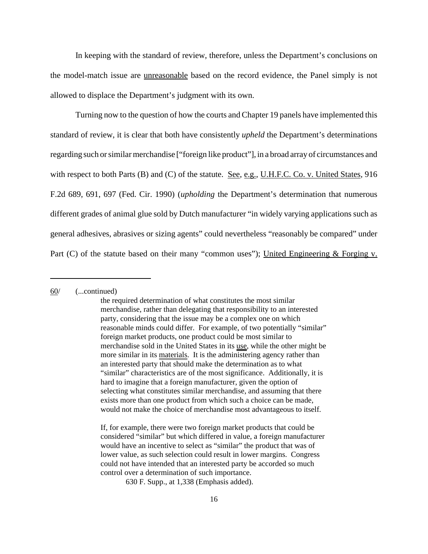In keeping with the standard of review, therefore, unless the Department's conclusions on the model-match issue are unreasonable based on the record evidence, the Panel simply is not allowed to displace the Department's judgment with its own.

Turning now to the question of how the courts and Chapter 19 panels have implemented this standard of review, it is clear that both have consistently *upheld* the Department's determinations regarding such or similar merchandise ["foreign like product"], in a broad array of circumstances and with respect to both Parts (B) and (C) of the statute. See, e.g., U.H.F.C. Co. v. United States, 916 F.2d 689, 691, 697 (Fed. Cir. 1990) (*upholding* the Department's determination that numerous different grades of animal glue sold by Dutch manufacturer "in widely varying applications such as general adhesives, abrasives or sizing agents" could nevertheless "reasonably be compared" under Part (C) of the statute based on their many "common uses"); United Engineering  $&$  Forging v.

## 60/ (...continued)

630 F. Supp., at 1,338 (Emphasis added).

the required determination of what constitutes the most similar merchandise, rather than delegating that responsibility to an interested party, considering that the issue may be a complex one on which reasonable minds could differ. For example, of two potentially "similar" foreign market products, one product could be most similar to merchandise sold in the United States in its use, while the other might be more similar in its materials. It is the administering agency rather than an interested party that should make the determination as to what "similar" characteristics are of the most significance. Additionally, it is hard to imagine that a foreign manufacturer, given the option of selecting what constitutes similar merchandise, and assuming that there exists more than one product from which such a choice can be made, would not make the choice of merchandise most advantageous to itself.

If, for example, there were two foreign market products that could be considered "similar" but which differed in value, a foreign manufacturer would have an incentive to select as "similar" the product that was of lower value, as such selection could result in lower margins. Congress could not have intended that an interested party be accorded so much control over a determination of such importance.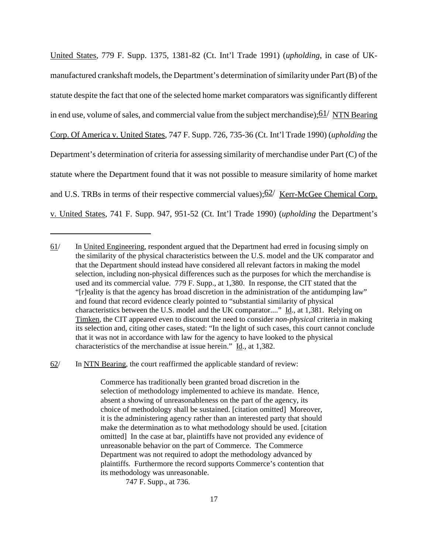United States, 779 F. Supp. 1375, 1381-82 (Ct. Int'l Trade 1991) (*upholding*, in case of UKmanufactured crankshaft models, the Department's determination ofsimilarity under Part (B) of the statute despite the fact that one of the selected home market comparators was significantly different in end use, volume of sales, and commercial value from the subject merchandise);  $61/$  NTN Bearing Corp. Of America v. United States, 747 F. Supp. 726, 735-36 (Ct. Int'l Trade 1990) (*upholding* the Department's determination of criteria for assessing similarity of merchandise under Part (C) of the statute where the Department found that it was not possible to measure similarity of home market and U.S. TRBs in terms of their respective commercial values); $62/$  Kerr-McGee Chemical Corp. v. United States, 741 F. Supp. 947, 951-52 (Ct. Int'l Trade 1990) (*upholding* the Department's

 $62$  In NTN Bearing, the court reaffirmed the applicable standard of review:

Commerce has traditionally been granted broad discretion in the selection of methodology implemented to achieve its mandate. Hence, absent a showing of unreasonableness on the part of the agency, its choice of methodology shall be sustained. [citation omitted] Moreover, it is the administering agency rather than an interested party that should make the determination as to what methodology should be used. [citation omitted] In the case at bar, plaintiffs have not provided any evidence of unreasonable behavior on the part of Commerce. The Commerce Department was not required to adopt the methodology advanced by plaintiffs. Furthermore the record supports Commerce's contention that its methodology was unreasonable.

747 F. Supp., at 736.

<sup>61/</sup> In United Engineering, respondent argued that the Department had erred in focusing simply on the similarity of the physical characteristics between the U.S. model and the UK comparator and that the Department should instead have considered all relevant factors in making the model selection, including non-physical differences such as the purposes for which the merchandise is used and its commercial value. 779 F. Supp., at 1,380. In response, the CIT stated that the "[r]eality is that the agency has broad discretion in the administration of the antidumping law" and found that record evidence clearly pointed to "substantial similarity of physical characteristics between the U.S. model and the UK comparator...." Id., at 1,381. Relying on Timken, the CIT appeared even to discount the need to consider *non-physical* criteria in making its selection and, citing other cases, stated: "In the light of such cases, this court cannot conclude that it was not in accordance with law for the agency to have looked to the physical characteristics of the merchandise at issue herein." Id., at 1,382.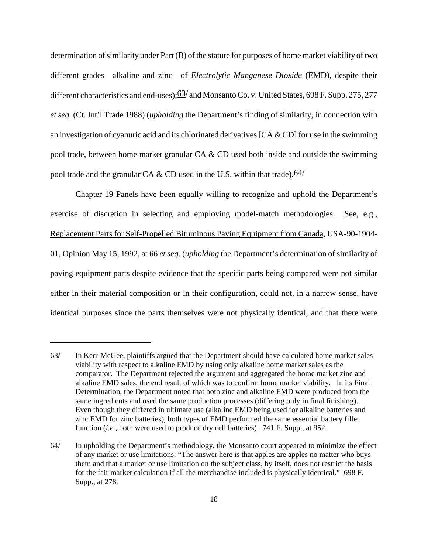determination of similarity under Part (B) of the statute for purposes of home market viability of two different grades—alkaline and zinc—of *Electrolytic Manganese Dioxide* (EMD), despite their different characteristics and end-uses);  $63/$  and Monsanto Co. v. United States, 698 F. Supp. 275, 277 *et seq.* (Ct. Int'l Trade 1988) (*upholding* the Department's finding of similarity, in connection with an investigation of cyanuric acid and its chlorinated derivatives  $[CA & CD]$  for use in the swimming pool trade, between home market granular CA & CD used both inside and outside the swimming pool trade and the granular CA & CD used in the U.S. within that trade).  $64/$ 

Chapter 19 Panels have been equally willing to recognize and uphold the Department's exercise of discretion in selecting and employing model-match methodologies. See, e.g., Replacement Parts for Self-Propelled Bituminous Paving Equipment from Canada, USA-90-1904- 01, Opinion May 15, 1992, at 66 *et seq*. (*upholding* the Department's determination of similarity of paving equipment parts despite evidence that the specific parts being compared were not similar either in their material composition or in their configuration, could not, in a narrow sense, have identical purposes since the parts themselves were not physically identical, and that there were

<sup>63/</sup> In Kerr-McGee, plaintiffs argued that the Department should have calculated home market sales viability with respect to alkaline EMD by using only alkaline home market sales as the comparator. The Department rejected the argument and aggregated the home market zinc and alkaline EMD sales, the end result of which was to confirm home market viability. In its Final Determination, the Department noted that both zinc and alkaline EMD were produced from the same ingredients and used the same production processes (differing only in final finishing). Even though they differed in ultimate use (alkaline EMD being used for alkaline batteries and zinc EMD for zinc batteries), both types of EMD performed the same essential battery filler function (*i.e.*, both were used to produce dry cell batteries). 741 F. Supp., at 952.

<sup>64/</sup> In upholding the Department's methodology, the Monsanto court appeared to minimize the effect of any market or use limitations: "The answer here is that apples are apples no matter who buys them and that a market or use limitation on the subject class, by itself, does not restrict the basis for the fair market calculation if all the merchandise included is physically identical." 698 F. Supp., at 278.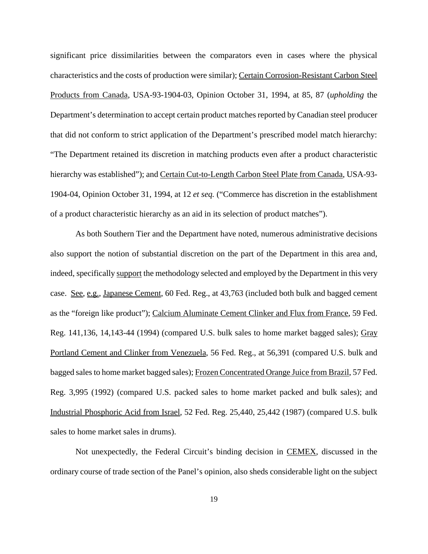significant price dissimilarities between the comparators even in cases where the physical characteristics and the costs of production were similar); Certain Corrosion-Resistant Carbon Steel Products from Canada, USA-93-1904-03, Opinion October 31, 1994, at 85, 87 (*upholding* the Department's determination to accept certain product matches reported by Canadian steel producer that did not conform to strict application of the Department's prescribed model match hierarchy: "The Department retained its discretion in matching products even after a product characteristic hierarchy was established"); and Certain Cut-to-Length Carbon Steel Plate from Canada, USA-93-1904-04, Opinion October 31, 1994, at 12 *et seq.* ("Commerce has discretion in the establishment of a product characteristic hierarchy as an aid in its selection of product matches").

As both Southern Tier and the Department have noted, numerous administrative decisions also support the notion of substantial discretion on the part of the Department in this area and, indeed, specifically support the methodology selected and employed by the Department in this very case. See, e.g., Japanese Cement, 60 Fed. Reg., at 43,763 (included both bulk and bagged cement as the "foreign like product"); Calcium Aluminate Cement Clinker and Flux from France, 59 Fed. Reg. 141,136, 14,143-44 (1994) (compared U.S. bulk sales to home market bagged sales); Gray Portland Cement and Clinker from Venezuela, 56 Fed. Reg., at 56,391 (compared U.S. bulk and bagged sales to home market bagged sales); Frozen Concentrated Orange Juice from Brazil, 57 Fed. Reg. 3,995 (1992) (compared U.S. packed sales to home market packed and bulk sales); and Industrial Phosphoric Acid from Israel, 52 Fed. Reg. 25,440, 25,442 (1987) (compared U.S. bulk sales to home market sales in drums).

Not unexpectedly, the Federal Circuit's binding decision in CEMEX, discussed in the ordinary course of trade section of the Panel's opinion, also sheds considerable light on the subject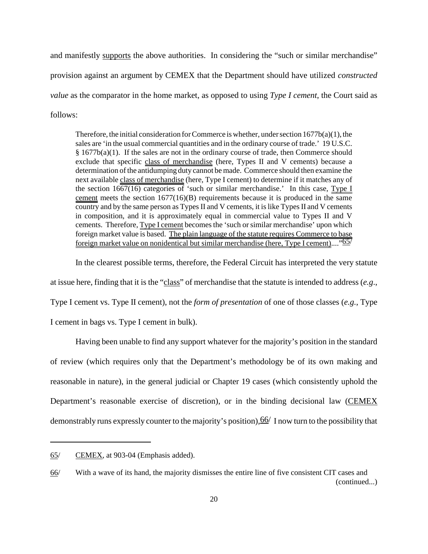and manifestly supports the above authorities. In considering the "such or similar merchandise" provision against an argument by CEMEX that the Department should have utilized *constructed value* as the comparator in the home market, as opposed to using *Type I cement*, the Court said as follows:

Therefore, the initial consideration for Commerce is whether, under section  $1677b(a)(1)$ , the sales are 'in the usual commercial quantities and in the ordinary course of trade.' 19 U.S.C.  $§ 1677b(a)(1)$ . If the sales are not in the ordinary course of trade, then Commerce should exclude that specific class of merchandise (here, Types II and V cements) because a determination ofthe antidumping duty cannot be made. Commerce should then examine the next available class of merchandise (here, Type I cement) to determine if it matches any of the section 1667(16) categories of 'such or similar merchandise.' In this case, Type I cement meets the section  $1677(16)(B)$  requirements because it is produced in the same country and by the same person as Types II and V cements, it is like Types II and V cements in composition, and it is approximately equal in commercial value to Types II and V cements. Therefore, Type I cement becomes the 'such or similar merchandise' upon which foreign market value is based. The plain language of the statute requires Commerce to base foreign market value on nonidentical but similar merchandise (here, Type I cement)...."65/

In the clearest possible terms, therefore, the Federal Circuit has interpreted the very statute at issue here, finding that it is the "class" of merchandise that the statute is intended to address (*e.g*., Type I cement vs. Type II cement), not the *form of presentation* of one of those classes (*e.g.*, Type I cement in bags vs. Type I cement in bulk).

Having been unable to find any support whatever for the majority's position in the standard of review (which requires only that the Department's methodology be of its own making and reasonable in nature), in the general judicial or Chapter 19 cases (which consistently uphold the Department's reasonable exercise of discretion), or in the binding decisional law (CEMEX demonstrably runs expressly counter to the majority's position),  $66/$  I now turn to the possibility that

<sup>65/</sup> CEMEX, at 903-04 (Emphasis added).

<sup>66/</sup> With a wave of its hand, the majority dismisses the entire line of five consistent CIT cases and (continued...)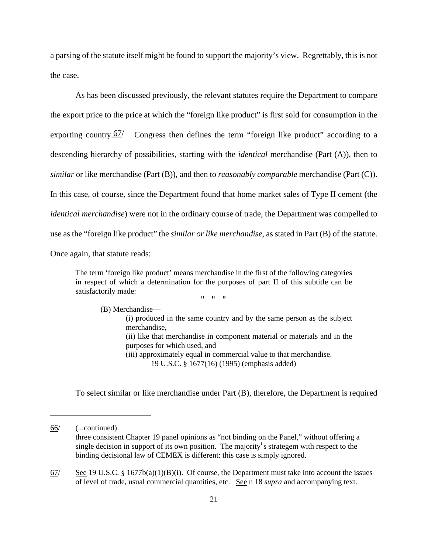a parsing of the statute itself might be found to support the majority's view. Regrettably, this is not the case.

As has been discussed previously, the relevant statutes require the Department to compare the export price to the price at which the "foreign like product" is first sold for consumption in the exporting country. $\frac{67}{ }$  Congress then defines the term "foreign like product" according to a descending hierarchy of possibilities, starting with the *identical* merchandise (Part (A)), then to *similar* or like merchandise (Part (B)), and then to *reasonably comparable* merchandise (Part (C)). In this case, of course, since the Department found that home market sales of Type II cement (the *identical merchandise*) were not in the ordinary course of trade, the Department was compelled to use as the "foreign like product" the *similar or like merchandise*, as stated in Part (B) of the statute. Once again, that statute reads:

The term 'foreign like product' means merchandise in the first of the following categories in respect of which a determination for the purposes of part II of this subtitle can be satisfactorily made:

" " "

(B) Merchandise—

(i) produced in the same country and by the same person as the subject merchandise, (ii) like that merchandise in component material or materials and in the

purposes for which used, and (iii) approximately equal in commercial value to that merchandise.

19 U.S.C. § 1677(16) (1995) (emphasis added)

To select similar or like merchandise under Part (B), therefore, the Department is required

<sup>66/</sup> (...continued) three consistent Chapter 19 panel opinions as "not binding on the Panel," without offering a single decision in support of its own position. The majority's strategem with respect to the binding decisional law of CEMEX is different: this case is simply ignored.

 $67/$  See 19 U.S.C. § 1677b(a)(1)(B)(i). Of course, the Department must take into account the issues of level of trade, usual commercial quantities, etc. See n 18 *supra* and accompanying text.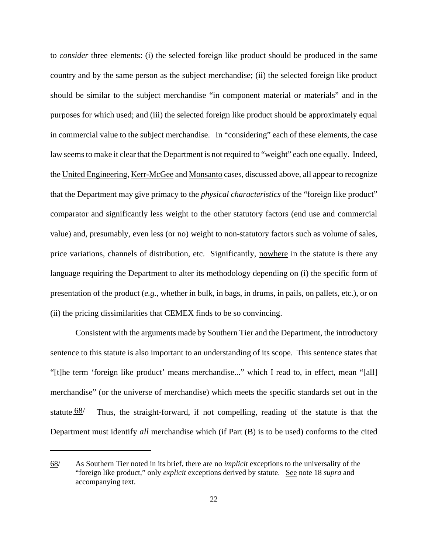to *consider* three elements: (i) the selected foreign like product should be produced in the same country and by the same person as the subject merchandise; (ii) the selected foreign like product should be similar to the subject merchandise "in component material or materials" and in the purposes for which used; and (iii) the selected foreign like product should be approximately equal in commercial value to the subject merchandise. In "considering" each of these elements, the case law seems to make it clear that the Department is not required to "weight" each one equally. Indeed, the United Engineering, Kerr-McGee and Monsanto cases, discussed above, all appear to recognize that the Department may give primacy to the *physical characteristics* of the "foreign like product" comparator and significantly less weight to the other statutory factors (end use and commercial value) and, presumably, even less (or no) weight to non-statutory factors such as volume of sales, price variations, channels of distribution, etc. Significantly, nowhere in the statute is there any language requiring the Department to alter its methodology depending on (i) the specific form of presentation of the product (*e.g.*, whether in bulk, in bags, in drums, in pails, on pallets, etc.), or on (ii) the pricing dissimilarities that CEMEX finds to be so convincing.

Consistent with the arguments made by Southern Tier and the Department, the introductory sentence to this statute is also important to an understanding of its scope. This sentence states that "[t]he term 'foreign like product' means merchandise..." which I read to, in effect, mean "[all] merchandise" (or the universe of merchandise) which meets the specific standards set out in the statute. $\frac{68}{ }$  Thus, the straight-forward, if not compelling, reading of the statute is that the Department must identify *all* merchandise which (if Part (B) is to be used) conforms to the cited

<sup>68/</sup> As Southern Tier noted in its brief, there are no *implicit* exceptions to the universality of the "foreign like product," only *explicit* exceptions derived by statute. See note 18 *supra* and accompanying text.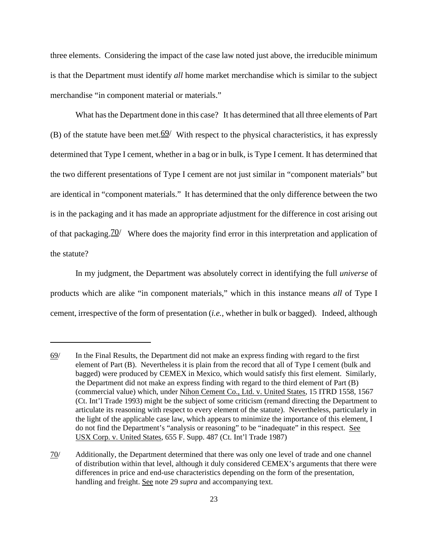three elements. Considering the impact of the case law noted just above, the irreducible minimum is that the Department must identify *all* home market merchandise which is similar to the subject merchandise "in component material or materials."

What has the Department done in this case? It has determined that all three elements of Part (B) of the statute have been met.  $69/$  With respect to the physical characteristics, it has expressly determined that Type I cement, whether in a bag or in bulk, is Type I cement. It has determined that the two different presentations of Type I cement are not just similar in "component materials" but are identical in "component materials." It has determined that the only difference between the two is in the packaging and it has made an appropriate adjustment for the difference in cost arising out of that packaging.70/ Where does the majority find error in this interpretation and application of the statute?

In my judgment, the Department was absolutely correct in identifying the full *universe* of products which are alike "in component materials," which in this instance means *all* of Type I cement, irrespective of the form of presentation (*i.e.*, whether in bulk or bagged). Indeed, although

<sup>69/</sup> In the Final Results, the Department did not make an express finding with regard to the first element of Part (B). Nevertheless it is plain from the record that all of Type I cement (bulk and bagged) were produced by CEMEX in Mexico, which would satisfy this first element. Similarly, the Department did not make an express finding with regard to the third element of Part (B) (commercial value) which, under Nihon Cement Co., Ltd. v. United States, 15 ITRD 1558, 1567 (Ct. Int'l Trade 1993) might be the subject of some criticism (remand directing the Department to articulate its reasoning with respect to every element of the statute). Nevertheless, particularly in the light of the applicable case law, which appears to minimize the importance of this element, I do not find the Department's "analysis or reasoning" to be "inadequate" in this respect. See USX Corp. v. United States, 655 F. Supp. 487 (Ct. Int'l Trade 1987)

<sup>70/</sup> Additionally, the Department determined that there was only one level of trade and one channel of distribution within that level, although it duly considered CEMEX's arguments that there were differences in price and end-use characteristics depending on the form of the presentation, handling and freight. See note 29 *supra* and accompanying text.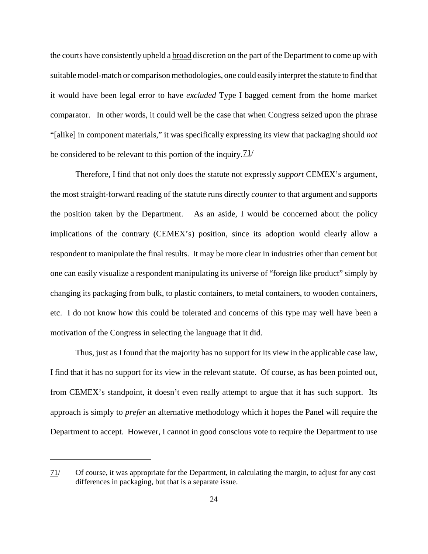the courts have consistently upheld a **broad** discretion on the part of the Department to come up with suitable model-match or comparison methodologies, one could easily interpret the statute to find that it would have been legal error to have *excluded* Type I bagged cement from the home market comparator. In other words, it could well be the case that when Congress seized upon the phrase "[alike] in component materials," it was specifically expressing its view that packaging should *not* be considered to be relevant to this portion of the inquiry.  $\frac{71}{1}$ 

Therefore, I find that not only does the statute not expressly *support* CEMEX's argument, the most straight-forward reading of the statute runs directly *counter* to that argument and supports the position taken by the Department. As an aside, I would be concerned about the policy implications of the contrary (CEMEX's) position, since its adoption would clearly allow a respondent to manipulate the final results. It may be more clear in industries other than cement but one can easily visualize a respondent manipulating its universe of "foreign like product" simply by changing its packaging from bulk, to plastic containers, to metal containers, to wooden containers, etc. I do not know how this could be tolerated and concerns of this type may well have been a motivation of the Congress in selecting the language that it did.

Thus, just as I found that the majority has no support for its view in the applicable case law, I find that it has no support for its view in the relevant statute. Of course, as has been pointed out, from CEMEX's standpoint, it doesn't even really attempt to argue that it has such support. Its approach is simply to *prefer* an alternative methodology which it hopes the Panel will require the Department to accept. However, I cannot in good conscious vote to require the Department to use

<sup>71/</sup> Of course, it was appropriate for the Department, in calculating the margin, to adjust for any cost differences in packaging, but that is a separate issue.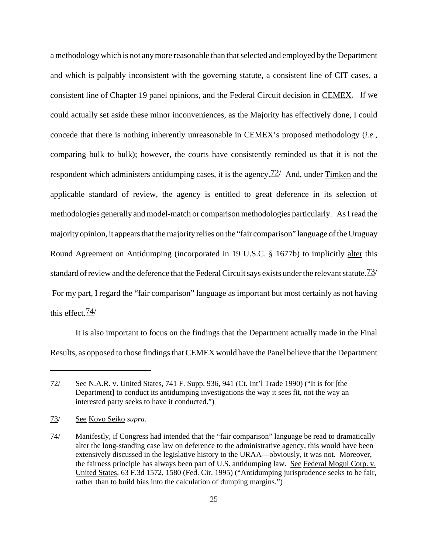a methodology which is not any more reasonable than that selected and employed by the Department and which is palpably inconsistent with the governing statute, a consistent line of CIT cases, a consistent line of Chapter 19 panel opinions, and the Federal Circuit decision in CEMEX. If we could actually set aside these minor inconveniences, as the Majority has effectively done, I could concede that there is nothing inherently unreasonable in CEMEX's proposed methodology (*i.e.*, comparing bulk to bulk); however, the courts have consistently reminded us that it is not the respondent which administers antidumping cases, it is the agency.<sup>72</sup> And, under Timken and the applicable standard of review, the agency is entitled to great deference in its selection of methodologies generally and model-match or comparison methodologies particularly. As I read the majority opinion, it appears that the majority relies on the "fair comparison" language of the Uruguay Round Agreement on Antidumping (incorporated in 19 U.S.C. § 1677b) to implicitly alter this standard of review and the deference that the Federal Circuit says exists under the relevant statute.  $\frac{73}{ }$ For my part, I regard the "fair comparison" language as important but most certainly as not having this effect.74/

It is also important to focus on the findings that the Department actually made in the Final Results, as opposed to those findings that CEMEX would have the Panel believe that the Department

<sup>72/</sup> See N.A.R. v. United States, 741 F. Supp. 936, 941 (Ct. Int'l Trade 1990) ("It is for [the Department] to conduct its antidumping investigations the way it sees fit, not the way an interested party seeks to have it conducted.")

<sup>73/</sup> See Koyo Seiko *supra*.

<sup>74/</sup> Manifestly, if Congress had intended that the "fair comparison" language be read to dramatically alter the long-standing case law on deference to the administrative agency, this would have been extensively discussed in the legislative history to the URAA—obviously, it was not. Moreover, the fairness principle has always been part of U.S. antidumping law. See Federal Mogul Corp. v. United States, 63 F.3d 1572, 1580 (Fed. Cir. 1995) ("Antidumping jurisprudence seeks to be fair, rather than to build bias into the calculation of dumping margins.")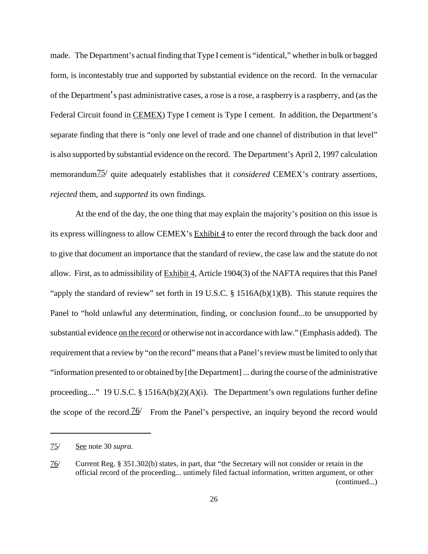made. The Department's actual finding that Type I cement is "identical," whether in bulk or bagged form, is incontestably true and supported by substantial evidence on the record. In the vernacular of the Department's past administrative cases, a rose is a rose, a raspberry is a raspberry, and (as the Federal Circuit found in CEMEX) Type I cement is Type I cement. In addition, the Department's separate finding that there is "only one level of trade and one channel of distribution in that level" is also supported by substantial evidence on the record. The Department's April 2, 1997 calculation memorandum75/ quite adequately establishes that it *considered* CEMEX's contrary assertions, *rejected* them, and *supported* its own findings.

At the end of the day, the one thing that may explain the majority's position on this issue is its express willingness to allow CEMEX's Exhibit 4 to enter the record through the back door and to give that document an importance that the standard of review, the case law and the statute do not allow. First, as to admissibility of Exhibit 4, Article 1904(3) of the NAFTA requires that this Panel "apply the standard of review" set forth in 19 U.S.C. § 1516A(b)(1)(B). This statute requires the Panel to "hold unlawful any determination, finding, or conclusion found...to be unsupported by substantial evidence on the record or otherwise not in accordance with law." (Emphasis added). The requirement that a review by "on the record" means that a Panel's review must be limited to only that "information presented to or obtained by [the Department] ... during the course of the administrative proceeding...." 19 U.S.C. § 1516A(b)(2)(A)(i). The Department's own regulations further define the scope of the record.<sup>76</sup> From the Panel's perspective, an inquiry beyond the record would

<sup>75/</sup> See note 30 *supra*.

<sup>76/</sup> Current Reg. § 351.302(b) states, in part, that "the Secretary will not consider or retain in the official record of the proceeding... untimely filed factual information, written argument, or other (continued...)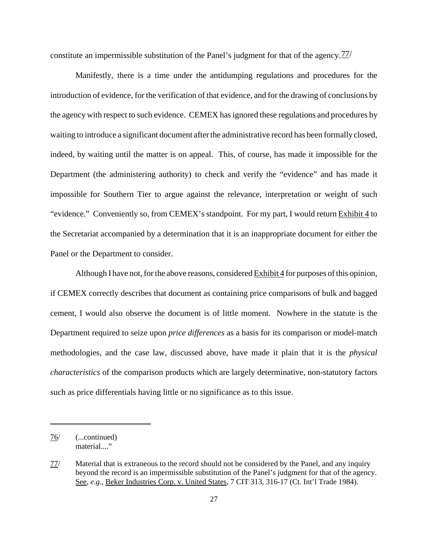constitute an impermissible substitution of the Panel's judgment for that of the agency.  $77/$ 

Manifestly, there is a time under the antidumping regulations and procedures for the introduction of evidence, for the verification of that evidence, and for the drawing of conclusions by the agency with respect to such evidence. CEMEX has ignored these regulations and procedures by waiting to introduce a significant document after the administrative record has been formally closed, indeed, by waiting until the matter is on appeal. This, of course, has made it impossible for the Department (the administering authority) to check and verify the "evidence" and has made it impossible for Southern Tier to argue against the relevance, interpretation or weight of such "evidence." Conveniently so, from CEMEX's standpoint. For my part, I would return Exhibit 4 to the Secretariat accompanied by a determination that it is an inappropriate document for either the Panel or the Department to consider.

Although I have not, for the above reasons, considered Exhibit 4 for purposes of this opinion, if CEMEX correctly describes that document as containing price comparisons of bulk and bagged cement, I would also observe the document is of little moment. Nowhere in the statute is the Department required to seize upon *price differences* as a basis for its comparison or model-match methodologies, and the case law, discussed above, have made it plain that it is the *physical characteristics* of the comparison products which are largely determinative, non-statutory factors such as price differentials having little or no significance as to this issue.

<sup>76/</sup> (...continued) material...."

<sup>77/</sup> Material that is extraneous to the record should not be considered by the Panel, and any inquiry beyond the record is an impermissible substitution of the Panel's judgment for that of the agency. See, *e.g.*, Beker Industries Corp. v. United States, 7 CIT 313, 316-17 (Ct. Int'l Trade 1984).